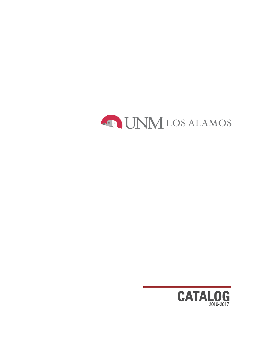

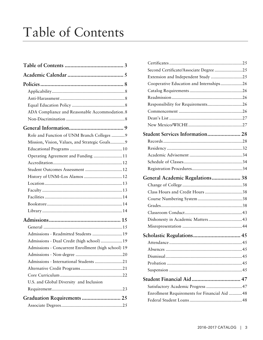# Table of Contents

| ADA Compliance and Reasonable Accommodation.8       |  |
|-----------------------------------------------------|--|
|                                                     |  |
|                                                     |  |
| Role and Function of UNM Branch Colleges  9         |  |
| Mission, Vision, Values, and Strategic Goals9       |  |
|                                                     |  |
| Operating Agreement and Funding 11                  |  |
|                                                     |  |
| Student Outcomes Assessment  12                     |  |
| History of UNM-Los Alamos  12                       |  |
|                                                     |  |
|                                                     |  |
|                                                     |  |
|                                                     |  |
|                                                     |  |
|                                                     |  |
|                                                     |  |
| Admissions - Readmitted Students 19                 |  |
| Admissions - Dual Credit (high school) 19           |  |
| Admissions - Concurrent Enrollment (high school) 19 |  |
|                                                     |  |
| Admissions - International Students 21              |  |
|                                                     |  |
|                                                     |  |
| U.S. and Global Diversity and Inclusion             |  |
|                                                     |  |
|                                                     |  |
|                                                     |  |
|                                                     |  |

| Second Certificate/Associate Degree 25       |  |
|----------------------------------------------|--|
| Extension and Independent Study 25           |  |
| Cooperative Education and Internships26      |  |
|                                              |  |
|                                              |  |
| Responsibility for Requirements26            |  |
|                                              |  |
|                                              |  |
|                                              |  |
| Student Services Information 28              |  |
|                                              |  |
|                                              |  |
|                                              |  |
|                                              |  |
|                                              |  |
| General Academic Regulations 38              |  |
|                                              |  |
| Class Hours and Credit Hours 38              |  |
|                                              |  |
|                                              |  |
|                                              |  |
| Dishonesty in Academic Matters43             |  |
|                                              |  |
|                                              |  |
|                                              |  |
|                                              |  |
|                                              |  |
|                                              |  |
|                                              |  |
|                                              |  |
| Satisfactory Academic Progress 47            |  |
| Enrollment Requirements for Financial Aid 48 |  |
|                                              |  |
|                                              |  |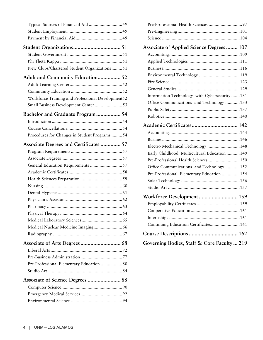| Typical Sources of Financial Aid 49               |  |
|---------------------------------------------------|--|
|                                                   |  |
|                                                   |  |
|                                                   |  |
|                                                   |  |
|                                                   |  |
| New Clubs/Chartered Student Organizations51       |  |
| Adult and Community Education 52                  |  |
|                                                   |  |
|                                                   |  |
| Workforce Training and Professional Development52 |  |
| Small Business Development Center 53              |  |
| Bachelor and Graduate Program 54                  |  |
|                                                   |  |
|                                                   |  |
| Procedures for Changes in Student Programs  54    |  |
| Associate Degrees and Certificates  57            |  |
|                                                   |  |
|                                                   |  |
| General Education Requirements 57                 |  |
|                                                   |  |
|                                                   |  |
|                                                   |  |
|                                                   |  |
|                                                   |  |
|                                                   |  |
|                                                   |  |
|                                                   |  |
|                                                   |  |
|                                                   |  |
|                                                   |  |
|                                                   |  |
|                                                   |  |
| Pre-Professional Elementary Education  80         |  |
|                                                   |  |
| Associate of Science Degrees  88                  |  |
|                                                   |  |
|                                                   |  |
|                                                   |  |

| Associate of Applied Science Degrees  107      |  |
|------------------------------------------------|--|
|                                                |  |
|                                                |  |
|                                                |  |
|                                                |  |
|                                                |  |
|                                                |  |
| Information Technology with Cybersecurity  131 |  |
| Office Communications and Technology  133      |  |
|                                                |  |
|                                                |  |
| Academic Certificates 142                      |  |
|                                                |  |
|                                                |  |
| Electro Mechanical Technology 148              |  |
| Early Childhood Multicultural Education  149   |  |
| Pre-Professional Health Sciences  150          |  |
| Office Communications and Technology  152      |  |
| Pre-Professional Elementary Education 154      |  |
|                                                |  |
|                                                |  |
| Workforce Development  159                     |  |
|                                                |  |
|                                                |  |
|                                                |  |
| Continuing Education Certificates161           |  |
|                                                |  |
| Governing Bodies, Staff & Core Faculty  219    |  |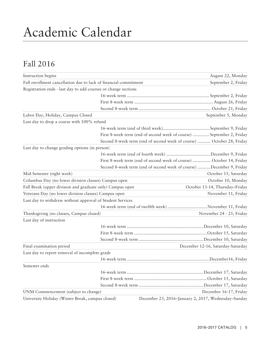# Academic Calendar

# Fall 2016

| Instruction begins                                               |  | August 22, Monday                                                     |
|------------------------------------------------------------------|--|-----------------------------------------------------------------------|
| Fall enrollment cancellation due to lack of financial commitment |  | September 2, Friday                                                   |
| Registration ends - last day to add courses or change sections   |  |                                                                       |
|                                                                  |  |                                                                       |
|                                                                  |  |                                                                       |
|                                                                  |  |                                                                       |
| Labor Day, Holiday, Campus Closed                                |  | September 5, Monday                                                   |
| Last day to drop a course with 100% refund                       |  |                                                                       |
|                                                                  |  |                                                                       |
|                                                                  |  | First 8-week term (end of second week of course)  September 2, Friday |
|                                                                  |  | Second 8-week term (end of second week of course)  October 28, Friday |
| Last day to change grading options (in person)                   |  |                                                                       |
|                                                                  |  |                                                                       |
|                                                                  |  | First 8-week term (end of second week of course)  October 14, Friday  |
|                                                                  |  | Second 8-week term (end of second week of course) December 9, Friday  |
| Mid-Semester (eight week)                                        |  | October 15, Saturday                                                  |
| Columbus Day (no lower division classes) Campus open             |  | October 10, Monday                                                    |
| Fall Break (upper division and graduate only) Campus open        |  | October 13-14, Thursday-Friday                                        |
| Veterans Day (no lower division classes) Campus open             |  | November 11, Friday                                                   |
| Last day to withdraw without approval of Student Services        |  |                                                                       |
|                                                                  |  |                                                                       |
| Thanksgiving (no classes, Campus closed)                         |  | November 24 - 25, Friday                                              |
| Last day of instruction                                          |  |                                                                       |
|                                                                  |  |                                                                       |
|                                                                  |  |                                                                       |
|                                                                  |  |                                                                       |
| Final examination period                                         |  | December 12-16, Saturday-Saturday                                     |
| Last day to report removal of incomplete grade                   |  |                                                                       |
|                                                                  |  |                                                                       |
| Semester ends                                                    |  |                                                                       |
|                                                                  |  |                                                                       |
|                                                                  |  |                                                                       |
|                                                                  |  |                                                                       |
| UNM Commencement (subject to change)                             |  | December 16-17, Friday                                                |
| University Holiday (Winter Break, campus closed)                 |  | December 23, 2016-January 2, 2017, Wednesday-Sunday                   |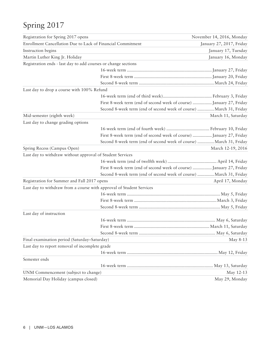# Spring 2017

| Registration for Spring 2017 opens                                   |                                                                      | November 14, 2016, Monday |
|----------------------------------------------------------------------|----------------------------------------------------------------------|---------------------------|
| Enrollment Cancellation Due to Lack of Financial Commitment          |                                                                      | January 27, 2017, Friday  |
| Instruction begins                                                   |                                                                      | January 17, Tuesday       |
| Martin Luther King Jr. Holiday                                       |                                                                      | January 16, Monday        |
| Registration ends - last day to add courses or change sections       |                                                                      |                           |
|                                                                      |                                                                      |                           |
|                                                                      |                                                                      |                           |
|                                                                      |                                                                      |                           |
| Last day to drop a course with 100% Refund                           |                                                                      |                           |
|                                                                      |                                                                      |                           |
|                                                                      | First 8-week term (end of second week of course)  January 27, Friday |                           |
|                                                                      | Second 8-week term (end of second week of course)  March 31, Friday  |                           |
| Mid-semester (eighth week)                                           |                                                                      | March 11, Saturday        |
| Last day to change grading options                                   |                                                                      |                           |
|                                                                      |                                                                      |                           |
|                                                                      | First 8-week term (end of second week of course)  January 27, Friday |                           |
|                                                                      | Second 8-week term (end of second week of course)  March 31, Friday  |                           |
| Spring Recess (Campus Open)                                          |                                                                      | March 12-19, 2016         |
| Last day to withdraw without approval of Student Services            |                                                                      |                           |
|                                                                      |                                                                      |                           |
|                                                                      | First 8-week term (end of second week of course)  January 27, Friday |                           |
|                                                                      | Second 8-week term (end of second week of course)  March 31, Friday  |                           |
| Registration for Summer and Fall 2017 opens                          |                                                                      | April 17, Monday          |
| Last day to withdraw from a course with approval of Student Services |                                                                      |                           |
|                                                                      |                                                                      |                           |
|                                                                      |                                                                      |                           |
|                                                                      |                                                                      |                           |
| Last day of instruction                                              |                                                                      |                           |
|                                                                      |                                                                      |                           |
|                                                                      |                                                                      |                           |
|                                                                      |                                                                      |                           |
| Final examination period (Saturday-Saturday)                         |                                                                      | May 8-13                  |
| Last day to report removal of incomplete grade                       |                                                                      |                           |
|                                                                      |                                                                      |                           |
| Semester ends                                                        |                                                                      |                           |
|                                                                      |                                                                      |                           |
| UNM Commencement (subject to change)                                 |                                                                      | May 12-13                 |
| Memorial Day Holiday (campus closed)                                 |                                                                      | May 29, Monday            |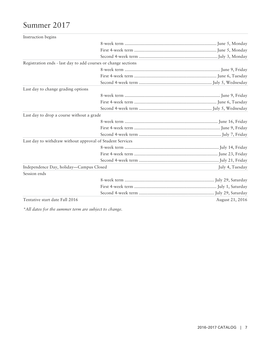# Summer 2017

| Instruction begins                                             |                 |
|----------------------------------------------------------------|-----------------|
|                                                                |                 |
|                                                                |                 |
|                                                                |                 |
| Registration ends - last day to add courses or change sections |                 |
|                                                                |                 |
|                                                                |                 |
|                                                                |                 |
| Last day to change grading options                             |                 |
|                                                                |                 |
|                                                                |                 |
|                                                                |                 |
| Last day to drop a course without a grade                      |                 |
|                                                                |                 |
|                                                                |                 |
|                                                                |                 |
| Last day to withdraw without approval of Student Services      |                 |
|                                                                |                 |
|                                                                |                 |
|                                                                |                 |
| Independence Day, holiday—Campus Closed                        | July 4, Tuesday |
| Session ends                                                   |                 |
|                                                                |                 |
|                                                                |                 |
|                                                                |                 |
| Tentative start date Fall 2016                                 | August 21, 2016 |

*\*All dates for the summer term are subject to change.*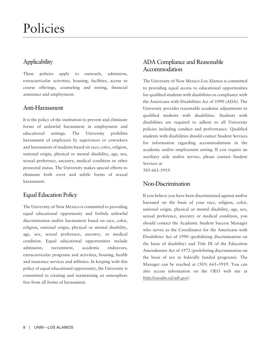# Applicability

These policies apply to outreach, admission, extracurricular activities, housing, facilities, access to course offerings, counseling and testing, financial assistance and employment.

# Anti-Harassment

It is the policy of the institution to prevent and eliminate forms of unlawful harassment in employment and educational settings. The University prohibits harassment of employees by supervisors or coworkers and harassment of students based on race, color, religion, national origin, physical or mental disability, age, sex, sexual preference, ancestry, medical condition or other protected status. The University makes special efforts to eliminate both overt and subtle forms of sexual harassment.

# Equal Education Policy

The University of New Mexico is committed to providing equal educational opportunity and forbids unlawful discrimination and/or harassment based on race, color, religion, national origin, physical or mental disability, age, sex, sexual preference, ancestry, or medical condition. Equal educational opportunities include admission, recruitment, academic endeavors, extracurricular programs and activities, housing, health and insurance services and athletics. In keeping with this policy of equal educational opportunity, the University is committed to creating and maintaining an atmosphere free from all forms of harassment.

# ADA Compliance and Reasonable Accommodation

The University of New Mexico-Los Alamos is committed to providing equal access to educational opportunities for qualified students with disabilities in compliance with the Americans with Disabilities Act of 1990 (ADA). The University provides reasonable academic adjustments to qualified students with disabilities. Students with disabilities are required to adhere to all University policies including conduct and performance. Qualified students with disabilities should contact Student Services for information regarding accommodations in the academic and/or employment setting. If you require an auxiliary aide and/or service, please contact Student Services at

505-661-5919.

# Non-Discrimination

If you believe you have been discriminated against and/or harassed on the basis of your race, religion, color, national origin, physical or mental disability, age, sex, sexual preference, ancestry or medical condition, you should contact the Academic Student Success Manager who serves as the Coordinator for the Americans with Disabilities Act of 1990 (prohibiting discrimination on the basis of disability) and Title IX of the Education Amendments Act of 1972 (prohibiting discrimination on the basis of sex in federally funded programs). The Manager can be reached at (505) 661–5919. You can also access information on the OEO web site at *http://oeodm.od.nih.gov*/.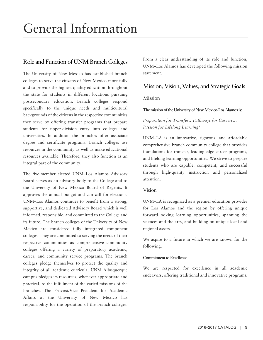# Role and Function of UNM Branch Colleges

The University of New Mexico has established branch colleges to serve the citizens of New Mexico more fully and to provide the highest quality education throughout the state for students in different locations pursuing postsecondary education. Branch colleges respond specifically to the unique needs and multicultural backgrounds of the citizens in the respective communities they serve by offering transfer programs that prepare students for upper-division entry into colleges and universities. In addition the branches offer associate degree and certificate programs. Branch colleges use resources in the community as well as make educational resources available. Therefore, they also function as an integral part of the community.

The five-member elected UNM–Los Alamos Advisory Board serves as an advisory body to the College and to the University of New Mexico Board of Regents. It approves the annual budget and can call for elections. UNM–Los Alamos continues to benefit from a strong, supportive, and dedicated Advisory Board which is well informed, responsible, and committed to the College and its future. The branch colleges of the University of New Mexico are considered fully integrated component colleges. They are committed to serving the needs of their respective communities as comprehensive community colleges offering a variety of preparatory academic, career, and community service programs. The branch colleges pledge themselves to protect the quality and integrity of all academic curricula. UNM Albuquerque campus pledges its resources, whenever appropriate and practical, to the fulfillment of the varied missions of the branches. The Provost/Vice President for Academic Affairs at the University of New Mexico has responsibility for the operation of the branch colleges.

From a clear understanding of its role and function, UNM–Los Alamos has developed the following mission statement.

# Mission, Vision, Values, and Strategic Goals

# **Mission**

**The mission of the University of New Mexico-Los Alamos is:**

# *Preparation for Transfer…Pathways for Careers… Passion for Lifelong Learning!*

UNM–LA is an innovative, rigorous, and affordable comprehensive branch community college that provides foundations for transfer, leading-edge career programs, and lifelong learning opportunities. We strive to prepare students who are capable, competent, and successful through high-quality instruction and personalized attention.

## Vision

UNM–LA is recognized as a premier education provider for Los Alamos and the region by offering unique forward-looking learning opportunities, spanning the sciences and the arts, and building on unique local and regional assets.

We aspire to a future in which we are known for the following:

#### **Commitment to Excellence**

We are respected for excellence in all academic endeavors, offering traditional and innovative programs.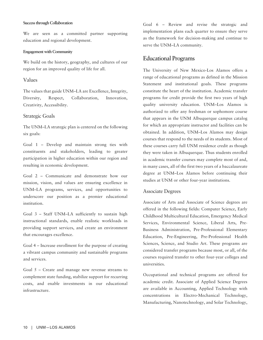#### **Success through Collaboration**

We are seen as a committed partner supporting education and regional development.

#### **Engagement with Community**

We build on the history, geography, and cultures of our region for an improved quality of life for all.

#### Values

The values that guide UNM–LA are Excellence, Integrity, Diversity, Respect, Collaboration, Innovation, Creativity, Accessibility.

#### Strategic Goals

The UNM–LA strategic plan is centered on the following six goals:

Goal 1 – Develop and maintain strong ties with constituents and stakeholders, leading to greater participation in higher education within our region and resulting in economic development.

Goal 2 – Communicate and demonstrate how our mission, vision, and values are ensuring excellence in UNM–LA programs, services, and opportunities to underscore our position as a premier educational institution.

Goal 3 – Staff UNM–LA sufficiently to sustain high instructional standards, enable realistic workloads in providing support services, and create an environment that encourages excellence.

Goal 4 – Increase enrollment for the purpose of creating a vibrant campus community and sustainable programs and services.

Goal 5 – Create and manage new revenue streams to complement state funding, stabilize support for recurring costs, and enable investments in our educational infrastructure.

Goal 6 – Review and revise the strategic and implementation plans each quarter to ensure they serve as the framework for decision-making and continue to serve the UNM–LA community.

# Educational Programs

The University of New Mexico-Los Alamos offers a range of educational programs as defined in the Mission Statement and institutional goals. These programs constitute the heart of the institution. Academic transfer programs for credit provide the first two years of high quality university education. UNM–Los Alamos is authorized to offer any freshman or sophomore course that appears in the UNM Albuquerque campus catalog for which an appropriate instructor and facilities can be obtained. In addition, UNM–Los Alamos may design courses that respond to the needs of its students. Most of these courses carry full UNM residence credit as though they were taken in Albuquerque. Thus students enrolled in academic transfer courses may complete most of and, in many cases, all of the first two years of a baccalaureate degree at UNM–Los Alamos before continuing their studies at UNM or other four-year institutions.

#### Associate Degrees

Associate of Arts and Associate of Science degrees are offered in the following fields: Computer Science, Early Childhood Multicultural Education, Emergency Medical Services, Environmental Science, Liberal Arts, Pre-Business Administration, Pre-Professional Elementary Education, Pre-Engineering, Pre-Professional Health Sciences, Science, and Studio Art. These programs are considered transfer programs because most, or all, of the courses required transfer to other four-year colleges and universities.

Occupational and technical programs are offered for academic credit. Associate of Applied Science Degrees are available in Accounting, Applied Technology with concentrations in Electro-Mechanical Technology, Manufacturing, Nanotechnology, and Solar Technology,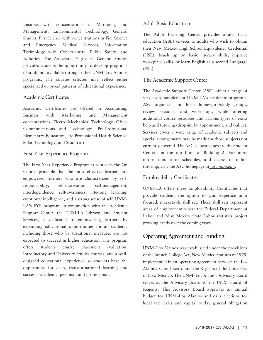Business with concentrations in Marketing and Management, Environmental Technology, General Studies, Fire Science with concentrations in Fire Science and Emergency Medical Services, Information Technology with Cybersecurity, Public Safety, and Robotics. The Associate Degree in General Studies provides students the opportunity to develop programs of study not available through other UNM–Los Alamos programs. The courses selected may reflect either specialized or broad patterns of educational experience.

## Academic Certificates

Academic Certificates are offered in Accounting, Business with Marketing and Management concentrations, Electro-Mechanical Technology, Office Communications and Technology, Pre-Professional Elementary Education, Pre-Professional Health Science, Solar Technology, and Studio art.

#### First Year Experience Program

The First Year Experience Program is rooted in the On Course principle that the most effective learners are empowered learners who are characterized by selfresponsibility, self-motivation, self-management, interdependence, self-awareness, life-long learning, emotional intelligence, and a strong sense of self. UNM-LA's FYE program, in conjunction with the Academic Support Center, the UNM-LA Library, and Student Services, is dedicated to empowering learners by expanding educational opportunities for all students, including those who by traditional measures are not expected to succeed in higher education. The program offers students course placement evaluation, Introductory and University Studies courses, and a welldesigned educational experience, so students have the opportunity for deep, transformational learning and success-- academic, personal, and professional.

## Adult Basic Education

The Adult Learning Center provides adults basic education (ABE) services to adults who wish to obtain their New Mexico High School Equivalency Credential (HSE), brush up on basic literacy skills, improve workplace skills, or learn English as a second Language (ESL).

# The Academic Support Center

The Academic Support Center (ASC) offers a range of services to supplement UNM-LA's academic programs. ASC organizes and hosts homework/study groups, review sessions, and workshops, while offering additional course resources and various types of extra help and tutoring (drop-in, by appointment, and online). Services cover a wide range of academic subjects and special arrangements may be made for those subjects not currently covered. The ASC is located next to the Student Center, on the top floor of Building 2. For more information, tutor schedules, and access to online tutoring, visit the ASC homepage at *asc.unm.edu*.

## Employability Certificates

UNM–LA offers three Employability Certificates that provide students the option to gain expertise in a focused, marketable skill set. These skill sets represent areas of employment where the Federal Department of Labor and New Mexico State Labor statistics project growing needs over the coming years.

# Operating Agreement and Funding

UNM–Los Alamos was established under the provisions of the Branch College Act, New Mexico Statutes of 1978, implemented in an operating agreement between the Los Alamos School Board and the Regents of the University of New Mexico. The UNM–Los Alamos Advisory Board serves as the Advisory Board to the UNM Board of Regents. This Advisory Board approves an annual budget for UNM–Los Alamos and calls elections for local tax levies and capital outlay general obligation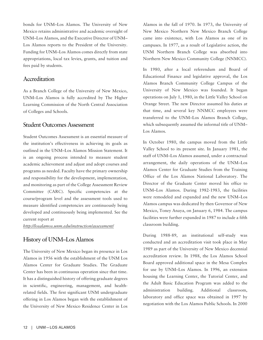bonds for UNM–Los Alamos. The University of New Mexico retains administrative and academic oversight of UNM–Los Alamos, and the Executive Director of UNM– Los Alamos reports to the President of the University. Funding for UNM–Los Alamos comes directly from state appropriations, local tax levies, grants, and tuition and fees paid by students.

# **Accreditation**

As a Branch College of the University of New Mexico, UNM–Los Alamos is fully accredited by The Higher Learning Commission of the North Central Association of Colleges and Schools.

## Student Outcomes Assessment

Student Outcomes Assessment is an essential measure of the institution's effectiveness in achieving its goals as outlined in the UNM–Los Alamos Mission Statement. It is an ongoing process intended to measure student academic achievement and adjust and adopt courses and programs as needed. Faculty have the primary ownership and responsibility for the development, implementation, and monitoring as part of the College Assessment Review Committee (CARC). Specific competencies at the course/program level and the assessment tools used to measure identified competencies are continuously being developed and continuously being implemented. See the current report at

*http://losalamos.unm.edu/instruction/assessment/*

# History of UNM–Los Alamos

The University of New Mexico began its presence in Los Alamos in 1956 with the establishment of the UNM Los Alamos Center for Graduate Studies. The Graduate Center has been in continuous operation since that time. It has a distinguished history of offering graduate degrees in scientific, engineering, management, and healthrelated fields. The first significant UNM undergraduate offering in Los Alamos began with the establishment of the University of New Mexico Residence Center in Los Alamos in the fall of 1970. In 1973, the University of New Mexico Northern New Mexico Branch College came into existence, with Los Alamos as one of its campuses. In 1977, as a result of Legislative action, the UNM Northern Branch College was absorbed into Northern New Mexico Community College (NNMCC).

In 1980, after a local referendum and Board of Educational Finance and legislative approval, the Los Alamos Branch Community College Campus of the University of New Mexico was founded. It began operations on July 1, 1980, in the Little Valley School on Orange Street. The new Director assumed his duties at that time, and several key NNMCC employees were transferred to the UNM–Los Alamos Branch College, which subsequently assumed the informal title of UNM– Los Alamos.

In October 1980, the campus moved from the Little Valley School to its present site. In January 1981, the staff of UNM–Los Alamos assumed, under a contractual arrangement, the daily operations of the UNM–Los Alamos Center for Graduate Studies from the Training Office of the Los Alamos National Laboratory. The Director of the Graduate Center moved his office to UNM–Los Alamos. During 1982-1983, the facilities were remodeled and expanded and the new UNM–Los Alamos campus was dedicated by then Governor of New Mexico, Toney Anaya, on January 6, 1984. The campus facilities were further expanded in 1987 to include a fifth classroom building.

During 1988-89, an institutional self-study was conducted and an accreditation visit took place in May 1989 as part of the University of New Mexico decennial accreditation review. In 1988, the Los Alamos School Board approved additional space in the Mesa Complex for use by UNM–Los Alamos. In 1996, an extension housing the Learning Center, the Tutorial Center, and the Adult Basic Education Program was added to the administration building. Additional classroom, laboratory and office space was obtained in 1997 by negotiation with the Los Alamos Public Schools. In 2000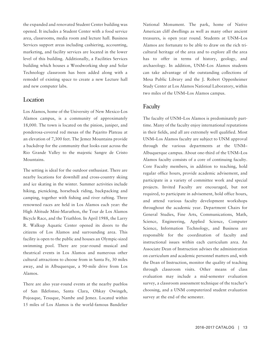the expanded and renovated Student Center building was opened. It includes a Student Center with a food service area, classrooms, media room and lecture hall. Business Services support areas including cashiering, accounting, marketing, and facility services are located in the lower level of this building. Additionally, a Facilities Services building which houses a Woodworking shop and Solar Technology classroom has been added along with a remodel of existing space to create a new Lecture hall and new computer labs.

# Location

Los Alamos, home of the University of New Mexico-Los Alamos campus, is a community of approximately 18,000. The town is located on the pinion, juniper, and ponderosa-covered red mesas of the Pajarito Plateau at an elevation of 7,300 feet. The Jemez Mountains provide a backdrop for the community that looks east across the Rio Grande Valley to the majestic Sangre de Cristo Mountains.

The setting is ideal for the outdoor enthusiast. There are nearby locations for downhill and cross-country skiing and ice skating in the winter. Summer activities include hiking, picnicking, horseback riding, backpacking and camping, together with fishing and river rafting. Three renowned races are held in Los Alamos each year: the High Altitude Mini-Marathon, the Tour de Los Alamos Bicycle Race, and the Triathlon. In April 1988, the Larry R. Walkup Aquatic Center opened its doors to the citizens of Los Alamos and surrounding area. This facility is open to the public and houses an Olympic-sized swimming pool. There are year-round musical and theatrical events in Los Alamos and numerous other cultural attractions to choose from in Santa Fe, 30 miles away, and in Albuquerque, a 90-mile drive from Los Alamos.

There are also year-round events at the nearby pueblos of San Ildefonso, Santa Clara, Ohkay Owingeh, Pojoaque, Tesuque, Nambe and Jemez. Located within 15 miles of Los Alamos is the world-famous Bandelier National Monument. The park, home of Native American cliff dwellings as well as many other ancient treasures, is open year round. Students at UNM–Los Alamos are fortunate to be able to draw on the rich tricultural heritage of the area and to explore all the area has to offer in terms of history, geology, and archaeology. In addition, UNM–Los Alamos students can take advantage of the outstanding collections of Mesa Public Library and the J. Robert Oppenheimer Study Center at Los Alamos National Laboratory, within two miles of the UNM–Los Alamos campus.

# Faculty

The faculty of UNM–Los Alamos is predominately parttime. Many of the faculty enjoy international reputations in their fields, and all are extremely well qualified. Most UNM–Los Alamos faculty are subject to UNM approval through the various departments at the UNM– Albuquerque campus. About one-third of the UNM–Los Alamos faculty consists of a core of continuing faculty. Core Faculty members, in addition to teaching, hold regular office hours, provide academic advisement, and participate in a variety of committee work and special projects. Invited Faculty are encouraged, but not required, to participate in advisement, hold office hours, and attend various faculty development workshops throughout the academic year. Department Chairs for General Studies, Fine Arts, Communications, Math, Science, Engineering, Applied Science, Computer Science, Information Technology, and Business are responsible for the coordination of faculty and instructional issues within each curriculum area. An Associate Dean of Instruction advises the administration on curriculum and academic personnel matters and, with the Dean of Instruction, monitor the quality of teaching through classroom visits. Other means of class evaluation may include a mid-semester evaluation survey, a classroom assessment technique of the teacher's choosing, and a UNM computerized student evaluation survey at the end of the semester.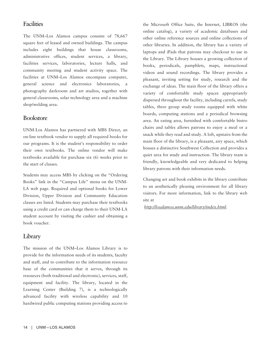# Facilities

The UNM–Los Alamos campus consists of 78,667 square feet of leased and owned buildings. The campus includes eight buildings that house classrooms, administrative offices, student services, a library, facilities services, laboratories, lecture halls, and community meeting and student activity space. The facilities at UNM–Los Alamos encompass computer, general science and electronics laboratories, a photography darkroom and art studios, together with general classrooms, solar technology area and a machine shop/welding area.

# Bookstore

UNM-Los Alamos has partnered with MBS Direct, an on-line textbook vendor to supply all required books for our programs. It is the student's responsibility to order their own textbooks. The online vendor will make textbooks available for purchase six (6) weeks prior to the start of classes.

Students may access MBS by clicking on the "Ordering Books" link in the "Campus Life" menu on the UNM-LA web page. Required and optional books for Lower Division, Upper Division and Community Education classes are listed. Students may purchase their textbooks using a credit card or can charge them to their UNM-LA student account by visiting the cashier and obtaining a book voucher.

# Library

The mission of the UNM–Los Alamos Library is to provide for the information needs of its students, faculty and staff, and to contribute to the information resource base of the communities that it serves, through its resources (both traditional and electronic), services, staff, equipment and facility. The library, located in the Learning Center (Building 7), is a technologically advanced facility with wireless capability and 10 hardwired public computing stations providing access to the Microsoft Office Suite, the Internet, LIBROS (the online catalog), a variety of academic databases and other online reference sources and online collections of other libraries. In addition, the library has a variety of laptops and iPads that patrons may checkout to use in the Library. The Library houses a growing collection of books, periodicals, pamphlets, maps, instructional videos and sound recordings. The library provides a pleasant, inviting setting for study, research and the exchange of ideas. The main floor of the library offers a variety of comfortable study spaces appropriately dispersed throughout the facility, including carrels, study tables, three group study rooms equipped with white boards, computing stations and a periodical browsing area. An eating area, furnished with comfortable bistro chairs and tables allows patrons to enjoy a meal or a snack while they read and study. A loft, upstairs from the main floor of the library, is a pleasant, airy space, which houses a distinctive Southwest Collection and provides a quiet area for study and instruction. The library team is friendly, knowledgeable and very dedicated to helping library patrons with their information needs.

Changing art and book exhibits in the library contribute to an aesthetically pleasing environment for all library visitors. For more information, link to the library web site at

*http://losalamos.unm.edu/library/index.html*.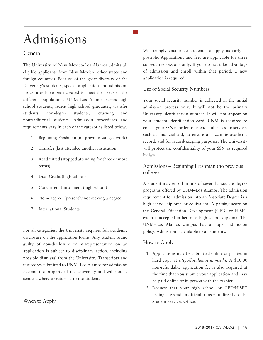# Admissions

# General

The University of New Mexico-Los Alamos admits all eligible applicants from New Mexico, other states and foreign countries. Because of the great diversity of the University's students, special application and admission procedures have been created to meet the needs of the different populations. UNM–Los Alamos serves high school students, recent high school graduates, transfer students, non-degree students, returning and nontraditional students. Admission procedures and requirements vary in each of the categories listed below.

- 1. Beginning Freshman (no previous college work)
- 2. Transfer (last attended another institution)
- 3. Readmitted (stopped attending for three or more terms)
- 4. Dual Credit (high school)
- 5. Concurrent Enrollment (high school)
- 6. Non–Degree (presently not seeking a degree)
- 7. International Students

For all categories, the University requires full academic disclosure on the application forms. Any student found guilty of non-disclosure or misrepresentation on an application is subject to disciplinary action, including possible dismissal from the University. Transcripts and test scores submitted to UNM–Los Alamos for admission become the property of the University and will not be sent elsewhere or returned to the student.

# When to Apply

We strongly encourage students to apply as early as possible. Applications and fees are applicable for three consecutive sessions only. If you do not take advantage of admission and enroll within that period, a new application is required.

# Use of Social Security Numbers

Your social security number is collected in the initial admission process only. It will not be the primary University identification number. It will not appear on your student identification card. UNM is required to collect your SSN in order to provide full access to services such as financial aid, to ensure an accurate academic record, and for record-keeping purposes. The University will protect the confidentiality of your SSN as required by law.

# Admissions – Beginning Freshman (no previous college)

A student may enroll in one of several associate degree programs offered by UNM–Los Alamos. The admission requirement for admission into an Associate Degree is a high school diploma or equivalent. A passing score on the General Education Development (GED) or HiSET exam is accepted in lieu of a high school diploma. The UNM–Los Alamos campus has an open admission policy. Admission is available to all students.

# How to Apply

- 1. Applications may be submitted online or printed in hard copy at *http://losalamos.unm.edu*. A \$10.00 non-refundable application fee is also required at the time that you submit your application and may be paid online or in person with the cashier.
- 2. Request that your high school or GED/HiSET testing site send an official transcript directly to the Student Services Office.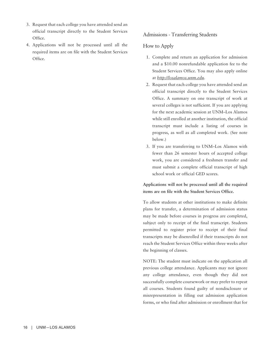- 3. Request that each college you have attended send an official transcript directly to the Student Services Office.
- 4. Applications will not be processed until all the required items are on file with the Student Services Office.

## Admissions - Transferring Students

#### How to Apply

- 1. Complete and return an application for admission and a \$10.00 nonrefundable application fee to the Student Services Office. You may also apply online at *http://losalamos.unm.edu*.
- 2. Request that each college you have attended send an official transcript directly to the Student Services Office. A summary on one transcript of work at several colleges is not sufficient. If you are applying for the next academic session at UNM–Los Alamos while still enrolled at another institution, the official transcript must include a listing of courses in progress, as well as all completed work. (See note below.)
- 3. If you are transferring to UNM–Los Alamos with fewer than 26 semester hours of accepted college work, you are considered a freshmen transfer and must submit a complete official transcript of high school work or official GED scores.

**Applications will not be processed until all the required items are on file with the Student Services Office.**

To allow students at other institutions to make definite plans for transfer, a determination of admission status may be made before courses in progress are completed, subject only to receipt of the final transcript. Students permitted to register prior to receipt of their final transcripts may be disenrolled if their transcripts do not reach the Student Services Office within three weeks after the beginning of classes.

NOTE: The student must indicate on the application all previous college attendance. Applicants may not ignore any college attendance, even though they did not successfully complete coursework or may prefer to repeat all courses. Students found guilty of nondisclosure or misrepresentation in filling out admission application forms, or who find after admission or enrollment that for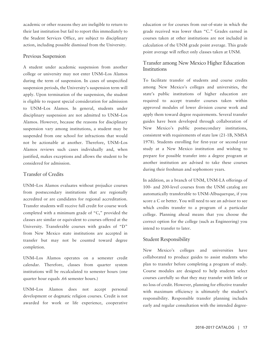academic or other reasons they are ineligible to return to their last institution but fail to report this immediately to the Student Services Office, are subject to disciplinary action, including possible dismissal from the University.

#### Previous Suspension

A student under academic suspension from another college or university may not enter UNM–Los Alamos during the term of suspension. In cases of unspecified suspension periods, the University's suspension term will apply. Upon termination of the suspension, the student is eligible to request special consideration for admission to UNM–Los Alamos. In general, students under disciplinary suspension are not admitted to UNM–Los Alamos. However, because the reasons for disciplinary suspension vary among institutions, a student may be suspended from one school for infractions that would not be actionable at another. Therefore, UNM–Los Alamos reviews such cases individually and, when justified, makes exceptions and allows the student to be considered for admission.

# Transfer of Credits

UNM–Los Alamos evaluates without prejudice courses from postsecondary institutions that are regionally accredited or are candidates for regional accreditation. Transfer students will receive full credit for course work completed with a minimum grade of "C," provided the classes are similar or equivalent to courses offered at the University. Transferable courses with grades of "D" from New Mexico state institutions are accepted in transfer but may not be counted toward degree completion.

UNM–Los Alamos operates on a semester credit calendar. Therefore, classes from quarter system institutions will be recalculated to semester hours (one quarter hour equals .66 semester hours.)

UNM–Los Alamos does not accept personal development or dogmatic religion courses. Credit is not awarded for work or life experience, cooperative

education or for courses from out-of-state in which the grade received was lower than "C." Grades earned in courses taken at other institutions are not included in calculation of the UNM grade point average. This grade point average will reflect only classes taken at UNM.

# Transfer among New Mexico Higher Education Institutions

To facilitate transfer of students and course credits among New Mexico's colleges and universities, the state's public institutions of higher education are required to accept transfer courses taken within approved modules of lower division course work and apply them toward degree requirements. Several transfer guides have been developed through collaboration of New Mexico's public postsecondary institutions, consistent with requirements of state law (21-1B, NMSA 1978). Students enrolling for first-year or second-year study at a New Mexico institution and wishing to prepare for possible transfer into a degree program at another institution are advised to take these courses during their freshman and sophomore years.

In addition, as a branch of UNM, UNM-LA offerings of 100- and 200-level courses from the UNM catalog are automatically transferable to UNM-Albuquerque, if you score a C or better. You will need to see an advisor to see which credits transfer to a program of a particular college. Planning ahead means that you choose the correct option for the college (such as Engineering) you intend to transfer to later.

## Student Responsibility

New Mexico's colleges and universities have collaborated to produce guides to assist students who plan to transfer before completing a program of study. Course modules are designed to help students select courses carefully so that they may transfer with little or no loss of credit. However, planning for effective transfer with maximum efficiency is ultimately the student's responsibility. Responsible transfer planning includes early and regular consultation with the intended degree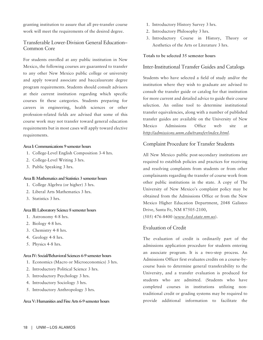granting institution to assure that all pre-transfer course work will meet the requirements of the desired degree.

# Transferable Lower-Division General Education– Common Core

For students enrolled at any public institution in New Mexico, the following courses are guaranteed to transfer to any other New Mexico public college or university and apply toward associate and baccalaureate degree program requirements. Students should consult advisors at their current institution regarding which specific courses fit these categories. Students preparing for careers in engineering, health sciences or other profession-related fields are advised that some of this course work may not transfer toward general education requirements but in most cases will apply toward elective requirements.

#### **Area I: Communications 9 semester hours**

- 1. College-Level English Composition 3-4 hrs.
- 2. College-Level Writing 3 hrs.
- 3. Public Speaking 3 hrs.

#### **Area II: Mathematics and Statistics 3 semester hours**

- 1. College Algebra (or higher) 3 hrs.
- 2. Liberal Arts Mathematics 3 hrs.
- 3. Statistics 3 hrs.

#### **Area III: Laboratory Science 8 semester hours**

- 1. Astronomy 4-8 hrs.
- 2. Biology 4-8 hrs.
- 3. Chemistry 4-8 hrs.
- 4. Geology 4-8 hrs.
- 5. Physics 4-8 hrs.

#### **Area IV: Social/Behavioral Sciences 6-9 semester hours**

- 1. Economics (Macro or Microeconomics) 3 hrs.
- 2. Introductory Political Science 3 hrs.
- 3. Introductory Psychology 3 hrs.
- 4. Introductory Sociology 3 hrs.
- 5. Introductory Anthropology 3 hrs.

#### **Area V: Humanities and Fine Arts 6-9 semester hours**

- 1. Introductory History Survey 3 hrs.
- 2. Introductory Philosophy 3 hrs.
- 3. Introductory Course in History, Theory or Aesthetics of the Arts or Literature 3 hrs.

#### **Totals to be selected 35 semester hours**

#### Inter-Institutional Transfer Guides and Catalogs

Students who have selected a field of study and/or the institution where they wish to graduate are advised to consult the transfer guide or catalog for that institution for more current and detailed advice to guide their course selection. An online tool to determine institutional transfer equivalencies, along with a number of published transfer guides are available on the University of New Mexico Admissions Office web site at *http://admissions.unm.edu/transfer/index.html*.

## Complaint Procedure for Transfer Students

All New Mexico public post-secondary institutions are required to establish policies and practices for receiving and resolving complaints from students or from other complainants regarding the transfer of course work from other public institutions in the state. A copy of The University of New Mexico's complaint policy may be obtained from the Admissions Office or from the New Mexico Higher Education Department, 2048 Galisteo Drive, Santa Fe, NM 87505-2100,

(505) 476-8400 (*www.hed.state.nm.us*).

#### Evaluation of Credit

The evaluation of credit is ordinarily part of the admissions application procedure for students entering an associate program. It is a two-step process. An Admissions Officer first evaluates credits on a course-bycourse basis to determine general transferability to the University, and a transfer evaluation is produced for students who are admitted. (Students who have completed courses in institutions utilizing nontraditional credit or grading systems may be required to provide additional information to facilitate the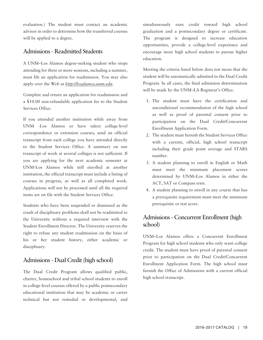evaluation.) The student must contact an academic advisor in order to determine how the transferred courses will be applied to a degree.

# Admissions - Readmitted Students

A UNM–Los Alamos degree-seeking student who stops attending for three or more sessions, including a summer, must file an application for readmission. You may also apply over the Web at *http://losalamos.unm.edu*.

Complete and return an application for readmission and a \$10.00 non-refundable application fee to the Student Services Office.

If you attended another institution while away from UNM -Los Alamos or have taken college-level correspondence or extension courses, send an official transcript from each college you have attended directly to the Student Services Office. A summary on one transcript of work at several colleges is not sufficient. If you are applying for the next academic semester at UNM-Los Alamos while still enrolled at another institution, the official transcript must include a listing of courses in progress, as well as all completed work. Applications will not be processed until all the required items are on file with the Student Services Office.

Students who have been suspended or dismissed as the result of disciplinary problems shall not be readmitted to the University without a required interview with the Student Enrollment Director. The University reserves the right to refuse any student readmission on the basis of his or her student history, either academic or disciplinary.

# Admissions - Dual Credit (high school)

The Dual Credit Program allows qualified public, charter, homeschool and tribal school students to enroll in college-level courses offered by a public postsecondary educational institution that may be academic or career technical but not remedial or developmental, and simultaneously earn credit toward high school graduation and a postsecondary degree or certificate. The program is designed to increase education opportunities, provide a college-level experience and encourage more high school students to pursue higher education.

Meeting the criteria listed below does not mean that the student will be automatically admitted to the Dual Credit Program. In all cases, the final admission determination will be made by the UNM–LA Registrar's Office.

- 1. The student must have the certification and unconditional recommendation of the high school as well as proof of parental consent prior to participation on the Dual Credit/Concurrent Enrollment Application Form.
- 2. The student must furnish the Student Services Office with a current, official, high school transcript including their grade point average and STARS number.
- 3. A student planning to enroll in English or Math must meet the minimum placement scores determined by UNM–Los Alamos in either the ACT, SAT or Compass tests.
- 4. A student planning to enroll in any course that has a prerequisite requirement must meet the minimum prerequisite or test score.

# Admissions - Concurrent Enrollment (high school)

UNM–Los Alamos offers a Concurrent Enrollment Program for high school students who only want college credit. The student must have proof of parental consent prior to participation on the Dual Credit/Concurrent Enrollment Application Form. The high school must furnish the Office of Admissions with a current official high school transcript.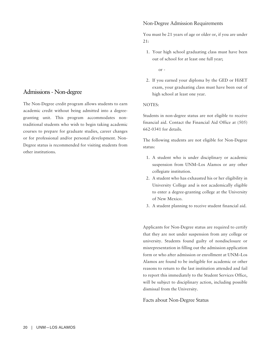# Admissions - Non-degree

The Non-Degree credit program allows students to earn academic credit without being admitted into a degreegranting unit. This program accommodates nontraditional students who wish to begin taking academic courses to prepare for graduate studies, career changes or for professional and/or personal development. Non-Degree status is recommended for visiting students from other institutions.

#### Non-Degree Admission Requirements

You must be 21 years of age or older or, if you are under 21:

1. Your high school graduating class must have been out of school for at least one full year;

or -

2. If you earned your diploma by the GED or HiSET exam, your graduating class must have been out of high school at least one year.

#### NOTES:

Students in non-degree status are not eligible to receive financial aid. Contact the Financial Aid Office at (505) 662-0341 for details.

The following students are not eligible for Non-Degree status:

- 1. A student who is under disciplinary or academic suspension from UNM–Los Alamos or any other collegiate institution.
- 2. A student who has exhausted his or her eligibility in University College and is not academically eligible to enter a degree-granting college at the University of New Mexico.
- 3. A student planning to receive student financial aid.

Applicants for Non-Degree status are required to certify that they are not under suspension from any college or university. Students found guilty of nondisclosure or misrepresentation in filling out the admission application form or who after admission or enrollment at UNM–Los Alamos are found to be ineligible for academic or other reasons to return to the last institution attended and fail to report this immediately to the Student Services Office, will be subject to disciplinary action, including possible dismissal from the University.

Facts about Non-Degree Status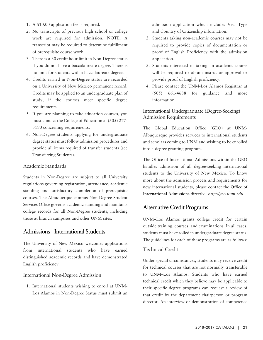- 1. A \$10.00 application fee is required.
- 2. No transcripts of previous high school or college work are required for admission. NOTE: A transcript may be required to determine fulfillment of prerequisite course work.
- 3. There is a 30 credit hour limit in Non-Degree status if you do not have a baccalaureate degree. There is no limit for students with a baccalaureate degree.
- 4. Credits earned in Non-Degree status are recorded on a University of New Mexico permanent record. Credits may be applied to an undergraduate plan of study, if the courses meet specific degree requirements.
- 5. If you are planning to take education courses, you must contact the College of Education at (505) 277- 3190 concerning requirements.
- 6. Non-Degree students applying for undergraduate degree status must follow admission procedures and provide all items required of transfer students (see Transferring Students).

### Academic Standards

Students in Non-Degree are subject to all University regulations governing registration, attendance, academic standing and satisfactory completion of prerequisite courses. The Albuquerque campus Non-Degree Student Services Office governs academic standing and maintains college records for all Non-Degree students, including those at branch campuses and other UNM sites.

# Admissions - International Students

The University of New Mexico welcomes applications from international students who have earned distinguished academic records and have demonstrated English proficiency.

#### International Non-Degree Admission

1. International students wishing to enroll at UNM-Los Alamos in Non-Degree Status must submit an admission application which includes Visa Type and Country of Citizenship information.

- 2. Students taking non-academic courses may not be required to provide copies of documentation or proof of English Proficiency with the admission application.
- 3. Students interested in taking an academic course will be required to obtain instructor approval or provide proof of English proficiency.
- 4. Please contact the UNM-Los Alamos Registrar at (505) 661-4688 for guidance and more information.

# International Undergraduate (Degree-Seeking) Admission Requirements

The Global Education Office (GEO) at UNM-Albuquerque provides services to international students and scholars coming to UNM and wishing to be enrolled into a degree granting program.

The Office of International Admissions within the GEO handles admission of all degree-seeking international students to the University of New Mexico. To know more about the admission process and requirements for new international students, please contact the Office of International Admissions directly. *http://geo.unm.edu*

# Alternative Credit Programs

UNM–Los Alamos grants college credit for certain outside training, courses, and examinations. In all cases, students must be enrolled in undergraduate degree status. The guidelines for each of these programs are as follows:

# Technical Credit

Under special circumstances, students may receive credit for technical courses that are not normally transferable to UNM–Los Alamos. Students who have earned technical credit which they believe may be applicable to their specific degree programs can request a review of that credit by the department chairperson or program director. An interview or demonstration of competence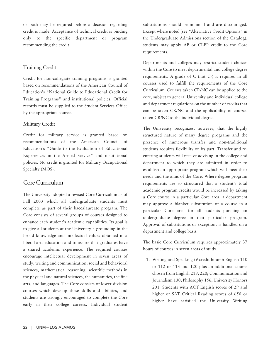or both may be required before a decision regarding credit is made. Acceptance of technical credit is binding only to the specific department or program recommending the credit.

# Training Credit

Credit for non-collegiate training programs is granted based on recommendations of the American Council of Education's "National Guide to Educational Credit for Training Programs" and institutional policies. Official records must be supplied to the Student Services Office by the appropriate source.

## Military Credit

Credit for military service is granted based on recommendations of the American Council of Education's "Guide to the Evaluation of Educational Experiences in the Armed Service" and institutional policies. No credit is granted for Military Occupational Specialty (MOS).

# Core Curriculum

The University adopted a revised Core Curriculum as of Fall 2003 which all undergraduate students must complete as part of their baccalaureate program. The Core consists of several groups of courses designed to enhance each student's academic capabilities. Its goal is to give all students at the University a grounding in the broad knowledge and intellectual values obtained in a liberal arts education and to assure that graduates have a shared academic experience. The required courses encourage intellectual development in seven areas of study: writing and communication, social and behavioral sciences, mathematical reasoning, scientific methods in the physical and natural sciences, the humanities, the fine arts, and languages. The Core consists of lower-division courses which develop these skills and abilities, and students are strongly encouraged to complete the Core early in their college careers. Individual student

substitutions should be minimal and are discouraged. Except where noted (see "Alternative Credit Options" in the Undergraduate Admissions section of the Catalog), students may apply AP or CLEP credit to the Core requirements.

Departments and colleges may restrict student choices within the Core to meet departmental and college degree requirements. A grade of C (not C-) is required in all courses used to fulfill the requirements of the Core Curriculum. Courses taken CR/NC can be applied to the core, subject to general University and individual college and department regulations on the number of credits that can be taken CR/NC and the applicability of courses taken CR/NC to the individual degree.

The University recognizes, however, that the highly structured nature of many degree programs and the presence of numerous transfer and non-traditional students requires flexibility on its part. Transfer and reentering students will receive advising in the college and department to which they are admitted in order to establish an appropriate program which will meet their needs and the aims of the Core. Where degree program requirements are so structured that a student's total academic program credits would be increased by taking a Core course in a particular Core area, a department may approve a blanket substitution of a course in a particular Core area for all students pursuing an undergraduate degree in that particular program. Approval of substitutions or exceptions is handled on a department and college basis.

The basic Core Curriculum requires approximately 37 hours of courses in seven areas of study.

1. Writing and Speaking (9 credit hours): English 110 or 112 or 113 and 120 plus an additional course chosen from English 219, 220; Communication and Journalism 130; Philosophy 156; University Honors 201. Students with ACT English scores of 29 and higher or SAT Critical Reading scores of 650 or higher have satisfied the University Writing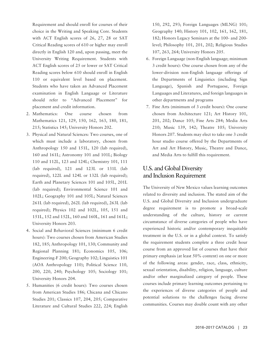Requirement and should enroll for courses of their choice in the Writing and Speaking Core. Students with ACT English scores of 26, 27, 28 or SAT Critical Reading scores of 610 or higher may enroll directly in English 120 and, upon passing, meet the University Writing Requirement. Students with ACT English scores of 25 or lower or SAT Critical Reading scores below 610 should enroll in English 110 or equivalent level based on placement. Students who have taken an Advanced Placement examination in English Language or Literature should refer to "Advanced Placement" for placement and credit information.

- 2. Mathematics: One course chosen from Mathematics 121, 129, 150, 162, 163, 180, 181, 215; Statistics 145; University Honors 202.
- 3. Physical and Natural Sciences: Two courses, one of which must include a laboratory, chosen from Anthropology 150 and 151L, 120 (lab required), 160 and 161L; Astronomy 101 and 101L; Biology 110 and 112L, 123 and 124L; Chemistry 101, 111 (lab required), 121 and 123L or 131L (lab required), 122L and 124L or 132L (lab required); Earth and Planetary Sciences 101 and 105L, 201L (lab required); Environmental Science 101 and 102L; Geography 101 and 105L; Natural Sciences 261L (lab required), 262L (lab required), 263L (lab required); Physics 102 and 102L, 105, 151 and 151L, 152 and 152L, 160 and 160L, 161 and 161L; University Honors 203.
- 4. Social and Behavioral Sciences (minimum 6 credit hours): Two courses chosen from American Studies 182, 185; Anthropology 101, 130; Community and Regional Planning 181; Economics 105, 106; Engineering-F 200; Geography 102; Linguistics 101 (AOA Anthropology 110); Political Science 110, 200, 220, 240; Psychology 105; Sociology 101; University Honors 204.
- 5. Humanities (6 credit hours): Two courses chosen from American Studies 186; Chicana and Chicano Studies 201; Classics 107, 204, 205; Comparative Literature and Cultural Studies 222, 224; English

150, 292, 293; Foreign Languages (MLNG) 101; Geography 140; History 101, 102, 161, 162, 181, 182; Honors Legacy Seminars at the 100- and 200 level; Philosophy 101, 201, 202; Religious Studies 107, 263, 264; University Honors 205.

- 6. Foreign Language (non-English language; minimum 3 credit hours): One course chosen from any of the lower-division non-English language offerings of the Departments of Linguistics (including Sign Language), Spanish and Portuguese, Foreign Languages and Literatures, and foreign languages in other departments and programs
- 7. Fine Arts (minimum of 3 credit hours): One course chosen from Architecture 121; Art History 101, 201, 202; Dance 105; Fine Arts 284; Media Arts 210; Music 139, 142; Theatre 105; University Honors 207. Students may elect to take one 3 credit hour studio course offered by the Departments of Art and Art History, Music, Theatre and Dance, and Media Arts to fulfill this requirement.

# U.S. and Global Diversity and Inclusion Requirement

The University of New Mexico values learning outcomes related to diversity and inclusion. The stated aim of the U.S. and Global Diversity and Inclusion undergraduate degree requirement is to promote a broad-scale understanding of the culture, history or current circumstance of diverse categories of people who have experienced historic and/or contemporary inequitable treatment in the U.S. or in a global context. To satisfy the requirement students complete a three credit hour course from an approved list of courses that have their primary emphasis (at least 50% content) on one or more of the following areas: gender, race, class, ethnicity, sexual orientation, disability, religion, language, culture and/or other marginalized category of people. These courses include primary learning outcomes pertaining to the experiences of diverse categories of people and potential solutions to the challenges facing diverse communities. Courses may double count with any other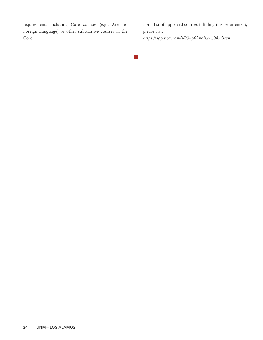requirements including Core courses (e.g., Area 6: Foreign Language) or other substantive courses in the Core.

For a list of approved courses fulfilling this requirement, please visit *https://app.box.com/s/03np02nbisx1x08wbotn*.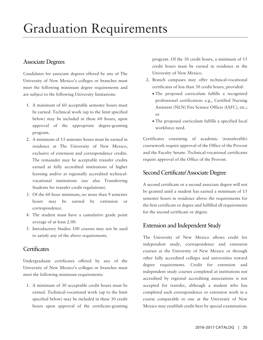# Graduation Requirements

# Associate Degrees

Candidates for associate degrees offered by any of The University of New Mexico's colleges or branches must meet the following minimum degree requirements and are subject to the following University limitations:

- 1. A minimum of 60 acceptable semester hours must be earned. Technical work (up to the limit specified below) may be included in these 60 hours, upon approval of the appropriate degree-granting program.
- 2. A minimum of 15 semester hours must be earned in residence at The University of New Mexico, exclusive of extension and correspondence credits. The remainder may be acceptable transfer credits earned at fully accredited institutions of higher learning and/or at regionally accredited technicalvocational institutions (see also Transferring Students for transfer credit regulations).
- 3. Of the 60 hour minimum, no more than 9 semester hours may be earned by extension or correspondence.
- 4. The student must have a cumulative grade point average of at least 2.00.
- 5. Introductory Studies 100 courses may not be used to satisfy any of the above requirements.

# **Certificates**

Undergraduate certificates offered by any of the University of New Mexico's colleges or branches must meet the following minimum requirements:

1. A minimum of 30 acceptable credit hours must be earned. Technical-vocational work (up to the limit specified below) may be included in these 30 credit hours upon approval of the certificate-granting

program. Of the 30 credit hours, a minimum of 15 credit hours must be earned in residence at the University of New Mexico.

- 2. Branch campuses may offer technical-vocational certificates of less than 30 credit hours, provided:
	- The proposed curriculum fulfills a recognized professional certification: e.g., Certified Nursing Assistant (NLN) Fire Science Officer (IAFC), etc.; or
	- The proposed curriculum fulfills a specified local workforce need.

Certificates consisting of academic (transferable) coursework require approval of the Office of the Provost and the Faculty Senate. Technical-vocational certificates require approval of the Office of the Provost.

# Second Certificate/Associate Degree

A second certificate or a second associate degree will not be granted until a student has earned a minimum of 15 semester hours in residence above the requirements for the first certificate or degree and fulfilled all requirements for the second certificate or degree.

# Extension and Independent Study

The University of New Mexico allows credit for independent study, correspondence and extension courses at the University of New Mexico or through other fully accredited colleges and universities toward degree requirements. Credit for extension and independent study courses completed at institutions not accredited by regional accrediting associations is not accepted for transfer, although a student who has completed such correspondence or extension work in a course comparable to one at the University of New Mexico may establish credit here by special examination.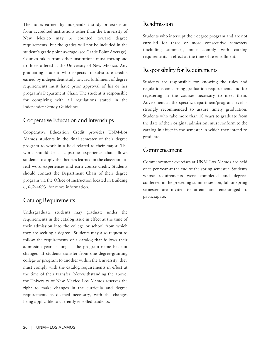The hours earned by independent study or extension from accredited institutions other than the University of New Mexico may be counted toward degree requirements, but the grades will not be included in the student's grade point average (see Grade Point Average). Courses taken from other institutions must correspond to those offered at the University of New Mexico. Any graduating student who expects to substitute credits earned by independent study toward fulfillment of degree requirements must have prior approval of his or her program's Department Chair. The student is responsible for complying with all regulations stated in the Independent Study Guidelines.

# Cooperative Education and Internships

Cooperative Education Credit provides UNM-Los Alamos students in the final semester of their degree program to work in a field related to their major. The work should be a capstone experience that allows students to apply the theories learned in the classroom to real word experiences and earn course credit. Students should contact the Department Chair of their degree program via the Office of Instruction located in Building 6, 662-4693, for more information.

# Catalog Requirements

Undergraduate students may graduate under the requirements in the catalog issue in effect at the time of their admission into the college or school from which they are seeking a degree. Students may also request to follow the requirements of a catalog that follows their admission year as long as the program name has not changed. If students transfer from one degree-granting college or program to another within the University, they must comply with the catalog requirements in effect at the time of their transfer. Not-withstanding the above, the University of New Mexico-Los Alamos reserves the right to make changes in the curricula and degree requirements as deemed necessary, with the changes being applicable to currently enrolled students.

# Readmission

Students who interrupt their degree program and are not enrolled for three or more consecutive semesters (including summer), must comply with catalog requirements in effect at the time of re-enrollment.

# Responsibility for Requirements

Students are responsible for knowing the rules and regulations concerning graduation requirements and for registering in the courses necessary to meet them. Advisement at the specific department/program level is strongly recommended to assure timely graduation. Students who take more than 10 years to graduate from the date of their original admission, must conform to the catalog in effect in the semester in which they intend to graduate.

# Commencement

Commencement exercises at UNM-Los Alamos are held once per year at the end of the spring semester. Students whose requirements were completed and degrees conferred in the preceding summer session, fall or spring semester are invited to attend and encouraged to particiapate.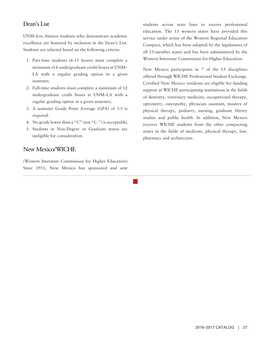# Dean's List

UNM–Los Alamos students who demonstrate academic excellence are honored by inclusion in the Dean's List. Students are selected based on the following criteria:

- 1. Part-time students (6-11 hours) must complete a minimum of 6 undergraduate credit hours at UNM– LA with a regular grading option in a given semester;
- 2. Full-time students must complete a minimum of 12 undergraduate credit hours at UNM–LA with a regular grading option in a given semester;
- 3. A semester Grade Point Average (GPA) of 3.5 is required.
- 4. No grade lower than a "C" (not "C-") is acceptable;
- 5. Students in Non-Degree or Graduate status are ineligible for consideration.

# New Mexico/WICHE

(Western Interstate Commission for Higher Education) Since 1951, New Mexico has sponsored and sent students across state lines to receive professional education. The 13 western states have provided this service under terms of the Western Regional Education Compact, which has been adopted by the legislatures of all 13-member states and has been administered by the Western Interstate Commission for Higher Education.

New Mexico participates in 7 of the 15 disciplines offered through WICHE Professional Student Exchange. Certified New Mexico residents are eligible for funding support at WICHE participating institutions in the fields of dentistry, veterinary medicine, occupational therapy, optometry, osteopathy, physician assistant, masters of physical therapy, podiatry, nursing, graduate library studies and public health. In addition, New Mexico receives WICHE students from the other compacting states in the fields of medicine, physical therapy, law, pharmacy and architecture.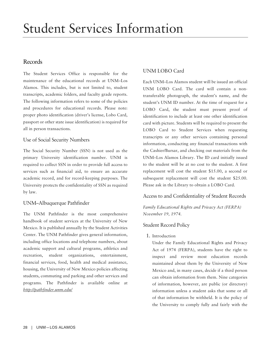# Records

The Student Services Office is responsible for the maintenance of the educational records at UNM–Los Alamos. This includes, but is not limited to, student transcripts, academic folders, and faculty grade reports. The following information refers to some of the policies and procedures for educational records. Please note: proper photo identification (driver's license, Lobo Card, passport or other state issue identification) is required for all in person transactions.

## Use of Social Security Numbers

The Social Security Number (SSN) is not used as the primary University identification number. UNM is required to collect SSN in order to provide full access to services such as financial aid, to ensure an accurate academic record, and for record-keeping purposes. The University protects the confidentiality of SSN as required by law.

# UNM–Albuquerque Pathfinder

The UNM Pathfinder is the most comprehensive handbook of student services at the University of New Mexico. It is published annually by the Student Activities Center. The UNM Pathfinder gives general information, including office locations and telephone numbers, about academic support and cultural programs, athletics and recreation, student organizations, entertainment, financial services, food, health and medical assistance, housing, the University of New Mexico policies affecting students, commuting and parking and other services and programs. The Pathfinder is available online at *http://pathfinder.unm.edu/*

# UNM LOBO Card

Each UNM–Los Alamos student will be issued an official UNM LOBO Card. The card will contain a nontransferable photograph, the student's name, and the student's UNM ID number. At the time of request for a LOBO Card, the student must present proof of identification to include at least one other identification card with picture. Students will be required to present the LOBO Card to Student Services when requesting transcripts or any other services containing personal information, conducting any financial transactions with the Cashier/Bursar, and checking out materials from the UNM–Los Alamos Library. The ID card initially issued to the student will be at no cost to the student. A first replacement will cost the student \$15.00, a second or subsequent replacement will cost the student \$25.00. Please ask in the Library to obtain a LOBO Card.

## Access to and Confidentiality of Student Records

*Family Educational Rights and Privacy Act (FERPA) November 19, 1974.*

## Student Record Policy

## 1. Introduction

Under the Family Educational Rights and Privacy Act of 1974 (FERPA), students have the right to inspect and review most education records maintained about them by the University of New Mexico and, in many cases, decide if a third person can obtain information from them. Nine categories of information, however, are public (or directory) information unless a student asks that some or all of that information be withheld. It is the policy of the University to comply fully and fairly with the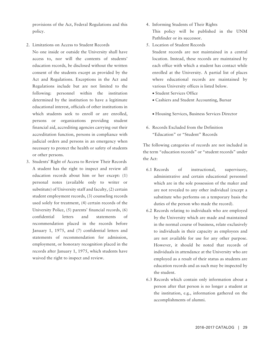provisions of the Act, Federal Regulations and this policy.

2. Limitations on Access to Student Records

No one inside or outside the University shall have access to, nor will the contents of students' education records, be disclosed without the written consent of the students except as provided by the Act and Regulations. Exceptions in the Act and Regulations include but are not limited to the following: personnel within the institution determined by the institution to have a legitimate educational interest, officials of other institutions in which students seek to enroll or are enrolled, persons or organizations providing student financial aid, accrediting agencies carrying out their accreditation function, persons in compliance with judicial orders and persons in an emergency when necessary to protect the health or safety of students or other persons.

3. Students' Right of Access to Review Their Records A student has the right to inspect and review all education records about him or her except: (1) personal notes (available only to writer or substitute) of University staff and faculty, (2) certain student employment records, (3) counseling records used solely for treatment, (4) certain records of the University Police, (5) parents' financial records, (6) confidential letters and statements of recommendation placed in the records before January 1, 1975, and (7) confidential letters and statements of recommendation for admission, employment, or honorary recognition placed in the records after January 1, 1975, which students have waived the right to inspect and review.

- 4. Informing Students of Their Rights This policy will be published in the UNM Pathfinder or its successor.
- 5. Location of Student Records
	- Student records are not maintained in a central location. Instead, these records are maintained by each office with which a student has contact while enrolled at the University. A partial list of places where educational records are maintained by various University offices is listed below.
	- Student Services Office
	- Cashiers and Student Accounting, Bursar
	- Housing Services, Business Services Director
- 6. Records Excluded from the Definition "Education" or "Student" Records

The following categories of records are not included in the term "education records" or "student records" under the Act:

- 6.1 Records of instructional, supervisory, administrative and certain educational personnel which are in the sole possession of the maker and are not revealed to any other individual (except a substitute who performs on a temporary basis the duties of the person who made the record).
- 6.2 Records relating to individuals who are employed by the University which are made and maintained in the normal course of business, relate exclusively to individuals in their capacity as employees and are not available for use for any other purpose. However, it should be noted that records of individuals in attendance at the University who are employed as a result of their status as students are education records and as such may be inspected by the student.
- 6.3 Records which contain only information about a person after that person is no longer a student at the institution, e.g., information gathered on the accomplishments of alumni.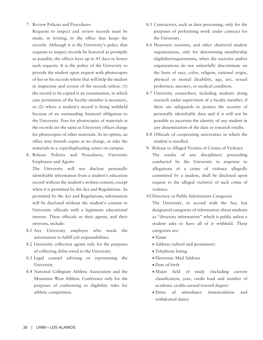7. Review Policies and Procedures

Requests to inspect and review records must be made, in writing, to the office that keeps the records. Although it is the University's policy that requests to inspect records be honored as promptly as possible, the offices have up to 45 days to honor such requests. It is the policy of the University to provide the student upon request with photocopies of her or his records where that will help the student in inspection and review of the records unless: (1) the record to be copied is an examination, in which case permission of the faculty member is necessary, or (2) where a student's record is being withheld because of an outstanding financial obligation to the University. Fees for photocopies of materials in the records are the same as University offices charge for photocopies of other materials. At its option, an office may furnish copies at no charge, or take the materials to a copy/duplicating center on campus.

8. Release Policies and Procedures, University Employees and Agents

The University will not disclose personally identifiable information from a student's education record without the student's written consent, except when it is permitted by the Act and Regulations. As permitted by the Act and Regulations, information will be disclosed without the student's consent to University officials with a legitimate educational interest. These officials or their agents, and their interests, include:

- 8.1 Any University employee who needs the information to fulfill job responsibilities.
- 8.2 University collection agents only for the purposes of collecting debts owed to the University.
- 8.3 Legal counsel advising or representing the University.
- 8.4 National Collegiate Athletic Association and the Mountain West Athletic Conference only for the purposes of conforming to eligibility rules for athletic competition.
- 8.5 Contractors, such as data processing, only for the purposes of performing work under contract for the University.
- 8.6 Honorary societies, and other chartered student organizations, only for determining membership eligibility/requirements, when the societies and/or organizations do not unlawfully discriminate on the basis of race, color, religion, national origin, physical or mental disability, age, sex, sexual preference, ancestry, or medical condition.
- 8.7 University researchers, including students doing research under supervision of a faculty member, if there are safeguards to protect the security of personally identifiable data and if it will not be possible to ascertain the identity of any student in any dissemination of the data or research results.
- 8.8 Officials of cooperating universities in which the student is enrolled.
- 9. Release to Alleged Victims of Crimes of Violence The results of any disciplinary proceeding conducted by the University in response to allegations of a crime of violence allegedly committed by a student, shall be disclosed upon request to the alleged victim(s) of such crime of violence.
- 10.Directory or Public Information Categories

The University, in accord with the Act, has designated categories of information about students as "directory information" which is public unless a student asks to have all of it withheld. These categories are:

- Name
- Address (school and permanent)
- Telephone listing
- Electronic Mail Address
- Date of birth
- Major field of study (including current classification, year, credit load and number of academic credits earned toward degree)
- Dates of attendance (matriculation and withdrawal dates)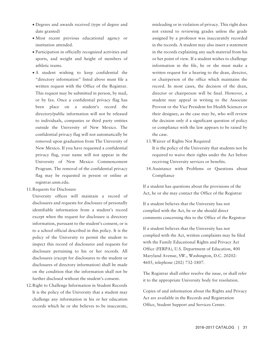- Degrees and awards received (type of degree and date granted)
- Most recent previous educational agency or institution attended.
- Participation in officially recognized activities and sports, and weight and height of members of athletic teams.
- A student wishing to keep confidential the "directory information" listed above must file a written request with the Office of the Registrar. This request may be submitted in person, by mail, or by fax. Once a confidential privacy flag has been place on a student's record the directory/public information will not be released to individuals, companies or third party entities outside the University of New Mexico. The confidential privacy flag will not automatically be removed upon graduation from The University of New Mexico. If you have requested a confidential privacy flag, your name will not appear in the University of New Mexico Commencement Program. The removal of the confidential privacy flag may be requested in person or online at registrar.unm.edu.
- 11.Requests for Disclosure

University offices will maintain a record of disclosures and requests for disclosure of personally identifiable information from a student's record except when the request for disclosure is directory information, pursuant to the student's consent, or is to a school official described in this policy. It is the policy of the University to permit the student to inspect this record of disclosures and requests for disclosure pertaining to his or her records. All disclosures (except for disclosures to the student or disclosures of directory information) shall be made on the condition that the information shall not be further disclosed without the student's consent.

12.Right to Challenge Information in Student Records It is the policy of the University that a student may challenge any information in his or her education records which he or she believes to be inaccurate,

misleading or in violation of privacy. This right does not extend to reviewing grades unless the grade assigned by a professor was inaccurately recorded in the records. A student may also insert a statement in the records explaining any such material from his or her point of view. If a student wishes to challenge information in the file, he or she must make a written request for a hearing to the dean, director, or chairperson of the office which maintains the record. In most cases, the decision of the dean, director or chairperson will be final. However, a student may appeal in writing to the Associate Provost or the Vice President for Health Sciences or their designee, as the case may be, who will review the decision only if a significant question of policy or compliance with the law appears to be raised by the case.

13.Waiver of Rights Not Required

It is the policy of the University that students not be required to waive their rights under the Act before receiving University services or benefits.

14.Assistance with Problems or Questions about Compliance

If a student has questions about the provisions of the Act, he or she may contact the Office of the Registrar

If a student believes that the University has not complied with the Act, he or she should direct comments concerning this to the Office of the Registrar

If a student believes that the University has not complied with the Act, written complaints may be filed with the Family Educational Rights and Privacy Act Office (FERPA), U.S. Department of Education, 400 Maryland Avenue, SW., Washington, D.C. 20202- 4605, telephone (202) 732-1807.

The Registrar shall either resolve the issue, or shall refer it to the appropriate University body for resolution.

Copies of and information about the Rights and Privacy Act are available in the Records and Registration Office, Student Support and Services Center.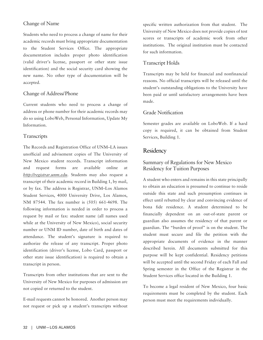# Change of Name

Students who need to process a change of name for their academic records must bring appropriate documentation to the Student Services Office. The appropriate documentation includes proper photo identification (valid driver's license, passport or other state issue identification) and the social security card showing the new name. No other type of documentation will be accepted.

#### Change of Address/Phone

Current students who need to process a change of address or phone number for their academic records may do so using LoboWeb, Personal Information, Update My Information.

#### Transcripts

The Records and Registration Office of UNM–LA issues unofficial and advisement copies of The University of New Mexico student records. Transcript information and request forms are available online at *http://registrar.unm.edu*. Students may also request a transcript of their academic record in Building 1, by mail, or by fax. The address is Registrar, UNM–Los Alamos Student Services, 4000 University Drive, Los Alamos, NM 87544. The fax number is (505) 661-4698. The following information is needed in order to process a request by mail or fax: student name (all names used while at the University of New Mexico), social security number or UNM ID number, date of birth and dates of attendance. The student's signature is required to authorize the release of any transcript. Proper photo identification (driver's license, Lobo Card, passport or other state issue identification) is required to obtain a transcript in person.

Transcripts from other institutions that are sent to the University of New Mexico for purposes of admission are not copied or returned to the student.

E-mail requests cannot be honored. Another person may not request or pick up a student's transcripts without specific written authorization from that student. The University of New Mexico does not provide copies of test scores or transcripts of academic work from other institutions. The original institution must be contacted for such information.

# Transcript Holds

Transcripts may be held for financial and nonfinancial reasons. No official transcripts will be released until the student's outstanding obligations to the University have been paid or until satisfactory arrangements have been made.

## Grade Notification

Semester grades are available on LoboWeb. If a hard copy is required, it can be obtained from Student Services, Building 1.

# **Residency**

# Summary of Regulations for New Mexico Residency for Tuition Purposes

A student who enters and remains in this state principally to obtain an education is presumed to continue to reside outside this state and such presumption continues in effect until rebutted by clear and convincing evidence of bona fide residence. A student determined to be financially dependent on an out-of-state parent or guardian also assumes the residency of that parent or guardian. The "burden of proof" is on the student. The student must secure and file the petition with the appropriate documents of evidence in the manner described herein. All documents submitted for this purpose will be kept confidential. Residency petitions will be accepted until the second Friday of each Fall and Spring semester in the Office of the Registrar in the Student Services office located in the Building 1.

To become a legal resident of New Mexico, four basic requirements must be completed by the student. Each person must meet the requirements individually.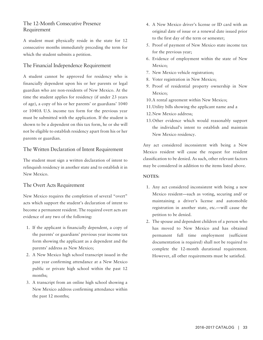# The 12-Month Consecutive Presence Requirement

A student must physically reside in the state for 12 consecutive months immediately preceding the term for which the student submits a petition.

# The Financial Independence Requirement

A student cannot be approved for residency who is financially dependent upon his or her parents or legal guardian who are non-residents of New Mexico. At the time the student applies for residency (if under 23 years of age), a copy of his or her parents' or guardians' 1040 or 1040A U.S. income tax form for the previous year must be submitted with the application. If the student is shown to be a dependent on this tax form, he or she will not be eligible to establish residency apart from his or her parents or guardian.

#### The Written Declaration of Intent Requirement

The student must sign a written declaration of intent to relinquish residency in another state and to establish it in New Mexico.

## The Overt Acts Requirement

New Mexico requires the completion of several "overt" acts which support the student's declaration of intent to become a permanent resident. The required overt acts are evidence of any two of the following:

- 1. If the applicant is financially dependent, a copy of the parents' or guardians' previous year income tax form showing the applicant as a dependent and the parents' address as New Mexico;
- 2. A New Mexico high school transcript issued in the past year confirming attendance at a New Mexico public or private high school within the past 12 months;
- 3. A transcript from an online high school showing a New Mexico address confirming attendance within the past 12 months;
- 4. A New Mexico driver's license or ID card with an original date of issue or a renewal date issued prior to the first day of the term or semester;
- 5. Proof of payment of New Mexico state income tax for the previous year;
- 6. Evidence of employment within the state of New Mexico;
- 7. New Mexico vehicle registration;
- 8. Voter registration in New Mexico;
- 9. Proof of residential property ownership in New Mexico;
- 10.A rental agreement within New Mexico;
- 11.Utility bills showing the applicant name and a
- 12.New Mexico address;
- 13.Other evidence which would reasonably support the individual's intent to establish and maintain New Mexico residency.

Any act considered inconsistent with being a New Mexico resident will cause the request for resident classification to be denied. As such, other relevant factors may be considered in addition to the items listed above.

#### **NOTES:**

- 1. Any act considered inconsistent with being a new Mexico resident—such as voting, securing and/ or maintaining a driver's license and automobile registration in another state, etc.—will cause the petition to be denied.
- 2. The spouse and dependent children of a person who has moved to New Mexico and has obtained permanent full time employment (sufficient documentation is required) shall not be required to complete the 12-month durational requirement. However, all other requirements must be satisfied.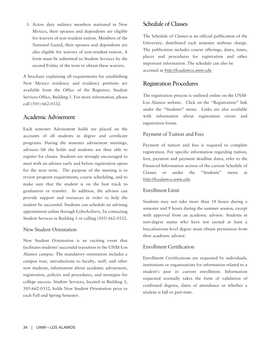3. Active duty military members stationed in New Mexico, their spouses and dependents are eligible for waivers of non-resident tuition. Members of the National Guard, their spouses and dependents are also eligible for waivers of non-resident tuition. A form must be submitted to Student Services by the second Friday of the term to obtain these waivers.

A brochure explaining all requirements for establishing New Mexico residency and residency petitions are available from the Office of the Registrar, Student Services Office, Building 1. For more information, please call (505) 662-0332.

# Academic Advisement

Each semester Advisement holds are placed on the accounts of all students in degree and certificate programs. During the semester advisement meetings, advisors lift the holds and students are then able to register for classes. Students are strongly encouraged to meet with an advisor early and before registration opens for the next term. The purpose of the meeting is to review program requirements, course scheduling, and to make sure that the student is on the best track to graduation or transfer. In addition, the advisor can provide support and resources in order to help the student be successful. Students can schedule an advising appointment online through LoboAchieve, by contacting Student Services in Building 1 or calling (505) 662-0332.

#### New Student Orientation

New Student Orientation is an exciting event that facilitates students' successful transition to the UNM-Los Alamos campus. The mandatory orientation includes a campus tour, introductions to faculty, staff, and other new students, information about academic advisement, registration, policies and procedures, and strategies for college success. Student Services, located in Building 1, 505-662-0332, holds New Student Orientation prior to each Fall and Spring Semester.

# Schedule of Classes

The Schedule of Classes is an official publication of the University, distributed each semester without charge. The publication includes course offerings, dates, times, places and procedures for registration and other important information. The schedule can also be accessed at *http://losalamos.unm.edu*

# Registration Procedures

The registration process is outlined online on the UNM-Los Alamos website. Click on the "Registration" link under the "Students" menu. Links are also available with information about registration errors and registration forms.

# Payment of Tuition and Fees

Payment of tuition and fees is required to complete registration. For specific information regarding tuition, fees, payment and payment deadline dates, refer to the Financial Information section of the current Schedule of Classes or under the "Students" menu at *http://losalamos.unm.edu*.

# Enrollment Limit

Students may not take more than 18 hours during a semester and 9 hours during the summer session, except with approval from an academic advisor. Students in non-degree status who have not earned at least a baccalaureate-level degree must obtain permission from their academic advisor.

## Enrollment Certification

Enrollment Certifications are requested by individuals, institutions or organizations for information related to a student's past or current enrollment. Information requested normally takes the form of validation of confirmed degrees, dates of attendance or whether a student is full or part-time.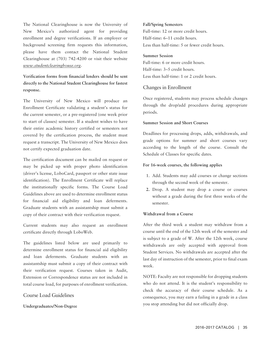The National Clearinghouse is now the University of New Mexico's authorized agent for providing enrollment and degree verifications. If an employer or background screening firm requests this information, please have them contact the National Student Clearinghouse at (703) 742-4200 or visit their website *www.studentclearinghouse.org*.

**Verification forms from financial lenders should be sent directly to the National Student Clearinghouse for fastest response.**

The University of New Mexico will produce an Enrollment Certificate validating a student's status for the current semester, or a pre-registered (one week prior to start of classes) semester. If a student wishes to have their entire academic history certified or semesters not covered by the certification process, the student must request a transcript. The University of New Mexico does not certify expected graduation date.

The certification document can be mailed on request or may be picked up with proper photo identification (driver's license, LoboCard, passport or other state issue identification). The Enrollment Certificate will replace the institutionally specific forms. The Course Load Guidelines above are used to determine enrollment status for financial aid eligibility and loan deferments. Graduate students with an assistantship must submit a copy of their contract with their verification request.

Current students may also request an enrollment certificate directly through LoboWeb.

The guidelines listed below are used primarily to determine enrollment status for financial aid eligibility and loan deferments. Graduate students with an assistantship must submit a copy of their contract with their verification request. Courses taken in Audit, Extension or Correspondence status are not included in total course load, for purposes of enrollment verification.

## Course Load Guidelines

#### **Undergraduates/Non-Degree**

#### **Fall/Spring Semesters**

Full-time: 12 or more credit hours. Half-time: 6–11 credit hours. Less than half-time: 5 or fewer credit hours.

#### **Summer Session**

Full-time: 6 or more credit hours. Half-time: 3–5 credit hours. Less than half-time: 1 or 2 credit hours.

## Changes in Enrollment

Once registered, students may process schedule changes through the drop/add procedures during appropriate periods.

#### **Summer Session and Short Courses**

Deadlines for processing drops, adds, withdrawals, and grade options for summer and short courses vary according to the length of the course. Consult the Schedule of Classes for specific dates.

#### **For 16-week courses, the following applies**

- 1. Add. Students may add courses or change sections through the second week of the semester.
- **2.** Drop. A student may drop a course or courses without a grade during the first three weeks of the semester.

#### **Withdrawal from a Course**

After the third week a student may withdraw from a course until the end of the 12th week of the semester and is subject to a grade of W. After the 12th week, course withdrawals are only accepted with approval from Student Services. No withdrawals are accepted after the last day of instruction of the semester, prior to final exam week.

NOTE: Faculty are not responsible for dropping students who do not attend. It is the student's responsibility to check the accuracy of their course schedule. As a consequence, you may earn a failing in a grade in a class you stop attending but did not officially drop.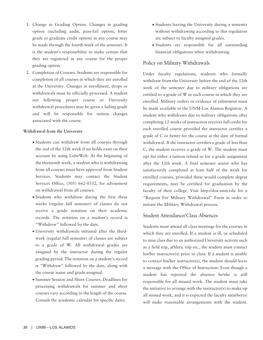- 1. Change in Grading Option. Changes in grading option (including audit, pass-fail option, letter grade or graduate credit option) in any course may be made through the fourth week of the semester. It is the student's responsibility to make certain that they are registered in any course for the proper grading option.
- 2. Completion of Courses. Students are responsible for completion of all courses in which they are enrolled at the University. Changes in enrollment, drops or withdrawals must be officially processed. A student not following proper course or University withdrawal procedures may be given a failing grade and will be responsible for tuition changes associated with the course.

#### **Withdrawal from the University**

- Students can withdraw from all courses through the end of the 12th week if no holds exist on their account by using LoboWeb. At the beginning of the thirteenth week, a student who is withdrawing from all courses must have approval from Student Services. Students may contact the Student Services Office, (505) 662-0332, for advisement on withdrawal from all courses.
- Students who withdraw during the first three weeks (regular full semester) of classes do not receive a grade notation on their academic records. The notation on a student's record is "Withdrew" followed by the date.
- University withdrawals initiated after the thirdweek (regular full semester) of classes are subject to a grade of W. All withdrawal grades are assigned by the instructor during the regular grading period. The notation on a student's record is "Withdrew" followed by the date, along with the course name and grade assigned.
- Summer Session and Short Courses. Deadlines for processing withdrawals for summer and short courses vary according to the length of the course. Consult the academic calendar for specific dates.
- Students leaving the University during a semester without withdrawing according to this regulation are subject to faculty assigned grades.
- Students are responsible for all outstanding financial obligations when withdrawing.

#### Policy on Military Withdrawals

Under faculty regulations, students who formally withdraw from the University before the end of the 12th week of the semester due to military obligations are entitled to a grade of W in each course in which they are enrolled. Military orders or evidence of enlistment must be made available to the UNM-Los Alamos Registrar. A student who withdraws due to military obligations after completing 12 weeks of instruction receives full credit for each enrolled course provided the instructor certifies a grade of C or better for the course at the date of formal withdrawal. If the instructor certifies a grade of less than C, the student receives a grade of W. The student must opt for either a tuition refund or for a grade assignment after the 12th week. A final semester senior who has satisfactorily completed at least half of the work for enrolled courses, provided these would complete degree requirements, may be certified for graduation by the faculty of their college. Visit http://dos.unm.edu for a "Request For Military Withdrawal" Form in order to initiate the Military Withdrawal process.

#### Student Attendance/Class Absences

Students must attend all class meetings for the courses in which they are enrolled. If a student is ill, or scheduled to miss class due to an authorized University activity such as a field trip, athletic trip etc., the student must contact his/her instructor(s) prior to class. If a student is unable to contact his/her instructor(s), the student should leave a message with the Office of Instruction. Even though a student has reported the absence he/she is still responsible for all missed work. The student must take the initiative to arrange with the instructor(s) to make up all missed work, and it is expected the faculty member(s) will make reasonable arrangements with the student.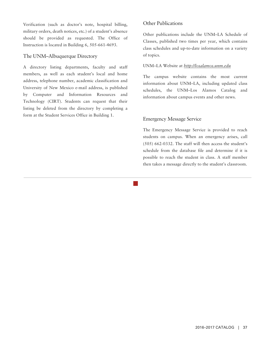Verification (such as doctor's note, hospital billing, military orders, death notices, etc.) of a student's absence should be provided as requested. The Office of Instruction is located in Building 6, 505-661-4693.

#### The UNM–Albuquerque Directory

A directory listing departments, faculty and staff members, as well as each student's local and home address, telephone number, academic classification and University of New Mexico e-mail address, is published by Computer and Information Resources and Technology (CIRT). Students can request that their listing be deleted from the directory by completing a form at the Student Services Office in Building 1.

#### Other Publications

Other publications include the UNM–LA Schedule of Classes, published two times per year, which contains class schedules and up-to-date information on a variety of topics.

#### UNM–LA Website at *http://losalamos.unm.edu*

The campus website contains the most current information about UNM–LA, including updated class schedules, the UNM–Los Alamos Catalog and information about campus events and other news.

#### Emergency Message Service

The Emergency Message Service is provided to reach students on campus. When an emergency arises, call (505) 662-0332. The staff will then access the student's schedule from the database file and determine if it is possible to reach the student in class. A staff member then takes a message directly to the student's classroom.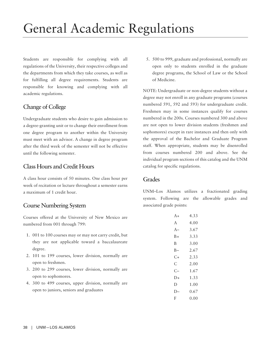## General Academic Regulations

Students are responsible for complying with all regulations of the University, their respective colleges and the departments from which they take courses, as well as for fulfilling all degree requirements. Students are responsible for knowing and complying with all academic regulations.

#### Change of College

Undergraduate students who desire to gain admission to a degree-granting unit or to change their enrollment from one degree program to another within the University must meet with an advisor. A change in degree program after the third week of the semester will not be effective until the following semester.

#### Class Hours and Credit Hours

A class hour consists of 50 minutes. One class hour per week of recitation or lecture throughout a semester earns a maximum of 1 credit hour.

#### Course Numbering System

Courses offered at the University of New Mexico are numbered from 001 through 799:

- 1. 001 to 100 courses may or may not carry credit, but they are not applicable toward a baccalaureate degree.
- 2. 101 to 199 courses, lower division, normally are open to freshmen.
- 3. 200 to 299 courses, lower division, normally are open to sophomores.
- 4. 300 to 499 courses, upper division, normally are open to juniors, seniors and graduates

5. 500 to 999, graduate and professional, normally are open only to students enrolled in the graduate degree programs, the School of Law or the School of Medicine.

NOTE: Undergraduate or non-degree students without a degree may not enroll in any graduate programs (courses numbered 591, 592 and 593) for undergraduate credit. Freshmen may in some instances qualify for courses numbered in the 200s. Courses numbered 300 and above are not open to lower division students (freshmen and sophomores) except in rare instances and then only with the approval of the Bachelor and Graduate Program staff. When appropriate, students may be disenrolled from courses numbered 200 and above. See the individual program sections of this catalog and the UNM catalog for specific regulations.

#### Grades

UNM–Los Alamos utilizes a fractionated grading system. Following are the allowable grades and associated grade points:

| A+    | 4.33 |
|-------|------|
| A     | 4.00 |
| $A-$  | 3.67 |
| B+    | 3.33 |
| B     | 3.00 |
| $B -$ | 2.67 |
| C+    | 2.33 |
| C     | 2.00 |
| $C-$  | 1.67 |
| D+    | 1.33 |
| D     | 1.00 |
| D-    | 0.67 |
| F     | 0.00 |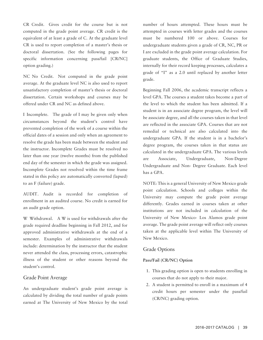CR Credit. Gives credit for the course but is not computed in the grade point average. CR credit is the equivalent of at least a grade of C. At the graduate level CR is used to report completion of a master's thesis or doctoral dissertation. (See the following pages for specific information concerning pass/fail [CR/NC] option grading.)

NC No Credit. Not computed in the grade point average. At the graduate level NC is also used to report unsatisfactory completion of master's thesis or doctoral dissertation. Certain workshops and courses may be offered under CR and NC as defined above.

I Incomplete. The grade of I may be given only when circumstances beyond the student's control have prevented completion of the work of a course within the official dates of a session and only when an agreement to resolve the grade has been made between the student and the instructor. Incomplete Grades must be resolved no later than one year (twelve months) from the published end day of the semester in which the grade was assigned. Incomplete Grades not resolved within the time frame stated in this policy are automatically converted (lapsed) to an F (failure) grade.

AUDIT. Audit is recorded for completion of enrollment in an audited course. No credit is earned for an audit grade option.

W Withdrawal. A W is used for withdrawals after the grade required deadline beginning in Fall 2012, and for approved administrative withdrawals at the end of a semester. Examples of administrative withdrawals include: determination by the instructor that the student never attended the class, processing errors, catastrophic illness of the student or other reasons beyond the student's control.

#### Grade Point Average

An undergraduate student's grade point average is calculated by dividing the total number of grade points earned at The University of New Mexico by the total

number of hours attempted. These hours must be attempted in courses with letter grades and the courses must be numbered 100 or above. Courses for undergraduate students given a grade of CR, NC, PR or I are excluded in the grade point average calculation. For graduate students, the Office of Graduate Studies, internally for their record keeping processes, calculates a grade of "I" as a 2.0 until replaced by another letter grade.

Beginning Fall 2006, the academic transcript reflects a level GPA. The courses a student takes become a part of the level to which the student has been admitted. If a student is in an associate degree program, the level will be associate degree, and all the courses taken in that level are reflected in the associate GPA. Courses that are not remedial or technical are also calculated into the undergraduate GPA. If the student is in a bachelor's degree program, the courses taken in that status are calculated in the undergraduate GPA. The various levels are Associate, Undergraduate, Non-Degree Undergraduate and Non- Degree Graduate. Each level has a GPA.

NOTE: This is a general University of New Mexico grade point calculation. Schools and colleges within the University may compute the grade point average differently. Grades earned in courses taken at other institutions are not included in calculation of the University of New Mexico- Los Alamos grade point average. The grade point average will reflect only courses taken at the applicable level within The University of New Mexico.

#### Grade Options

#### **Pass/Fail (CR/NC) Option**

- 1. This grading option is open to students enrolling in courses that do not apply to their major.
- 2. A student is permitted to enroll in a maximum of 4 credit hours per semester under the pass/fail (CR/NC) grading option.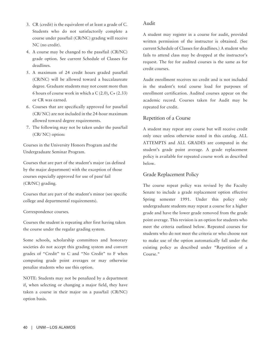- 3. CR (credit) is the equivalent of at least a grade of C. Students who do not satisfactorily complete a course under pass/fail (CR/NC) grading will receive NC (no credit).
- 4. A course may be changed to the pass/fail (CR/NC) grade option. See current Schedule of Classes for deadlines.
- 5. A maximum of 24 credit hours graded pass/fail (CR/NC) will be allowed toward a baccalaureate degree. Graduate students may not count more than 6 hours of course work in which a  $C(2.0)$ ,  $C+(2.33)$ or CR was earned.
- 6. Courses that are specifically approved for pass/fail (CR/ NC) are not included in the 24-hour maximum allowed toward degree requirements.
- 7. The following may not be taken under the pass/fail (CR/ NC) option:

Courses in the University Honors Program and the Undergraduate Seminar Program.

Courses that are part of the student's major (as defined by the major department) with the exception of those courses especially approved for use of pass/ fail (CR/NC) grading.

Courses that are part of the student's minor (see specific college and departmental requirements).

#### Correspondence courses.

Courses the student is repeating after first having taken the course under the regular grading system.

Some schools, scholarship committees and honorary societies do not accept this grading system and convert grades of "Credit" to C and "No Credit" to F when computing grade point averages or may otherwise penalize students who use this option.

NOTE: Students may not be penalized by a department if, when selecting or changing a major field, they have taken a course in their major on a pass/fail (CR/NC) option basis.

#### Audit

A student may register in a course for audit, provided written permission of the instructor is obtained. (See current Schedule of Classes for deadlines.) A student who fails to attend class may be dropped at the instructor's request. The fee for audited courses is the same as for credit courses.

Audit enrollment receives no credit and is not included in the student's total course load for purposes of enrollment certification. Audited courses appear on the academic record. Courses taken for Audit may be repeated for credit.

#### Repetition of a Course

A student may repeat any course but will receive credit only once unless otherwise noted in this catalog. ALL ATTEMPTS and ALL GRADES are computed in the student's grade point average. A grade replacement policy is available for repeated course work as described below.

#### Grade Replacement Policy

The course repeat policy was revised by the Faculty Senate to include a grade replacement option effective Spring semester 1991. Under this policy only undergraduate students may repeat a course for a higher grade and have the lower grade removed from the grade point average. This revision is an option for students who meet the criteria outlined below. Repeated courses for students who do not meet the criteria or who choose not to make use of the option automatically fall under the existing policy as described under "Repetition of a Course."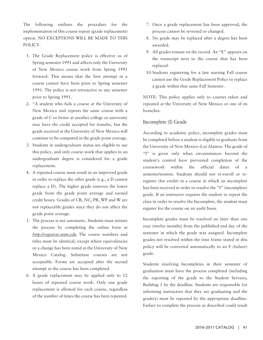The following outlines the procedure for the implementation of this course repeat (grade replacement) option. NO EXCEPTIONS WILL BE MADE TO THIS POLICY.

- 1. The Grade Replacement policy is effective as of Spring semester 1991 and affects only the University of New Mexico course work from Spring 1991 forward. This means that the first attempt in a course cannot have been prior to Spring semester 1991. The policy is not retroactive to any semester prior to Spring 1991.
- 2. \*A student who fails a course at the University of New Mexico and repeats the same course with a grade of C or better at another college or university may have the credit accepted for transfer, but the grade received at the University of New Mexico will continue to be computed in the grade point average.
- 3. Students in undergraduate status are eligible to use this policy, and only course work that applies to an undergraduate degree is considered for a grade replacement.
- 4. A repeated course must result in an improved grade in order to replace the other grade (e.g., a D cannot replace a D). The higher grade removes the lower grade from the grade point average and earned credit hours. Grades of CR, NC, PR, WP and W are not replaceable grades since they do not affect the grade point average.
- 5. The process is not automatic. Students must initiate the process by completing the online form at *http://registrar.unm.edu* The course numbers and titles must be identical, except where equivalencies or a change has been noted in the University of New Mexico Catalog. Substitute courses are not acceptable. Forms are accepted after the second attempt in the course has been completed.
- 6. A grade replacement may be applied only to 12 hours of repeated course work. Only one grade replacement is allowed for each course, regardless of the number of times the course has been repeated.
- 7. Once a grade replacement has been approved, the process cannot be reversed or changed.
- 8. No grade may be replaced after a degree has been awarded.
- 9. All grades remain on the record. An "E" appears on the transcript next to the course that has been replaced.
- 10.Students registering for a late starting Fall course cannot use the Grade Replacement Policy to replace a grade within that same Fall Semester.

NOTE: This policy applies only to courses taken and repeated at the University of New Mexico or one of its branches.

#### Incomplete (I) Grade

According to academic policy, incomplete grades must be completed before a student is eligible to graduate from the University of New Mexico–Los Alamos. The grade of "I" is given only when circumstances beyond the student's control have prevented completion of the coursework within the official dates of a semester/session. Students should not re-enroll or reregister (for credit) in a course in which an incomplete has been received in order to resolve the "I" (incomplete) grade. If an instructor requires the student to repeat the class in order to resolve the Incomplete, the student must register for the course on an audit basis.

Incomplete grades must be resolved no later than one year (twelve months) from the published end day of the semester in which the grade was assigned. Incomplete grades not resolved within the time frame stated in this policy will be converted automatically to an F (failure) grade.

Students resolving Incompletes in their semester of graduation must have the process completed (including the reporting of the grade to the Student Services, Building 1 by the deadline. Students are responsible for informing instructors that they are graduating and the grade(s) must be reported by the appropriate deadline. Failure to complete the process as described could result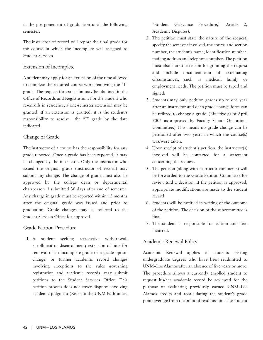in the postponement of graduation until the following semester.

The instructor of record will report the final grade for the course in which the Incomplete was assigned to Student Services.

#### Extension of Incomplete

A student may apply for an extension of the time allowed to complete the required course work removing the "I" grade. The request for extension may be obtained in the Office of Records and Registration. For the student who re-enrolls in residence, a one-semester extension may be granted. If an extension is granted, it is the student's responsibility to resolve the "I" grade by the date indicated.

#### Change of Grade

The instructor of a course has the responsibility for any grade reported. Once a grade has been reported, it may be changed by the instructor. Only the instructor who issued the original grade (instructor of record) may submit any change. The change of grade must also be approved by the college dean or departmental chairperson if submitted 30 days after end of semester. Any change in grade must be reported within 12 months after the original grade was issued and prior to graduation. Grade changes may be referred to the Student Services Office for approval.

#### Grade Petition Procedure

1. A student seeking retroactive withdrawal, enrollment or disenrollment; extension of time for removal of an incomplete grade or a grade option change; or further academic record changes involving exceptions to the rules governing registration and academic records, may submit petitions to the Student Services Office. This petition process does not cover disputes involving academic judgment (Refer to the UNM Pathfinder,

"Student Grievance Procedure," Article 2, Academic Disputes).

- 2. The petition must state the nature of the request, specify the semester involved, the course and section number, the student's name, identification number, mailing address and telephone number. The petition must also state the reason for granting the request and include documentation of extenuating circumstances, such as medical, family or employment needs. The petition must be typed and signed.
- 3. Students may only petition grades up to one year after an instructor and dean grade change form can be utilized to change a grade. (Effective as of April 2005 as approved by Faculty Senate Operations Committee.) This means no grade change can be petitioned after two years in which the course(s) was/were taken.
- 4. Upon receipt of student's petition, the instructor(s) involved will be contacted for a statement concerning the request.
- 5. The petition (along with instructor comments) will be forwarded to the Grade Petition Committee for review and a decision. If the petition is approved, appropriate modifications are made to the student record.
- 6. Students will be notified in writing of the outcome of the petition. The decision of the subcommittee is final.
- 7. The student is responsible for tuition and fees incurred.

#### Academic Renewal Policy

Academic Renewal applies to students seeking undergraduate degrees who have been readmitted to UNM–Los Alamos after an absence of five years or more. The procedure allows a currently enrolled student to request his/her academic record be reviewed for the purpose of evaluating previously earned UNM–Los Alamos credits and recalculating the student's grade point average from the point of readmission. The student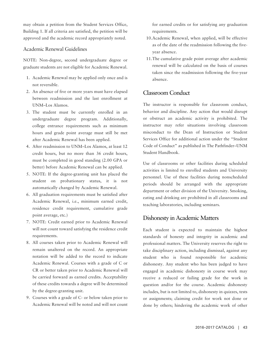may obtain a petition from the Student Services Office, Building 1. If all criteria are satisfied, the petition will be approved and the academic record appropriately noted.

#### Academic Renewal Guidelines

NOTE: Non-degree, second undergraduate degree or graduate students are not eligible for Academic Renewal.

- 1. Academic Renewal may be applied only once and is not reversible.
- 2. An absence of five or more years must have elapsed between readmission and the last enrollment at UNM–Los Alamos.
- 3. The student must be currently enrolled in an undergraduate degree program. Additionally, college entrance requirements such as minimum hours and grade point average must still be met after Academic Renewal has been applied.
- 4. After readmission to UNM–Los Alamos, at least 12 credit hours, but no more than 36 credit hours, must be completed in good standing (2.00 GPA or better) before Academic Renewal can be applied.
- 5. NOTE: If the degree-granting unit has placed the student on probationary status, it is not automatically changed by Academic Renewal.
- 6. All graduation requirements must be satisfied after Academic Renewal, i.e., minimum earned credit, residence credit requirement, cumulative grade point average, etc.)
- 7. NOTE: Credit earned prior to Academic Renewal will not count toward satisfying the residence credit requirements.
- 8. All courses taken prior to Academic Renewal will remain unaltered on the record. An appropriate notation will be added to the record to indicate Academic Renewal. Courses with a grade of C or CR or better taken prior to Academic Renewal will be carried forward as earned credits. Acceptability of these credits towards a degree will be determined by the degree-granting unit.
- 9. Courses with a grade of C- or below taken prior to Academic Renewal will be noted and will not count

for earned credits or for satisfying any graduation requirements.

- 10.Academic Renewal, when applied, will be effective as of the date of the readmission following the fiveyear absence.
- 11.The cumulative grade point average after academic renewal will be calculated on the basis of courses taken since the readmission following the five-year absence.

#### Classroom Conduct

The instructor is responsible for classroom conduct, behavior and discipline. Any action that would disrupt or obstruct an academic activity is prohibited. The instructor may refer situations involving classroom misconduct to the Dean of Instruction or Student Services Office for additional action under the "Student Code of Conduct" as published in The Pathfinder–UNM Student Handbook.

Use of classrooms or other facilities during scheduled activities is limited to enrolled students and University personnel. Use of these facilities during nonscheduled periods should be arranged with the appropriate department or other division of the University. Smoking, eating and drinking are prohibited in all classrooms and teaching laboratories, including seminars.

#### Dishonesty in Academic Matters

Each student is expected to maintain the highest standards of honesty and integrity in academic and professional matters. The University reserves the right to take disciplinary action, including dismissal, against any student who is found responsible for academic dishonesty. Any student who has been judged to have engaged in academic dishonesty in course work may receive a reduced or failing grade for the work in question and/or for the course. Academic dishonesty includes, but is not limited to, dishonesty in quizzes, tests or assignments; claiming credit for work not done or done by others; hindering the academic work of other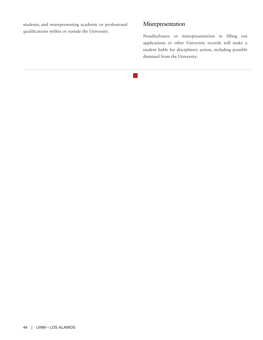students; and misrepresenting academic or professional qualifications within or outside the University.

#### Misrepresentation

 $\mathbb{R}^3$ 

Nondisclosure or misrepresentation in filling out applications or other University records will make a student liable for disciplinary action, including possible dismissal from the University.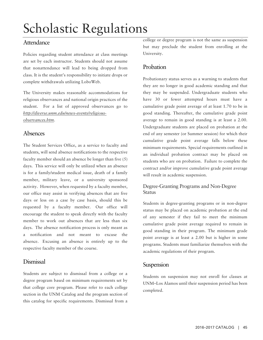## Scholastic Regulations

#### Attendance

Policies regarding student attendance at class meetings are set by each instructor. Students should not assume that nonattendance will lead to being dropped from class. It is the student's responsibility to initiate drops or complete withdrawals utilizing LoboWeb.

The University makes reasonable accommodations for religious observances and national origin practices of the student. For a list of approved observances go to *http://diverse.unm.edu/news-events/religiousobservances.htm*.

#### Absences

The Student Services Office, as a service to faculty and students, will send absence notifications to the respective faculty member should an absence be longer than five (5) days. This service will only be utilized when an absence is for a family/student medical issue, death of a family member, military leave, or a university sponsored activity. However, when requested by a faculty member, our office may assist in verifying absences that are five days or less on a case by case basis, should this be requested by a faculty member. Our office will encourage the student to speak directly with the faculty member to work out absences that are less than six days. The absence notification process is only meant as a notification and not meant to excuse the absence. Excusing an absence is entirely up to the respective faculty member of the course.

#### Dismissal

Students are subject to dismissal from a college or a degree program based on minimum requirements set by that college core program. Please refer to each college section in the UNM Catalog and the program section of this catalog for specific requirements. Dismissal from a college or degree program is not the same as suspension but may preclude the student from enrolling at the University.

#### Probation

Probationary status serves as a warning to students that they are no longer in good academic standing and that they may be suspended. Undergraduate students who have 30 or fewer attempted hours must have a cumulative grade point average of at least 1.70 to be in good standing. Thereafter, the cumulative grade point average to remain in good standing is at least a 2.00. Undergraduate students are placed on probation at the end of any semester (or Summer session) for which their cumulative grade point average falls below these minimum requirements. Special requirements outlined in an individual probation contract may be placed on students who are on probation. Failure to complete the contract and/or improve cumulative grade point average will result in academic suspension.

#### Degree-Granting Programs and Non-Degree Status

Students in degree-granting programs or in non-degree status may be placed on academic probation at the end of any semester if they fail to meet the minimum cumulative grade point average required to remain in good standing in their program. The minimum grade point average is at least a 2.00 but is higher in some programs. Students must familiarize themselves with the academic regulations of their program.

#### **Suspension**

Students on suspension may not enroll for classes at UNM–Los Alamos until their suspension period has been completed.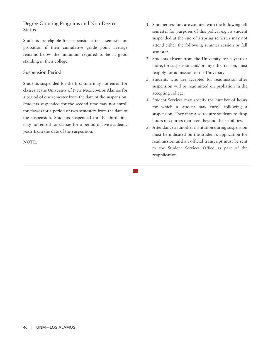#### Degree-Granting Programs and Non-Degree Status

Students are eligible for suspension after a semester on probation if their cumulative grade point average remains below the minimum required to be in good standing in their college.

#### Suspension Period

Students suspended for the first time may not enroll for classes at the University of New Mexico–Los Alamos for a period of one semester from the date of the suspension. Students suspended for the second time may not enroll for classes for a period of two semesters from the date of the suspension. Students suspended for the third time may not enroll for classes for a period of five academic years from the date of the suspension.

NOTE:

- 1. Summer sessions are counted with the following fall semester for purposes of this policy, e.g., a student suspended at the end of a spring semester may not attend either the following summer session or fall semester.
- 2. Students absent from the University for a year or more, for suspension and/ or any other reason, must reapply for admission to the University.
- 3. Students who are accepted for readmission after suspension will be readmitted on probation in the accepting college.
- 4. Student Services may specify the number of hours for which a student may enroll following a suspension. They may also require students to drop hours or courses that seem beyond their abilities.
- 5. Attendance at another institution during suspension must be indicated on the student's application for readmission and an official transcript must be sent to the Student Services Office as part of the reapplication.

**I**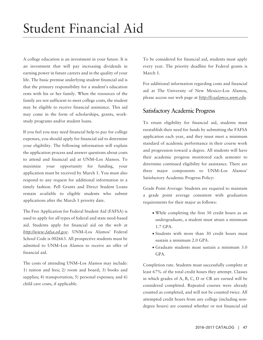## Student Financial Aid

A college education is an investment in your future. It is an investment that will pay increasing dividends in earning power in future careers and in the quality of your life. The basic premise underlying student financial aid is that the primary responsibility for a student's education rests with his or her family. When the resources of the family are not sufficient to meet college costs, the student may be eligible to receive financial assistance. This aid may come in the form of scholarships, grants, workstudy programs and/or student loans.

If you feel you may need financial help to pay for college expenses, you should apply for financial aid to determine your eligibility. The following information will explain the application process and answer questions about costs to attend and financial aid at UNM–Los Alamos. To maximize your opportunity for funding, your application must be received by March 1. You must also respond to any request for additional information in a timely fashion. Pell Grants and Direct Student Loans remain available to eligible students who submit applications after the March 1 priority date.

The Free Application for Federal Student Aid (FAFSA) is used to apply for all types of federal and state need-based aid. Students apply for financial aid on the web at *http://www.fafsa.ed.gov*. UNM–Los Alamos' Federal School Code is 002663. All prospective students must be admitted to UNM–Los Alamos to receive an offer of financial aid.

The costs of attending UNM–Los Alamos may include: 1) tuition and fees; 2) room and board; 3) books and supplies; 4) transportation; 5) personal expenses; and 6) child care costs, if applicable.

To be considered for financial aid, students must apply every year. The priority deadline for Federal grants is March 1.

For additional information regarding costs and financial aid at The University of New Mexico–Los Alamos, please access our web page at *http://losalamos.unm.edu*.

#### Satisfactory Academic Progress

To retain eligibility for financial aid, students must reestablish their need for funds by submitting the FAFSA application each year, and they must meet a minimum standard of academic performance in their course work and progression toward a degree. All students will have their academic progress monitored each semester to determine continued eligibility for assistance. There are three major components to UNM–Los Alamos' Satisfactory Academic Progress Policy:

Grade Point Average: Students are required to maintain a grade point average consistent with graduation requirements for their major as follows:

- While completing the first 30 credit hours as an undergraduate, a student must attain a minimum 1.7 GPA.
- Students with more than 30 credit hours must sustain a minimum 2.0 GPA.
- Graduate students must sustain a minimum 3.0 GPA.

Completion rate. Students must successfully complete at least 67% of the total credit hours they attempt. Classes in which grades of A, B, C, D or CR are earned will be considered completed. Repeated courses were already counted as completed, and will not be counted twice. All attempted credit hours from any college (including nondegree hours) are counted whether or not financial aid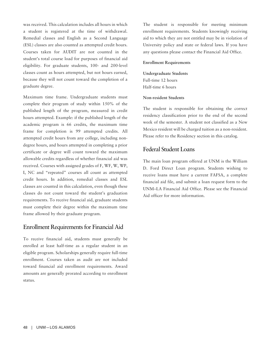was received. This calculation includes all hours in which a student is registered at the time of withdrawal. Remedial classes and English as a Second Language (ESL) classes are also counted as attempted credit hours. Courses taken for AUDIT are not counted in the student's total course load for purposes of financial aid eligibility. For graduate students, 100- and 200-level classes count as hours attempted, but not hours earned, because they will not count toward the completion of a graduate degree.

Maximum time frame. Undergraduate students must complete their program of study within 150% of the published length of the program, measured in credit hours attempted. Example: if the published length of the academic program is 66 credits, the maximum time frame for completion is 99 attempted credits. All attempted credit hours from any college, including nondegree hours, and hours attempted in completing a prior certificate or degree will count toward the maximum allowable credits regardless of whether financial aid was received. Courses with assigned grades of F, WF, W, WP, I, NC and "repeated" courses all count as attempted credit hours. In addition, remedial classes and ESL classes are counted in this calculation, even though these classes do not count toward the student's graduation requirements. To receive financial aid, graduate students must complete their degree within the maximum time frame allowed by their graduate program.

#### Enrollment Requirements for Financial Aid

To receive financial aid, students must generally be enrolled at least half-time as a regular student in an eligible program. Scholarships generally require full-time enrollment. Courses taken as audit are not included toward financial aid enrollment requirements. Award amounts are generally prorated according to enrollment status.

The student is responsible for meeting minimum enrollment requirements. Students knowingly receiving aid to which they are not entitled may be in violation of University policy and state or federal laws. If you have any questions please contact the Financial Aid Office.

#### **Enrollment Requirements**

**Undergraduate Students** Full-time 12 hours Half-time 6 hours

#### **Non-resident Students**

The student is responsible for obtaining the correct residency classification prior to the end of the second week of the semester. A student not classified as a New Mexico resident will be charged tuition as a non-resident. Please refer to the Residency section in this catalog.

#### Federal Student Loans

The main loan program offered at UNM is the William D. Ford Direct Loan program. Students wishing to receive loans must have a current FAFSA, a complete financial aid file, and submit a loan request form to the UNM–LA Financial Aid Office. Please see the Financial Aid officer for more information.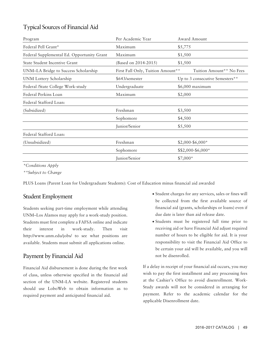#### Typical Sources of Financial Aid

| Program                                    | Per Academic Year                 | Award Amount                    |  |
|--------------------------------------------|-----------------------------------|---------------------------------|--|
| Federal Pell Grant*                        | Maximum                           | \$5,775                         |  |
| Federal Supplemental Ed. Opportunity Grant | Maximum                           | \$1,500                         |  |
| <b>State Student Incentive Grant</b>       | (Based on 2014-2015)              | \$1,500                         |  |
| UNM-LA Bridge to Success Scholarship       | First Fall Only, Tuition Amount** | Tuition Amount** No Fees        |  |
| UNM Lottery Scholarship                    | \$643/semester                    | Up to 3 consecutive Semesters** |  |
| Federal /State College Work-study          | Undergraduate                     | \$6,000 maximum                 |  |
| Federal Perkins Loan                       | Maximum                           | \$2,000                         |  |
| Federal Stafford Loan:                     |                                   |                                 |  |
| (Subsidized)                               | Freshman                          | \$3,500                         |  |
|                                            | Sophomore                         | \$4,500                         |  |
|                                            | Junior/Senior                     | \$5,500                         |  |
| Federal Stafford Loan:                     |                                   |                                 |  |
| (Unsubsidized)                             | Freshman                          | \$2,000-\$6,000*                |  |
|                                            | Sophomore                         | \$\$2,000-\$6,000*              |  |
|                                            | Junior/Senior                     | $$7,000*$                       |  |

*\*Conditions Apply*

*\*\*Subject to Change*

PLUS Loans (Parent Loan for Undergraduate Students): Cost of Education minus financial aid awarded

#### Student Employment

Students seeking part-time employment while attending UNM–Los Alamos may apply for a work-study position. Students must first complete a FAFSA online and indicate their interest in work-study. Then visit http://www.unm.edu/jobs/ to see what positions are available. Students must submit all applications online.

#### Payment by Financial Aid

Financial Aid disbursement is done during the first week of class, unless otherwise specified in the financial aid section of the UNM–LA website. Registered students should use LoboWeb to obtain information as to required payment and anticipated financial aid.

- Student charges for any services, sales or fines will be collected from the first available source of financial aid (grants, scholarships or loans) even if due date is later than aid release date.
- Students must be registered full time prior to receiving aid or have Financial Aid adjust required number of hours to be eligible for aid. It is your responsibility to visit the Financial Aid Office to be certain your aid will be available, and you will not be disenrolled.

If a delay in receipt of your financial aid occurs, you may wish to pay the first installment and any processing fees at the Cashier's Office to avoid disenrollment. Work-Study awards will not be considered in arranging for payment. Refer to the academic calendar for the applicable Disenrollment date.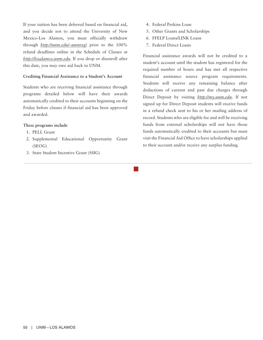If your tuition has been deferred based on financial aid, and you decide not to attend the University of New Mexico-Los Alamos, you must officially withdraw through *http://unm.edu/~unmreg/* prior to the 100% refund deadlines online in the Schedule of Classes at *http://losalamos.unm.edu*. If you drop or disenroll after this date, you may owe aid back to UNM.

#### **Crediting Financial Assistance to a Student's Account**

Students who are receiving financial assistance through programs detailed below will have their awards automatically credited to their accounts beginning on the Friday before classes if financial aid has been approved and awarded.

#### **These programs include**

- 1. PELL Grant
- 2. Supplemental Educational Opportunity Grant (SEOG)
- 3. State Student Incentive Grant (SSIG)
- 4. Federal Perkins Loan
- 5. Other Grants and Scholarships
- 6. FFELP Loans/LINK Loans
- 7. Federal Direct Loans

Financial assistance awards will not be credited to a student's account until the student has registered for the required number of hours and has met all respective financial assistance source program requirements. Students will receive any remaining balance after deductions of current and past due charges through Direct Deposit by visiting *http://my.unm.edu*. If not signed up for Direct Deposit students will receive funds in a refund check sent to his or her mailing address of record. Students who are eligible for and will be receiving funds from external scholarships will not have those funds automatically credited to their accounts but must visit the Financial Aid Office to have scholarships applied to their account and/or receive any surplus funding.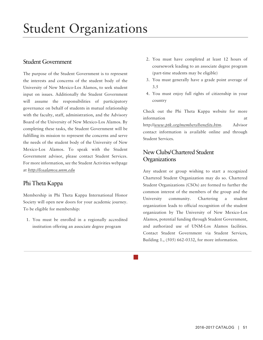## Student Organizations

#### Student Government

The purpose of the Student Government is to represent the interests and concerns of the student body of the University of New Mexico-Los Alamos, to seek student input on issues. Additionally the Student Government will assume the responsibilities of participatory governance on behalf of students in mutual relationship with the faculty, staff, administration, and the Advisory Board of the University of New Mexico-Los Alamos. By completing these tasks, the Student Government will be fulfilling its mission to represent the concerns and serve the needs of the student body of the University of New Mexico-Los Alamos. To speak with the Student Government advisor, please contact Student Services. For more information, see the Student Activities webpage at *http://losalamos.unm.edu*

#### Phi Theta Kappa

Membership in Phi Theta Kappa International Honor Society will open new doors for your academic journey. To be eligible for membership:

1. You must be enrolled in a regionally accredited institution offering an associate degree program

- 2. You must have completed at least 12 hours of coursework leading to an associate degree program (part-time students may be eligible)
- 3. You must generally have a grade point average of 3.5
- 4. You must enjoy full rights of citizenship in your country

Check out the Phi Theta Kappa website for more information at a set of  $\alpha$  at a set of  $\alpha$  at a set of  $\alpha$  at a set of  $\alpha$  at a set of  $\alpha$  at a set of  $\alpha$  at a set of  $\alpha$  at a set of  $\alpha$  at a set of  $\alpha$  at a set of  $\alpha$  at a set of  $\alpha$  at a set of  $\alpha$  at a s http://*www.ptk.org/members/benefits.htm*. Advisor contact information is available online and through Student Services.

#### New Clubs/Chartered Student **Organizations**

Any student or group wishing to start a recognized Chartered Student Organization may do so. Chartered Student Organizations (CSOs) are formed to further the common interest of the members of the group and the University community. Chartering a student organization leads to official recognition of the student organization by The University of New Mexico-Los Alamos, potential funding through Student Government, and authorized use of UNM-Los Alamos facilities. Contact Student Government via Student Services, Building 1., (505) 662-0332, for more information.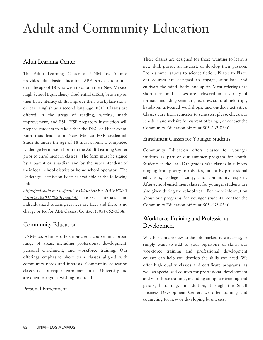#### Adult Learning Center

The Adult Learning Center at UNM–Los Alamos provides adult basic education (ABE) services to adults over the age of 18 who wish to obtain their New Mexico High School Equivalency Crediential (HSE), brush up on their basic literacy skills, improve their workplace skills, or learn English as a second language (ESL). Classes are offered in the areas of reading, writing, math improvement, and ESL. HSE prepatory instruction will prepare students to take either the DEG or HiSet exam. Both tests lead to a New Mexico HSE credential. Students under the age of 18 must submit a completed Underage Permission Form to the Adult Learning Center prior to enrollment in classes. The form must be signed by a parent or guardian and by the superintendent of their local school district or home school operator. The Underage Permission Form is available at the following link:

*http://ped.state.nm.us/ped/GEDdocs/HSE%20UPF%20 Form%202015%20Final.pdf* Books, materials and individualized tutoring services are free, and there is no charge or fee for ABE classes. Contact (505) 662-0338.

#### Community Education

UNM–Los Alamos offers non-credit courses in a broad range of areas, including professional development, personal enrichment, and workforce training. Our offerings emphasize short term classes aligned with community needs and interests. Community education classes do not require enrollment in the University and are open to anyone wishing to attend.

#### Personal Enrichment

These classes are designed for those wanting to learn a new skill, pursue an interest, or develop their passion. From simmer sauces to science fiction, Pilates to Plato, our courses are designed to engage, stimulate, and cultivate the mind, body, and spirit. Most offerings are short term and classes are delivered in a variety of formats, including seminars, lectures, cultural field trips, hands-on, art-based workshops, and outdoor activities. Classes vary from semester to semester; please check our schedule and website for current offerings, or contact the Community Education office at 505-662-0346.

#### Enrichment Classes for Younger Students

Community Education offers classes for younger students as part of our summer program for youth. Students in the 1st -12th grades take classes in subjects ranging from poetry to robotics, taught by professional educators, college faculty, and community experts. After-school enrichment classes for younger students are also given during the school year. For more information about our programs for younger students, contact the Community Education office at 505-662-0346.

#### Workforce Training and Professional Development

Whether you are new to the job market, re-careering, or simply want to add to your repertoire of skills, our workforce training and professional development courses can help you develop the skills you need. We offer high quality classes and certificate programs, as well as specialized courses for professional development and workforce training, including computer training and paralegal training. In addition, through the Small Business Development Center, we offer training and counseling for new or developing businesses.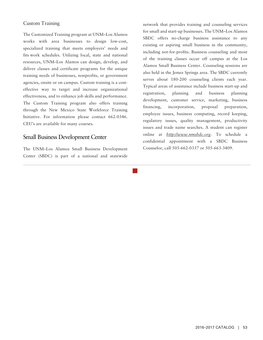#### Custom Training

The Customized Training program at UNM–Los Alamos works with area businesses to design low-cost, specialized training that meets employers' needs and fits work schedules. Utilizing local, state and national resources, UNM–Los Alamos can design, develop, and deliver classes and certificate programs for the unique training needs of businesses, nonprofits, or government agencies, onsite or on campus. Custom training is a costeffective way to target and increase organizational effectiveness, and to enhance job skills and performance. The Custom Training program also offers training through the New Mexico State Workforce Training Initiative. For information please contact 662-0346. CEU's are available for many courses.

#### Small Business Development Center

The UNM–Los Alamos Small Business Development Center (SBDC) is part of a national and statewide network that provides training and counseling services for small and start-up businesses. The UNM–Los Alamos SBDC offers no-charge business assistance to any existing or aspiring small business in the community, including not-for-profits. Business counseling and most of the training classes occur off campus at the Los Alamos Small Business Center. Counseling sessions are also held in the Jemez Springs area. The SBDC currently serves about 180-200 counseling clients each year. Typical areas of assistance include business start-up and registration, planning and business planning development, customer service, marketing, business financing, incorporation, proposal preparation, employee issues, business computing, record keeping, regulatory issues, quality management, productivity issues and trade name searches. A student can register online at *http://www.nmsbdc.org*. To schedule a confidential appointment with a SBDC Business Counselor, call 505-662-0337 or 505-663-3409.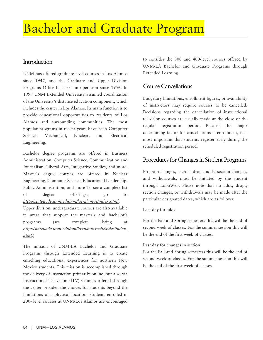## Bachelor and Graduate Program

#### Introduction

UNM has offered graduate-level courses in Los Alamos since 1947, and the Graduate and Upper Division Programs Office has been in operation since 1956. In 1999 UNM Extended University assumed coordination of the University's distance education component, which includes the center in Los Alamos. Its main function is to provide educational opportunities to residents of Los Alamos and surrounding communities. The most popular programs in recent years have been Computer Science, Mechanical, Nuclear, and Electrical Engineering.

Bachelor degree programs are offered in Business Administration, Computer Science, Communication and Journalism, Liberal Arts, Integrative Studies, and more. Master's degree courses are offered in Nuclear Engineering, Computer Science, Educational Leadership, Public Administration, and more To see a complete list of degree offerings, go to *http://statewide.unm.edu/nm/los-alamos/index.html*. Upper division, undergraduate courses are also available in areas that support the master's and bachelor's programs (see complete listing at *http://statewide.unm.edu/nm/losalamos/schedules/index. html*.)

The mission of UNM-LA Bachelor and Graduate Programs through Extended Learning is to create enriching educational experiences for northern New Mexico students. This mission is accomplished through the delivery of instruction primarily online, but also via Instructional Television (ITV) Courses offered through the center broaden the choices for students beyond the limitations of a physical location. Students enrolled in 200- level courses at UNM-Los Alamos are encouraged to consider the 300 and 400-level courses offered by UNM-LA Bachelor and Graduate Programs through Extended Learning.

#### Course Cancellations

Budgetary limitations, enrollment figures, or availability of instructors may require courses to be cancelled. Decisions regarding the cancellation of instructional television courses are usually made at the close of the regular registration period. Because the major determining factor for cancellations is enrollment, it is most important that students register early during the scheduled registration period.

#### Procedures for Changes in Student Programs

Program changes, such as drops, adds, section changes, and withdrawals, must be initiated by the student through LoboWeb. Please note that no adds, drops, section changes, or withdrawals may be made after the particular designated dates, which are as follows:

#### **Last day for adds**

For the Fall and Spring semesters this will be the end of second week of classes. For the summer session this will be the end of the first week of classes.

#### **Last day for changes in section**

For the Fall and Spring semesters this will be the end of second week of classes. For the summer session this will be the end of the first week of classes.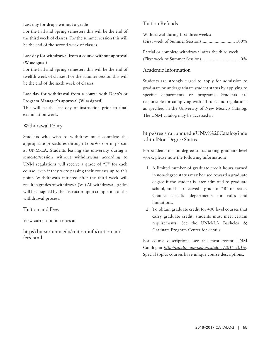#### **Last day for drops without a grade**

For the Fall and Spring semesters this will be the end of the third week of classes. For the summer session this will be the end of the second week of classes.

#### **Last day for withdrawal from a course without approval (W assigned)**

For the Fall and Spring semesters this will be the end of twelfth week of classes. For the summer session this will be the end of the sixth week of classes.

#### **Last day for withdrawal from a course with Dean's or Program Manager's approval (W assigned)**

This will be the last day of instruction prior to final examination week.

#### Withdrawal Policy

Students who wish to withdraw must complete the appropriate procedures through LoboWeb or in person at UNM-LA. Students leaving the university during a semester/session without withdrawing according to UNM regulations will receive a grade of "F" for each course, even if they were passing their courses up to this point. Withdrawals initiated after the third week will result in grades of withdrawal(W.) All withdrawal grades will be assigned by the instructor upon completion of the withdrawal process.

#### Tuition and Fees

View current tuition rates at

http://bursar.unm.edu/tuition-info/tuition-andfees.html

#### Tuition Refunds

| Withdrawal during first three weeks: |  |
|--------------------------------------|--|
| (First week of Summer Session) 100%  |  |

Partial or complete withdrawal after the third week: (First week of Summer Session)................................ 0%

#### Academic Information

Students are strongly urged to apply for admission to grad-uate or undergraduate student status by applying to specific departments or programs. Students are responsible for complying with all rules and regulations as specified in the University of New Mexico Catalog. The UNM catalog may be accessed at

#### http://registrar.unm.edu/UNM%20Catalog/inde x.htmlNon-Degree Status

For students in non-degree status taking graduate level work, please note the following information:

- 1. A limited number of graduate credit hours earned in non-degree status may be used toward a graduate degree if the student is later admitted to graduate school, and has re-ceived a grade of "B" or better. Contact specific departments for rules and limitations.
- 2. To obtain graduate credit for 400 level courses that carry graduate credit, students must meet certain requirements. See the UNM-LA Bachelor & Graduate Program Center for details.

For course descriptions, see the most recent UNM Catalog at *http://catalog.unm.edu//catalogs/2015-2016/*. Special topics courses have unique course descriptions.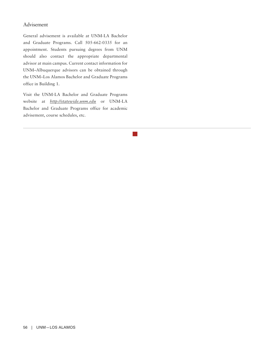#### Advisement

General advisement is available at UNM-LA Bachelor and Graduate Programs. Call 505-662-0335 for an appointment. Students pursuing degrees from UNM should also contact the appropriate departmental advisor at main campus. Current contact information for UNM–Albuquerque advisors can be obtained through the UNM–Los Alamos Bachelor and Graduate Programs office in Building 1.

Visit the UNM-LA Bachelor and Graduate Programs website at *http://statewide.unm.edu* or UNM-LA Bachelor and Graduate Programs office for academic advisement, course schedules, etc.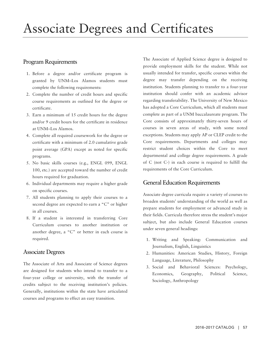#### Program Requirements

- 1. Before a degree and/or certificate program is granted by UNM–Los Alamos students must complete the following requirements:
- 2. Complete the number of credit hours and specific course requirements as outlined for the degree or certificate.
- 3. Earn a minimum of 15 credit hours for the degree and/or 9 credit hours for the certificate in residence at UNM–Los Alamos.
- 4. Complete all required coursework for the degree or certificate with a minimum of 2.0 cumulative grade point average (GPA) except as noted for specific programs.
- 5. No basic skills courses (e.g., ENGL 099, ENGL 100, etc.) are accepted toward the number of credit hours required for graduation.
- 6. Individual departments may require a higher grade on specific courses.
- 7. All students planning to apply their courses to a second degree are expected to earn a "C" or higher in all courses.
- 8. If a student is interested in transferring Core Curriculum courses to another institution or another degree, a "C" or better in each course is required.

#### Associate Degrees

The Associate of Arts and Associate of Science degrees are designed for students who intend to transfer to a four-year college or university, with the transfer of credits subject to the receiving institution's policies. Generally, institutions within the state have articulated courses and programs to effect an easy transition.

The Associate of Applied Science degree is designed to provide employment skills for the student. While not usually intended for transfer, specific courses within the degree may transfer depending on the receiving institution. Students planning to transfer to a four-year institution should confer with an academic advisor regarding transferability. The University of New Mexico has adopted a Core Curriculum, which all students must complete as part of a UNM baccalaureate program. The Core consists of approximately thirty-seven hours of courses in seven areas of study, with some noted exceptions. Students may apply AP or CLEP credit to the Core requirements. Departments and colleges may restrict student choices within the Core to meet departmental and college degree requirements. A grade of C (not C-) in each course is required to fulfill the requirements of the Core Curriculum.

#### General Education Requirements

Associate degree curricula require a variety of courses to broaden students' understanding of the world as well as prepare students for employment or advanced study in their fields. Curricula therefore stress the student's major subject, but also include General Education courses under seven general headings:

- 1. Writing and Speaking: Communication and Journalism, English, Linguistics
- 2. Humanities: American Studies, History, Foreign Language, Literature, Philosophy
- 3. Social and Behavioral Sciences: Psychology, Economics, Geography, Political Science, Sociology, Anthropology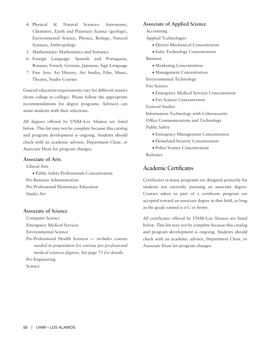- 4. Physical & Natural Sciences: Astronomy, Chemistry, Earth and Planetary Science (geology), Environmental Science, Physics, Biology, Natural Sciences, Anthropology
- 5. Mathematics: Mathematics and Statistics
- 6. Foreign Language: Spanish and Portuguese, Russian, French, German, Japanese, Sign Language
- 7. Fine Arts: Art History, Art Studio, Film, Music, Theater, Studio Courses

General education requirements vary for different majors (from college to college). Please follow the appropriate recommendations for degree programs. Advisors can assist students with their selections.

All degrees offered by UNM–Los Alamos are listed below. This list may not be complete because this catalog and program development is ongoing. Students should check with an academic advisor, Department Chair, or Associate Dean for program changes.

#### **Associate of Arts**

Liberal Arts

• Public Safety Professionals Concentration Pre-Business Administration Pre-Professional Elementary Education Studio Art

#### **Associate of Science**

Computer Science

Emergency Medical Services

Environmental Science

Pre-Professional Health Sciences — *includes courses needed in preparation for various pre-professional medical sciences degrees. See page 75 for details.*

Pre-Engineering

Science

#### **Associate of Applied Science**

Accounting

Applied Technologies

- Electro-Mechanical Concentration
- Solar Technology Concentration

Business

- Marketing Concentration
- Management Concentration

Environmental Technology

Fire Science

- Emergency Medical Services Concentration
- Fire Science Concentration

General Studies

Information Technology with Cybersecurity Office Communications and Technology Public Safety

- Emergency Management Concentration
- Homeland Security Concentration

• Police Science Concentration

Robotics

#### Academic Certificates

Certificates in many programs are designed primarily for students not currently pursuing an associate degree. Courses taken as part of a certificate program are accepted toward an associate degree in that field, as long as the grade earned is a C or better.

All certificates offered by UNM–Los Alamos are listed below. This list may not be complete because this catalog and program development is ongoing. Students should check with an academic advisor, Department Chair, or Associate Dean for program changes.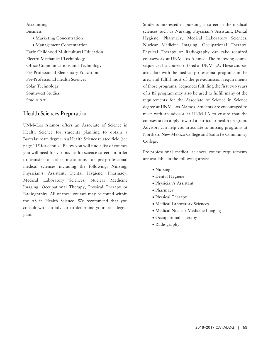Accounting Business

• Marketing Concentration

• Management Concentration Early Childhood Multicultural Education Electro Mechanical Technology Office Communications and Technology Pre-Professional Elementary Education Pre-Professional Health Sciences Solar Technology Southwest Studies Studio Art

#### Health Sciences Preparation

UNM–Los Alamos offers an Associate of Science in Health Science for students planning to obtain a Baccalaureate degree in a Health Science related field (see page 115 for details). Below you will find a list of courses you will need for various health science careers in order to transfer to other institutions for pre-professional medical sciences including the following: Nursing, Physician's Assistant, Dental Hygiene, Pharmacy, Medical Laboratory Sciences, Nuclear Medicine Imaging, Occupational Therapy, Physical Therapy or Radiography. All of these courses may be found within the AS in Health Science. We recommend that you consult with an advisor to determine your best degree plan.

Students interested in pursuing a career in the medical sciences such as Nursing, Physician's Assistant, Dental Hygiene, Pharmacy, Medical Laboratory Sciences, Nuclear Medicine Imaging, Occupational Therapy, Physical Therapy or Radiography can take required coursework at UNM-Los Alamos. The following course sequences list courses offered at UNM-LA. These courses articulate with the medical professional programs in the area and fulfill most of the pre-admission requirements of those programs. Sequences fulfilling the first two years of a BS program may also be used to fulfill many of the requirements for the Associate of Science in Science degree at UNM-Los Alamos. Students are encouraged to meet with an advisor at UNM-LA to ensure that the courses taken apply toward a particular health program. Advisors can help you articulate to nursing programs at Northern New Mexico College and Santa Fe Community College.

Pre-professional medical sciences course requirements are available in the following areas:

- Nursing
- Dental Hygiene
- Physician's Assistant
- Pharmacy
- Physical Therapy
- Medical Laboratory Sciences
- Medical Nuclear Medicine Imaging
- Occupational Therapy
- Radiography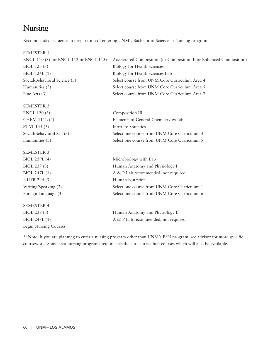### Nursing

Recommended sequence in preparation of entering UNM's Bachelor of Science in Nursing program:

| <b>SEMESTER 1</b>                      |                                                                     |
|----------------------------------------|---------------------------------------------------------------------|
| ENGL 110 (3) (or ENGL 112 or ENGL 113) | Accelerated Composition (or Composition II or Enhanced Composition) |
| BIOL 123 (3)                           | Biology for Health Sciences                                         |
| <b>BIOL 124L (1)</b>                   | Biology for Health Sciences Lab                                     |
| Social/Behavioral Science (3)          | Select course from UNM Core Curriculum Area 4                       |
| Humanities (3)                         | Select course from UNM Core Curriculum Area 5                       |
| Fine Arts (3)                          | Select course from UNM Core Curriculum Area 7                       |
| <b>SEMESTER 2</b>                      |                                                                     |
| ENGL 120 (3)                           | Composition III                                                     |
| <b>CHEM 111L (4)</b>                   | Elements of General Chemistry w/Lab                                 |
| STAT 145 (3)                           | Intro. to Statistics                                                |
| Social/Behavioral Sci. (3)             | Select one course from UNM Core Curriculum 4                        |
| Humanities (3)                         | Select one course from UNM Core Curriculum 5                        |
| <b>SEMESTER 3</b>                      |                                                                     |
| BIOL 239L (4)                          | Microbiology with Lab                                               |
| BIOL 237 (3)                           | Human Anatomy and Physiology I                                      |
| BIOL 247L (1)                          | A & P Lab recommended, not required                                 |
| <b>NUTR 244 (3)</b>                    | Human Nutrition                                                     |
| Writing/Speaking (3)                   | Select one course from UNM Core Curriculum 1                        |
| Foreign Language (3)                   | Select one course from UNM Core Curriculum 6                        |
| <b>SEMESTER 4</b>                      |                                                                     |
| BIOL 238 (3)                           | Human Anatomy and Physiology II                                     |
| <b>BIOL 248L (1)</b>                   | A & P Lab recommended, not required                                 |
| <b>Begin Nursing Courses</b>           |                                                                     |

\*\*Note: If you are planning to enter a nursing program other than UNM's BSN program, see advisor for more specific coursework. Some area nursing programs require specific core curriculum courses which will also be available.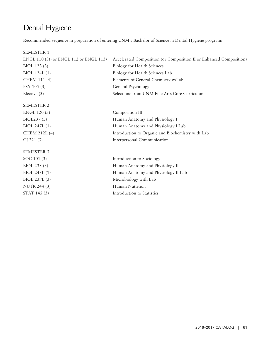## Dental Hygiene

Recommended sequence in preparation of entering UNM's Bachelor of Science in Dental Hygiene program:

| <b>SEMESTER 1</b>                      |                                                                     |
|----------------------------------------|---------------------------------------------------------------------|
| ENGL 110 (3) (or ENGL 112 or ENGL 113) | Accelerated Composition (or Composition II or Enhanced Composition) |
| BIOL 123 (3)                           | Biology for Health Sciences                                         |
| BIOL 124L (1)                          | Biology for Health Sciences Lab                                     |
| CHEM 111 (4)                           | Elements of General Chemistry w/Lab                                 |
| PSY 105 (3)                            | General Psychology                                                  |
| Elective (3)                           | Select one from UNM Fine Arts Core Curriculum                       |
| <b>SEMESTER 2</b>                      |                                                                     |
| ENGL 120 (3)                           | Composition III                                                     |
| BIOL237 (3)                            | Human Anatomy and Physiology I                                      |
| BIOL 247L (1)                          | Human Anatomy and Physiology I Lab                                  |
| CHEM 212L (4)                          | Introduction to Organic and Biochemistry with Lab                   |
| $CJ$ 221 $(3)$                         | Interpersonal Communication                                         |
| <b>SEMESTER 3</b>                      |                                                                     |
| SOC 101 (3)                            | Introduction to Sociology                                           |
| BIOL 238 (3)                           | Human Anatomy and Physiology II                                     |
| BIOL 248L (1)                          | Human Anatomy and Physiology II Lab                                 |
| BIOL 239L (3)                          | Microbiology with Lab                                               |
| <b>NUTR 244 (3)</b>                    | Human Nutrition                                                     |
| STAT 145 (3)                           | Introduction to Statistics                                          |
|                                        |                                                                     |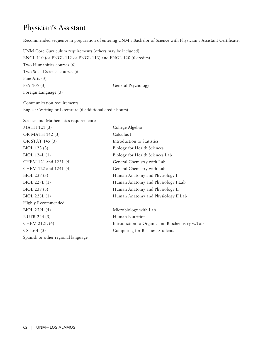### Physician's Assistant

Recommended sequence in preparation of entering UNM's Bachelor of Science with Physician's Assistant Certificate.

UNM Core Curriculum requirements (others may be included): ENGL 110 (or ENGL 112 or ENGL 113) and ENGL 120 (6 credits) Two Humanities courses (6) Two Social Science courses (6) Fine Arts (3) PSY 105 (3) General Psychology Foreign Language (3)

Communication requirements: English: Writing or Literature (6 additional credit hours)

Science and Mathematics requirements:

MATH 121 (3) College Algebra OR MATH 162 (3) Calculus I OR STAT 145 (3) Introduction to Statistics BIOL 123 (3) Biology for Health Sciences BIOL 124L (1) Biology for Health Sciences Lab CHEM 121 and 123L (4) General Chemistry with Lab CHEM 122 and 124L (4) General Chemistry with Lab BIOL 237 (3) Human Anatomy and Physiology I BIOL 238 (3) Human Anatomy and Physiology II Highly Recommended: BIOL 239L (4) Microbiology with Lab NUTR 244 (3) Human Nutrition CS 150L (3) Computing for Business Students Spanish or other regional language

BIOL 227L (1) **Human Anatomy and Physiology I Lab** BIOL 228L (1) **Human Anatomy and Physiology II Lab** CHEM 212L (4) Introduction to Organic and Biochemistry w/Lab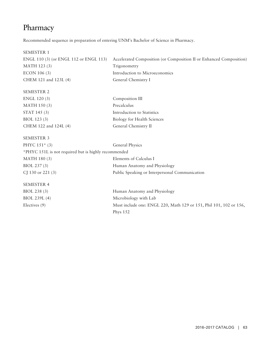### Pharmacy

Recommended sequence in preparation of entering UNM's Bachelor of Science in Pharmacy.

| <b>SEMESTER 1</b>                      |                                                                     |
|----------------------------------------|---------------------------------------------------------------------|
| ENGL 110 (3) (or ENGL 112 or ENGL 113) | Accelerated Composition (or Composition II or Enhanced Composition) |
| <b>MATH 123 (3)</b>                    | Trigonometry                                                        |
| ECON 106 (3)                           | Introduction to Microeconomics                                      |
| CHEM 121 and 123L (4)                  | General Chemistry I                                                 |

#### SEMESTER 2

| ENGL 120 (3)          | Composition III             |
|-----------------------|-----------------------------|
| <b>MATH 150 (3)</b>   | Precalculus                 |
| STAT 145 (3)          | Introduction to Statistics  |
| BIOL 123 (3)          | Biology for Health Sciences |
| CHEM 122 and 124L (4) | General Chemistry II        |

| <b>SEMESTER 3</b> |  |  |
|-------------------|--|--|
|                   |  |  |

| PHYC 151* (3)                                        | General Physics                                |
|------------------------------------------------------|------------------------------------------------|
| *PHYC 151L is not required but is highly recommended |                                                |
| MATH 180 (3)                                         | Elements of Calculus I                         |
| BIOL 237 (3)                                         | Human Anatomy and Physiology                   |
| CJ 130 or 221 $(3)$                                  | Public Speaking or Interpersonal Communication |
| <b>SEMESTER 4</b>                                    |                                                |
| BIOL 238 (3)                                         | Human Anatomy and Physiology                   |
| BIOL 239L (4)                                        | Microbiology with Lab                          |

Electives (9) Must include one: ENGL 220, Math 129 or 151, Phil 101, 102 or 156,

Phys 152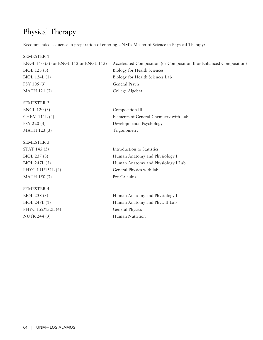### Physical Therapy

Recommended sequence in preparation of entering UNM's Master of Science in Physical Therapy:

| <b>SEMESTER 1</b>                      |                                                                     |
|----------------------------------------|---------------------------------------------------------------------|
| ENGL 110 (3) (or ENGL 112 or ENGL 113) | Accelerated Composition (or Composition II or Enhanced Composition) |
| BIOL 123 (3)                           | Biology for Health Sciences                                         |
| <b>BIOL 124L (1)</b>                   | Biology for Health Sciences Lab                                     |
| PSY 105 (3)                            | General Psych                                                       |
| MATH 121 (3)                           | College Algebra                                                     |
| <b>SEMESTER 2</b>                      |                                                                     |
| ENGL 120 (3)                           | Composition III                                                     |
| <b>CHEM 111L (4)</b>                   | Elements of General Chemistry with Lab                              |
| PSY 220 (3)                            | Developmental Psychology                                            |
| MATH 123 (3)                           | Trigonometry                                                        |
| <b>SEMESTER 3</b>                      |                                                                     |
| STAT 145 (3)                           | Introduction to Statistics                                          |
| BIOL 237 (3)                           | Human Anatomy and Physiology I                                      |
| BIOL 247L (3)                          | Human Anatomy and Physiology I Lab                                  |
| PHYC 151/151L (4)                      | General Physics with lab                                            |
| MATH 150 (3)                           | Pre-Calculus                                                        |
| <b>SEMESTER 4</b>                      |                                                                     |
| BIOL 238 (3)                           | Human Anatomy and Physiology II                                     |
| BIOL 248L (1)                          | Human Anatomy and Phys. II Lab                                      |
| PHYC 152/152L (4)                      | <b>General Physics</b>                                              |
| <b>NUTR 244 (3)</b>                    | Human Nutrition                                                     |
|                                        |                                                                     |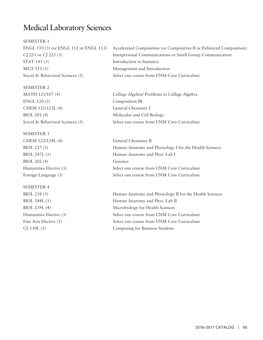### Medical Laboratory Sciences

#### SEMESTER 1

STAT 145 (3) Introduction to Statistics MGT 113 (3) Management and Introduction Social & Behavioral Sciences (3) Select one course from UNM Core Curriculum

#### SEMESTER 2

ENGL 120 (3) Composition III CHEM 121/123L (4) General Chemistry I BIOL 201 (4) Molecular and Cell Biology

#### SEMESTER 3

CHEM 122/124L (4) General Chemistry II BIOL 202 (4) Genetics

#### SEMESTER 4

ENGL 110 (3) (or ENGL 112 or ENGL 113) Accelerated Composition (or Composition II or Enhanced Composition) CJ 221 or CJ 225 (3) Interpersonal Communications or Small Group Communication

MATH 121/107 (4) College Algebra/ Problems in College Algebra Social & Behavioral Sciences (3) Select one course from UNM Core Curriculum

BIOL 237 (3) Human Anatomy and Physiology I for the Health Sciences BIOL 247L (1) Human Anatomy and Phys. Lab I Humanities Elective (3) Select one course from UNM Core Curriculum Foreign Language (3) Select one course from UNM Core Curriculum

BIOL 238 (3) Human Anatomy and Physiology II for the Health Sciences BIOL 248L (1) Human Anatomy and Phys. Lab II BIOL 239L (4) Microbiology for Health Sciences Humanities Elective (3) Select one course from UNM Core Curriculum Fine Arts Elective (3) Select one course from UNM Core Curriculum CS 150L (3) Computing for Business Students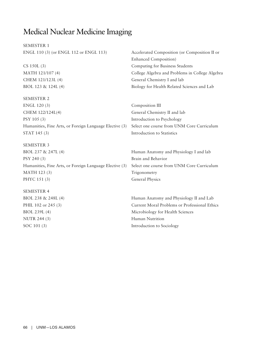### Medical Nuclear Medicine Imaging

SEMESTER 1

SEMESTER 2 ENGL 120 (3) Composition III CHEM 122/124L(4) General Chemistry II and lab PSY 105 (3) Introduction to Psychology Humanities, Fine Arts, or Foreign Language Elective (3) Select one course from UNM Core Curriculum STAT 145 (3) Introduction to Statistics

SEMESTER 3 BIOL 237 & 247L (4) Human Anatomy and Physiology I and lab PSY 240 (3) Brain and Behavior Humanities, Fine Arts, or Foreign Language Elective (3) Select one course from UNM Core Curriculum MATH 123 (3) Trigonometry PHYC 151 (3) General Physics

SEMESTER 4 NUTR 244 (3) Human Nutrition

ENGL 110 (3) (or ENGL 112 or ENGL 113) Accelerated Composition (or Composition II or Enhanced Composition) CS 150L (3) Computing for Business Students MATH 121/107 (4) College Algebra and Problems in College Algebra CHEM 121/123L (4) General Chemistry I and lab BIOL 123 & 124L (4) Biology for Health Related Sciences and Lab

BIOL 238 & 248L (4) Human Anatomy and Physiology II and Lab PHIL 102 or 245 (3) Current Moral Problems or Professional Ethics BIOL 239L (4) Microbiology for Health Sciences SOC 101 (3) Introduction to Sociology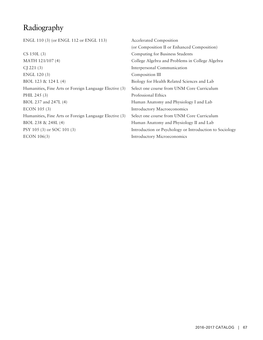## Radiography

| ENGL 110 (3) (or ENGL 112 or ENGL 113)                 | <b>Accelerated Composition</b>                          |
|--------------------------------------------------------|---------------------------------------------------------|
|                                                        | (or Composition II or Enhanced Composition)             |
| CS 150L (3)                                            | Computing for Business Students                         |
| MATH 121/107 (4)                                       | College Algebra and Problems in College Algebra         |
| CJ 221 $(3)$                                           | Interpersonal Communication                             |
| ENGL 120 (3)                                           | Composition III                                         |
| BIOL 123 & 124 L (4)                                   | Biology for Health Related Sciences and Lab             |
| Humanities, Fine Arts or Foreign Language Elective (3) | Select one course from UNM Core Curriculum              |
| PHIL 245 (3)                                           | Professional Ethics                                     |
| BIOL 237 and 247L (4)                                  | Human Anatomy and Physiology I and Lab                  |
| <b>ECON 105 (3)</b>                                    | Introductory Macroeconomics                             |
| Humanities, Fine Arts or Foreign Language Elective (3) | Select one course from UNM Core Curriculum              |
| BIOL 238 & 248L (4)                                    | Human Anatomy and Physiology II and Lab                 |
| PSY 105 (3) or SOC 101 (3)                             | Introduction or Psychology or Introduction to Sociology |
| ECON 106(3)                                            | <b>Introductory Microeconomics</b>                      |
|                                                        |                                                         |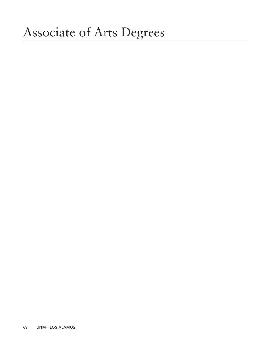68 | UNM—LOS ALAMOS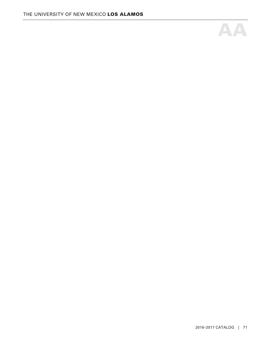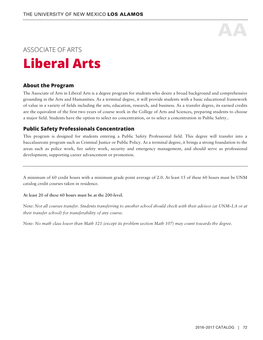# AA

## ASSOCIATE OF ARTS **Liberal Arts**

#### **About the Program**

The Associate of Arts in Liberal Arts is a degree program for students who desire a broad background and comprehensive grounding in the Arts and Humanities. As a terminal degree, it will provide students with a basic educational framework of value in a variety of fields including the arts, education, research, and business. As a transfer degree, its earned credits are the equivalent of the first two years of course work in the College of Arts and Sciences, preparing students to choose a major field. Students have the option to select no concentration, or to select a concentration in Public Safety..

#### **Public Safety Professionals Concentration**

This program is designed for students entering a Public Safety Professional field. This degree will transfer into a baccalaureate program such as Criminal Justice or Public Policy. As a terminal degree, it brings a strong foundation to the areas such as police work, fire safety work, security and emergency management, and should serve as professional development, supporting career advancement or promotion.

A minimum of 60 credit hours with a minimum grade point average of 2.0. At least 15 of these 60 hours must be UNM catalog credit courses taken in residence.

**At least 20 of these 60 hours must be at the 200-level.** 

Note: *Not all courses transfer. Students transferring to another school should check with their advisor (at UNM–LA or at their transfer school) for transferability of any course.*

Note: *No math class lower than Math 121 (except its problem section Math 107) may count towards the degree.*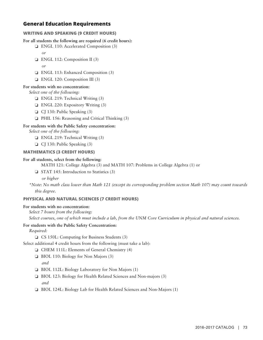### **General Education Requirements**

#### **WRITING AND SPEAKING (9 CREDIT HOURS)**

#### **For all students the following are required (6 credit hours):**

- ❏ ENGL 110: Accelerated Composition (3)
	- *or*
- ❏ ENGL 112: Composition II (3)
	- *or*
- ❏ ENGL 113: Enhanced Composition (3)
- ❏ ENGL 120: Composition III (3)

#### **For students with no concentration:**

*Select one of the following:*

- ❏ ENGL 219: Technical Writing (3)
- ❏ ENGL 220: Expository Writing (3)
- $\Box$  CJ 130: Public Speaking (3)
- ❏ PHIL 156: Reasoning and Critical Thinking (3)

#### **For students with the Public Safety concentration:**

*Select one of the following:*

- ❏ ENGL 219: Technical Writing (3)
- $\Box$  CJ 130: Public Speaking (3)

#### **MATHEMATICS (3 CREDIT HOURS)**

#### **For all students, select from the following:**

MATH 121: College Algebra (3) and MATH 107: Problems in College Algebra (1) or

❏ STAT 145: Introduction to Statistics (3)

*or higher*

*\*Note: No math class lower than Math 121 (except its corresponding problem section Math 107) may count towards this degree.*

#### **PHYSICAL AND NATURAL SCIENCES (7 CREDIT HOURS)**

#### **For students with no concentration:**

*Select 7 hours from the following: Select courses, one of which must include a lab, from the UNM Core Curriculum in physical and natural sciences.*

**For students with the Public Safety Concentration:** 

*Required:*

❏ CS 150L: Computing for Business Students (3)

Select additional 4 credit hours from the following (must take a lab):

- ❏ CHEM 111L: Elements of General Chemistry (4)
- ❏ BIOL 110: Biology for Non Majors (3) *and*
- ❏ BIOL 112L: Biology Laboratory for Non Majors (1)
- ❏ BIOL 123: Biology for Health Related Sciences and Non-majors (3) *and*
- ❏ BIOL 124L: Biology Lab for Health Related Sciences and Non-Majors (1)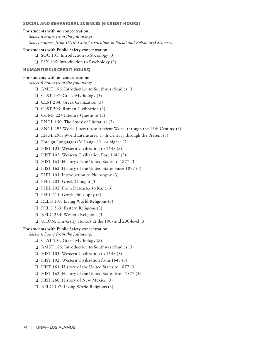#### **SOCIAL AND BEHAVIORAL SCIENCES (6 CREDIT HOURS)**

#### **For students with no concentration:**

*Select 6 hours from the following: Select courses from UNM Core Curriculum in Social and Behavioral Sciences.*

#### **For students with Public Safety concentration:**

❏ SOC 101: Introduction to Sociology (3)

❏ PSY 105: Introduction to Psychology (3)

#### **HUMANITIES (6 CREDIT HOURS)**

#### **For students with no concentration:**

- *Select 6 hours from the following:*
	- ❏ AMST 186: Introduction to Southwest Studies (3)
	- ❏ CLST 107: Greek Mythology (3)
	- ❏ CLST 204: Greek Civilization (3)
	- ❏ CLST 205: Roman Civilization (3)
	- ❏ COMP 224 Literary Questions (3)
	- ❏ ENGL 150: The Study of Literature (3)
	- ❏ ENGL 292 World Literatures: Ancient World through the 16th Century (3)
	- ❏ ENGL 293: World Literatures: 17th Century through the Present (3)
	- ❏ Foreign Languages (M Lang) 101 or higher (3)
	- ❏ HIST 101: Western Civilization to 1648 (3)
	- ❏ HIST 102: Western Civilization Post 1648 (3)
	- ❏ HIST 161: History of the United States to 1877 (3)
	- ❏ HIST 162: History of the United States Since 1877 (3)
	- ❏ PHIL 101: Introduction to Philosophy (3)
	- ❏ PHIL 201: Greek Thought (3)
	- ❏ PHIL 202: From Descartes to Kant (3)
	- ❏ PHIL 211: Greek Philosophy (3)
	- ❏ RELG 107: Living World Religions (3)
	- ❏ RELG 263: Eastern Religions (3)
	- ❏ RELG 264: Western Religions (3)
	- ❏ UHON: University Honors at the 100- and 200-level (3)

#### **For students with Public Safety concentration:**

*Select 6 hours from the following:*

- ❏ CLST 107: Greek Mythology (3)
- ❏ AMST 186: Introduction to Southwest Studies (3)
- ❏ HIST 101: Western Civilization to 1648 (3)
- ❏ HIST 102: Western Civilization from 1648 (3)
- ❏ HIST 161: History of the United States to 1877 (3)
- ❏ HIST 162: History of the United States from 1877 (3)
- ❏ HIST 260: History of New Mexico (3)
- ❏ RELG 107: Living World Religions (3)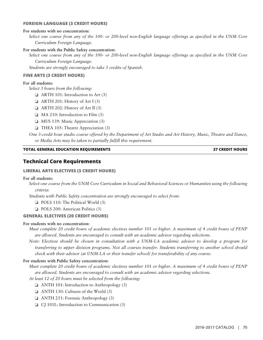#### **FOREIGN LANGUAGE (3 CREDIT HOURS)**

#### **For students with no concentration:**

*Select one course from any of the 100- or 200-level non-English language offerings as specified in the UNM Core Curriculum Foreign Language.*

#### **For students with the Public Safety concentration:**

*Select one course from any of the 100- or 200-level non-English language offerings as specified in the UNM Core Curriculum Foreign Language.*

*Students are strongly encouraged to take 3 credits of Spanish.*

#### **FINE ARTS (3 CREDIT HOURS)**

#### **For all students:**

- *Select 3 hours from the following:*
	- ❏ ARTH 101: Introduction to Art (3)
	- $\Box$  ARTH 201: History of Art I (3)
	- $\Box$  ARTH 202: History of Art II (3)
	- $\Box$  MA 210: Introduction to Film (3)
	- ❏ MUS 139: Music Appreciation (3)
	- ❏ THEA 105: Theatre Appreciation (3)
- *One 3-credit hour studio course offered by the Department of Art Studio and Art History, Music, Theatre and Dance, or Media Arts may be taken to partially fulfill this requirement.*

#### **TOTAL GENERAL EDUCATION REQUIREMENTS 37 CREDIT HOURS**

#### **Technical Core Requirements**

#### **LIBERAL ARTS ELECTIVES (3 CREDIT HOURS)**

#### **For all students:**

Select one course from the UNM Core Curriculum in Social and Behavioral Sciences or Humanities using the following *criteria:*

- *Students with Public Safety concentration are strongly encouraged to select from:*
	- ❏ POLS 110: The Political World (3)
	- ❏ POLS 200: American Politics (3)

#### **GENERAL ELECTIVES (20 CREDIT HOURS)**

#### **For students with no concentration:**

- *Must complete 20 credit hours of academic electives number 101 or higher. A maximum of 4 credit hours of PENP are allowed. Students are encouraged to consult with an academic advisor regarding selections.*
- *Note: Electives should be chosen in consultation with a UNM-LA academic advisor to develop a program for transferring to upper division programs. Not all courses transfer. Students transferring to another school should check with their advisor (at UNM-LA or their transfer school) for transferability of any course.*

#### **For students with Public Safety concentration:**

*Must complete 20 credit hours of academic electives number 101 or higher. A maximum of 4 credit hours of PENP are allowed. Students are encouraged to consult with an academic advisor regarding selections.*

*At least 12 of 20 hours must be selected from the following:*

- ❏ ANTH 101: Introduction to Anthropology (3)
- ❏ ANTH 130: Cultures of the World (3)
- ❏ ANTH 251: Forensic Anthropology (3)
- ❏ CJ 101L: Introduction to Communication (3)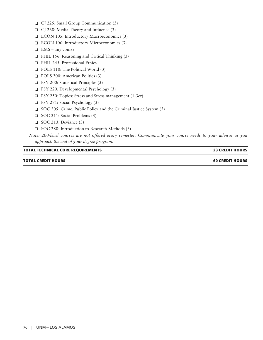- ❏ CJ 225: Small Group Communication (3)
- ❏ CJ 268: Media Theory and Influence (3)
- ❏ ECON 105: Introductory Macroeconomics (3)
- ❏ ECON 106: Introductory Microeconomics (3)
- ❏ EMS any course
- ❏ PHIL 156: Reasoning and Critical Thinking (3)
- ❏ PHIL 245: Professional Ethics
- ❏ POLS 110: The Political World (3)
- ❏ POLS 200: American Politics (3)
- ❏ PSY 200: Statistical Principles (3)
- ❏ PSY 220: Developmental Psychology (3)
- ❏ PSY 250: Topics: Stress and Stress management (1-3cr)
- ❏ PSY 271: Social Psychology (3)
- ❏ SOC 205: Crime, Public Policy and the Criminal Justice System (3)
- ❏ SOC 211: Social Problems (3)
- ❏ SOC 213: Deviance (3)
- ❏ SOC 280: Introduction to Research Methods (3)

*Note: 200-level courses are not offered every semester. Communicate your course needs to your advisor as you approach the end of your degree program.*

#### **TOTAL TECHNICAL CORE REQUIREMENTS 23 CREDIT HOURS**

**TOTAL CREDIT HOURS 60 CREDIT HOURS**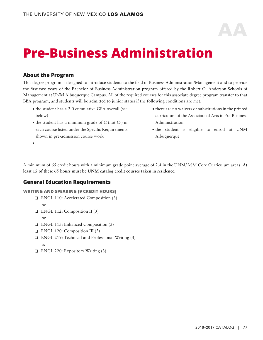## **Pre-Business Administration**

#### **About the Program**

This degree program is designed to introduce students to the field of Business Administration/Management and to provide the first two years of the Bachelor of Business Administration program offered by the Robert O. Anderson Schools of Management at UNM Albuquerque Campus. All of the required courses for this associate degree program transfer to that BBA program, and students will be admitted to junior status if the following conditions are met:

- the student has a 2.0 cumulative GPA overall (see below)
- the student has a minimum grade of C (not C-) in each course listed under the Specific Requirements shown in pre-admission course work
- there are no waivers or substitutions in the printed curriculum of the Associate of Arts in Pre-Business Administration

AA

• the student is eligible to enroll at UNM Albuquerque

A minimum of 65 credit hours with a minimum grade point average of 2.4 in the UNM/ASM Core Curriculum areas. **At least 15 of these 65 hours must be UNM catalog credit courses taken in residence.**

### **General Education Requirements**

**WRITING AND SPEAKING (9 CREDIT HOURS)**

- ❏ ENGL 110: Accelerated Composition (3) *or*
- ❏ ENGL 112: Composition II (3)
	- *or*

•

- ❏ ENGL 113: Enhanced Composition (3)
- ❏ ENGL 120: Composition III (3)
- ❏ ENGL 219: Technical and Professional Writing (3) *or*
- ❏ ENGL 220: Expository Writing (3)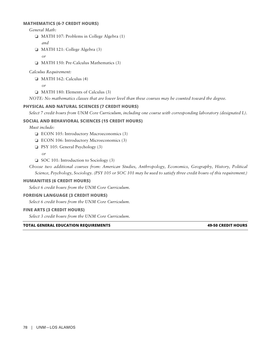#### **MATHEMATICS (6-7 CREDIT HOURS)**

*General Math:* 

- ❏ MATH 107: Problems in College Algebra (1) *and*
- ❏ MATH 121: College Algebra (3)

```
or
```
❏ MATH 150: Pre-Calculus Mathematics (3)

#### *Calculus Requirement:*

❏ MATH 162: Calculus (4)

*or*

❏ MATH 180: Elements of Calculus (3)

*NOTE: No mathematics classes that are lower level than these courses may be counted toward the degree.*

#### **PHYSICAL AND NATURAL SCIENCES (7 CREDIT HOURS)**

*Select 7 credit hours from UNM Core Curriculum, including one course with corresponding laboratory (designated L).*

#### **SOCIAL AND BEHAVIORAL SCIENCES (15 CREDIT HOURS)**

*Must include:*

- ❏ ECON 105: Introductory Macroeconomics (3)
- ❏ ECON 106: Introductory Microeconomics (3)
- ❏ PSY 105: General Psychology (3)
	- *or*
- ❏ SOC 101: Introduction to Sociology (3)

*Choose two additional courses from: American Studies, Anthropology, Economics, Geography, History, Political Science, Psychology, Sociology. (PSY 105 or SOC 101 may be used to satisfy three credit hours of this requirement.)*

#### **HUMANITIES (6 CREDIT HOURS)**

*Select 6 credit hours from the UNM Core Curriculum.*

#### **FOREIGN LANGUAGE (3 CREDIT HOURS)**

*Select 6 credit hours from the UNM Core Curriculum.*

#### **FINE ARTS (3 CREDIT HOURS)**

*Select 3 credit hours from the UNM Core Curriculum.*

#### **TOTAL GENERAL EDUCATION REQUIREMENTS 49-50 CREDIT HOURS**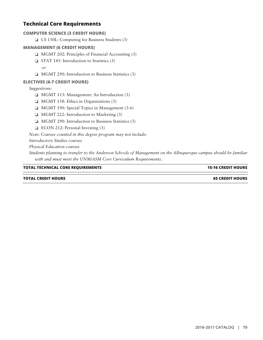### **Technical Core Requirements**

#### **COMPUTER SCIENCE (3 CREDIT HOURS)**

❏ CS 150L: Computing for Business Students (3)

#### **MANAGEMENT (6 CREDIT HOURS)**

- ❏ MGMT 202: Principles of Financial Accounting (3)
- ❏ STAT 145: Introduction to Statistics (3) *or*
- ❏ MGMT 290: Introduction to Business Statistics (3)

#### **ELECTIVES (6-7 CREDIT HOURS)**

*Suggestions:*

- ❏ MGMT 113: Management: An Introduction (3)
- ❏ MGMT 158: Ethics in Organizations (3)
- ❏ MGMT 190: Special Topics in Management (3-6)
- ❏ MGMT 222: Introduction to Marketing (3)
- ❏ MGMT 290: Introduction to Business Statistics (3)
- ❏ ECON 212: Personal Investing (3)

*Note: Courses counted in this degree program may not include:*

*Introductory Studies courses*

*Physical Education courses*

*Students planning to transfer to the Anderson Schools of Management on the Albuquerque campus should be familiar with and must meet the UNM/ASM Core Curriculum Requirements.*

| <b>TOTAL TECHNICAL CORE REQUIREMENTS</b> | <b>15-16 CREDIT HOURS</b> |
|------------------------------------------|---------------------------|
|                                          |                           |
|                                          |                           |

**TOTAL CREDIT HOURS 65 CREDIT HOURS**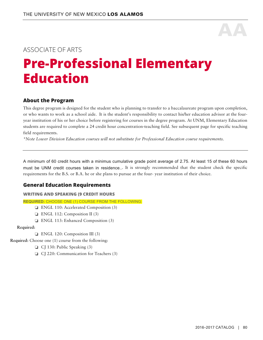# AA

### ASSOCIATE OF ARTS

## **Pre-Professional Elementary Education**

#### **About the Program**

This degree program is designed for the student who is planning to transfer to a baccalaureate program upon completion, or who wants to work as a school aide. It is the student's responsibility to contact his/her education advisor at the fouryear institution of his or her choice before registering for courses in the degree program. At UNM, Elementary Education students are required to complete a 24 credit hour concentration-teaching field. See subsequent page for specific teaching field requirements.

*\*Note Lower Division Education courses will not substitute for Professional Education course requirements.*

A minimum of 60 credit hours with a minimus cumulative grade point average of 2.75. At least 15 of these 60 hours must be UNM credit courses taken in residence... It is strongly recommended that the student check the specific requirements for the B.S. or B.A. he or she plans to pursue at the four- year institution of their choice.

#### **General Education Requirements**

**WRITING AND SPEAKING (9 CREDIT HOURS**

**REQUIRED:** CHOOSE ONE (1) COURSE FROM THE FOLLOWING:

- ❏ ENGL 110: Accelerated Composition (3)
- ❏ ENGL 112: Composition II (3)
- ❏ ENGL 113: Enhanced Composition (3)

**Required:** 

❏ ENGL 120: Composition III (3)

**Required:** Choose one (1) course from the following:

- ❏ CJ 130: Public Speaking (3)
- ❏ CJ 220: Communication for Teachers (3)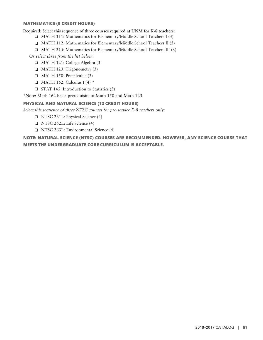#### **MATHEMATICS (9 CREDIT HOURS)**

#### **Required: Select this sequence of three courses required at UNM for K-8 teachers:**

- ❏ MATH 111: Mathematics for Elementary/Middle School Teachers I (3)
- ❏ MATH 112: Mathematics for Elementary/Middle School Teachers II (3)
- ❏ MATH 215: Mathematics for Elementary/Middle School Teachers III (3)
- *Or select three from the list below:*
	- ❏ MATH 121: College Algebra (3)
	- ❏ MATH 123: Trigonometry (3)
	- ❏ MATH 150: Precalculus (3)
	- $\Box$  MATH 162: Calculus I (4) \*
	- ❏ STAT 145: Introduction to Statistics (3)

\*Note: Math 162 has a prerequisite of Math 150 and Math 123.

#### **PHYSICAL AND NATURAL SCIENCE (12 CREDIT HOURS)**

*Select this sequence of three NTSC courses for pre-service K-8 teachers only:* 

- ❏ NTSC 261L: Physical Science (4)
- ❏ NTSC 262L: Life Science (4)
- ❏ NTSC 263L: Environmental Science (4)

**NOTE: NATURAL SCIENCE (NTSC) COURSES ARE RECOMMENDED. HOWEVER, ANY SCIENCE COURSE THAT MEETS THE UNDERGRADUATE CORE CURRICULUM IS ACCEPTABLE.**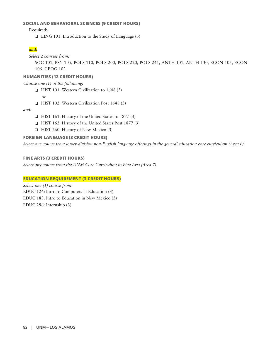#### **SOCIAL AND BEHAVIORAL SCIENCES (9 CREDIT HOURS)**

**Required:***:* 

❏ LING 101: Introduction to the Study of Language (3)

#### *and:*

*Select 2 courses from:*

SOC 101, PSY 105, POLS 110, POLS 200, POLS 220, POLS 241, ANTH 101, ANTH 130, ECON 105, ECON 106, GEOG 102

#### **HUMANITIES (12 CREDIT HOURS)**

*Choose one (1) of the following:*

- ❏ HIST 101: Western Civilization to 1648 (3)
- *or*
- ❏ HIST 102: Western Civilization Post 1648 (3)

#### *and:*

- ❏ HIST 161: History of the United States to 1877 (3)
- ❏ HIST 162: History of the United States Post 1877 (3)
- ❏ HIST 260: History of New Mexico (3)

#### **FOREIGN LANGUAGE (3 CREDIT HOURS)**

*Select one course from lower-division non-English language offerings in the general education core curriculum (Area 6).*

#### **FINE ARTS (3 CREDIT HOURS)**

*Select any course from the UNM Core Curriculum in Fine Arts (Area 7).*

#### **EDUCATION REQUIREMENT (3 CREDIT HOURS)**

*Select one (1) course from:* EDUC 124: Intro to Computers in Education (3) EDUC 183: Intro to Education in New Mexico (3) EDUC 296: Internship (3)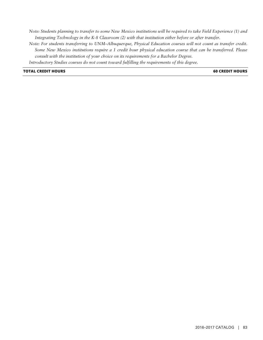*Note: Students planning to transfer to some New Mexico institutions will be required to take Field Experience (1) and Integrating Technology in the K-8 Classroom (2) with that institution either before or after transfer.*

*Note: For students transferring to UNM–Albuquerque, Physical Education courses will not count as transfer credit. Some New Mexico institutions require a 1 credit hour physical education course that can be transferred. Please consult with the institution of your choice on its requirements for a Bachelor Degree. Introductory Studies courses do not count toward fulfilling the requirements of this degree.*

**TOTAL CREDIT HOURS 60 CREDIT HOURS**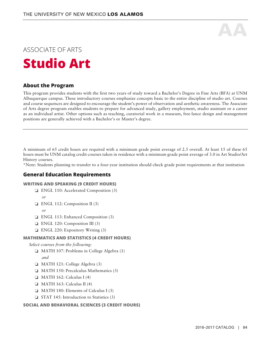# AA

## ASSOCIATE OF ARTS **Studio Art**

### **About the Program**

This program provides students with the first two years of study toward a Bachelor's Degree in Fine Arts (BFA) at UNM Albuquerque campus. These introductory courses emphasize concepts basic to the entire discipline of studio art. Courses and course sequences are designed to encourage the student's power of observation and aesthetic awareness. The Associate of Arts degree program enables students to prepare for advanced study, gallery employment, studio assistant or a career as an individual artist. Other options such as teaching, curatorial work in a museum, free-lance design and management positions are generally achieved with a Bachelor's or Master's degree.

A minimum of 65 credit hours are required with a minimum grade point average of 2.5 overall. At least 15 of these 65 hours must be UNM catalog credit courses taken in residence with a minimum grade point average of 3.0 in Art Studio/Art History courses.

\*Note: Students planning to transfer to a four-year institution should check grade point requirements at that institution

#### **General Education Requirements**

#### **WRITING AND SPEAKING (9 CREDIT HOURS)**

- ❏ ENGL 110: Accelerated Composition (3) *or*
- ❏ ENGL 112: Composition II (3)
- *or*
- ❏ ENGL 113: Enhanced Composition (3)
- ❏ ENGL 120: Composition III (3)
- ❏ ENGL 220: Expository Writing (3)

#### **MATHEMATICS AND STATISTICS (4 CREDIT HOURS)**

*Select courses from the following:*

- ❏ MATH 107: Problems in College Algebra (1) *and*
- ❏ MATH 121: College Algebra (3)
- ❏ MATH 150: Precalculus Mathematics (3)
- $\Box$  MATH 162: Calculus I (4)
- ❏ MATH 163: Calculus II (4)
- ❏ MATH 180: Elements of Calculus I (3)
- ❏ STAT 145: Introduction to Statistics (3)

#### **SOCIAL AND BEHAVIORAL SCIENCES (3 CREDIT HOURS)**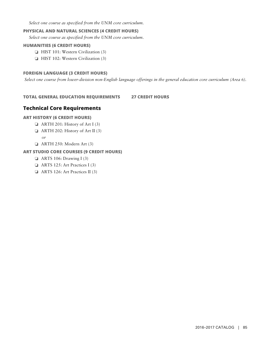*Select one course as specified from the UNM core curriculum.*

#### **PHYSICAL AND NATURAL SCIENCES (4 CREDIT HOURS)**

*Select one course as specified from the UNM core curriculum.* 

#### **HUMANITIES (6 CREDIT HOURS)**

- ❏ HIST 101: Western Civilization (3)
- ❏ HIST 102: Western Civilization (3)

#### **FOREIGN LANGUAGE (3 CREDIT HOURS)**

*Select one course from lower-division non-English language offerings in the general education core curriculum (Area 6).*

#### **TOTAL GENERAL EDUCATION REQUIREMENTS 27 CREDIT HOURS**

#### **Technical Core Requirements**

#### **ART HISTORY (6 CREDIT HOURS)**

- $\Box$  ARTH 201: History of Art I (3)
- ❏ ARTH 202: History of Art II (3) *or*
- ❏ ARTH 250: Modern Art (3)

#### **ART STUDIO CORE COURSES (9 CREDIT HOURS)**

- $\Box$  ARTS 106: Drawing I (3)
- ❏ ARTS 125: Art Practices I (3)
- ❏ ARTS 126: Art Practices II (3)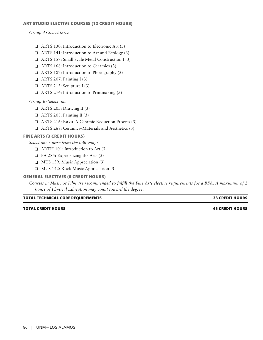#### **ART STUDIO ELECTIVE COURSES (12 CREDIT HOURS)**

*Group A: Select three*

- ❏ ARTS 130: Introduction to Electronic Art (3)
- ❏ ARTS 141: Introduction to Art and Ecology (3)
- ❏ ARTS 157: Small Scale Metal Construction I (3)
- ❏ ARTS 168: Introduction to Ceramics (3)
- ❏ ARTS 187: Introduction to Photography (3)
- ❏ ARTS 207: Painting I (3)
- ❏ ARTS 213: Sculpture I (3)
- ❏ ARTS 274: Introduction to Printmaking (3)

#### *Group B: Select one*

- $\Box$  ARTS 205: Drawing II (3)
- $\Box$  ARTS 208: Painting II (3)
- ❏ ARTS 216: Raku–A Ceramic Reduction Process (3)
- ❏ ARTS 268: Ceramics–Materials and Aesthetics (3)

#### **FINE ARTS (3 CREDIT HOURS)**

*Select one course from the following:* 

- ❏ ARTH 101: Introduction to Art (3)
- ❏ FA 284: Experiencing the Arts (3)
- ❏ MUS 139: Music Appreciation (3)
- ❏ MUS 142: Rock Music Appreciation (3

#### **GENERAL ELECTIVES (6 CREDIT HOURS)**

*Courses in Music or Film are recommended to fulfill the Fine Arts elective requirements for a BFA. A maximum of 2 hours of Physical Education may count toward the degree.*

#### **TOTAL TECHNICAL CORE REQUIREMENTS 33 CREDIT HOURS**

**TOTAL CREDIT HOURS 65 CREDIT HOURS**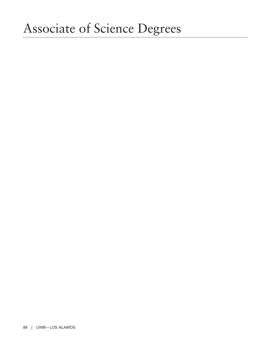## Associate of Science Degrees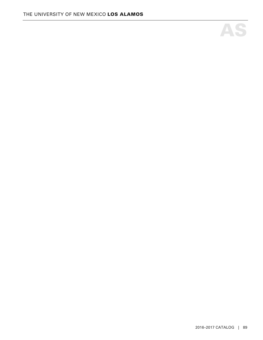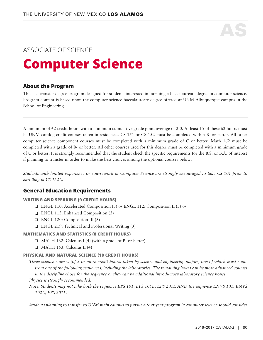# AS

## ASSOCIATE OF SCIENCE **Computer Science**

#### **About the Program**

This is a transfer degree program designed for students interested in pursuing a baccalaureate degree in computer science. Program content is based upon the computer science baccalaureate degree offered at UNM Albuquerque campus in the School of Engineering.

A minimum of 62 credit hours with a minimum cumulative grade point average of 2.0. At least 15 of these 62 hours must be UNM catalog credit courses taken in residence.. CS 151 or CS 152 must be completed with a B- or better. All other computer science component courses must be completed with a minimum grade of C or better. Math 162 must be completed with a grade of B- or better. All other courses used for this degree must be completed with a minimum grade of C or better. It is strongly recommended that the student check the specific requirements for the B.S. or B.A. of interest if planning to transfer in order to make the best choices among the optional courses below.

*Students with limited experience or coursework in Computer Science are strongly encouraged to take CS 101 prior to enrolling in CS 152L.*

#### **General Education Requirements**

#### **WRITING AND SPEAKING (9 CREDIT HOURS)**

- ❏ ENGL 110: Accelerated Composition (3) *or* ENGL 112: Composition II (3) *or*
- ❏ ENGL 113: Enhanced Composition (3)
- ❏ ENGL 120: Composition III (3)
- ❏ ENGL 219: Technical and Professional Writing (3)

#### **MATHEMATICS AND STATISTICS (8 CREDIT HOURS)**

- ❏ MATH 162: Calculus I (4) (with a grade of B- or better)
- ❏ MATH 163: Calculus II (4)

#### **PHYSICAL AND NATURAL SCIENCE (10 CREDIT HOURS)**

- *Three science courses (of 3 or more credit hours) taken by science and engineering majors, one of which must come from one of the following sequences, including the laboratories. The remaining hours can be more advanced courses in the discipline chose for the sequence or they can be additional introductory laboratory science hours. Physics is strongly recommended.*
- *Note: Students may not take both the sequence EPS 101, EPS 105L, EPS 201L AND the sequence ENVS 101, ENVS 102L, EPS 201L.*

*Students planning to transfer to UNM main campus to pursue a four year program in computer science should consider*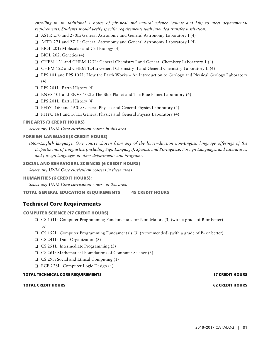*enrolling in an additional 4 hours of physical and natural science (course and lab) to meet departmental requirements. Students should verify specific requirements with intended transfer institution.*

- ❏ ASTR 270 and 270L: General Astronomy and General Astronomy Laboratory I (4)
- ❏ ASTR 271 and 271L: General Astronomy and General Astronomy Laboratory I (4)
- ❏ BIOL 201: Molecular and Cell Biology (4)
- ❏ BIOL 202: Genetics (4)
- ❏ CHEM 121 and CHEM 123L: General Chemistry I and General Chemistry Laboratory 1 (4)
- ❏ CHEM 122 and CHEM 124L: General Chemistry II and General Chemistry Laboratory II (4)
- ❏ EPS 101 and EPS 105L: How the Earth Works An Introduction to Geology and Physical Geology Laboratory (4)
- ❏ EPS 201L: Earth History (4)
- ❏ ENVS 101 and ENVS 102L: The Blue Planet and The Blue Planet Laboratory (4)
- ❏ EPS 201L: Earth History (4)
- ❏ PHYC 160 and 160L: General Physics and General Physics Laboratory (4)
- ❏ PHYC 161 and 161L: General Physics and General Physics Laboratory (4)

#### **FINE ARTS (3 CREDIT HOURS)**

*Select any UNM Core curriculum course in this area*

#### **FOREIGN LANGUAGE (3 CREDIT HOURS)**

*(Non-English language. One course chosen from any of the lower-division non-English language offerings of the Departments of Linguistics (including Sign Language), Spanish and Portuguese, Foreign Languages and Literatures, and foreign languages in other departments and programs.*

#### **SOCIAL AND BEHAVIORAL SCIENCES (6 CREDIT HOURS)**

*Select any UNM Core curriculum courses in these areas*

#### **HUMANITIES (6 CREDIT HOURS):**

*Select any UNM Core curriculum course in this area.*

**TOTAL GENERAL EDUCATION REQUIREMENTS 45 CREDIT HOURS**

#### **Technical Core Requirements**

#### **COMPUTER SCIENCE (17 CREDIT HOURS)**

- ❏ CS 151L: Computer Programming Fundamentals for Non-Majors (3) (with a grade of B-or better) *or*
- ❏ CS 152L: Computer Programming Fundamentals (3) (recommended) (with a grade of B- or better)
- ❏ CS 241L: Data Organization (3)
- ❏ CS 251L: Intermediate Programming (3)
- ❏ CS 261: Mathematical Foundations of Computer Science (3)
- ❏ CS 293: Social and Ethical Computing (1)
- ❏ ECE 238L: Computer Logic Design (4)

#### **TOTAL TECHNICAL CORE REQUIREMENTS 17 CREDIT HOURS**

#### **TOTAL CREDIT HOURS 62 CREDIT HOURS**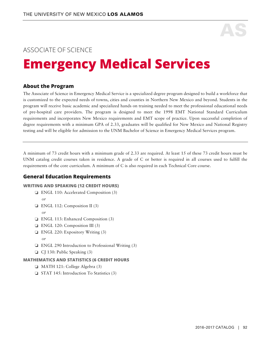# AS

### ASSOCIATE OF SCIENCE

## **Emergency Medical Services**

#### **About the Program**

The Associate of Science in Emergency Medical Service is a specialized degree program designed to build a workforce that is customized to the expected needs of towns, cities and counties in Northern New Mexico and beyond. Students in the program will receive basic academic and specialized hands on training needed to meet the professional educational needs of pre-hospital care providers. The program is designed to meet the 1998 EMT National Standard Curriculum requirements and incorporates New Mexico requirements and EMT scope of practice. Upon successful completion of degree requirements with a minimum GPA of 2.33, graduates will be qualified for New Mexico and National Registry testing and will be eligible for admission to the UNM Bachelor of Science in Emergency Medical Services program.

A minimum of 73 credit hours with a minimum grade of 2.33 are required. At least 15 of these 73 credit hours must be UNM catalog credit courses taken in residence. A grade of C or better is required in all courses used to fulfill the requirements of the core curriculum. A minimum of C is also required in each Technical Core course.

#### **General Education Requirements**

**WRITING AND SPEAKING (12 CREDIT HOURS)**

- ❏ ENGL 110: Accelerated Composition (3) *or*
- ❏ ENGL 112: Composition II (3) *or*
- ❏ ENGL 113: Enhanced Composition (3)
- ❏ ENGL 120: Composition III (3)
- ❏ ENGL 220: Expository Writing (3) *or*
- ❏ ENGL 290 Introduction to Professional Writing (3)
- ❏ CJ 130: Public Speaking (3)

#### **MATHEMATICS AND STATISTICS (6 CREDIT HOURS**

- ❏ MATH 121: College Algebra (3)
- ❏ STAT 145: Introduction To Statistics (3)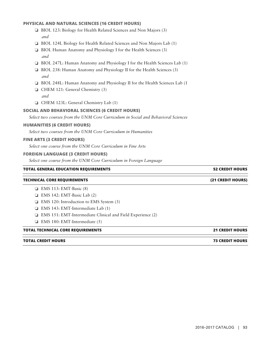#### **PHYSICAL AND NATURAL SCIENCES (16 CREDIT HOURS)**

- ❏ BIOL 123: Biology for Health Related Sciences and Non Majors (3) *and*
- ❏ BIOL 124L Biology for Health Related Sciences and Non Majors Lab (1)
- ❏ BIOL Human Anatomy and Physiology I for the Health Sciences (3) *and*
- ❏ BIOL 247L: Human Anatomy and Physiology I for the Health Sciences Lab (1)
- ❏ BIOL 238: Human Anatomy and Physiology II for the Health Sciences (3) *and*
- ❏ BIOL 248L: Human Anatomy and Physiology II for the Health Sciences Lab (1
- ❏ CHEM 121: General Chemistry (3) *and*
- ❏ CHEM 123L: General Chemistry Lab (1)

#### **SOCIAL AND BEHAVIORAL SCIENCES (6 CREDIT HOURS)**

*Select two courses from the UNM Core Curriculum in Social and Behavioral Sciences*

#### **HUMANITIES (6 CREDIT HOURS)**

*Select two courses from the UNM Core Curriculum in Humanities*

#### **FINE ARTS (3 CREDIT HOURS)**

*Select one course from the UNM Core Curriculum in Fine Arts*

#### **FOREIGN LANGUAGE (3 CREDIT HOURS)**

*Select one course from the UNM Core Curriculum in Foreign Language*

#### **TOTAL GENERAL EDUCATION REQUIREMENTS 52 CREDIT HOURS**

#### **TECHNICAL CORE REQUIREMENTS (21 CREDIT HOURS)**

❏ EMS 113: EMT-Basic (8)

❏ EMS 142: EMT-Basic Lab (2)

❏ EMS 120: Introduction to EMS System (3)

- ❏ EMS 143: EMT-Intermediate Lab (1)
- ❏ EMS 151: EMT-Intermediate Clinical and Field Experience (2)
- ❏ EMS 180: EMT-Intermediate (5)

#### **TOTAL TECHNICAL CORE REQUIREMENTS 21 CREDIT HOURS**

#### **TOTAL CREDIT HOURS 73 CREDIT HOURS**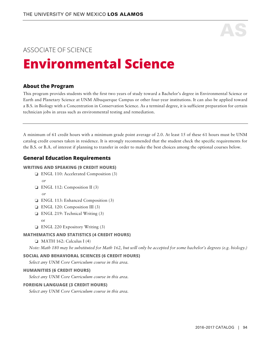# AS

## ASSOCIATE OF SCIENCE **Environmental Science**

### **About the Program**

This program provides students with the first two years of study toward a Bachelor's degree in Environmental Science or Earth and Planetary Science at UNM Albuquerque Campus or other four-year institutions. It can also be applied toward a B.S. in Biology with a Concentration in Conservation Science. As a terminal degree, it is sufficient preparation for certain technician jobs in areas such as environmental testing and remediation.

A minimum of 61 credit hours with a minimum grade point average of 2.0. At least 15 of these 61 hours must be UNM catalog credit courses taken in residence. It is strongly recommended that the student check the specific requirements for the B.S. or B.A. of interest if planning to transfer in order to make the best choices among the optional courses below.

### **General Education Requirements**

#### **WRITING AND SPEAKING (9 CREDIT HOURS)**

- ❏ ENGL 110: Accelerated Composition (3) *or*
- ❏ ENGL 112: Composition II (3) *or*
- ❏ ENGL 113: Enhanced Composition (3)
- ❏ ENGL 120: Composition III (3)
- ❏ ENGL 219: Technical Writing (3) or
- ❏ ENGL 220 Expository Writing (3)

#### **MATHEMATICS AND STATISTICS (4 CREDIT HOURS)**

 $\Box$  MATH 162: Calculus I (4)

*Note: Math 180 may be substituted for Math 162, but will only be accepted for some bachelor's degrees (e.g. biology.)*

#### **SOCIAL AND BEHAVIORAL SCIENCES (6 CREDIT HOURS)**

*Select any UNM Core Curriculum course in this area.*

#### **HUMANITIES (6 CREDIT HOURS)**

*Select any UNM Core Curriculum course in this area.*

#### **FOREIGN LANGUAGE (3 CREDIT HOURS)**

*Select any UNM Core Curriculum course in this area.*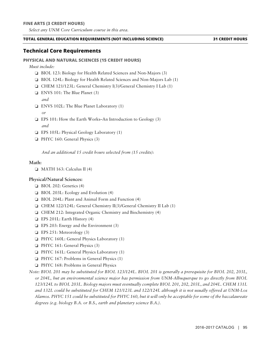#### **FINE ARTS (3 CREDIT HOURS)**

*Select any UNM Core Curriculum course in this area.*

#### **TOTAL GENERAL EDUCATION REQUIREMENTS (NOT INCLUDING SCIENCE) 31 CREDIT HOURS**

#### **Technical Core Requirements**

#### **PHYSICAL AND NATURAL SCIENCES (15 CREDIT HOURS)**

#### *Must include:*

- ❏ BIOL 123: Biology for Health Related Sciences and Non-Majors (3)
- ❏ BIOL 124L: Biology for Health Related Sciences and Non-Majors Lab (1)
- ❏ CHEM 121/123L: General Chemistry I(3)/General Chemistry I Lab (1)
- ❏ ENVS 101: The Blue Planet (3) *and*
- ❏ ENVS 102L: The Blue Planet Laboratory (1)
	- *or*
- ❏ EPS 101: How the Earth Works–An Introduction to Geology (3) *and*
- ❏ EPS 105L: Physical Geology Laboratory (1)
- ❏ PHYC 160: General Physics (3)

*And an additional 15 credit hours selected from (15 credits):* 

#### **Math:**

 $\Box$  MATH 163: Calculus II (4)

#### **Physical/Natural Sciences:**

- ❏ BIOL 202: Genetics (4)
- ❏ BIOL 203L: Ecology and Evolution (4)
- ❏ BIOL 204L: Plant and Animal Form and Function (4)
- ❏ CHEM 122/124L: General Chemistry II(3)/General Chemistry II Lab (1)
- ❏ CHEM 212: Integrated Organic Chemistry and Biochemistry (4)
- ❏ EPS 201L: Earth History (4)
- ❏ EPS 203: Energy and the Environment (3)
- $\Box$  EPS 251: Meteorology (3)
- ❏ PHYC 160L: General Physics Laboratory (1)
- ❏ PHYC 161: General Physics (3)
- ❏ PHYC 161L: General Physics Laboratory (1)
- ❏ PHYC 167: Problems in General Physics (1)
- ❏ PHYC 168: Problems in General Physics

*Note: BIOL 201 may be substituted for BIOL 123/124L. BIOL 201 is generally a prerequisite for BIOL 202, 203L, or 204L, but an environmental science major has permission from UNM-Albuquerque to go directly from BIOL 123/124L to BIOL 203L. Biology majors must eventually complete BIOL 201, 202, 203L, and 204L. CHEM 131L and 132L could be substituted for CHEM 121/123L and 122/124L although it is not usually offered at UNM-Los Alamos. PHYC 151 could be substituted for PHYC 160, but it will only be acceptable for some of the baccalaureate degrees (e.g. biology B.A. or B.S., earth and planetary science B.A.).*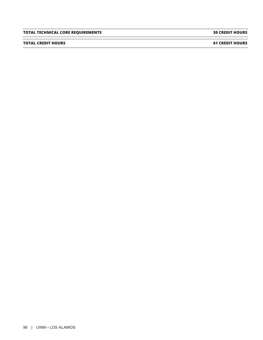#### **TOTAL CREDIT HOURS 61 CREDIT HOURS**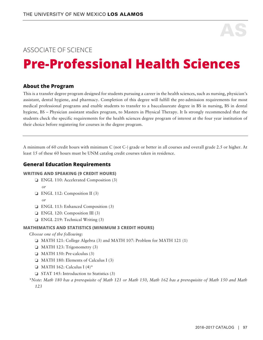# AS

## ASSOCIATE OF SCIENCE

# **Pre-Professional Health Sciences**

#### **About the Program**

This is a transfer degree program designed for students pursuing a career in the health sciences, such as nursing, physician's assistant, dental hygiene, and pharmacy. Completion of this degree will fulfill the pre-admission requirements for most medical professional programs and enable students to transfer to a baccalaureate degree in BS in nursing, BS in dental hygiene, BS – Physician assistant studies program, to Masters in Physical Therapy. It Is strongly recommended that the students check the specific requirements for the health sciences degree program of interest at the four year institution of their choice before registering for courses in the degree program.

A minimum of 60 credit hours with minimum C (not C-) grade or better in all courses and overall grade 2.5 or higher. At least 15 of these 60 hours must be UNM catalog credit courses taken in residence.

#### **General Education Requirements**

#### **WRITING AND SPEAKING (9 CREDIT HOURS)**

- ❏ ENGL 110: Accelerated Composition (3) *or*
- ❏ ENGL 112: Composition II (3) *or*
- ❏ ENGL 113: Enhanced Composition (3)
- ❏ ENGL 120: Composition III (3)
- ❏ ENGL 219: Technical Writing (3)

#### **MATHEMATICS AND STATISTICS (MINIMUM 3 CREDIT HOURS)**

#### *Choose one of the following:*

- ❏ MATH 121: College Algebra (3) and MATH 107: Problem for MATH 121 (1)
- ❏ MATH 123: Trigonometry (3)
- ❏ MATH 150: Pre-calculus (3)
- ❏ MATH 180: Elements of Calculus I (3)
- $\Box$  MATH 162: Calculus I (4)\*
- ❏ STAT 145: Introduction to Statistics (3)

*\*Note: Math 180 has a prerequisite of Math 121 or Math 150, Math 162 has a prerequisite of Math 150 and Math 123*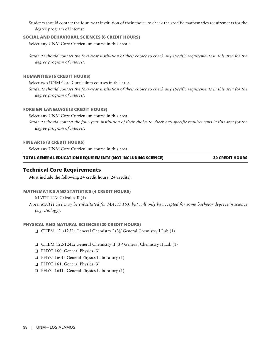Students should contact the four- year institution of their choice to check the specific mathematics requirements for the degree program of interest.

#### **SOCIAL AND BEHAVIORAL SCIENCES (6 CREDIT HOURS)**

Select any UNM Core Curriculum course in this area.:

*Students should contact the four-year institution of their choice to check any specific requirements in this area for the degree program of interest.*

#### **HUMANITIES (6 CREDIT HOURS)**

Select two UNM Core Curriculum courses in this area.

*Students should contact the four-year institution of their choice to check any specific requirements in this area for the degree program of interest.*

#### **FOREIGN LANGUAGE (3 CREDIT HOURS)**

Select any UNM Core Curriculum course in this area.

*Students should contact the four-year institution of their choice to check any specific requirements in this area for the degree program of interest*.

#### **FINE ARTS (3 CREDIT HOURS)**

Select any UNM Core Curriculum course in this area.

#### **TOTAL GENERAL EDUCATION REQUIREMENTS (NOT INCLUDING SCIENCE) 30 CREDIT HOURS**

#### **Technical Core Requirements**

**Must include the following 24 credit hours (24 credits):**

#### **MATHEMATICS AND STATISTICS (4 CREDIT HOURS)**

#### MATH 163: Calculus II (4)

*Note: MATH 181 may be substituted for MATH 163, but will only be accepted for some bachelor degrees in science (e.g. Biology).*

#### **PHYSICAL AND NATURAL SCIENCES (20 CREDIT HOURS)**

❏ CHEM 121/123L: General Chemistry I (3)/ General Chemistry I Lab (1)

- ❏ CHEM 122/124L: General Chemistry II (3)/ General Chemistry II Lab (1)
- ❏ PHYC 160: General Physics (3)
- ❏ PHYC 160L: General Physics Laboratory (1)
- ❏ PHYC 161: General Physics (3)
- ❏ PHYC 161L: General Physics Laboratory (1)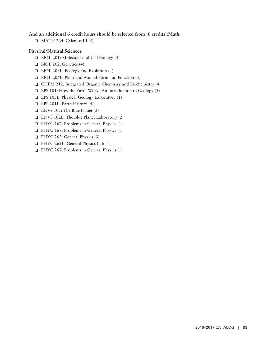#### **And an additional 6 credit hours should be selected from (6 credits):Math:**

❏ MATH 264: Calculus III (4)

#### **Physical/Natural Sciences:**

- ❏ BIOL 201: Molecular and Cell Biology (4)
- ❏ BIOL 202: Genetics (4)
- ❏ BIOL 203L: Ecology and Evolution (4)
- ❏ BIOL 204L: Plant and Animal Form and Function (4)
- ❏ CHEM 212: Integrated Organic Chemistry and Biochemistry (4)
- ❏ EPS 101: How the Earth Works-An Introduction to Geology (3)
- ❏ EPS 105L: Physical Geology Laboratory (1)
- ❏ EPS 201L: Earth History (4)
- ❏ ENVS 101: The Blue Planet (3)
- ❏ ENVS 102L: The Blue Planet Laboratory (2)
- ❏ PHYC 167: Problems in General Physics (1)
- ❏ PHYC 168: Problems in General Physics (1)
- ❏ PHYC 262: General Physics (3)
- ❏ PHYC 262L: General Physics Lab (1)
- ❏ PHYC 267: Problems in General Physics (1)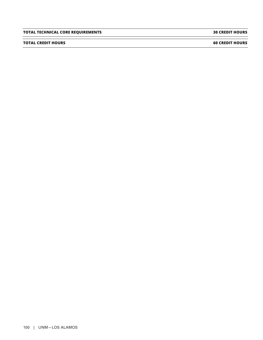#### **TOTAL CREDIT HOURS 60 CREDIT HOURS**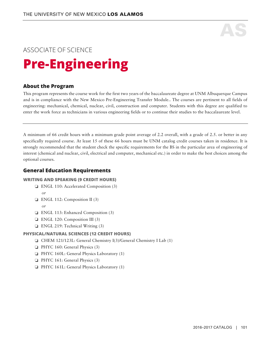# AS

## ASSOCIATE OF SCIENCE **Pre-Engineering**

### **About the Program**

This program represents the course work for the first two years of the baccalaureate degree at UNM Albuquerque Campus and is in compliance with the New Mexico Pre-Engineering Transfer Module.. The courses are pertinent to all fields of engineering: mechanical, chemical, nuclear, civil, construction and computer. Students with this degree are qualified to enter the work force as technicians in various engineering fields or to continue their studies to the baccalaureate level.

A minimum of 66 credit hours with a minimum grade point average of 2.2 overall, with a grade of 2.5. or better in any specifically required course. At least 15 of these 66 hours must be UNM catalog credit courses taken in residence. It is strongly recommended that the student check the specific requirements for the BS in the particular area of engineering of interest (chemical and nuclear, civil, electrical and computer, mechanical etc.) in order to make the best choices among the optional courses.

#### **General Education Requirements**

#### **WRITING AND SPEAKING (9 CREDIT HOURS)**

- ❏ ENGL 110: Accelerated Composition (3) *or*
- ❏ ENGL 112: Composition II (3) *or*
- ❏ ENGL 113: Enhanced Composition (3)
- ❏ ENGL 120: Composition III (3)
- ❏ ENGL 219: Technical Writing (3)

#### **PHYSICAL/NATURAL SCIENCES (12 CREDIT HOURS)**

- ❏ CHEM 121/123L: General Chemistry I(3)/General Chemistry I Lab (1)
- ❏ PHYC 160: General Physics (3)
- ❏ PHYC 160L: General Physics Laboratory (1)
- ❏ PHYC 161: General Physics (3)
- ❏ PHYC 161L: General Physics Laboratory (1)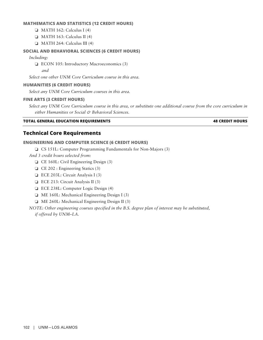#### **MATHEMATICS AND STATISTICS (12 CREDIT HOURS)**

- $\Box$  MATH 162: Calculus I (4)
- ❏ MATH 163: Calculus II (4)
- ❏ MATH 264: Calculus III (4)

#### **SOCIAL AND BEHAVIORAL SCIENCES (6 CREDIT HOURS)**

#### *Including:*

❏ ECON 105: Introductory Macroeconomics (3)

*and*

*Select one other UNM Core Curriculum course in this area.*

#### **HUMANITIES (6 CREDIT HOURS)**

*Select any UNM Core Curriculum courses in this area.*

#### **FINE ARTS (3 CREDIT HOURS)**

*Select any UNM Core Curriculum course in this area, or substitute one additional course from the core curriculum in either Humanities or Social & Behavioral Sciences.*

#### **TOTAL GENERAL EDUCATION REQUIREMENTS 48 CREDIT HOURS**

#### **Technical Core Requirements**

#### **ENGINEERING AND COMPUTER SCIENCE (6 CREDIT HOURS)**

- ❏ CS 151L: Computer Programming Fundamentals for Non-Majors (3)
- *And 3 credit hours selected from:*
	- ❏ CE 160L: Civil Engineering Design (3)
	- ❏ CE 202 : Engineering Statics (3)
	- ❏ ECE 203L: Circuit Analysis I (3)
	- ❏ ECE 213: Circuit Analysis II (3)
	- ❏ ECE 238L: Computer Logic Design (4)
	- ❏ ME 160L: Mechanical Engineering Design I (3)
	- ❏ ME 260L: Mechanical Engineering Design II (3)

*NOTE: Other engineering courses specified in the B.S. degree plan of interest may be substituted, if offered by UNM–LA.*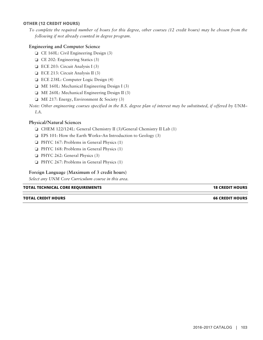#### **OTHER (12 CREDIT HOURS)**

*To complete the required number of hours for this degree, other courses (12 credit hours) may be chosen from the following if not already counted in degree program.*

#### **Engineering and Computer Science**

- ❏ CE 160L: Civil Engineering Design (3)
- ❏ CE 202: Engineering Statics (3)
- ❏ ECE 203: Circuit Analysis I (3)
- ❏ ECE 213: Circuit Analysis II (3)
- ❏ ECE 238L: Computer Logic Design (4)
- ❏ ME 160L: Mechanical Engineering Design I (3)
- ❏ ME 260L: Mechanical Engineering Design II (3)
- ❏ ME 217: Energy, Environment & Society (3)

*Note: Other engineering courses specified in the B.S. degree plan of interest may be substituted, if offered by UNM– LA.*

#### **Physical/Natural Sciences**

- ❏ CHEM 122/124L: General Chemistry II (3)/General Chemistry II Lab (1)
- ❏ EPS 101: How the Earth Works–An Introduction to Geology (3)
- ❏ PHYC 167: Problems in General Physics (1)
- ❏ PHYC 168: Problems in General Physics (1)
- ❏ PHYC 262: General Physics (3)
- ❏ PHYC 267: Problems in General Physics (1)

#### **Foreign Language (Maximum of 3 credit hours)**

*Select any UNM Core Curriculum course in this area.*

#### **TOTAL TECHNICAL CORE REQUIREMENTS 18 CREDIT HOURS**

**TOTAL CREDIT HOURS 66 CREDIT HOURS**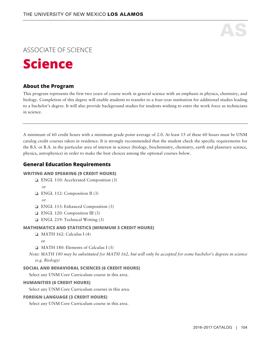## ASSOCIATE OF SCIENCE **Science**

### **About the Program**

This program represents the first two years of course work in general science with an emphasis in physics, chemistry, and biology. Completion of this degree will enable students to transfer to a four-year institution for additional studies leading to a bachelor's degree. It will also provide background studies for students wishing to enter the work force as technicians in science.

A minimum of 60 credit hours with a minimum grade point average of 2.0. At least 15 of these 60 hours must be UNM catalog credit courses taken in residence. It is strongly recommended that the student check the specific requirements for the B.S. or B.A. in the particular area of interest in science (biology, biochemistry, chemistry, earth and planetary science, physics, astrophysics) in order to make the best choices among the optional courses below.

### **General Education Requirements**

#### **WRITING AND SPEAKING (9 CREDIT HOURS)**

- ❏ ENGL 110: Accelerated Composition (3) *or*
- ❏ ENGL 112: Composition II (3) *or*
- ❏ ENGL 113: Enhanced Composition (3)
- ❏ ENGL 120: Composition III (3)
- ❏ ENGL 219: Technical Writing (3)

#### **MATHEMATICS AND STATISTICS (MINIMUM 3 CREDIT HOURS)**

 $\Box$  MATH 162: Calculus I (4)

```
or
```
❏ MATH 180: Elements of Calculus I (3)

*Note: MATH 180 may be substituted for MATH 162, but will only be accepted for some bachelor's degrees in science (e.g. Biology)*

#### **SOCIAL AND BEHAVIORAL SCIENCES (6 CREDIT HOURS)**

Select any UNM Core Curriculum course in this area.

#### **HUMANITIES (6 CREDIT HOURS)**

Select any UNM Core Curriculum courses in this area.

#### **FOREIGN LANGUAGE (3 CREDIT HOURS)**

Select any UNM Core Curriculum course in this area.

AS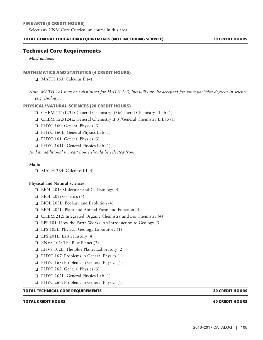#### **FINE ARTS (3 CREDIT HOURS)**

Select any UNM Core Curriculum course in this area*.* 

#### **TOTAL GENERAL EDUCATION REQUIREMENTS (NOT INCLUDING SCIENCE) 30 CREDIT HOURS**

#### **Technical Core Requirements**

*Must include:*

#### **MATHEMATICS AND STATISTICS (4 CREDIT HOURS)**

❏ MATH 163: Calculus II (4)

*Note: MATH 181 may be substituted for MATH 163, but will only be accepted for some bachelor degrees In science (e.g. Biology).*

#### **PHYSICAL/NATURAL SCIENCES (20 CREDIT HOURS)**

- ❏ CHEM 121/123L: General Chemistry I(3)/General Chemistry I Lab (1)
- ❏ CHEM 122/124L: General Chemistry II(3)/General Chemistry II Lab (1)
- ❏ PHYC 160: General Physics (3)
- ❏ PHYC 160L: General Physics Lab (1)
- ❏ PHYC 161: General Physics (3)
- ❏ PHYC 161L: General Physics Lab (1)

*And an additional 6 credit hours should be selected from:*

#### **Math:**

#### **Physical and Natural Sciences:**

- ❏ BIOL 201: Molecular and Cell Biology (4)
- ❏ BIOL 202: Genetics (4)
- ❏ BIOL 203L: Ecology and Evolution (4)
- ❏ BIOL 204L: Plant and Animal Form and Function (4)
- ❏ CHEM 212: Integrated Organic Chemistry and Bio Chemistry (4)
- ❏ EPS 101: How the Earth Works–An Introduction to Geology (3)
- ❏ EPS 105L: Physical Geology Laboratory (1)
- ❏ EPS 201L: Earth History (4)
- ❏ ENVS 101: The Blue Planet (3)
- ❏ ENVS 102L: The Blue Planet Laboratory (2)
- ❏ PHYC 167: Problems in General Physics (1)
- ❏ PHYC 168: Problems in General Physics (1)
- ❏ PHYC 262: General Physics (3)
- ❏ PHYC 262L: General Physics Lab (1)
- ❏ PHYC 267: Problems in General Physics (1)

#### **TOTAL TECHNICAL CORE REQUIREMENTS 30 CREDIT HOURS**

#### **TOTAL CREDIT HOURS 60 CREDIT HOURS**

<sup>❏</sup> MATH 264: Calculus III (4)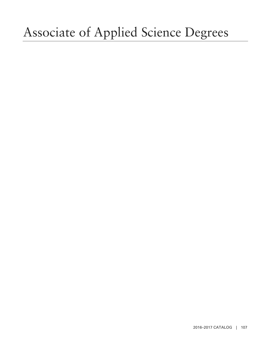## Associate of Applied Science Degrees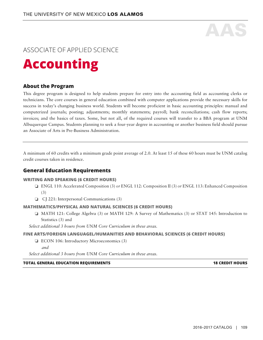### ASSOCIATE OF APPLIED SCIENCE **Accounting**

#### **About the Program**

This degree program is designed to help students prepare for entry into the accounting field as accounting clerks or technicians. The core courses in general education combined with computer applications provide the necessary skills for success in today's changing business world. Students will become proficient in basic accounting principles: manual and computerized journals; posting; adjustments; monthly statements; payroll; bank reconciliations; cash flow reports; invoices; and the basics of taxes. Some, but not all, of the required courses will transfer to a BBA program at UNM Albuquerque Campus. Students planning to seek a four-year degree in accounting or another business field should pursue an Associate of Arts in Pre-Business Administration.

A minimum of 60 credits with a minimum grade point average of 2.0. At least 15 of these 60 hours must be UNM catalog credit courses taken in residence.

#### **General Education Requirements**

#### **WRITING AND SPEAKING (6 CREDIT HOURS)**

- ❏ ENGL 110: Accelerated Composition (3) *or* ENGL 112: Composition II (3) *or* ENGL 113: Enhanced Composition (3)
- ❏ CJ 221: Interpersonal Communications (3)

#### **MATHEMATICS/PHYSICAL AND NATURAL SCIENCES (6 CREDIT HOURS)**

❏ MATH 121: College Algebra (3) or MATH 129: A Survey of Mathematics (3) or STAT 145: Introduction to Statistics (3) and

*Select additional 3 hours from UNM Core Curriculum in these areas.* 

#### **FINE ARTS/FOREIGN LANGUAGEL/HUMANITIES AND BEHAVIORAL SCIENCES (6 CREDIT HOURS)**

❏ ECON 106: Introductory Microeconomics (3)

*and*

*Select additional 3 hours from UNM Core Curriculum in these areas.* 

**TOTAL GENERAL EDUCATION REQUIREMENTS 18 CREDIT HOURS**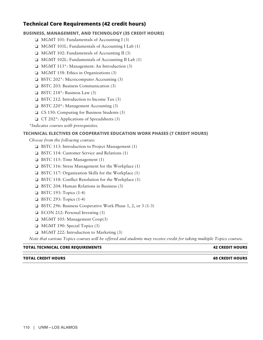### **Technical Core Requirements (42 credit hours)**

#### **BUSINESS, MANAGEMENT, AND TECHNOLOGY (35 CREDIT HOURS)**

- ❏ MGMT 101: Fundamentals of Accounting I (3)
- ❏ MGMT 101L: Fundamentals of Accounting I Lab (1)
- ❏ MGMT 102: Fundamentals of Accounting II (3)
- ❏ MGMT 102L: Fundamentals of Accounting II Lab (1)
- ❏ MGMT 113\*: Management: An Introduction (3)
- ❏ MGMT 158: Ethics in Organizations (3)
- ❏ BSTC 202\*: Microcomputer Accounting (3)
- ❏ BSTC 203: Business Communication (3)
- ❏ BSTC 218\*: Business Law (3)
- ❏ BSTC 212: Introduction to Income Tax (3)
- ❏ BSTC 220\*: Management Accounting (3)
- ❏ CS 150: Computing for Business Students (3)
- ❏ CT 202\*: Applications of Spreadsheets (3)

*\*Indicates courses with prerequisites.* 

#### **TECHNICAL ELECTIVES OR COOPERATIVE EDUCATION WORK PHASES (7 CREDIT HOURS)**

*Choose from the following courses:* 

- ❏ BSTC 113: Introduction to Project Management (1)
- ❏ BSTC 114: Customer Service and Relations (1)
- ❏ BSTC 115: Time Management (1)
- ❏ BSTC 116: Stress Management for the Workplace (1)
- ❏ BSTC 117: Organization Skills for the Workplace (1)
- ❏ BSTC 118: Conflict Resolution for the Workplace (1)
- ❏ BSTC 204: Human Relations in Business (3)
- ❏ BSTC 193: Topics (1-4)
- ❏ BSTC 293: Topics (1-4)
- ❏ BSTC 296: Business Cooperative Work Phase 1, 2, or 3 (1-3)
- ❏ ECON 212: Personal Investing (3)
- ❏ MGMT 105: Management Coop(3)
- ❏ MGMT 190: Special Topics (3)
- ❏ MGMT 222: Introduction to Marketing (3)

*Note that various Topics courses will be offered and students may receive credit for taking multiple Topics courses.*

#### **TOTAL TECHNICAL CORE REQUIREMENTS 42 CREDIT HOURS**

#### **TOTAL CREDIT HOURS 60 CREDIT HOURS**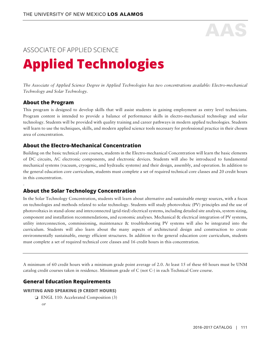## ASSOCIATE OF APPLIED SCIENCE **Applied Technologies**

*The Associate of Applied Science Degree in Applied Technologies has two concentrations available: Electro-mechanical Technology and Solar Technology.*

#### **About the Program**

.

This program is designed to develop skills that will assist students in gaining employment as entry level technicians. Program content is intended to provide a balance of performance skills in electro-mechanical technology and solar technology. Students will be provided with quality training and career pathways in modern applied technologies. Students will learn to use the techniques, skills, and modern applied science tools necessary for professional practice in their chosen area of concentration.

#### **About the Electro-Mechanical Concentration**

Building on the basic technical core courses, students in the Electro-mechanical Concentration will learn the basic elements of DC circuits, AC electronic components, and electronic devices. Students will also be introduced to fundamental mechanical systems (vacuum, cryogenic, and hydraulic systems) and their design, assembly, and operation. In addition to the general education core curriculum, students must complete a set of required technical core classes and 20 credit hours in this concentration.

#### **About the Solar Technology Concentration**

In the Solar Technology Concentration, students will learn about alternative and sustainable energy sources, with a focus on technologies and methods related to solar technology. Students will study photovoltaic (PV) principles and the use of photovoltaics in stand-alone and interconnected (grid-tied) electrical systems, including detailed site analysis, system sizing, component and installation recommendations, and economic analyses. Mechanical & electrical integration of PV systems, utility interconnection, commissioning, maintenance & troubleshooting PV systems will also be integrated into the curriculum. Students will also learn about the many aspects of architectural design and construction to create environmentally sustainable, energy efficient structures. In addition to the general education core curriculum, students must complete a set of required technical core classes and 16 credit hours in this concentration.

A minimum of 60 credit hours with a minimum grade point average of 2.0. At least 15 of these 60 hours must be UNM catalog credit courses taken in residence. Minimum grade of C (not C-) in each Technical Core course.

#### **General Education Requirements**

**WRITING AND SPEAKING (9 CREDIT HOURS)** 

❏ ENGL 110: Accelerated Composition (3)

*or*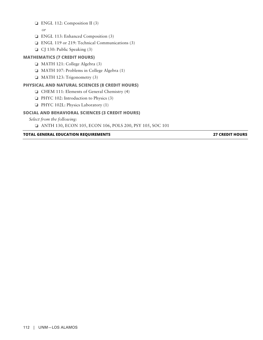- ❏ ENGL 112: Composition II (3) *or*
- ❏ ENGL 113: Enhanced Composition (3)
- ❏ ENGL 119 or 219: Technical Communications (3)
- ❏ CJ 130: Public Speaking (3)

#### **MATHEMATICS (7 CREDIT HOURS)**

- ❏ MATH 121: College Algebra (3)
- ❏ MATH 107: Problems in College Algebra (1)
- ❏ MATH 123: Trigonometry (3)

#### **PHYSICAL AND NATURAL SCIENCES (8 CREDIT HOURS)**

- ❏ CHEM 111: Elements of General Chemistry (4)
- ❏ PHYC 102: Introduction to Physics (3)
- ❏ PHYC 102L: Physics Laboratory (1)

#### **SOCIAL AND BEHAVIORAL SCIENCES (3 CREDIT HOURS)**

*Select from the following:* 

❏ ANTH 130, ECON 105, ECON 106, POLS 200, PSY 105, SOC 101

#### **TOTAL GENERAL EDUCATION REQUIREMENTS 27 CREDIT HOURS**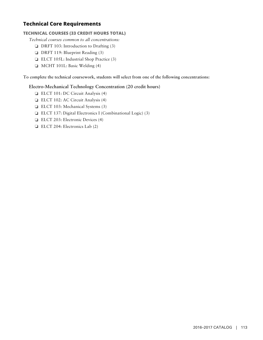### **Technical Core Requirements**

#### **TECHNICAL COURSES (33 CREDIT HOURS TOTAL)**

*Technical courses common to all concentrations:*

- ❏ DRFT 103: Introduction to Drafting (3)
- ❏ DRFT 119: Blueprint Reading (3)
- ❏ ELCT 105L: Industrial Shop Practice (3)
- ❏ MCHT 101L: Basic Welding (4)

**To complete the technical coursework, students will select from one of the following concentrations:** 

#### **Electro-Mechanical Technology Concentration (20 credit hours)**

- ❏ ELCT 101: DC Circuit Analysis (4)
- ❏ ELCT 102: AC Circuit Analysis (4)
- ❏ ELCT 103: Mechanical Systems (3)
- ❏ ELCT 137: Digital Electronics I (Combinational Logic) (3)
- ❏ ELCT 203: Electronic Devices (4)
- ❏ ELCT 204: Electronics Lab (2)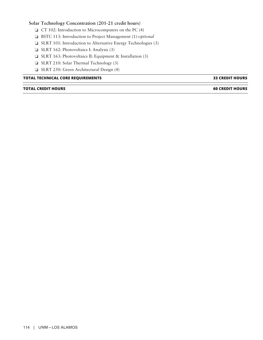#### **Solar Technology Concentration (201-21 credit hours)**

- ❏ CT 102: Introduction to Microcomputers on the PC (4)
- ❏ BSTC 113: Introduction to Project Management (1)-*optional*
- ❏ SLRT 101: Introduction to Alternative Energy Technologies (3)
- ❏ SLRT 162: Photovoltaics I: Analysis (3)
- ❏ SLRT 163: Photovoltaics II: Equipment & Installation (3)
- ❏ SLRT 210: Solar Thermal Technology (3)
- ❏ SLRT 250: Green Architectural Design (4)

#### **TOTAL TECHNICAL CORE REQUIREMENTS 33 CREDIT HOURS**

**TOTAL CREDIT HOURS 60 CREDIT HOURS**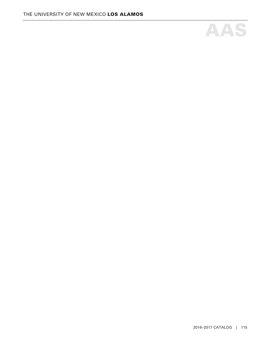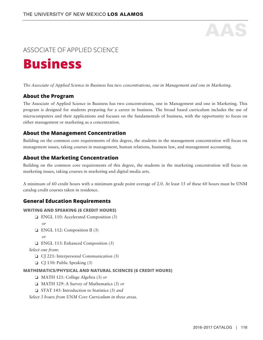### ASSOCIATE OF APPLIED SCIENCE **Business**

*The Associate of Applied Science in Business has two concentrations, one in Management and one in Marketing.*

#### **About the Program**

The Associate of Applied Science in Business has two concentrations, one in Management and one in Marketing. This program is designed for students preparing for a career in business. The broad based curriculum includes the use of microcomputers and their applications and focuses on the fundamentals of business, with the opportunity to focus on either management or marketing as a concentration.

#### **About the Management Concentration**

Building on the common core requirements of this degree, the students in the management concentration will focus on management issues, taking courses in management, human relations, business law, and management accounting.

#### **About the Marketing Concentration**

Building on the common core requirements of this degree, the students in the marketing concentration will focus on marketing issues, taking courses in marketing and digital media arts.

A minimum of 60 credit hours with a minimum grade point average of 2.0. At least 15 of these 60 hours must be UNM catalog credit courses taken in residence.

#### **General Education Requirements**

**WRITING AND SPEAKING (6 CREDIT HOURS)** 

- ❏ ENGL 110: Accelerated Composition (3) *or*
- $\Box$  ENGL 112: Composition II (3)
	- *or*
- ❏ ENGL 113: Enhanced Composition (3)

*Select one from:*

- ❏ CJ 221: Interpersonal Communication (3)
- ❏ CJ 130: Public Speaking (3)

#### **MATHEMATICS/PHYSICAL AND NATURAL SCIENCES (6 CREDIT HOURS)**

- ❏ MATH 121: College Algebra (3) *or*
- ❏ MATH 129: A Survey of Mathematics (3) *or*
- ❏ STAT 145: Introduction to Statistics (3) *and*

*Select 3 hours from UNM Core Curriculum in these areas.*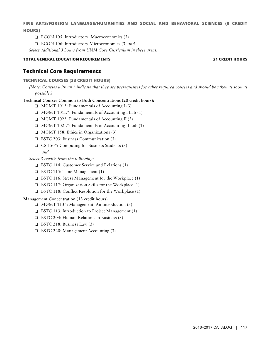#### **FINE ARTS/FOREIGN LANGUAGE/HUMANITIES AND SOCIAL AND BEHAVIORAL SCIENCES (9 CREDIT HOURS)**

- ❏ ECON 105: Introductory Macroeconomics (3)
- ❏ ECON 106: Introductory Microeconomics (3) *and*

*Select additional 3 hours from UNM Core Curriculum in these areas.*

#### **TOTAL GENERAL EDUCATION REQUIREMENTS 21 CREDIT HOURS**

#### **Technical Core Requirements**

#### **TECHNICAL COURSES (33 CREDIT HOURS)**

*(Note: Courses with an \* indicate that they are prerequisites for other required courses and should be taken as soon as possible.)* 

#### **Technical Courses Common to Both Concentrations (20 credit hours):**

- ❏ MGMT 101\*: Fundamentals of Accounting I (3)
- ❏ MGMT 101L\*: Fundamentals of Accounting I Lab (1)

❏ MGMT 102\*: Fundamentals of Accounting II (3)

- ❏ MGMT 102L\*: Fundamentals of Accounting II Lab (1)
- ❏ MGMT 158: Ethics in Organizations (3)
- ❏ BSTC 203: Business Communication (3)
- ❏ CS 150\*: Computing for Business Students (3) *and*

*Select 3 credits from the following:*

- ❏ BSTC 114: Customer Service and Relations (1)
- ❏ BSTC 115: Time Management (1)
- ❏ BSTC 116: Stress Management for the Workplace (1)
- ❏ BSTC 117: Organization Skills for the Workplace (1)
- ❏ BSTC 118: Conflict Resolution for the Workplace (1)

#### **Management Concentration (13 credit hours)**

- ❏ MGMT 113\*: Management: An Introduction (3)
- ❏ BSTC 113: Introduction to Project Management (1)
- ❏ BSTC 204: Human Relations in Business (3)
- ❏ BSTC 218: Business Law (3)
- ❏ BSTC 220: Management Accounting (3)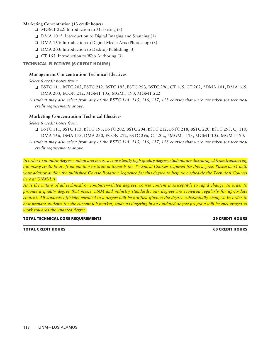#### **Marketing Concentration (13 credit hours)**

- ❏ MGMT 222: Introduction to Marketing (3)
- ❏ DMA 101\*: Introduction to Digital Imaging and Scanning (1)
- ❏ DMA 165: Introduction to Digital Media Arts (Photoshop) (3)
- ❏ DMA 203: Introduction to Desktop Publishing (3)
- ❏ CT 165: Introduction to Web Authoring (3)

#### **TECHNICAL ELECTIVES (6 CREDIT HOURS)**

#### **Management Concentration Technical Electives**

*Select 6 credit hours from:* 

❏ BSTC 111, BSTC 202, BSTC 212, BSTC 193, BSTC 293, BSTC 296, CT 165, CT 202, \*DMA 101, DMA 165, DMA 203, ECON 212, MGMT 105, MGMT 190, MGMT 222

*A student may also select from any of the BSTC 114, 115, 116, 117, 118 courses that were not taken for technical credit requirements above.*

#### **Marketing Concentration Technical Electives**

*Select 6 credit hours from:* 

- ❏ BSTC 111, BSTC 113, BSTC 193, BSTC 202, BSTC 204, BSTC 212, BSTC 218, BSTC 220, BSTC 293, CJ 110, DMA 166, DMA 175, DMA 250, ECON 212, BSTC 296, CT 202, \*MGMT 113, MGMT 105, MGMT 190.
- *A student may also select from any of the BSTC 114, 115, 116, 117, 118 courses that were not taken for technical credit requirements above.*

*In order to monitor degree content and insure a consistently high quality degree, students are discouraged from transferring too many credit hours from another institution towards the Technical Courses required for this degree. Please work with your advisor and/or the published Course Rotation Sequence for this degree to help you schedule the Technical Courses here at UNM-LA.*

*As is the nature of all technical or computer-related degrees, course content is susceptible to rapid change. In order to provide a quality degree that meets UNM and industry standards, our degrees are reviewed regularly for up-to-date content. All students officially enrolled in a degree will be notified if/when the degree substantially changes. In order to best prepare students for the current job market, students lingering in an outdated degree program will be encouraged to work towards the updated degree.*

**TOTAL TECHNICAL CORE REQUIREMENTS 39 CREDIT HOURS**

**TOTAL CREDIT HOURS 60 CREDIT HOURS**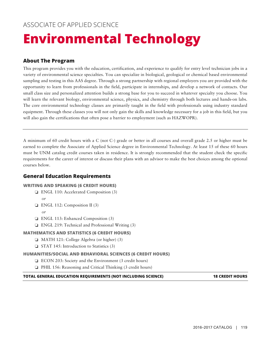### ASSOCIATE OF APPLIED SCIENCE

## **Environmental Technology**

#### **About The Program**

This program provides you with the education, certification, and experience to qualify for entry level technician jobs in a variety of environmental science specialties. You can specialize in biological, geological or chemical based environmental sampling and testing in this AAS degree. Through a strong partnership with regional employers you are provided with the opportunity to learn from professionals in the field, participate in internships, and develop a network of contacts. Our small class size and personalized attention builds a strong base for you to succeed in whatever specialty you choose. You will learn the relevant biology, environmental science, physics, and chemistry through both lectures and hands-on labs. The core environmental technology classes are primarily taught in the field with professionals using industry standard equipment. Through these classes you will not only gain the skills and knowledge necessary for a job in this field, but you will also gain the certifications that often pose a barrier to employment (such as HAZWOPR).

A minimum of 60 credit hours with a C (not C-) grade or better in all courses and overall grade 2.5 or higher must be earned to complete the Associate of Applied Science degree in Environmental Technology. At least 15 of these 60 hours must be UNM catalog credit courses taken in residence. It is strongly recommended that the student check the specific requirements for the career of interest or discuss their plans with an advisor to make the best choices among the optional courses below.

#### **General Education Requirements**

#### **WRITING AND SPEAKING (6 CREDIT HOURS)**

- ❏ ENGL 110: Accelerated Composition (3) *or*
- ❏ ENGL 112: Composition II (3) *or*
- ❏ ENGL 113: Enhanced Composition (3)
- ❏ ENGL 219: Technical and Professional Writing (3)

#### **MATHEMATICS AND STATISTICS (6 CREDIT HOURS)**

- ❏ MATH 121: College Algebra (or higher) (3)
- ❏ STAT 145: Introduction to Statistics (3)

#### **HUMANITIES/SOCIAL AND BEHAVIORAL SCIENCES (6 CREDIT HOURS)**

- ❏ ECON 203: Society and the Environment (3 credit hours)
- ❏ PHIL 156: Reasoning and Critical Thinking (3 credit hours)

#### **TOTAL GENERAL EDUCATION REQUIREMENTS (NOT INCLUDING SCIENCE) 18 CREDIT HOURS**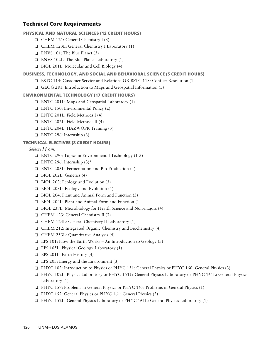### **Technical Core Requirements**

#### **PHYSICAL AND NATURAL SCIENCES (12 CREDIT HOURS)**

- ❏ CHEM 121: General Chemistry I (3)
- ❏ CHEM 123L: General Chemistry I Laboratory (1)
- ❏ ENVS 101: The Blue Planet (3)
- ❏ ENVS 102L: The Blue Planet Laboratory (1)
- ❏ BIOL 201L: Molecular and Cell Biology (4)

#### **BUSINESS, TECHNOLOGY, AND SOCIAL AND BEHAVIORAL SCIENCE (5 CREDIT HOURS)**

- ❏ BSTC 114: Customer Service and Relations OR BSTC 118: Conflict Resolution (1)
- ❏ GEOG 281: Introduction to Maps and Geospatial Information (3)

#### **ENVIRONMENTAL TECHNOLOGY (17 CREDIT HOURS)**

- ❏ ENTC 281L: Maps and Geospatial Laboratory (1)
- ❏ ENTC 150: Environmental Policy (2)
- ❏ ENTC 201L: Field Methods I (4)
- ❏ ENTC 202L: Field Methods II (4)
- ❏ ENTC 204L: HAZWOPR Training (3)
- ❏ ENTC 296: Internship (3)

#### **TECHNICAL ELECTIVES (8 CREDIT HOURS)**

*Selected from:*

- ❏ ENTC 290: Topics in Environmental Technology (1-3)
- ❏ ENTC 296: Internship (3)\*
- ❏ ENTC 203L: Fermentation and Bio-Production (4)
- ❏ BIOL 202L: Genetics (4)
- ❏ BIOL 203: Ecology and Evolution (3)
- ❏ BIOL 203L: Ecology and Evolution (1)
- ❏ BIOL 204: Plant and Animal Form and Function (3)
- ❏ BIOL 204L: Plant and Animal Form and Function (1)
- ❏ BIOL 239L: Microbiology for Health Science and Non-majors (4)
- ❏ CHEM 123: General Chemistry II (3)
- ❏ CHEM 124L: General Chemistry II Laboratory (1)
- ❏ CHEM 212: Integrated Organic Chemistry and Biochemistry (4)
- ❏ CHEM 253L: Quantitative Analysis (4)
- ❏ EPS 101: How the Earth Works An Introduction to Geology (3)
- ❏ EPS 105L: Physical Geology Laboratory (1)
- ❏ EPS 201L: Earth History (4)
- ❏ EPS 203: Energy and the Environment (3)
- ❏ PHYC 102: Introduction to Physics or PHYC 151: General Physics or PHYC 160: General Physics (3)
- ❏ PHYC 102L: Physics Laboratory or PHYC 151L: General Physics Laboratory or PHYC 161L: General Physics Laboratory (1)
- ❏ PHYC 157: Problems in General Physics or PHYC 167: Problems in General Physics (1)
- ❏ PHYC 152: General Physics or PHYC 161: General Physics (3)
- ❏ PHYC 152L: General Physics Laboratory or PHYC 161L: General Physics Laboratory (1)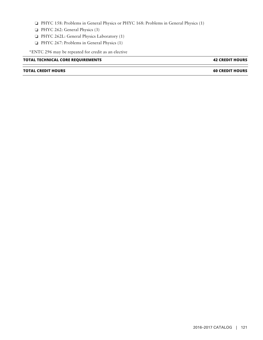- ❏ PHYC 158: Problems in General Physics or PHYC 168: Problems in General Physics (1)
- ❏ PHYC 262: General Physics (3)
- ❏ PHYC 262L: General Physics Laboratory (1)
- ❏ PHYC 267: Problems in General Physics (1)

\*ENTC 296 may be repeated for credit as an elective

#### **TOTAL TECHNICAL CORE REQUIREMENTS 42 CREDIT HOURS**

**TOTAL CREDIT HOURS 60 CREDIT HOURS**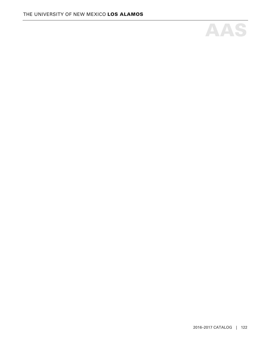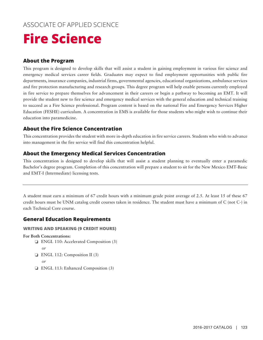### ASSOCIATE OF APPLIED SCIENCE

## **Fire Science**

#### **About the Program**

This program is designed to develop skills that will assist a student in gaining employment in various fire science and emergency medical services career fields. Graduates may expect to find employment opportunities with public fire departments, insurance companies, industrial firms, governmental agencies, educational organizations, ambulance services and fire protection manufacturing and research groups. This degree program will help enable persons currently employed in fire service to prepare themselves for advancement in their careers or begin a pathway to becoming an EMT. It will provide the student new to fire science and emergency medical services with the general education and technical training to succeed as a Fire Science professional. Program content is based on the national Fire and Emergency Services Higher Education (FESHE) curriculum. A concentration in EMS is available for those students who might wish to continue their education into paramedicine.

#### **About the Fire Science Concentration**

This concentration provides the student with more in-depth education in fire service careers. Students who wish to advance into management in the fire service will find this concentration helpful.

#### **About the Emergency Medical Services Concentration**

This concentration is designed to develop skills that will assist a student planning to eventually enter a paramedic Bachelor's degree program. Completion of this concentration will prepare a student to sit for the New Mexico EMT-Basic and EMT-I (Intermediate) licensing tests.

A student must earn a minimum of 67 credit hours with a minimum grade point average of 2.5. At least 15 of these 67 credit hours must be UNM catalog credit courses taken in residence. The student must have a minimum of C (not C-) in each Technical Core course.

#### **General Education Requirements**

#### **WRITING AND SPEAKING (9 CREDIT HOURS)**

#### **For Both Concentrations:**

- ❏ ENGL 110: Accelerated Composition (3) *or*
- ❏ ENGL 112: Composition II (3) *or*
	-
- ❏ ENGL 113: Enhanced Composition (3)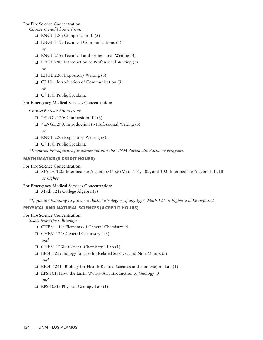#### **For Fire Science Concentration:**

*Choose 6 credit hours from:*

- ❏ ENGL 120: Composition III (3)
- ❏ ENGL 119: Technical Communications (3) *or*
- ❏ ENGL 219: Technical and Professional Writing (3)
- ❏ ENGL 290: Introduction to Professional Writing (3) *or*
- ❏ ENGL 220: Expository Writing (3)
- ❏ CJ 101: Introduction of Communication (3)
	- *or*
- ❏ CJ 130: Public Speaking

#### **For Emergency Medical Services Concentration:**

#### *Choose 6 credit hours from:*

- ❏ \*ENGL 120: Composition III (3)
- ❏ \*ENGL 290: Introduction to Professional Writing (3)

*or*

- ❏ ENGL 220: Expository Writing (3)
- ❏ CJ 130: Public Speaking

*\*Required prerequisites for admission into the UNM Paramedic Bachelor program.* 

#### **MATHEMATICS (3 CREDIT HOURS)**

#### **For Fire Science Concentration:**

❏ MATH 120: Intermediate Algebra (3)\* *or* (Math 101, 102, and 103: Intermediate Algebra I, II, III) *or higher* 

#### **For Emergency Medical Services Concentration:**

❏ Math 121: College Algebra (3)

*\*If you are planning to pursue a Bachelor's degree of any type, Math 121 or higher will be required.*

#### **PHYSICAL AND NATURAL SCIENCES (4 CREDIT HOURS)**

#### **For Fire Science Concentration:**

*Select from the following:*

- ❏ CHEM 111: Elements of General Chemistry (4)
- ❏ CHEM 121: General Chemistry I (3)
	- *and*
- ❏ CHEM 123L: General Chemistry I Lab (1)
- ❏ BIOL 123: Biology for Health Related Sciences and Non-Majors (3) *and*
- ❏ BIOL 124L: Biology for Health Related Sciences and Non-Majors Lab (1)
- ❏ EPS 101: How the Earth Works–An Introduction to Geology (3) *and*
- ❏ EPS 105L: Physical Geology Lab (1)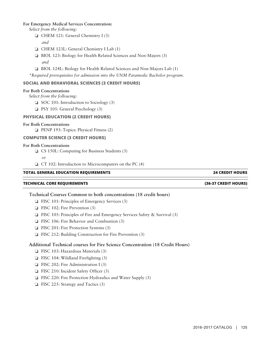#### **For Emergency Medical Services Concentration:**

*Select from the following:*

- ❏ CHEM 121: General Chemistry I (3)
	- *and*
- ❏ CHEM 123L: General Chemistry I Lab (1)
- ❏ BIOL 123: Biology for Health Related Sciences and Non-Majors (3) *and*
- ❏ BIOL 124L: Biology for Health Related Sciences and Non-Majors Lab (1)

*\*Required prerequisites for admission into the UNM Paramedic Bachelor program.*

#### **SOCIAL AND BEHAVIORAL SCIENCES (3 CREDIT HOURS)**

#### **For Both Concentrations**

*Select from the following:*

- ❏ SOC 101: Introduction to Sociology (3)
- ❏ PSY 105: General Psychology (3)

#### **PHYSICAL EDUCATION (2 CREDIT HOURS)**

#### **For Both Concentrations**

❏ PENP 193: Topics: Physical Fitness (2)

#### **COMPUTER SCIENCE (3 CREDIT HOURS)**

#### **For Both Concentrations**

- ❏ CS 150L: Computing for Business Students (3)
	- *or*
- ❏ CT 102: Introduction to Microcomputers on the PC (4)

#### **TOTAL GENERAL EDUCATION REQUIREMENTS 24 CREDIT HOURS**

#### **TECHNICAL CORE REQUIREMENTS (36-37 CREDIT HOURS)**

#### **Technical Courses Common to both concentrations (18 credit hours)**

- ❏ FISC 101: Principles of Emergency Services (3)
- ❏ FISC 102: Fire Prevention (3)
- ❏ FISC 105: Principles of Fire and Emergency Services Safety & Survival (3)
- ❏ FISC 106: Fire Behavior and Combustion (3)
- ❏ FISC 201: Fire Protection Systems (3)
- ❏ FISC 212: Building Construction for Fire Prevention (3)

#### **Additional Technical courses for Fire Science Concentration (18 Credit Hours)**

- ❏ FISC 103: Hazardous Materials (3)
- ❏ FISC 104: Wildland Firefighting (3)
- ❏ FISC 202: Fire Administration I (3)
- ❏ FISC 210: Incident Safety Officer (3)
- ❏ FISC 220: Fire Protection Hydraulics and Water Supply (3)
- ❏ FISC 225: Strategy and Tactics (3)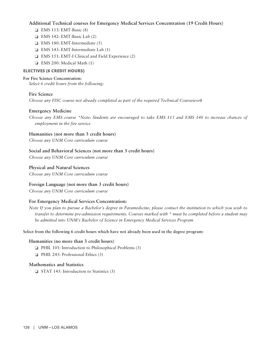#### **Additional Technical courses for Emergency Medical Services Concentration (19 Credit Hours)**

- $\Box$  EMS 113: EMT-Basic (8)
- ❏ EMS 142: EMT-Basic Lab (2)
- ❏ EMS 180: EMT-Intermediate (5)
- ❏ EMS 143: EMT-Intermediate Lab (1)
- ❏ EMS 151: EMT-I Clinical and Field Experience (2)
- ❏ EMS 200: Medical Math (1)

#### **ELECTIVES (6 CREDIT HOURS)**

#### **For Fire Science Concentration:**

*Select 6 credit hours from the following:*

#### **Fire Science**

*Choose any FISC course not already completed as part of the required Technical Coursework*

#### **Emergency Medicine**

*Choose any EMS course \*Note: Students are encouraged to take EMS 113 and EMS 140 to increase chances of employment in the fire service* 

#### **Humanities (not more than 3 credit hours)**

*Choose any UNM Core curriculum course*

#### **Social and Behavioral Sciences (not more than 3 credit hours)**

*Choose any UNM Core curriculum course*

#### **Physical and Natural Sciences**

*Choose any UNM Core curriculum course*

#### **Foreign Language (not more than 3 credit hours)**

*Choose any UNM Core curriculum course*

#### **For Emergency Medical Services Concentration:**

*Note If you plan to pursue a Bachelor's degree in Paramedicine, please contact the institution to which you wish to transfer to determine pre-admission requirements. Courses marked with \* must be completed before a student may be admitted into UNM's Bachelor of Science in Emergency Medical Services Program*

**Select from the following 6 credit hours which have not already been used in the degree program:**

#### **Humanities (no more than 3 credit hours)**

- ❏ PHIL 101: Introduction to Philosophical Problems (3)
- ❏ PHIL 245: Professional Ethics (3)

#### **Mathematics and Statistics**

❏ STAT 145: Introduction to Statistics (3)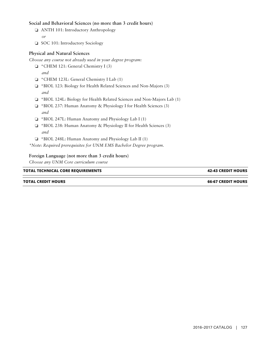#### **Social and Behavioral Sciences (no more than 3 credit hours)**

- ❏ ANTH 101: Introductory Anthropology *or*
- ❏ SOC 101: Introductory Sociology

#### **Physical and Natural Sciences**

*Choose any course not already used in your degree program:*

- ❏ \*CHEM 121: General Chemistry I (3) *and*
- ❏ \*CHEM 123L: General Chemistry I Lab (1)
- ❏ \*BIOL 123: Biology for Health Related Sciences and Non-Majors (3) *and*
- ❏ \*BIOL 124L: Biology for Health Related Sciences and Non-Majors Lab (1)
- ❏ \*BIOL 237: Human Anatomy & Physiology I for Health Sciences (3) *and*
- ❏ \*BIOL 247L: Human Anatomy and Physiology Lab I (1)
- ❏ \*BIOL 238: Human Anatomy & Physiology II for Health Sciences (3) *and*
- ❏ \*BIOL 248L: Human Anatomy and Physiology Lab II (1)

*\*Note: Required prerequisites for UNM EMS Bachelor Degree program.*

#### **Foreign Language (not more than 3 credit hours)**

*Choose any UNM Core curriculum course*

#### **TOTAL TECHNICAL CORE REQUIREMENTS 42-43 CREDIT HOURS**

**TOTAL CREDIT HOURS 66-67 CREDIT HOURS**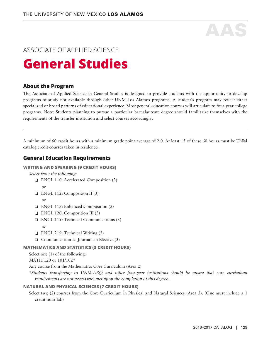### ASSOCIATE OF APPLIED SCIENCE **General Studies**

#### **About the Program**

The Associate of Applied Science in General Studies is designed to provide students with the opportunity to develop programs of study not available through other UNM-Los Alamos programs. A student's program may reflect either specialized or broad patterns of educational experience. Most general education courses will articulate to four-year college programs. Note: Students planning to pursue a particular baccalaureate degree should familiarize themselves with the requirements of the transfer institution and select courses accordingly.

A minimum of 60 credit hours with a minimum grade point average of 2.0. At least 15 of these 60 hours must be UNM catalog credit courses taken in residence.

#### **General Education Requirements**

#### **WRITING AND SPEAKING (9 CREDIT HOURS)**

*Select from the following:*

- ❏ ENGL 110: Accelerated Composition (3) *or*
- ❏ ENGL 112: Composition II (3) *or*
- ❏ ENGL 113: Enhanced Composition (3)
- ❏ ENGL 120: Composition III (3)
- ❏ ENGL 119: Technical Communications (3) *or*
- ❏ ENGL 219: Technical Writing (3)
- ❏ Communication & Journalism Elective (3)

#### **MATHEMATICS AND STATISTICS (3 CREDIT HOURS)**

Select one (1) of the following:

MATH 120 or 101/102\*

Any course from the Mathematics Core Curriculum (Area 2)

*\*Students transferring to UNM-ABQ and other four-year institutions should be aware that core curriculum requirements are not necessarily met upon the completion of this degree.*

#### **NATURAL AND PHYSICAL SCIENCES (7 CREDIT HOURS)**

Select two (2) courses from the Core Curriculum in Physical and Natural Sciences (Area 3). (One must include a 1 credit hour lab)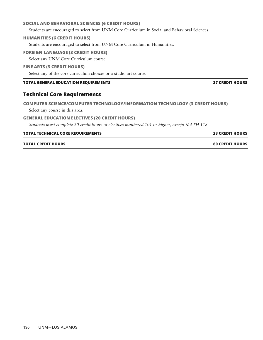#### **SOCIAL AND BEHAVIORAL SCIENCES (6 CREDIT HOURS)**

Students are encouraged to select from UNM Core Curriculum in Social and Behavioral Sciences.

#### **HUMANITIES (6 CREDIT HOURS)**

Students are encouraged to select from UNM Core Curriculum in Humanities.

#### **FOREIGN LANGUAGE (3 CREDIT HOURS)**

Select any UNM Core Curriculum course.

#### **FINE ARTS (3 CREDIT HOURS)**

Select any of the core curriculum choices or a studio art course.

#### **TOTAL GENERAL EDUCATION REQUIREMENTS 37 CREDIT HOURS**

#### **Technical Core Requirements**

#### **COMPUTER SCIENCE/COMPUTER TECHNOLOGY/INFORMATION TECHNOLOGY (3 CREDIT HOURS)**

Select any course in this area.

#### **GENERAL EDUCATION ELECTIVES (20 CREDIT HOURS)**

*Students must complete 20 credit hours of electives numbered 101 or higher, except MATH 118.*

**TOTAL TECHNICAL CORE REQUIREMENTS 23 CREDIT HOURS**

#### **TOTAL CREDIT HOURS 60 CREDIT HOURS**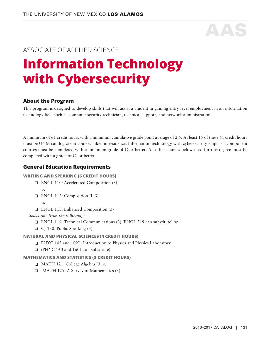## ASSOCIATE OF APPLIED SCIENCE **Information Technology with Cybersecurity**

#### **About the Program**

This program is designed to develop skills that will assist a student in gaining entry level employment in an information technology field such as computer security technician, technical support, and network administration.

A minimum of 61 credit hours with a minimum cumulative grade point average of 2.5. At least 15 of these 61 credit hours must be UNM catalog credit courses taken in residence. Information technology with cybersecurity emphasis component courses must be completed with a minimum grade of C or better. All other courses below used for this degree must be completed with a grade of C- or better.

#### **General Education Requirements**

#### **WRITING AND SPEAKING (6 CREDIT HOURS)**

- ❏ ENGL 110: Accelerated Composition (3)
	- *or*
- ❏ ENGL 112: Composition II (3)
	- *or*
- ❏ ENGL 113: Enhanced Composition (3)

*Select one from the following:*

- ❏ ENGL 119: Technical Communications (3) (ENGL 219 can substitute) *or*
- ❏ CJ 130: Public Speaking (3)

#### **NATURAL AND PHYSICAL SCIENCES (4 CREDIT HOURS)**

- ❏ PHYC 102 and 102L: Introduction to Physics and Physics Laboratory
- ❏ (PHYC 160 and 160L can substitute)

#### **MATHEMATICS AND STATISTICS (3 CREDIT HOURS)**

- ❏ MATH 121: College Algebra (3) *or*
- ❏ MATH 129: A Survey of Mathematics (3)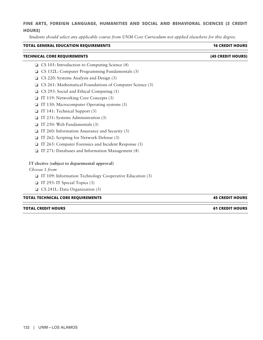#### **FINE ARTS, FOREIGN LANGUAGE, HUMANITIES AND SOCIAL AND BEHAVIORAL SCIENCES (3 CREDIT HOURS)**

*Students should select any applicable course from UNM Core Curriculum not applied elsewhere for this degree.* 

#### **TOTAL GENERAL EDUCATION REQUIREMENTS 16 CREDIT HOURS**

#### **TECHNICAL CORE REQUIREMENTS (45 CREDIT HOURS)**

- ❏ CS 101: Introduction to Computing Science (4)
- ❏ CS 152L: Computer Programming Fundamentals (3)
- ❏ CS 220: Systems Analysis and Design (3)
- ❏ CS 261: Mathematical Foundations of Computer Science (3)
- ❏ CS 293: Social and Ethical Computing (1)
- ❏ IT 119: Networking Core Concepts (3)
- ❏ IT 130: Microcomputer Operating systems (3)
- ❏ IT 141: Technical Support (3)
- ❏ IT 231: Systems Administration (3)
- ❏ IT 250: Web Fundamentals (3)
- ❏ IT 260: Information Assurance and Security (3)
- ❏ IT 262: Scripting for Network Defense (3)
- ❏ IT 265: Computer Forensics and Incident Response (3)
- ❏ IT 271: Databases and Information Management (4)

#### **IT elective (subject to departmental approval)**

*Choose 1 from* 

- ❏ IT 109: Information Technology Cooperative Education (3)
- ❏ IT 293: IT Special Topics (3)
- ❏ CS 241L: Data Organization (3)

#### **TOTAL TECHNICAL CORE REQUIREMENTS 45 CREDIT HOURS**

#### **TOTAL CREDIT HOURS 61 CREDIT HOURS**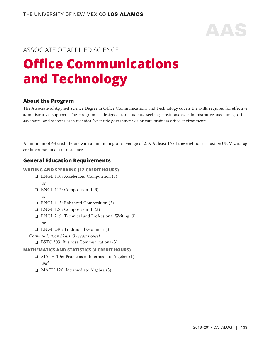## ASSOCIATE OF APPLIED SCIENCE **Office Communications and Technology**

#### **About the Program**

The Associate of Applied Science Degree in Office Communications and Technology covers the skills required for effective administrative support. The program is designed for students seeking positions as administrative assistants, office assistants, and secretaries in technical/scientific government or private business office environments.

A minimum of 64 credit hours with a minimum grade average of 2.0. At least 15 of these 64 hours must be UNM catalog credit courses taken in residence.

#### **General Education Requirements**

#### **WRITING AND SPEAKING (12 CREDIT HOURS)**

- ❏ ENGL 110: Accelerated Composition (3) *or*
- ❏ ENGL 112: Composition II (3) *or*
- ❏ ENGL 113: Enhanced Composition (3)
- ❏ ENGL 120: Composition III (3)
- ❏ ENGL 219: Technical and Professional Writing (3) *or*
- ❏ ENGL 240: Traditional Grammar (3)
- *Communication Skills (3 credit hours)*
	- ❏ BSTC 203: Business Communications (3)

#### **MATHEMATICS AND STATISTICS (4 CREDIT HOURS)**

- ❏ MATH 106: Problems in Intermediate Algebra (1) *and*
- ❏ MATH 120: Intermediate Algebra (3)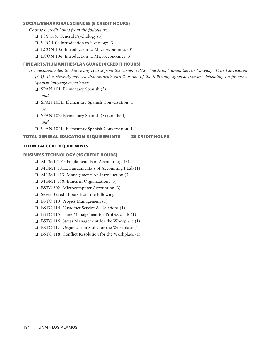#### **SOCIAL/BEHAVIORAL SCIENCES (6 CREDIT HOURS)**

*Choose 6 credit hours from the following:*

- ❏ PSY 105: General Psychology (3)
- ❏ SOC 101: Introduction to Sociology (3)
- ❏ ECON 105: Introduction to Macroeconomics (3)
- ❏ ECON 106: Introduction to Microeconomics (3)

#### **FINE ARTS/HUMANITIES/LANGUAGE (4 CREDIT HOURS)**

*It is recommended to choose any course from the current UNM Fine Arts, Humanities, or Language Core Curriculum (3-4). It is strongly advised that students enroll in one of the following Spanish courses, depending on previous Spanish language experience:*

❏ SPAN 101: Elementary Spanish (3)

*and*

- ❏ SPAN 103L: Elementary Spanish Conversation (1) *or*
- ❏ SPAN 102: Elementary Spanish (3) (2nd half) *and*

❏ SPAN 104L: Elementary Spanish Conversation II (1)

#### **TOTAL GENERAL EDUCATION REQUIREMENTS 26 CREDIT HOURS**

#### **TECHNICAL CORE REQUIREMENTS**

#### **BUSINESS TECHNOLOGY (16 CREDIT HOURS)**

- ❏ MGMT 101: Fundamentals of Accounting I (3)
- ❏ MGMT 101L: Fundamentals of Accounting I Lab (1)
- ❏ MGMT 113: Management: An Introduction (3)
- ❏ MGMT 158: Ethics in Organizations (3)
- ❏ BSTC 202: Microcomputer Accounting (3)
- ❏ Select 3 credit hours from the following:
- ❏ BSTC 113: Project Management (1)
- ❏ BSTC 114: Customer Service & Relations (1)
- ❏ BSTC 115: Time Management for Professionals (1)
- ❏ BSTC 116: Stress Management for the Workplace (1)
- ❏ BSTC 117: Organization Skills for the Workplace (1)
- ❏ BSTC 118: Conflict Resolution for the Workplace (1)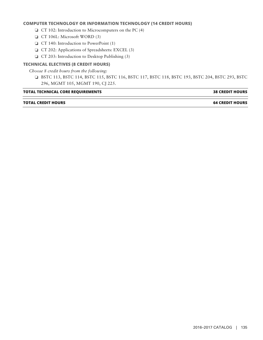#### **COMPUTER TECHNOLOGY OR INFORMATION TECHNOLOGY (14 CREDIT HOURS)**

- ❏ CT 102: Introduction to Microcomputers on the PC (4)
- ❏ CT 106L: Microsoft WORD (3)
- ❏ CT 140: Introduction to PowerPoint (1)
- ❏ CT 202: Applications of Spreadsheets: EXCEL (3)
- ❏ CT 203: Introduction to Desktop Publishing (3)

#### **TECHNICAL ELECTIVES (8 CREDIT HOURS)**

*Choose 8 credit hours from the following:*

❏ BSTC 113, BSTC 114, BSTC 115, BSTC 116, BSTC 117, BSTC 118, BSTC 193, BSTC 204, BSTC 293, BSTC 296, MGMT 105, MGMT 190, CJ 225.

#### **TOTAL TECHNICAL CORE REQUIREMENTS 38 CREDIT HOURS**

**TOTAL CREDIT HOURS 64 CREDIT HOURS**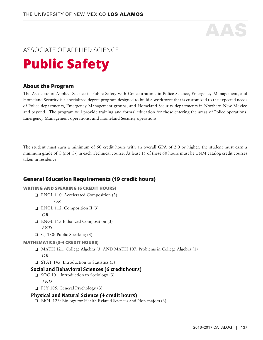### ASSOCIATE OF APPLIED SCIENCE **Public Safety**

#### **About the Program**

The Associate of Applied Science in Public Safety with Concentrations in Police Science, Emergency Management, and Homeland Security is a specialized degree program designed to build a workforce that is customized to the expected needs of Police departments, Emergency Management groups, and Homeland Security departments in Northern New Mexico and beyond. The program will provide training and formal education for those entering the areas of Police operations, Emergency Management operations, and Homeland Security operations.

The student must earn a minimum of 60 credit hours with an overall GPA of 2.0 or higher; the student must earn a minimum grade of C (not C-) in each Technical course. At least 15 of these 60 hours must be UNM catalog credit courses taken in residence.

### **General Education Requirements (19 credit hours)**

#### **WRITING AND SPEAKING (6 CREDIT HOURS)**

❏ ENGL 110: Accelerated Composition (3)

*OR*

- $\Box$  ENGL 112: Composition II (3) *OR*
- ❏ ENGL 113 Enhanced Composition (3) *AND*
- ❏ CJ 130: Public Speaking (3)

#### **MATHEMATICS (3-4 CREDIT HOURS)**

- ❏ MATH 121: College Algebra (3) AND MATH 107: Problems in College Algebra (1) *OR*
- ❏ STAT 145: Introduction to Statistics (3)

#### **Social and Behavioral Sciences (6 credit hours)**

- ❏ SOC 101: Introduction to Sociology (3) *AND*
- ❏ PSY 105: General Psychology (3)

#### **Physical and Natural Science (4 credit hours)**

❏ BIOL 123: Biology for Health Related Sciences and Non-majors (3)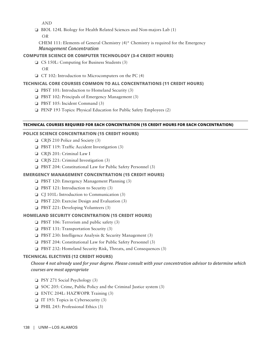*AND* 

❏ BIOL 124L Biology for Health Related Sciences and Non-majors Lab (1) *OR*

CHEM 111: Elements of General Chemistry (4)\* Chemistry is required for the Emergency *Management Concentration* 

#### **COMPUTER SCIENCE OR COMPUTER TECHNOLOGY (3-4 CREDIT HOURS)**

- ❏ CS 150L: Computing for Business Students (3)
	- *OR*
- ❏ CT 102: Introduction to Microcomputers on the PC (4)

#### **TECHNICAL CORE COURSES COMMON TO ALL CONCENTRATIONS (11 CREDIT HOURS)**

- ❏ PBST 101: Introduction to Homeland Security (3)
- ❏ PBST 102: Principals of Emergency Management (3)
- ❏ PBST 105: Incident Command (3)
- ❏ PENP 193 Topics: Physical Education for Public Safety Employees (2)

#### **TECHNICAL COURSES REQUIRED FOR EACH CONCENTRATION (15 CREDIT HOURS FOR EACH CONCENTRATION)**

#### **POLICE SCIENCE CONCENTRATION (15 CREDIT HOURS)**

- ❏ CRJS 210 Police and Society (3)
- ❏ PBST 119: Traffic Accident Investigation (3)
- ❏ CRJS 201: Criminal Law I
- ❏ CRJS 221: Criminal Investigation (3)
- ❏ PBST 204: Constitutional Law for Public Safety Personnel (3)

#### **EMERGENCY MANAGEMENT CONCENTRATION (15 CREDIT HOURS)**

- ❏ PBST 120: Emergency Management Planning (3)
- ❏ PBST 121: Introduction to Security (3)
- ❏ CJ 101L: Introduction to Communication (3)
- ❏ PBST 220: Exercise Design and Evaluation (3)
- ❏ PBST 221: Developing Volunteers (3)

#### **HOMELAND SECURITY CONCENTRATION (15 CREDIT HOURS)**

- ❏ PBST 106: Terrorism and public safety (3)
- ❏ PBST 131: Transportation Security (3)
- ❏ PBST 230: Intelligence Analysis & Security Management (3)
- ❏ PBST 204: Constitutional Law for Public Safety Personnel (3)
- ❏ PBST 232: Homeland Security Risk, Threats, and Consequences (3)

#### **TECHNICAL ELECTIVES (12 CREDIT HOURS)**

*Choose 4 not already used for your degree. Please consult with your concentration advisor to determine which courses are most appropriate*

- ❏ PSY 271 Social Psychology (3)
- ❏ SOC 205: Crime, Public Policy and the Criminal Justice system (3)
- ❏ ENTC 204L: HAZWOPR Training (3)
- ❏ IT 193: Topics in Cybersecurity (3)
- ❏ PHIL 245: Professional Ethics (3)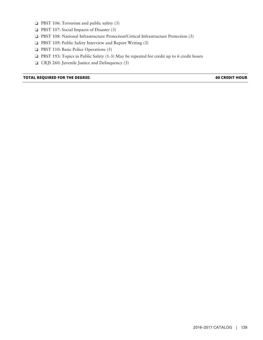- ❏ PBST 106: Terrorism and public safety (3)
- ❏ PBST 107: Social Impacts of Disaster (3)
- ❏ PBST 108: National Infrastructure Protection/Critical Infrastructure Protection (3)
- ❏ PBST 109: Public Safety Interview and Report Writing (3)
- ❏ PBST 110: Basic Police Operations (3)
- ❏ PBST 193: Topics in Public Safety (1-3) May be repeated for credit up to 6 credit hours
- ❏ CRJS 260: Juvenile Justice and Delinquency (3)

**TOTAL REQUIRED FOR THE DEGREE: 60 CREDIT HOUR**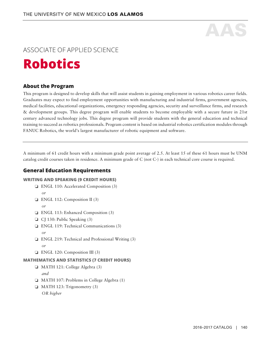## ASSOCIATE OF APPLIED SCIENCE **Robotics**

### **About the Program**

This program is designed to develop skills that will assist students in gaining employment in various robotics career fields. Graduates may expect to find employment opportunities with manufacturing and industrial firms, government agencies, medical facilities, educational organizations, emergency responding agencies, security and surveillance firms, and research & development groups. This degree program will enable students to become employable with a secure future in 21st century advanced technology jobs. This degree program will provide students with the general education and technical training to succeed as robotics professionals. Program content is based on industrial robotics certification modules through FANUC Robotics, the world's largest manufacturer of robotic equipment and software.

A minimum of 61 credit hours with a minimum grade point average of 2.5. At least 15 of these 61 hours must be UNM catalog credit courses taken in residence. A minimum grade of C (not C-) in each technical core course is required.

#### **General Education Requirements**

#### **WRITING AND SPEAKING (9 CREDIT HOURS)**

- ❏ ENGL 110: Accelerated Composition (3) *or*
- ❏ ENGL 112: Composition II (3) *or*
- ❏ ENGL 113: Enhanced Composition (3)
- ❏ CJ 130: Public Speaking (3)
- ❏ ENGL 119: Technical Communications (3) *or*
- ❏ ENGL 219: Technical and Professional Writing (3) *or*
- ❏ ENGL 120: Composition III (3)

#### **MATHEMATICS AND STATISTICS (7 CREDIT HOURS)**

- ❏ MATH 121: College Algebra (3) *and*
- ❏ MATH 107: Problems in College Algebra (1)
- ❏ MATH 123: Trigonometry (3) *OR higher*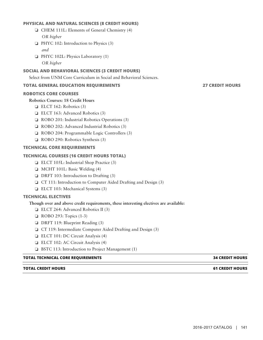#### **PHYSICAL AND NATURAL SCIENCES (8 CREDIT HOURS)**

- ❏ CHEM 111L: Elements of General Chemistry (4) *OR higher*
- ❏ PHYC 102: Introduction to Physics (3) *and*
- ❏ PHYC 102L: Physics Laboratory (1) *OR higher*

#### **SOCIAL AND BEHAVIORAL SCIENCES (3 CREDIT HOURS)**

Select from UNM Core Curriculum in Social and Behavioral Sciences.

#### **TOTAL GENERAL EDUCATION REQUIREMENTS 27 CREDIT HOURS**

#### **ROBOTICS CORE COURSES**

#### **Robotics Courses: 18 Credit Hours**

- $\Box$  ELCT 162: Robotics (3)
- ❏ ELCT 163: Advanced Robotics (3)
- ❏ ROBO 201: Industrial Robotics Operations (3)
- ❏ ROBO 202: Advanced Industrial Robotics (3)
- ❏ ROBO 204: Programmable Logic Controllers (3)
- ❏ ROBO 290: Robotics Synthesis (3)

#### **TECHNICAL CORE REQUIREMENTS**

#### **TECHNICAL COURSES (16 CREDIT HOURS TOTAL)**

- ❏ ELCT 105L: Industrial Shop Practice (3)
- ❏ MCHT 101L: Basic Welding (4)
- ❏ DRFT 103: Introduction to Drafting (3)
- ❏ CT 111: Introduction to Computer Aided Drafting and Design (3)
- ❏ ELCT 103: Mechanical Systems (3)

#### **TECHNICAL ELECTIVES**

#### **Though over and above credit requirements, these interesting electives are available:**

- ❏ ELCT 264: Advanced Robotics II (3)
- ❏ ROBO 293: Topics (1-3)
- ❏ DRFT 119: Blueprint Reading (3)
- ❏ CT 119: Intermediate Computer Aided Drafting and Design (3)
- ❏ ELCT 101: DC Circuit Analysis (4)
- ❏ ELCT 102: AC Circuit Analysis (4)
- ❏ BSTC 113: Introduction to Project Management (1)

#### **TOTAL TECHNICAL CORE REQUIREMENTS 34 CREDIT HOURS**

#### **TOTAL CREDIT HOURS 61 CREDIT HOURS**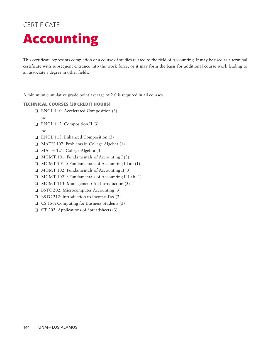## **CERTIFICATE Accounting**

This certificate represents completion of a course of studies related to the field of Accounting. It may be used as a terminal certificate with subsequent entrance into the work force, or it may form the basis for additional course work leading to an associate's degree in other fields.

A minimum cumulative grade point average of 2.0 is required in all courses.

#### **TECHNICAL COURSES (30 CREDIT HOURS)**

- ❏ ENGL 110: Accelerated Composition (3) *or*
- ❏ ENGL 112: Composition II (3) *or*
- ❏ ENGL 113: Enhanced Composition (3)
- ❏ MATH 107: Problems in College Algebra (1)
- ❏ MATH 121: College Algebra (3)
- ❏ MGMT 101: Fundamentals of Accounting I (3)
- ❏ MGMT 101L: Fundamentals of Accounting I Lab (1)
- ❏ MGMT 102: Fundamentals of Accounting II (3)
- ❏ MGMT 102L: Fundamentals of Accounting II Lab (1)
- ❏ MGMT 113: Management: An Introduction (3)
- ❏ BSTC 202: Microcomputer Accounting (3)
- ❏ BSTC 212: Introduction to Income Tax (3)
- ❏ CS 150: Computing for Business Students (3)
- ❏ CT 202: Applications of Spreadsheets (3)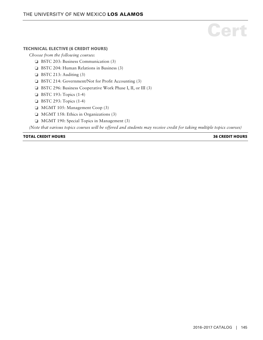#### **TECHNICAL ELECTIVE (6 CREDIT HOURS)**

*Choose from the following courses:*

- ❏ BSTC 203: Business Communication (3)
- ❏ BSTC 204: Human Relations in Business (3)
- ❏ BSTC 213: Auditing (3)
- ❏ BSTC 214: Government/Not for Profit Accounting (3)
- ❏ BSTC 296: Business Cooperative Work Phase I, II, or III (3)
- ❏ BSTC 193: Topics (1-4)
- ❏ BSTC 293: Topics (1-4)
- ❏ MGMT 105: Management Coop (3)
- ❏ MGMT 158: Ethics in Organizations (3)
- ❏ MGMT 190: Special Topics in Management (3)

*(Note that various topics courses will be offered and students may receive credit for taking multiple topics courses)* 

#### **TOTAL CREDIT HOURS 36 CREDIT HOURS**

Cert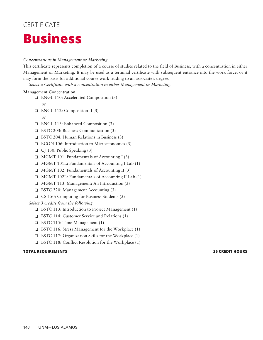# **CERTIFICATE Business**

#### *Concentrations in Management or Marketing*

This certificate represents completion of a course of studies related to the field of Business, with a concentration in either Management or Marketing. It may be used as a terminal certificate with subsequent entrance into the work force, or it may form the basis for additional course work leading to an associate's degree.

*Select a Certificate with a concentration in either Management or Marketing.*

#### **Management Concentration**

- ❏ ENGL 110: Accelerated Composition (3)
	- *or*
- ❏ ENGL 112: Composition II (3)
	- *or*
- ❏ ENGL 113: Enhanced Composition (3)
- ❏ BSTC 203: Business Communication (3)
- ❏ BSTC 204: Human Relations in Business (3)
- ❏ ECON 106: Introduction to Microeconomics (3)
- ❏ CJ 130: Public Speaking (3)
- ❏ MGMT 101: Fundamentals of Accounting I (3)
- ❏ MGMT 101L: Fundamentals of Accounting I Lab (1)
- ❏ MGMT 102: Fundamentals of Accounting II (3)
- ❏ MGMT 102L: Fundamentals of Accounting II Lab (1)
- ❏ MGMT 113: Management: An Introduction (3)
- ❏ BSTC 220: Management Accounting (3)
- ❏ CS 150: Computing for Business Students (3)

#### *Select 3 credits from the following:*

- ❏ BSTC 113: Introduction to Project Management (1)
- ❏ BSTC 114: Customer Service and Relations (1)
- ❏ BSTC 115: Time Management (1)
- ❏ BSTC 116: Stress Management for the Workplace (1)
- ❏ BSTC 117: Organization Skills for the Workplace (1)
- ❏ BSTC 118: Conflict Resolution for the Workplace (1)

#### **TOTAL REQUIREMENTS 35 CREDIT HOURS**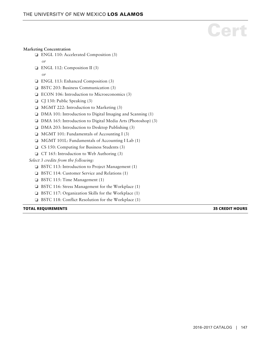# Cert

#### **Marketing Concentration**

- ❏ ENGL 110: Accelerated Composition (3) *or*
- ❏ ENGL 112: Composition II (3) *or*
- ❏ ENGL 113: Enhanced Composition (3)
- ❏ BSTC 203: Business Communication (3)
- ❏ ECON 106: Introduction to Microeconomics (3)
- ❏ CJ 130: Public Speaking (3)
- ❏ MGMT 222: Introduction to Marketing (3)
- ❏ DMA 101: Introduction to Digital Imaging and Scanning (1)
- ❏ DMA 165: Introduction to Digital Media Arts (Photoshop) (3)
- ❏ DMA 203: Introduction to Desktop Publishing (3)
- ❏ MGMT 101: Fundamentals of Accounting I (3)
- ❏ MGMT 101L: Fundamentals of Accounting I Lab (1)
- ❏ CS 150: Computing for Business Students (3)
- ❏ CT 165: Introduction to Web Authoring (3)

#### *Select 3 credits from the following:*

- ❏ BSTC 113: Introduction to Project Management (1)
- ❏ BSTC 114: Customer Service and Relations (1)
- ❏ BSTC 115: Time Management (1)
- ❏ BSTC 116: Stress Management for the Workplace (1)
- ❏ BSTC 117: Organization Skills for the Workplace (1)
- ❏ BSTC 118: Conflict Resolution for the Workplace (1)

**TOTAL REQUIREMENTS 35 CREDIT HOURS**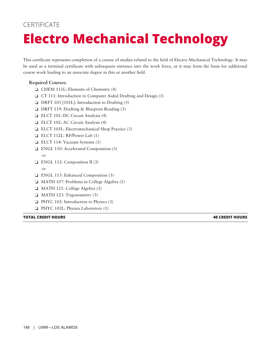# **CERTIFICATE**

# **Electro Mechanical Technology**

This certificate represents completion of a course of studies related to the field of Electro Mechanical Technology. It may be used as a terminal certificate with subsequent entrance into the work force, or it may form the basis for additional course work leading to an associate degree in this or another field.

#### **Required Courses:**

- ❏ CHEM 111L: Elements of Chemistry (4)
- ❏ CT 111: Introduction to Computer Aided Drafting and Design (3)
- ❏ DRFT 103 [101L]: Introduction to Drafting (3)
- ❏ DRFT 119: Drafting & Blueprint Reading (3)
- ❏ ELCT 101: DC Circuit Analysis (4)
- ❏ ELCT 102: AC Circuit Analysis (4)
- ❏ ELCT 105L: Electromechanical Shop Practice (3)
- ❏ ELCT 112L: RF/Power Lab (1)
- ❏ ELCT 114: Vacuum Systems (1)
- ❏ ENGL 110: Accelerated Composition (3) *or*
- ❏ ENGL 112: Composition II (3)
- *or*
- ❏ ENGL 113: Enhanced Composition (3)
- ❏ MATH 107: Problems in College Algebra (1)
- ❏ MATH 121: College Algebra (3)
- ❏ MATH 123: Trigonometry (3)
- ❏ PHYC 102: Introduction to Physics (3)
- ❏ PHYC 102L: Physics Laboratory (1)

**TOTAL CREDIT HOURS 40 CREDIT HOURS**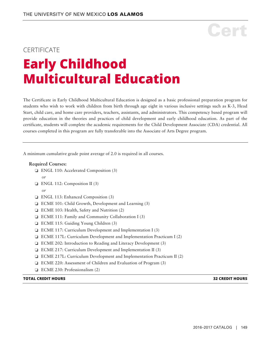# **Cert**

# **CERTIFICATE Early Childhood Multicultural Education**

The Certificate in Early Childhood Multicultural Education is designed as a basic professional preparation program for students who wish to work with children from birth through age eight in various inclusive settings such as K-3, Head Start, child care, and home care providers, teachers, assistants, and administrators. This competency based program will provide education in the theories and practices of child development and early childhood education. As part of the certificate, students will complete the academic requirements for the Child Development Associate (CDA) credential. All courses completed in this program are fully transferable into the Associate of Arts Degree program.

A minimum cumulative grade point average of 2.0 is required in all courses.

#### **Required Courses:**

- ❏ ENGL 110: Accelerated Composition (3)
- *or* ❏ ENGL 112: Composition II (3)
	- *or*
- ❏ ENGL 113: Enhanced Composition (3)
- ❏ ECME 101: Child Growth, Development and Learning (3)
- ❏ ECME 103: Health, Safety and Nutrition (2)
- ❏ ECME 111: Family and Community Collaboration I (3)
- ❏ ECME 115: Guiding Young Children (3)
- ❏ ECME 117: Curriculum Development and Implementation I (3)
- ❏ ECME 117L: Curriculum Development and Implementation Practicum I (2)
- ❏ ECME 202: Introduction to Reading and Literacy Development (3)
- ❏ ECME 217: Curriculum Development and Implementation II (3)
- ❏ ECME 217L: Curriculum Development and Implementation Practicum II (2)
- ❏ ECME 220: Assessment of Children and Evaluation of Program (3)
- ❏ ECME 230: Professionalism (2)

**TOTAL CREDIT HOURS 32 CREDIT HOURS**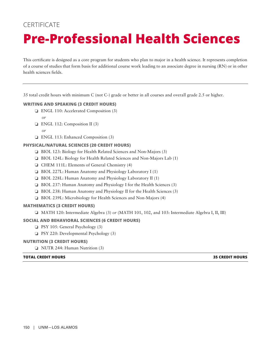# **CERTIFICATE**

# **Pre-Professional Health Sciences**

This certificate is designed as a core program for students who plan to major in a health science. It represents completion of a course of studies that form basis for additional course work leading to an associate degree in nursing (RN) or in other health sciences fields.

35 total credit hours with minimum C (not C-) grade or better in all courses and overall grade 2.5 or higher.

#### **WRITING AND SPEAKING (3 CREDIT HOURS)**

- ❏ ENGL 110: Accelerated Composition (3)
	- *or*
- ❏ ENGL 112: Composition II (3)
	- *or*
- ❏ ENGL 113: Enhanced Composition (3)

#### **PHYSICAL/NATURAL SCIENCES (20 CREDIT HOURS)**

- ❏ BIOL 123: Biology for Health Related Sciences and Non-Majors (3)
- ❏ BIOL 124L: Biology for Health Related Sciences and Non-Majors Lab (1)
- ❏ CHEM 111L: Elements of General Chemistry (4)
- ❏ BIOL 227L: Human Anatomy and Physiology Laboratory I (1)
- ❏ BIOL 228L: Human Anatomy and Physiology Laboratory II (1)
- ❏ BIOL 237: Human Anatomy and Physiology I for the Health Sciences (3)
- ❏ BIOL 238: Human Anatomy and Physiology II for the Health Sciences (3)
- ❏ BIOL 239L: Microbiology for Health Sciences and Non-Majors (4)

#### **MATHEMATICS (3 CREDIT HOURS)**

❏ MATH 120: Intermediate Algebra (3) *or* (MATH 101, 102, and 103: Intermediate Algebra I, II, III)

#### **SOCIAL AND BEHAVIORAL SCIENCES (6 CREDIT HOURS)**

- ❏ PSY 105: General Psychology (3)
- ❏ PSY 220: Developmental Psychology (3)

#### **NUTRITION (3 CREDIT HOURS)**

❏ NUTR 244: Human Nutrition (3)

#### **TOTAL CREDIT HOURS 35 CREDIT HOURS**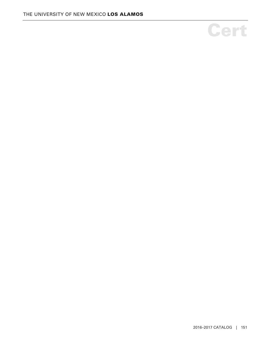# Cert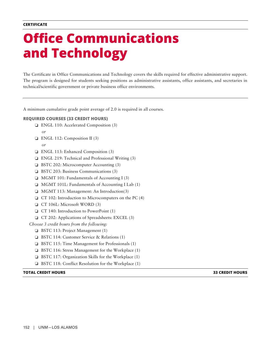# **Office Communications and Technology**

The Certificate in Office Communications and Technology covers the skills required for effective administrative support. The program is designed for students seeking positions as administrative assistants, office assistants, and secretaries in technical/scientific government or private business office environments.

A minimum cumulative grade point average of 2.0 is required in all courses.

#### **REQUIRED COURSES (33 CREDIT HOURS)**

- ❏ ENGL 110: Accelerated Composition (3)
	- *or*
- ❏ ENGL 112: Composition II (3) *or*
- ❏ ENGL 113: Enhanced Composition (3)
- ❏ ENGL 219: Technical and Professional Writing (3)
- ❏ BSTC 202: Microcomputer Accounting (3)
- ❏ BSTC 203: Business Communications (3)
- ❏ MGMT 101: Fundamentals of Accounting I (3)
- ❏ MGMT 101L: Fundamentals of Accounting I Lab (1)
- ❏ MGMT 113: Management: An Introduction(3)
- ❏ CT 102: Introduction to Microcomputers on the PC (4)
- ❏ CT 106L: Microsoft WORD (3)
- ❏ CT 140: Introduction to PowerPoint (1)
- ❏ CT 202: Applications of Spreadsheets: EXCEL (3)

*Choose 3 credit hours from the following:*

- ❏ BSTC 113: Project Management (1)
- ❏ BSTC 114: Customer Service & Relations (1)
- ❏ BSTC 115: Time Management for Professionals (1)
- ❏ BSTC 116: Stress Management for the Workplace (1)
- ❏ BSTC 117: Organization Skills for the Workplace (1)
- ❏ BSTC 118: Conflict Resolution for the Workplace (1)

**TOTAL CREDIT HOURS 33 CREDIT HOURS**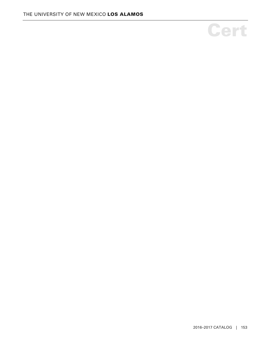# Cert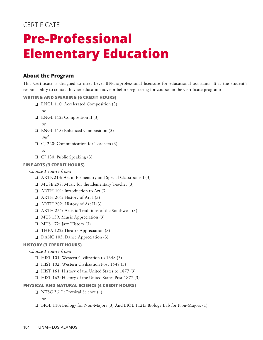# **CERTIFICATE**

# **Pre-Professional Elementary Education**

## **About the Program**

This Certificate is designed to meet Level III/Paraprofessional licensure for educational assistants. It is the student's responsibility to contact his/her education advisor before registering for courses in the Certificate program:

#### **WRITING AND SPEAKING (6 CREDIT HOURS)**

- ❏ ENGL 110: Accelerated Composition (3) *or*
- ❏ ENGL 112: Composition II (3) *or*
- ❏ ENGL 113: Enhanced Composition (3) *and*
- ❏ CJ 220: Communication for Teachers (3) *or*
- ❏ CJ 130: Public Speaking (3)

#### **FINE ARTS (3 CREDIT HOURS)**

#### *Choose 1 course from:*

- ❏ ARTE 214: Art in Elementary and Special Classrooms I (3)
- ❏ MUSE 298: Music for the Elementary Teacher (3)
- ❏ ARTH 101: Introduction to Art (3)
- $\Box$  ARTH 201: History of Art I (3)
- $\Box$  ARTH 202: History of Art II (3)
- ❏ ARTH 251: Artistic Traditions of the Southwest (3)
- ❏ MUS 139: Music Appreciation (3)
- ❏ MUS 172: Jazz History (3)
- ❏ THEA 122: Theatre Appreciation (3)
- ❏ DANC 105: Dance Appreciation (3)

#### **HISTORY (3 CREDIT HOURS)**

#### *Choose 1 course from:*

- ❏ HIST 101: Western Civilization to 1648 (3)
- ❏ HIST 102: Western Civilization Post 1648 (3)
- ❏ HIST 161: History of the United States to 1877 (3)
- ❏ HIST 162: History of the United States Post 1877 (3)

#### **PHYSICAL AND NATURAL SCIENCE (4 CREDIT HOURS)**

❏ NTSC 261L: Physical Science (4)

*or*

❏ BIOL 110: Biology for Non-Majors (3) And BIOL 112L: Biology Lab for Non-Majors (1)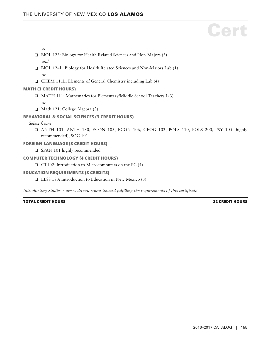# Cert

#### *or*

- ❏ BIOL 123: Biology for Health Related Sciences and Non-Majors (3) *and*
- ❏ BIOL 124L: Biology for Health Related Sciences and Non-Majors Lab (1) *or*
- ❏ CHEM 111L: Elements of General Chemistry including Lab (4)

#### **MATH (3 CREDIT HOURS)**

- ❏ MATH 111: Mathematics for Elementary/Middle School Teachers I (3)
	- *or*
- ❏ Math 121: College Algebra (3)

#### **BEHAVIORAL & SOCIAL SCIENCES (3 CREDIT HOURS)**

#### *Select from:*

❏ ANTH 101, ANTH 130, ECON 105, ECON 106, GEOG 102, POLS 110, POLS 200, PSY 105 (highly recommended), SOC 101.

#### **FOREIGN LANGUAGE (3 CREDIT HOURS)**

❏ SPAN 101 highly recommended.

#### **COMPUTER TECHNOLOGY (4 CREDIT HOURS)**

❏ CT102: Introduction to Microcomputers on the PC (4)

#### **EDUCATION REQUIREMENTS (3 CREDITS)**

❏ LLSS 183: Introduction to Education in New Mexico (3)

*Introductory Studies courses do not count toward fulfilling the requirements of this certificate*

#### **TOTAL CREDIT HOURS 32 CREDIT HOURS**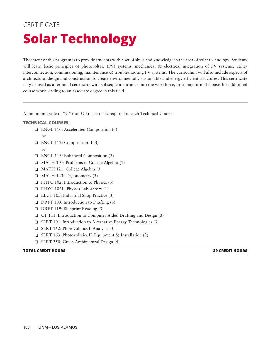# **CERTIFICATE Solar Technology**

The intent of this program is to provide students with a set of skills and knowledge in the area of solar technology. Students will learn basic principles of photovoltaic (PV) systems, mechanical & electrical integration of PV systems, utility interconnection, commissioning, maintenance & troubleshooting PV systems. The curriculum will also include aspects of architectural design and construction to create environmentally sustainable and energy efficient structures. This certificate may be used as a terminal certificate with subsequent entrance into the workforce, or it may form the basis for additional course work leading to an associate degree in this field.

A minimum grade of "C" (not C-) or better is required in each Technical Course.

#### **TECHNICAL COURSES:**

- ❏ ENGL 110: Accelerated Composition (3) *or*
- ❏ ENGL 112: Composition II (3) *or*
- ❏ ENGL 113: Enhanced Composition (3)
- ❏ MATH 107: Problems in College Algebra (1)
- ❏ MATH 121: College Algebra (3)
- ❏ MATH 123: Trigonometry (3)
- ❏ PHYC 102: Introduction to Physics (3)
- ❏ PHYC 102L: Physics Laboratory (1)
- ❏ ELCT 105: Industrial Shop Practice (3)
- ❏ DRFT 103: Introduction to Drafting (3)
- ❏ DRFT 119: Blueprint Reading (3)
- ❏ CT 111: Introduction to Computer Aided Drafting and Design (3)
- ❏ SLRT 101: Introduction to Alternative Energy Technologies (3)
- ❏ SLRT 162: Photovoltaics I: Analysis (3)
- ❏ SLRT 163: Photovoltaics II: Equipment & Installation (3)
- ❏ SLRT 250: Green Architectural Design (4)

#### **TOTAL CREDIT HOURS 39 CREDIT HOURS**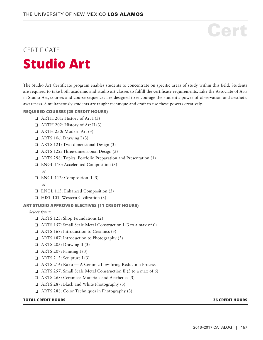# Cert

# **CERTIFICATE Studio Art**

The Studio Art Certificate program enables students to concentrate on specific areas of study within this field. Students are required to take both academic and studio art classes to fulfill the certificate requirements. Like the Associate of Arts in Studio Art, courses and course sequences are designed to encourage the student's power of observation and aesthetic awareness. Simultaneously students are taught technique and craft to use these powers creatively.

#### **REQUIRED COURSES (25 CREDIT HOURS)**

- $\Box$  ARTH 201: History of Art I (3)
- ❏ ARTH 202: History of Art II (3)
- ❏ ARTH 250: Modern Art (3)
- $\Box$  ARTS 106: Drawing I (3)
- ❏ ARTS 121: Two-dimensional Design (3)
- ❏ ARTS 122: Three-dimensional Design (3)
- ❏ ARTS 298: Topics: Portfolio Preparation and Presentation (1)
- ❏ ENGL 110: Accelerated Composition (3) *or*
- ❏ ENGL 112: Composition II (3) *or*
- ❏ ENGL 113: Enhanced Composition (3)
- ❏ HIST 101: Western Civilization (3)

#### **ART STUDIO APPROVED ELECTIVES (11 CREDIT HOURS)**

*Select from:*

- ❏ ARTS 123: Shop Foundations (2)
- ❏ ARTS 157: Small Scale Metal Construction I (3 to a max of 6)
- ❏ ARTS 168: Introduction to Ceramics (3)
- ❏ ARTS 187: Introduction to Photography (3)
- $\Box$  ARTS 205: Drawing II (3)
- $\Box$  ARTS 207: Painting I (3)
- ❏ ARTS 213: Sculpture I (3)
- ❏ ARTS 216: Raku A Ceramic Low-firing Reduction Process
- ❏ ARTS 257: Small Scale Metal Construction II (3 to a max of 6)
- ❏ ARTS 268: Ceramics: Materials and Aesthetics (3)
- ❏ ARTS 287: Black and White Photography (3)
- ❏ ARTS 288: Color Techniques in Photography (3)

#### **TOTAL CREDIT HOURS 36 CREDIT HOURS**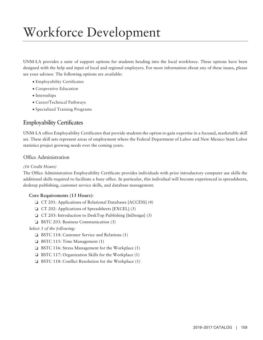# Workforce Development

UNM-LA provides a suite of support options for students heading into the local workforce. These options have been designed with the help and input of local and regional employers. For more information about any of these issues, please see your advisor. The following options are available:

- Employability Certificates
- Cooperative Education
- Internships
- Career/Technical Pathways
- Specialized Training Programs

# Employability Certificates

UNM-LA offers Employability Certificates that provide students the option to gain expertise in a focused, marketable skill set. These skill sets represent areas of employment where the Federal Department of Labor and New Mexico State Labor statistics project growing needs over the coming years.

#### Office Administration

#### *(16 Credit Hours)*

The Office Administration Employability Certificate provides individuals with prior introductory computer use skills the additional skills required to facilitate a busy office. In particular, this individual will become experienced in spreadsheets, desktop publishing, customer service skills, and database management.

#### **Core Requirements (13 Hours):**

- ❏ CT 201: Applications of Relational Databases [ACCESS] (4)
- ❏ CT 202: Applications of Spreadsheets [EXCEL] (3)
- ❏ CT 203: Introduction to DeskTop Publishing [InDesign] (3)
- ❏ BSTC 203: Business Communication (3)

#### *Select 3 of the following:*

- ❏ BSTC 114: Customer Service and Relations (1)
- ❏ BSTC 115: Time Management (1)
- ❏ BSTC 116: Stress Management for the Workplace (1)
- ❏ BSTC 117: Organization Skills for the Workplace (1)
- ❏ BSTC 118: Conflict Resolution for the Workplace (1)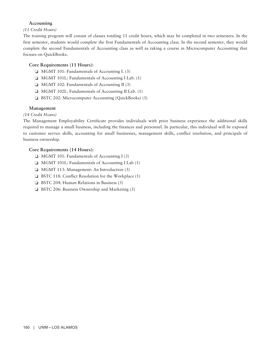#### **Accounting**

#### *(11 Credit Hours)*

The training program will consist of classes totaling 11 credit hours, which may be completed in two semesters. In the first semester, students would complete the first Fundamentals of Accounting class. In the second semester, they would complete the second Fundamentals of Accounting class as well as taking a course in Microcomputer Accounting that focuses on QuickBooks.

#### **Core Requirements (11 Hours):**

- ❏ MGMT 101: Fundamentals of Accounting I. (3)
- ❏ MGMT 101L: Fundamentals of Accounting I Lab. (1)
- ❏ MGMT 102: Fundamentals of Accounting II (3)
- ❏ MGMT 102L: Fundamentals of Accounting II Lab. (1)
- ❏ BSTC 202: Microcomputer Accounting (QuickBooks) (3)

#### **Management**

#### *(14 Credit Hours)*

The Management Employability Certificate provides individuals with prior business experience the additional skills required to manage a small business, including the finances and personnel. In particular, this individual will be exposed to customer service skills, accounting for small businesses, management skills, conflict resolution, and principals of business ownership.

#### **Core Requirements (14 Hours):**

- ❏ MGMT 101: Fundamentals of Accounting I (3)
- ❏ MGMT 101L: Fundamentals of Accounting I Lab (1)
- ❏ MGMT 113: Management: An Introduction (3)
- ❏ BSTC 118: Conflict Resolution for the Workplace (1)
- ❏ BSTC 204: Human Relations in Business (3)
- ❏ BSTC 206: Business Ownership and Marketing (3)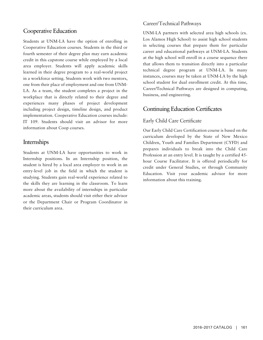# Cooperative Education

Students at UNM-LA have the option of enrolling in Cooperative Education courses. Students in the third or fourth semester of their degree plan may earn academic credit in this capstone course while employed by a local area employer. Students will apply academic skills learned in their degree program to a real-world project in a workforce setting. Students work with two mentors, one from their place of employment and one from UNM-LA. As a team, the student completes a project in the workplace that is directly related to their degree and experiences many phases of project development including project design, timeline design, and product implementation. Cooperative Education courses include: IT 109. Students should visit an advisor for more information about Coop courses.

## Internships

Students at UNM-LA have opportunities to work in Internship positions. In an Internship position, the student is hired by a local area employer to work in an entry-level job in the field in which the student is studying. Students gain real-world experience related to the skills they are learning in the classroom. To learn more about the availability of internships in particular academic areas, students should visit either their advisor or the Department Chair or Program Coordinator in their curriculum area.

#### Career/Technical Pathways

UNM-LA partners with selected area high schools (ex. Los Alamos High School) to assist high school students in selecting courses that prepare them for particular career and educational pathways at UNM-LA. Students at the high school will enroll in a course sequence there that allows them to transition directly into a particular technical degree program at UNM-LA. In many instances, courses may be taken at UNM-LA by the high school student for dual enrollment credit. At this time, Career/Technical Pathways are designed in computing, business, and engineering.

# Continuing Education Certificates

### Early Child Care Certificate

Our Early Child Care Certification course is based on the curriculum developed by the State of New Mexico Children, Youth and Families Department (CYFD) and prepares individuals to break into the Child Care Profession at an entry level. It is taught by a certified 45 hour Course Facilitator. It is offered periodically for credit under General Studies, or through Community Education. Visit your academic advisor for more information about this training.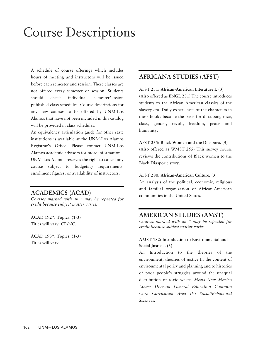A schedule of course offerings which includes hours of meeting and instructors will be issued before each semester and session. These classes are not offered every semester or session. Students should check individual semester/session published class schedules. Course descriptions for any new courses to be offered by UNM-Los Alamos that have not been included in this catalog will be provided in class schedules.

An equivalency articulation guide for other state institutions is available at the UNM-Los Alamos Registrar's Office. Please contact UNM-Los Alamos academic advisors for more information. UNM-Los Alamos reserves the right to cancel any course subject to budgetary requirements, enrollment figures, or availability of instructors.

# **ACADEMICS (ACAD)**

*Courses marked with an \* may be repeated for credit because subject matter varies.*

**ACAD 192\*: Topics. (1-3)**  Titles will vary. CR/NC.

**ACAD 193\*: Topics. (1-3)**  Titles will vary.

# **AFRICANA STUDIES (AFST)**

#### **AFST 251: African-American Literature I. (3)**

(Also offered as ENGL 281) The course introduces students to the African American classics of the slavery era. Daily experiences of the characters in these books become the basis for discussing race, class, gender, revolt, freedom, peace and humanity.

#### **AFST 255: Black Women and the Diaspora. (3)**

(Also offered as WMST 255) This survey course reviews the contributions of Black women to the Black Diasporic story.

#### **AFST 280: African-American Culture. (3)**

An analysis of the political, economic, religious and familial organization of African-American communities in the United States.

## **AMERICAN STUDIES (AMST)**

*Courses marked with an \* may be repeated for credit because subject matter varies.*

#### **AMST 182: Introduction to Environmental and Social Justice.. (3)**

An Introduction to the theories of the environment, theories of justice In the content of environmental policy and planning and to histories of poor people's struggles around the unequal distribution of toxic waste. *Meets New Mexico Lower Division General Education Common Core Curriculum Area IV: Social/Behavioral Sciences.*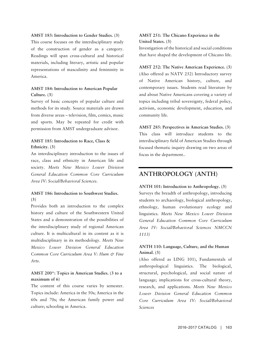#### **AMST 183: Introduction to Gender Studies. (3)**

This course focuses on the interdisciplinary study of the construction of gender as a category. Readings will span cross-cultural and historical materials, including literary, artistic and popular representations of masculinity and femininity in America.

#### **AMST 184: Introduction to American Popular Culture. (3)**

Survey of basic concepts of popular culture and methods for its study. Source materials are drawn from diverse areas – television, film, comics, music and sports. May be repeated for credit with permission from AMST undergraduate advisor.

#### **AMST 185: Introduction to Race, Class & Ethnicity. (3)**

An interdisciplinary introduction to the issues of race, class and ethnicity in American life and society. *Meets New Mexico Lower Division General Education Common Core Curriculum Area IV: Social/Behavioral Sciences.*

#### **AMST 186: Introduction to Southwest Studies. (3)**

Provides both an introduction to the complex history and culture of the Southwestern United States and a demonstration of the possibilities of the interdisciplinary study of regional American culture. It is multicultural in its content as it is multidisciplinary in its methodology. *Meets New Mexico Lower Division General Education Common Core Curriculum Area V: Hum & Fine Arts.*

#### **AMST 200\*: Topics in American Studies. (3 to a maximum of 6)**

The content of this course varies by semester. Topics include: America in the 50s; America in the 60s and 70s; the American family power and culture; schooling in America.

**AMST 251: The Chicano Experience in the United States. (3)** 

Investigation of the historical and social conditions that have shaped the development of Chicano life.

**AMST 252: The Native American Experience. (3)**  (Also offered as NATV 252) Introductory survey of Native American history, culture, and contemporary issues. Students read literature by and about Native Americans covering a variety of topics including tribal sovereignty, federal policy, activism, economic development, education, and community life.

**AMST 285: Perspectives in American Studies. (3)** This class will introduce students to the interdisciplinary field of American Studies through focused thematic inquiry drawing on two areas of focus in the department..

## **ANTHROPOLOGY (ANTH)**

#### **ANTH 101: Introduction to Anthropology. (3)**

Surveys the breadth of anthropology, introducing students to archaeology, biological anthropology, ethnology, human evolutionary ecology and linguistics. *Meets New Mexico Lower Division General Education Common Core Curriculum Area IV: Social/Behavioral Sciences NMCCN 1113)*

#### **ANTH 110: Language, Culture, and the Human Animal. (3)**

(Also offered as LING 101), Fundamentals of anthropological linguistics. The biological, structural, psychological, and social nature of language; implications for cross-cultural theory, research, and applications. *Meets New Mexico Lower Division General Education Common Core Curriculum Area IV: Social/Behavioral Sciences*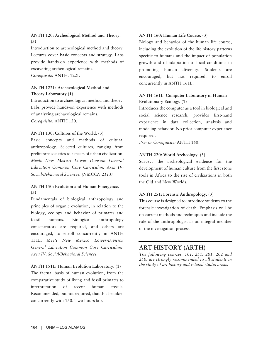**ANTH 120: Archeological Method and Theory. (3)**

Introduction to archeological method and theory. Lectures cover basic concepts and strategy. Labs provide hands-on experience with methods of excavating archeological remains.

*Corequisite:* ANTH. 122L

#### **ANTH 122L: Archaeological Method and Theory Laboratory (1)**

Introduction to archaeological method and theory. Labs provide hands-on experience with methods of analyzing archaeological remains. *Corequisite:* ANTH 120.

#### **ANTH 130: Cultures of the World. (3)**

Basic concepts and methods of cultural anthropology. Selected cultures, ranging from preliterate societies to aspects of urban civilization. *Meets New Mexico Lower Division General Education Common Core Curriculum Area IV: Social/Behavioral Sciences. (NMCCN 2113)*

#### **ANTH 150: Evolution and Human Emergence. (3)**

Fundamentals of biological anthropology and principles of organic evolution, in relation to the biology, ecology and behavior of primates and fossil humans. Biological anthropology concentrators are required, and others are encouraged, to enroll concurrently in ANTH 151L. *Meets New Mexico Lower-Division General Education Common Core Curriculum. Area IV: Social/Behavioral Sciences.*

#### **ANTH 151L: Human Evolution Laboratory. (1)**

The factual basis of human evolution, from the comparative study of living and fossil primates to interpretation of recent human fossils. Recommended, but not required, that this be taken concurrently with 150. Two hours lab.

#### **ANTH 160: Human Life Course. (3)**

Biology and behavior of the human life course, including the evolution of the life history patterns specific to humans and the impact of population growth and of adaptation to local conditions in promoting human diversity. Students are encouraged, but not required, to enroll concurrently in ANTH 161L.

#### **ANTH 161L: Computer Laboratory in Human Evolutionary Ecology. (1)**

Introduces the computer as a tool in biological and social science research, provides first-hand experience in data collection, analysis and modeling behavior. No prior computer experience required.

*Pre- or Corequisite:* ANTH 160.

#### **ANTH 220: World Archeology. (3)**

Surveys the archeological evidence for the development of human culture from the first stone tools in Africa to the rise of civilizations in both the Old and New Worlds.

#### **ANTH 251: Forensic Anthropology. (3)**

This course is designed to introduce students to the forensic investigation of death. Emphasis will be on current methods and techniques and include the role of the anthropologist as an integral member of the investigation process.

## **ART HISTORY (ARTH)**

*The following courses, 101, 251, 201, 202 and 250, are strongly recommended to all students in the study of art history and related studio areas.*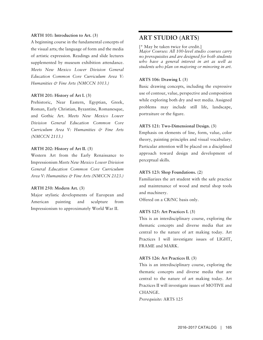#### **ARTH 101: Introduction to Art. (3)**

A beginning course in the fundamental concepts of the visual arts; the language of form and the media of artistic expression. Readings and slide lectures supplemented by museum exhibition attendance. *Meets New Mexico Lower Division General Education Common Core Curriculum Area V: Humanities & Fine Arts (NMCCN 1013.)*

#### **ARTH 201: History of Art I. (3)**

Prehistoric, Near Eastern, Egyptian, Greek, Roman, Early Christian, Byzantine, Romanesque, and Gothic Art. *Meets New Mexico Lower Division General Education Common Core Curriculum Area V: Humanities & Fine Arts (NMCCN 2113.)*

#### **ARTH 202: History of Art II. (3)**

Western Art from the Early Renaissance to Impressionism *Meets New Mexico Lower Division General Education Common Core Curriculum Area V: Humanities & Fine Arts (NMCCN 2123.)*

#### **ARTH 250: Modern Art. (3)**

Major stylistic developments of European and American painting and sculpture from Impressionism to approximately World War II.

### **ART STUDIO (ARTS)**

[\* May be taken twice for credit.] *Major Courses: All 100-level studio courses carry no prerequisites and are designed for both students who have a general interest in art as well as students who plan on majoring or minoring in art.* 

#### **ARTS 106: Drawing I. (3)**

Basic drawing concepts, including the expressive use of contour, value, perspective and composition while exploring both dry and wet media. Assigned problems may include still life, landscape, portraiture or the figure.

#### **ARTS 121: Two-Dimensional Design. (3)**

Emphasis on elements of line, form, value, color theory, painting principles and visual vocabulary. Particular attention will be placed on a disciplined approach toward design and development of perceptual skills.

#### **ARTS 123: Shop Foundations. (2)**

Familiarizes the art student with the safe practice and maintenance of wood and metal shop tools and machinery.

Offered on a CR/NC basis only.

#### **ARTS 125: Art Practices I. (3)**

This is an interdisciplinary course, exploring the thematic concepts and diverse media that are central to the nature of art making today. Art Practices I will investigate issues of LIGHT, FRAME and MARK.

#### **ARTS 126: Art Practices II. (3)**

This is an interdisciplinary course, exploring the thematic concepts and diverse media that are central to the nature of art making today. Art Practices II will investigate issues of MOTIVE and CHANGE.

*Prerequisite:* ARTS 125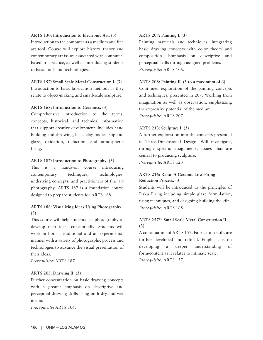#### **ARTS 130: Introduction to Electronic Art. (3)**

Introduction to the computer as a medium and fine art tool. Course will explore history, theory and contemporary art issues associated with computerbased art practice, as well as introducing students to basic tools and technologies.

**ARTS 157: Small Scale Metal Construction I. (3)**  Introduction to basic fabrication methods as they relate to object-making and small-scale sculpture.

#### **ARTS 168: Introduction to Ceramics. (3)**

Comprehensive introduction to the terms, concepts, historical, and technical information that support creative development. Includes hand building and throwing, basic clay bodies, slip and glaze, oxidation, reduction, and atmospheric firing.

#### **ARTS 187: Introduction to Photography. (3)**

This is a hands-on course introducing contemporary techniques, technologies, underlying concepts, and practitioners of fine art photography. ARTS 187 is a foundation course designed to prepare students for ARTS 188.

#### **ARTS 188: Visualizing Ideas Using Photography. (3)**

This course will help students use photography to develop their ideas conceptually. Students will work in both a traditional and an experimental manner with a variety of photographic process and technologies to advance the visual presentation of their ideas.

*Prerequisite:* ARTS 187.

#### **ARTS 205: Drawing II. (3)**

Further concentration on basic drawing concepts with a greater emphasis on descriptive and perceptual drawing skills using both dry and wet media.

*Prerequisite:* ARTS 106.

#### **ARTS 207: Painting I. (3)**

Painting materials and techniques, integrating basic drawing concepts with color theory and composition. Emphasis on descriptive and perceptual skills through assigned problems. *Prerequisite:* ARTS 106.

#### **ARTS 208: Painting II. (3 to a maximum of 6)**

Continued exploration of the painting concepts and techniques, presented in 207. Working from imagination as well as observation, emphasizing the expressive potential of the medium. *Prerequisite:* ARTS 207.

#### **ARTS 213: Sculpture I. (3)**

A further exploration into the concepts presented in Three-Dimensional Design. Will investigate, through specific assignments, issues that are central to producing sculpture. *Prerequisite:* ARTS 123

#### **ARTS 216: Raku–A Ceramic Low-Firing Reduction Process. (3)**

Students will be introduced to the principles of Raku Firing including simple glaze formulation, firing techniques, and designing-building the kiln. *Prerequisite:* ARTS 168

#### **ARTS 257\*: Small Scale Metal Construction II. (3)**

A continuation of ARTS 157. Fabrication skills are further developed and refined. Emphasis is on developing a deeper understanding of form/content as it relates to intimate scale. *Prerequisite:* ARTS 157.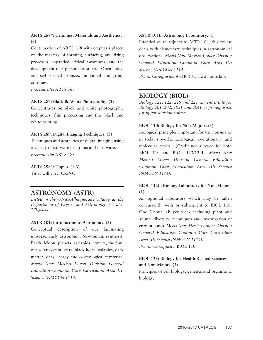**ARTS 268\*: Ceramics: Materials and Aesthetics. (3)**

Continuation of ARTS 168 with emphasis placed on the mastery of forming, surfacing, and firing processes, expanded critical awareness, and the development of a personal aesthetic. Open-ended and self-selected projects. Individual and group critiques.

*Prerequisite:* ARTS 168

#### **ARTS 287: Black & White Photography. (3)**

Concentrates on black and white photographic techniques: film processing and fine black and white printing.

#### **ARTS 289: Digital Imaging Techniques. (3)**

Techniques and aesthetics of digital imaging using a variety of software programs and hardware. *Prerequisite:* ARTS 188

**ARTS 298\*: Topics. (1-3)**  Titles will vary. CR/NC

## **ASTRONOMY (ASTR)**

*Listed in the UNM-Albuquerque catalog as the Department of Physics and Astronomy. See also "Physics."* 

#### **ASTR 101: Introduction to Astronomy. (3)**

Conceptual description of our fascinating universe: early astronomy, Newtonian, synthesis, Earth, Moon, planets, asteroids, comets, the Sun, our solar system, stars, black holes, galaxies, dark matter, dark energy and cosmological mysteries. *Meets New Mexico Lower Division General Education Common Core Curriculum Area III: Science (NMCCN 1114).*

#### **ASTR 101L: Astronomy Laboratory. (1)**

Intended as an adjunct to ASTR 101, this course deals with elementary techniques in astronomical observations. *Meets New Mexico Lower Division General Education Common Core Area III: Science (NMCCN 1114).*

*Pre-or Corequisite:* ASTR 101. Two hours lab.

#### **BIOLOGY (BIOL)**

*Biology 121, 122, 219 and 221 can substitute for Biology 201, 202, 203L and 204L as prerequisites for upper-division courses.*

#### **BIOL 110: Biology for Non-Majors. (3)**

Biological principles important for the non-major in today's world. Ecological, evolutionary, and molecular topics. (Credit not allowed for both BIOL 110 and BIOL 123/124L) *Meets New Mexico Lower Division General Education Common Core Curriculum Area III: Science (NMCCN 1114).*

#### **BIOL 112L: Biology Laboratory for Non-Majors. (1)**

An optional laboratory which may be taken concurrently with or subsequent to BIOL 110. One 3-hour lab per week including plant and animal diversity, techniques and investigation of current issues. *Meets New Mexico Lower Division General Education Common Core Curriculum Area III: Science (NMCCN 1114).* 

*Pre- or Corequisite:* BIOL 110.

#### **BIOL 123: Biology for Health Related Sciences and Non-Majors. (3)**

Principles of cell biology, genetics and organismic biology.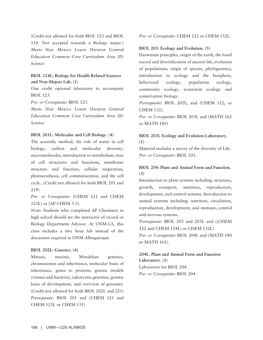(Credit not allowed for both BIOL 123 and BIOL 110. Not accepted towards a Biology major.) *Meets New Mexico Lower Division General Education Common Core Curriculum Area III: Science*

#### **BIOL 124L: Biology for Health Related Sciences and Non-Majors Lab. (1)**

One credit optional laboratory to accompany BIOL 123.

*Pre- or Corequisite:* BIOL 123.

*Meets New Mexico Lower Division General Education Common Core Curriculum Area III: Science*

#### **BIOL 201L: Molecular and Cell Biology. (4)**

The scientific method, the role of water in cell biology, carbon and molecular diversity, macromolecules, introduction to metabolism, tour of cell structures and functions, membrane structure and function, cellular respiration, photosynthesis, cell communication, and the cell cycle.. (Credit not allowed for both BIOL 201 and 219)

*Pre- or Corequisite:* (CHEM 121 and CHEM 123L) or (AP CHEM 3-5).

*Note:* Students who completed AP Chemistry in high school should see the instructor of record or Biology Department Advisor. At UNM-LA, this class includes a two hour lab instead of the discussion required at UNM-Albuquerque.

#### **BIOL 202L: Genetics. (4)**

Mitosis, meiosis, Mendelian genetics, chromosomes and inheritance, molecular basis of inheritance, genes to proteins, genetic models (viruses and bacteria), eukaryotic genomes, genetic basis of development, and overview of genomes. (Credit not allowed for both BIOL 202L and 221) *Prerequisite:* BIOL 201 and (CHEM 121 and CHEM 123L or CHEM 131)

*Pre- or Corequisite:* CHEM 122 or CHEM 132L.

#### **BIOL 203: Ecology and Evolution. (3)**

Darwinian principles, origin of the earth, the fossil record and diversification of ancient life, evolution of populations, origin of species, phylogenetics, introduction to ecology and the biosphere, behavioral ecology, population ecology, community ecology, ecosystem ecology and conservation biology.

*Prerequisite:* BIOL 202L, and (CHEM 122, or CHEM 132).

*Pre- or Corequisite:* BIOL 203L and (MATH 162 or MATH 180)

#### **BIOL 203L Ecology and Evolution Laboratory. (1)**

Material includes a survey of the diversity of Life. *Pre- or Corequisite:* BIOL 203.

#### **BIOL 204: Plant and Animal Form and Function. (3)**

Introduction to plant systems including: structure, growth, transport, nutrition, reproduction, development, and control systems. Introduction to animal systems including: nutrition, circulation, reproduction, development; and immune, control and nervous systems..

*Prerequisite:* BIOL 203 and 203L and ((CHEM 122 and CHEM 124L) or CHEM 132L)

*Pre- or Corequisite:* BIOL 204L and (MATH 180 or MATH 162).

### **204L. Plant and Animal Form and Function Laboratory. (1)** Laboratory for BIOL 204. *Pre- or Corequisite:* BIOL 204.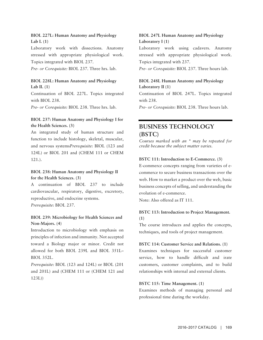#### **BIOL 227L: Human Anatomy and Physiology Lab I. (1)**

Laboratory work with dissections. Anatomy stressed with appropriate physiological work. Topics integrated with BIOL 237.

*Pre- or Corequisite:* BIOL 237. Three hrs. lab.

#### **BIOL 228L: Human Anatomy and Physiology Lab II. (1)**

Continuation of BIOL 227L. Topics integrated with BIOL 238.

*Pre- or Corequisite:* BIOL 238. Three hrs. lab.

#### **BIOL 237: Human Anatomy and Physiology I for the Health Sciences. (3)**

An integrated study of human structure and function to include histology, skeletal, muscular, and nervous systems*Prerequisite:* BIOL (123 and 124L) or BIOL 201 and (CHEM 111 or CHEM 121.).

#### **BIOL 238: Human Anatomy and Physiology II for the Health Sciences. (3)**

A continuation of BIOL 237 to include cardiovascular, respiratory, digestive, excretory, reproductive, and endocrine systems. *Prerequisite:* BIOL 237.

#### **BIOL 239: Microbiology for Health Sciences and Non-Majors. (4)**

Introduction to microbiology with emphasis on principles of infection and immunity. Not accepted toward a Biology major or minor. Credit not allowed for both BIOL 239L and BIOL 351L– BIOL 352L.

*Prerequisite:* BIOL (123 and 124L) or BIOL (201 and 201L) and (CHEM 111 or (CHEM 121 and 123L))

#### **BIOL 247L Human Anatomy and Physiology Laboratory I (1)**

Laboratory work using cadavers. Anatomy stressed with appropriate physiological work. Topics integrated with 237.

*Pre- or Corequisite:* BIOL 237. Three hours lab.

#### **BIOL 248L Human Anatomy and Physiology Laboratory II (1)**

Continuation of BIOL 247L. Topics integrated with 238.

*Pre- or Corequisite:* BIOL 238. Three hours lab.

# **BUSINESS TECHNOLOGY (BSTC)**

*Courses marked with an \* may be repeated for credit because the subject matter varies.*

#### **BSTC 111: Introduction to E-Commerce. (3)**

E-commerce concepts ranging from varieties of ecommerce to secure business transactions over the web. How to market a product over the web, basic business concepts of selling, and understanding the evolution of e-commerce.

Note: Also offered as IT 111.

#### **BSTC 113: Introduction to Project Management. (1)**

The course introduces and applies the concepts, techniques, and tools of project management.

#### **BSTC 114: Customer Service and Relations. (1)**

Examines techniques for successful customer service, how to handle difficult and irate customers, customer complaints, and to build relationships with internal and external clients.

#### **BSTC 115: Time Management. (1)**

Examines methods of managing personal and professional time during the workday.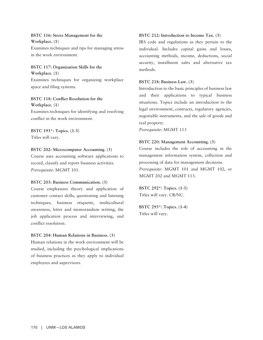#### **BSTC 116: Stress Management for the Workplace. (1)**

Examines techniques and tips for managing stress in the work environment.

# **BSTC 117: Organization Skills for the**

**Workplace. (1)** Examines techniques for organizing workplace space and filing systems.

### **BSTC 118: Conflict Resolution for the Workplace. (1)** Examines techniques for identifying and resolving conflict in the work environment.

**BSTC 193\*: Topics. (1-3)**  Titles will vary.

#### **BSTC 202: Microcomputer Accounting. (3)**

Course uses accounting software applications to record, classify and report business activities. *Prerequisite:* MGMT 101.

#### **BSTC 203: Business Communication. (3)**

Course emphasizes theory and application of customer contact skills, questioning and listening techniques, business etiquette, multicultural awareness, letter and memorandum writing, the job application process and interviewing, and conflict resolution.

#### **BSTC 204: Human Relations in Business. (3)**

Human relations in the work environment will be studied, including the psychological implications of business practices as they apply to individual employees and supervisors.

#### **BSTC 212: Introduction to Income Tax. (3)**

IRS code and regulations as they pertain to the individual. Includes capital gains and losses, accounting methods, income, deductions, social security, installment sales and alternative tax methods.

#### **BSTC 218: Business Law. (3)**

Introduction to the basic principles of business law and their applications to typical business situations. Topics include an introduction to the legal environment, contracts, regulatory agencies, negotiable instruments, and the sale of goods and real property.

*Prerequisite:* MGMT 113

#### **BSTC 220: Management Accounting. (3)**

Course includes the role of accounting in the management information system, collection and processing of data for management decisions. *Prerequisite:* MGMT 101 and MGMT 102, or MGMT 202 and MGMT 113.

**BSTC 292\*: Topics. (1-3)**  Titles will vary. CR/NC.

**BSTC 293\*: Topics. (1-4)**  Titles will vary.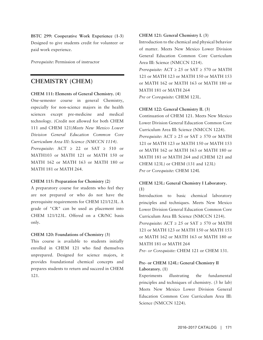**BSTC 299: Cooperative Work Experience (1-3)** Designed to give students credit for volunteer or paid work experience.

*Prerequisite:* Permission of instructor

# **CHEMISTRY (CHEM)**

**CHEM 111: Elements of General Chemistry. (4)**  One-semester course in general Chemistry, especially for non-science majors in the health sciences except pre-medicine and medical technology. (Credit not allowed for both CHEM 111 and CHEM 121)*Meets New Mexico Lower Division General Education Common Core Curriculum Area III: Science (NMCCN 1114).* 

*Prerequisite:*  $ACT \geq 22$  or  $SAT \geq 510$  or MATH103 or MATH 121 or MATH 150 or MATH 162 or MATH 163 or MATH 180 or MATH 181 or MATH 264.

#### **CHEM 115: Preparation for Chemistry (2)**

A preparatory course for students who feel they are not prepared or who do not have the prerequisite requirements for CHEM 121/123L. A grade of "CR" can be used as placement into CHEM 121/123L. Offered on a CR/NC basis only.

#### **CHEM 120: Foundations of Chemistry (3)**

This course is available to students initially enrolled in CHEM 121 who find themselves unprepared. Designed for science majors, it provides foundational chemical concepts and prepares students to return and succeed in CHEM 121.

#### **CHEM 121: General Chemistry I. (3)**

Introduction to the chemical and physical behavior of matter. Meets New Mexico Lower Division General Education Common Core Curriculum Area III: Science (NMCCN 1214).

*Prerequisite:*  $ACT \geq 25$  or  $SAT \geq 570$  or MATH 121 or MATH 123 or MATH 150 or MATH 153 or MATH 162 or MATH 163 or MATH 180 or MATH 181 or MATH 264

*Pre or Corequisite:* CHEM 123L.

#### **CHEM 122: General Chemistry II. (3)**

Continuation of CHEM 121. Meets New Mexico Lower Division General Education Common Core Curriculum Area III: Science (NMCCN 1224). *Prerequisite:*  $ACT \geq 25$  or  $SAT \geq 570$  or MATH 121 or MATH 123 or MATH 150 or MATH 153 or MATH 162 or MATH 163 or MATH 180 or MATH 181 or MATH 264 and (CHEM 121 and CHEM 123L) or CHEM (131 and 123L) *Pre or Corequisite:* CHEM 124L

#### **CHEM 123L: General Chemistry I Laboratory. (1)**

Introduction to basic chemical laboratory principles and techniques. Meets New Mexico Lower Division General Education Common Core Curriculum Area III: Science (NMCCN 1214).

*Prerequisite:*  $ACT \geq 25$  or  $SAT \geq 570$  or MATH 121 or MATH 123 or MATH 150 or MATH 153 or MATH 162 or MATH 163 or MATH 180 or MATH 181 or MATH 264

*Pre- or Corequisite:* CHEM 121 or CHEM 131.

#### **Pre- or CHEM 124L: General Chemistry II Laboratory. (1)**

Experiments illustrating the fundamental principles and techniques of chemistry. (3 hr lab) Meets New Mexico Lower Division General Education Common Core Curriculum Area III: Science (NMCCN 1224).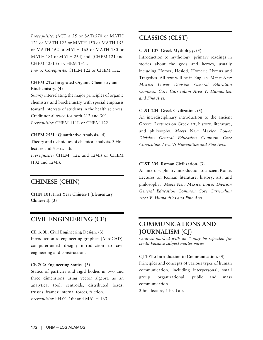*Prerequisite:* (ACT ≥ 25 or SAT≥570 or MATH 121 or MATH 123 or MATH 150 or MATH 153 or MATH 162 or MATH 163 or MATH 180 or MATH 181 or MATH 264) and (CHEM 121 and CHEM 123L) or CHEM 131L *Pre- or Corequisite:* CHEM 122 or CHEM 132.

#### **CHEM 212: Integrated Organic Chemistry and Biochemistry. (4)**

Survey interrelating the major principles of organic chemistry and biochemistry with special emphasis toward interests of students in the health sciences. Credit not allowed for both 212 and 301. *Prerequisite:* CHEM 111L or CHEM 122.

#### **CHEM 253L: Quantitative Analysis. (4)**

Theory and techniques of chemical analysis. 3 Hrs. lecture and 4 Hrs. lab.

*Prerequisite:* CHEM (122 and 124L) or CHEM (132 and 124L).

## **CHINESE (CHIN)**

**CHIN 101: First Year Chinese I [Elementary Chinese I]. (3)**

### **CIVIL ENGINEERING (CE)**

#### **CE 160L: Civil Engineering Design. (3)**

Introduction to engineering graphics (AutoCAD), computer-aided design; introduction to civil engineering and construction.

#### **CE 202: Engineering Statics. (3)**

Statics of particles and rigid bodies in two and three dimensions using vector algebra as an analytical tool; centroids; distributed loads; trusses, frames; internal forces, friction. *Prerequisite:* PHYC 160 and MATH 163

### **CLASSICS (CLST)**

#### **CLST 107: Greek Mythology. (3)**

Introduction to mythology: primary readings in stories about the gods and heroes, usually including Homer, Hesiod, Homeric Hymns and Tragedies. All text will be in English. *Meets New Mexico Lower Division General Education Common Core Curriculum Area V: Humanities and Fine Arts.*

#### **CLST 204: Greek Civilization. (3)**

An interdisciplinary introduction to the ancient Greece. Lectures on Greek art, history, literature, and philosophy. *Meets New Mexico Lower Division General Education Common Core Curriculum Area V: Humanities and Fine Arts.*

#### **CLST 205: Roman Civilization. (3)**

An interdisciplinary introduction to ancient Rome. Lectures on Roman literature, history, art, and philosophy. *Meets New Mexico Lower Division General Education Common Core Curriculum Area V: Humanities and Fine Arts.*

# **COMMUNICATIONS AND JOURNALISM (CJ)**

*Courses marked with an \* may be repeated for credit because subject matter varies.*

#### **CJ 101L: Introduction to Communication. (3)**

Principles and concepts of various types of human communication, including interpersonal, small group, organizational, public and mass communication.

2 hrs. lecture, 1 hr. Lab.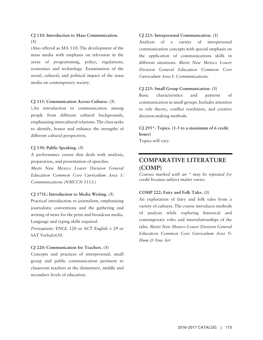#### **CJ 110: Introduction to Mass Communication. (3)**

(Also offered as MA 110) The development of the mass media with emphasis on television in the areas of programming, policy, regulations, economics and technology. Examination of the social, cultural, and political impact of the mass media on contemporary society.

#### **CJ 115: Communication Across Cultures. (3)**

).An introduction to communication among people from different cultural backgrounds, emphasizing intercultural relations. The class seeks to identify, honor and enhance the strengths of different cultural perspectives.

#### **CJ 130: Public Speaking. (3)**

A performance course that deals with analysis, preparation, and presentation of speeches.

*Meets New Mexico Lower Division General Education Common Core Curriculum Area 1: Communications (NMCCN 1113.)*

#### **CJ 171L: Introduction to Media Writing. (3)**

Practical introduction to journalism, emphasizing journalistic conventions and the gathering and writing of news for the print and broadcast media. Language and typing skills required.

*Prerequisite:* ENGL 120 or ACT English ≥ 29 or SAT Verbal≥650.

#### **CJ 220: Communication for Teachers. (3)**

Concepts and practices of interpersonal, small group and public communication pertinent to classroom teachers at the elementary, middle and secondary levels of education.

#### **CJ 221: Interpersonal Communication. (3)**

Analysis of a variety of interpersonal communication concepts with special emphasis on the application of communications skills in different situations. *Meets New Mexico Lower Division General Education Common Core Curriculum Area I: Communications.*

#### **CJ 225: Small Group Communication. (3)**

Basic characteristics and patterns of communication in small groups. Includes attention to role theory, conflict resolution, and creative decision-making methods.

**CJ 293\*: Topics. (1-3 to a maximum of 6 credit hours)**

Topics will vary.

# **COMPARATIVE LITERATURE (COMP)**

*Courses marked with an \* may be repeated for credit because subject matter varies.*

#### **COMP 222: Fairy and Folk Tales. (3)**

An exploration of fairy and folk tales from a variety of cultures. The course introduces methods of analysis while exploring historical and contemporary roles and interrelationships of the tales. *Meets New Mexico Lower Division General Education Common Core Curriculum Area V: Hum & Fine Art*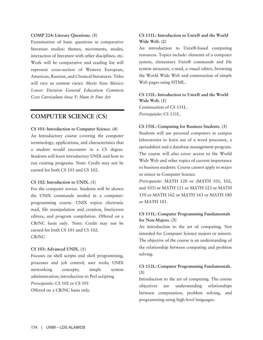#### **COMP 224: Literary Questions. (3)**

Examination of basic questions in comparative literature studies: themes, movements, modes, interaction of literature with other disciplines, etc. Work will be comparative and reading list will represent cross-section of Western European, American, Russian, and Classical literatures. Titles will vary as content varies. *Meets New Mexico Lower Division General Education Common Core Curriculum Area V: Hum & Fine Art*

### **COMPUTER SCIENCE (CS)**

**CS 101: Introduction to Computer Science. (4)**

An Introductory course covering the computer terminology, applications, and characteristics that a student would encounter in a CS degree. Students will learn introductory UNIX and how to run existing programs. Note: Credit may not be earned for both CS 101 and CS 102.

#### **CS 102: Introduction to UNIX. (1)**

For the computer novice. Students will be shown the UNIX commands needed in a computerprogramming course. UNIX topics: electronic mail, file manipulation and creation, line/screen editors, and program compilation. Offered on a CR/NC basis only. Note: Credit may not be earned for both CS 101 and CS 102. CR/NC

#### **CS 103: Advanced UNIX. (1)**

Focuses on shell scripts and shell programming, processes and job control; user tools; UNIX networking concepts; simple system administration; introduction to Perl scripting *Prerequisite:* CS 102 or CS 101 Offered on a CR/NC basis only.

#### **CS 131L: Introduction to Unix® and the World Wide Web. (2)**

An introduction to Unix®-based computing resources. Topics include: elements of a computer system, elementary Unix® commands and file system structure, e-mail, a visual editor, browsing the World Wide Web and construction of simple Web pages using HTML.

**CS 132L: Introduction to Unix® and the World Wide Web. (1)** Continuation of CS 131L. *Prerequisite:* CS 131L.

**CS 150L: Computing for Business Students. (3)** Students will use personal computers in campus laboratories to learn use of a word processor, a spreadsheet and a database management program. The course will also cover access to the World Wide Web and other topics of current importance to business students. Course cannot apply to major or minor in Computer Science.

*Prerequisite:* MATH 120 or (MATH 101, 102, and 103) or MATH 121 or MATH 123 or MATH 150 or MATH 162 or MATH 163 or MATH 180 or MATH 181.

#### **CS 151L: Computer Programming Fundamentals for Non-Majors. (3)**

An introduction to the art of computing. Not intended for Computer Science majors or minors. The objective of the course is an understanding of the relationship between computing and problem solving.

#### **CS 152L: Computer Programming Fundamentals. (3)**

Introduction to the art of computing. The course objectives are understanding relationships between computation, problem solving, and programming using high-level languages.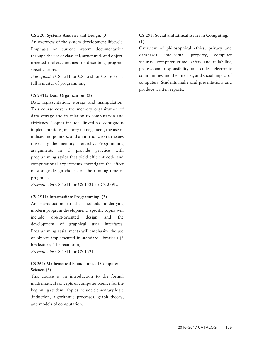#### **CS 220: Systems Analysis and Design. (3)**

An overview of the system development lifecycle. Emphasis on current system documentation through the use of classical, structured, and objectoriented tools/techniques for describing program specifications.

*Prerequisite*: CS 151L or CS 152L or CS 160 or a full semester of programming.

#### **CS 241L: Data Organization. (3)**

Data representation, storage and manipulation. This course covers the memory organization of data storage and its relation to computation and efficiency. Topics include: linked vs. contiguous implementations, memory management, the use of indices and pointers, and an introduction to issues raised by the memory hierarchy. Programming assignments in C provide practice with programming styles that yield efficient code and computational experiments investigate the effect of storage design choices on the running time of programs

*Prerequisite:* CS 151L or CS 152L or CS 259L.

#### **CS 251L: Intermediate Programming. (3)**

An introduction to the methods underlying modern program development. Specific topics will include object-oriented design and the development of graphical user interfaces. Programming assignments will emphasize the use of objects implemented in standard libraries.) (3 hrs lecture; 1 hr recitation)

*Prerequisite:* CS 151L or CS 152L.

#### **CS 261: Mathematical Foundations of Computer Science. (3)**

This course is an introduction to the formal mathematical concepts of computer science for the beginning student. Topics include elementary logic ,induction, algorithmic processes, graph theory, and models of computation.

#### **CS 293: Social and Ethical Issues in Computing. (1)**

Overview of philosophical ethics, privacy and databases, intellectual property, computer security, computer crime, safety and reliability, professional responsibility and codes, electronic communities and the Internet, and social impact of computers. Students make oral presentations and produce written reports.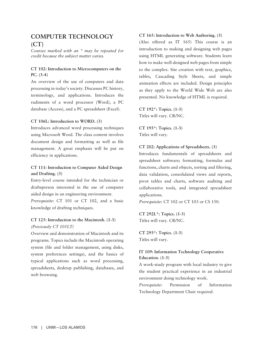# **COMPUTER TECHNOLOGY (CT)**

*Courses marked with an \* may be repeated for credit because the subject matter varies.*

#### **CT 102: Introduction to Microcomputers on the PC. (3-4)**

An overview of the use of computers and data processing in today's society. Discusses PC history, terminology, and applications. Introduces the rudiments of a word processor (Word), a PC database (Access), and a PC spreadsheet (Excel).

#### **CT 106L: Introduction to WORD. (3)**

Introduces advanced word processing techniques using Microsoft Word. The class content involves document design and formatting as well as file management. A great emphasis will be put on efficiency in applications.

#### **CT 111: Introduction to Computer Aided Design and Drafting. (3)**

Entry-level course intended for the technician or draftsperson interested in the use of computer aided design in an engineering environment. *Prerequisite:* CT 101 or CT 102, and a basic knowledge of drafting techniques.

#### **CT 125: Introduction to the Macintosh. (1-3)**  *(Previously CT 105LT)*

Overview and demonstration of Macintosh and its programs. Topics include the Macintosh operating system (file and folder management, using disks, system preferences settings), and the basics of typical applications such as word processing, spreadsheets, desktop publishing, databases, and web browsing.

#### **CT 165: Introduction to Web Authoring. (3)**

(Also offered as IT 165) This course is an introduction to making and designing web pages using HTML generating software. Students learn how to make well-designed web pages from simple to the complex. Site creation with text, graphics, tables, Cascading Style Sheets, and simple animation effects are included. Design principles as they apply to the World Wide Web are also presented. No knowledge of HTML is required.

**CT 192\*: Topics. (1-3)**  Titles will vary. CR/NC.

**CT 193\*: Topics. (1-3)**  Titles will vary.

#### **CT 202: Applications of Spreadsheets. (3)**

Introduces fundamentals of spreadsheets and spreadsheet software; formatting, formulas and functions, charts and objects, sorting and filtering, data validation, consolidated views and reports, pivot tables and charts, software auditing and collaborative tools, and integrated spreadsheet applications.

*Prerequisite:* CT 102 or CT 103 or CS 150.

**CT 292L\*: Topics. (1-3)**  Titles will vary. CR/NC.

**CT 293\*: Topics. (1-3)** Titles will vary.

#### **IT 109: Information Technology Cooperative Education. (1-3)**

A work-study program with local industry to give the student practical experience in an industrial environment doing technology work.

*Prerequisite:* Permission of Information Technology Department Chair required.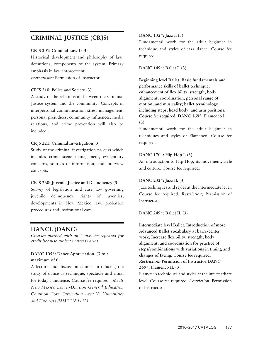# **CRIMINAL JUSTICE (CRJS)**

#### **CRJS 201: Criminal Law I ( 3)**

Historical development and philosophy of law: definitions, components of the system. Primary emphasis in law enforcement. *Prerequisite:* Permission of Instructor.

#### **CRJS 210: Police and Society (3)**

A study of the relationship between the Criminal Justice system and the community. Concepts in interpersonal communication stress management, personal prejudices, community influences, media relations, and crime prevention will also be included..

#### **CRJS 221: Criminal Investigation (3)**

Study of the criminal investigation process which includes crime scene management, evidentiary concerns, sources of information, and interview concepts.

#### **CRJS 260: Juvenile Justice and Delinquency (3)**

Survey of legislation and case law governing juvenile delinquency; rights of juveniles; developments in New Mexico law; probation procedures and institutional care.

# **DANCE (DANC)**

*Courses marked with an \* may be repeated for credit because subject matters varies.*

#### **DANC 105\*: Dance Appreciation. (3 to a maximum of 6)**

A lecture and discussion course introducing the study of dance as technique, spectacle and ritual for today's audience. Course fee required. *Meets New Mexico Lower-Division General Education Common Core Curriculum Area V: Humanities and Fine Arts (NMCCN 1113)*

#### **DANC 132\*: Jazz I. (3)**

Fundamental work for the adult beginner in technique and styles of jazz dance. Course fee required.

**DANC 149\*: Ballet I. (3)** 

**Beginning level Ballet. Basic fundamentals and performance skills of ballet technique; enhancement of flexibility, strength, body alignment, coordination, personal range of motion, and musicality; ballet terminology including steps, head body, and arm positions. Course fee required. DANC 169\*: Flamenco I. (3)** 

Fundamental work for the adult beginner in techniques and styles of Flamenco. Course fee required.

#### **DANC 170\*: Hip Hop I. (3)**

An introduction to Hip Hop, its movement, style and culture. Course fee required.

#### **DANC 232\*: Jazz II. (3)**

Jazz techniques and styles at the intermediate level. Course fee required. *Restriction;* Permission of Instructor.

**DANC 249\*: Ballet II. (3)** 

**Intermediate level Ballet. Introduction of more Advanced Ballet vocabulary at barre/center work; Increase flexibility, strength, body alignment, and coordination for practice of steps/combinations with variations in timing and changes of facing. Course fee required.**  *Restriction:* **Permission of Instructor.DANC 269\*: Flamenco II. (3)**  Flamenco techniques and styles at the intermediate level. Course fee required. *Restriction:* Permission

of Instructor.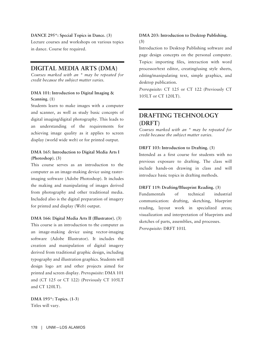#### **DANCE 295\*: Special Topics in Dance. (3)**

Lecture courses and workshops on various topics in dance. Course fee required.

# **DIGITAL MEDIA ARTS (DMA)**

*Courses marked with an \* may be repeated for credit because the subject matter varies.*

#### **DMA 101: Introduction to Digital Imaging & Scanning. (1)**

Students learn to make images with a computer and scanner, as well as study basic concepts of digital imaging/digital photography. This leads to an understanding of the requirements for achieving image quality as it applies to screen display (world wide web) or for printed output.

#### **DMA 165: Introduction to Digital Media Arts I (Photoshop). (3)**

This course serves as an introduction to the computer as an image-making device using rasterimaging software (Adobe Photoshop). It includes the making and manipulating of images derived from photography and other traditional media. Included also is the digital preparation of imagery for printed and display (Web) output.

#### **DMA 166: Digital Media Arts II (Illustrator). (3)**

This course is an introduction to the computer as an image-making device using vector-imaging software (Adobe Illustrator). It includes the creation and manipulation of digital imagery derived from traditional graphic design, including typography and illustration graphics. Students will design logo art and other projects aimed for printed and screen display. *Prerequisite:* DMA 101 and (CT 125 or CT 122) (Previously CT 105LT and CT 120LT).

**DMA 193\*: Topics. (1-3)** Titles will vary.

#### **DMA 203: Introduction to Desktop Publishing. (3)**

Introduction to Desktop Publishing software and page design concepts on the personal computer. Topics: importing files, interaction with word processor/text editor, creating/using style sheets, editing/manipulating text, simple graphics, and desktop publication.

*Prerequisite:* CT 125 or CT 122 (Previously CT 105LT or CT 120LT).

# **DRAFTING TECHNOLOGY (DRFT)**

*Courses marked with an \* may be repeated for credit because the subject matter varies.*

#### **DRFT 103: Introduction to Drafting. (3)**

Intended as a first course for students with no previous exposure to drafting. The class will include hands-on drawing in class and will introduce basic topics in drafting methods.

#### **DRFT 119: Drafting/Blueprint Reading. (3)**

Fundamentals of technical industrial communication: drafting, sketching, blueprint reading, layout work in specialized areas; visualization and interpretation of blueprints and sketches of parts, assemblies, and processes. *Prerequisite:* DRFT 101L

178 | UNM—LOS ALAMOS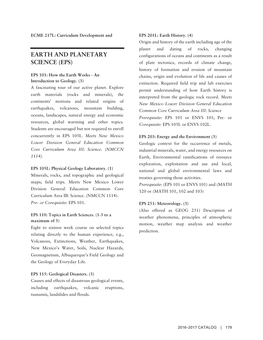**ECME 217L: Curriculum Development and** 

# **EARTH AND PLANETARY SCIENCE (EPS)**

#### **EPS 101: How the Earth Works - An Introduction to Geology. (3)**

A fascinating tour of our active planet. Explore earth materials (rocks and minerals), the continents' motions and related origins of earthquakes, volcanoes, mountain building, oceans, landscapes, natural energy and economic resources, global warming and other topics. Students are encouraged but not required to enroll concurrently in EPS 105L. *Meets New Mexico Lower Division General Education Common Core Curriculum Area III: Science. (NMCCN 1114).*

#### **EPS 105L: Physical Geology Laboratory. (1)**

Minerals, rocks, and topographic and geological maps; field trips. Meets New Mexico Lower Division General Education Common Core Curriculum Area III: Science. (NMCCN 1114). *Pre- or Corequisite:* EPS 101.

#### **EPS 110: Topics in Earth Sciences. (1-3 to a maximum of 3)**

Eight to sixteen week course on selected topics relating directly to the human experience, e.g., Volcanoes, Extinctions, Weather, Earthquakes, New Mexico's Water, Soils, Nuclear Hazards, Geomagnetism, Albuquerque's Field Geology and the Geology of Everyday Life.

#### **EPS 115: Geological Disasters. (3)**

Causes and effects of disastrous geological events, including earthquakes, volcanic eruptions, tsunamis, landslides and floods.

#### **EPS 201L: Earth History. (4)**

Origin and history of the earth including age of the planet and dating of rocks, changing configurations of oceans and continents as a result of plate tectonics, records of climate change, history of formation and erosion of mountain chains, origin and evolution of life and causes of extinction. Required field trip and lab exercises permit understanding of how Earth history is interpreted from the geologic rock record. *Meets New Mexico Lower Division General Education Common Core Curriculum Area III: Science*

*Prerequisite:* EPS 101 or ENVS 101; Pre- or *Corequisite:* EPS 105L or ENVS 102L.

#### **EPS 203: Energy and the Environment (3)**

Geologic context for the occurrence of metals, industrial minerals, water, and energy resources on Earth, Environmental ramifications of resource exploration, exploitation and use and local, national and global environmental laws and treaties governing those activities.

*Prerequisite:* (EPS 101 or ENVS 101) and (MATH 120 or (MATH 101, 102 and 103)

#### **EPS 251: Meteorology. (3)**

(Also offered as GEOG 251) Description of weather phenomena, principles of atmospheric motion, weather map analysis and weather prediction.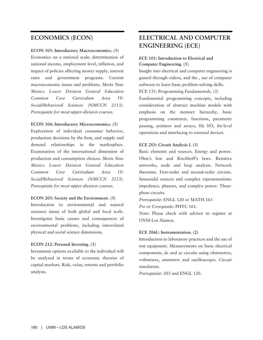## **ECONOMICS (ECON)**

#### **ECON 105: Introductory Macroeconomics. (3)**

Economics on a national scale; determination of national income, employment level, inflation, and impact of policies affecting money supply, interest rates and government programs. Current macroeconomic issues and problems. *Meets New Mexico Lower Division General Education Common Core Curriculum Area IV: Social/Behavioral Sciences (NMCCN 2113). Prerequisite for most upper-division courses.*

#### **ECON 106: Introductory Microeconomics. (3)**

Exploration of individual consumer behavior, production decisions by the firm, and supply and demand relationships in the marketplace. Examination of the international dimension of production and consumption choices. *Meets New Mexico Lower Division General Education Common Core Curriculum Area IV: Social/Behavioral Sciences (NMCCN 2123). Prerequisite for most upper-division courses.*

#### **ECON 203: Society and the Environment. (3)**

Introduction to environmental and natural resource issues of both global and local scale. Investigates basic causes and consequences of environmental problems, including interrelated physical and social science dimensions.

#### **ECON 212: Personal Investing. (3)**

Investment options available to the individual will be analyzed in terms of economic theories of capital markets. Risk, value, returns and portfolio analysis.

# **ELECTRICAL AND COMPUTER ENGINEERING (ECE)**

#### **ECE 101: Introduction to Electrical and Computer Engineering. (1)**

Insight into electrical and computer engineering is gained through videos, and the , use of computer software to learn basic problem-solving skills. ECE 131: Programming Fundamentals. (3)

Fundamental programming concepts, including consideration of abstract machine models with emphasis on the memory hierarchy, basic programming constructs, functions, parameter passing, pointers and arrays, file I/O, bit-level operations and interfacing to external devices.

#### **ECE 203: Circuit Analysis I. (3)**

Basic elements and sources. Energy and power. Ohm's law and Kirchhoff's laws. Resistive networks, node and loop analysis. Network theorems. First-order and second-order circuits. Sinusoidal sources and complex representations: impedance, phasors, and complex power. Threephase circuits.

*Prerequisite:* ENGL 120 or MATH 163

*Pre or Corequisite:* PHYC 161.

Note: Please check with advisor to register at UNM-Los Alamos.

#### **ECE 206L: Instrumentation. (2)**

Introduction to laboratory practices and the use of test equipment. Measurements on basic electrical components, dc and ac circuits using ohmmeters, voltmeters, ammeters and oscilloscopes. Circuit simulation.

*Prerequisite:* 203 and ENGL 120.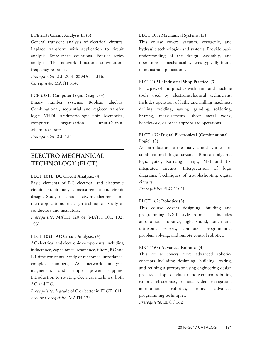#### **ECE 213: Circuit Analysis II. (3)**

General transient analysis of electrical circuits. Laplace transform with application to circuit analysis. State-space equations. Fourier series analysis. The network function; convolution; frequency response.

*Prerequisite:* ECE 203L & MATH 316. *Corequisite:* MATH 314.

#### **ECE 238L: Computer Logic Design. (4)**

Binary number systems. Boolean algebra. Combinational, sequential and register transfer logic. VHDL Arithmetic/logic unit. Memories, computer organization. Input-Output. Microprocessors.

*Prerequisite:* ECE 131

# **ELECTRO MECHANICAL TECHNOLOGY (ELCT)**

#### **ELCT 101L: DC Circuit Analysis. (4)**

Basic elements of DC electrical and electronic circuits, circuit analysis, measurement, and circuit design. Study of circuit network theorems and their applications to design techniques. Study of conductors and insulators.

*Prerequisite:* MATH 120 or (MATH 101, 102, 103)

#### **ELCT 102L: AC Circuit Analysis. (4)**

AC electrical and electronic components, including inductance, capacitance, resonance, filters, RC and LR time constants. Study of reactance, impedance, complex numbers, AC network analysis, magnetism, and simple power supplies. Introduction to rotating electrical machines, both AC and DC.

*Prerequisite:* A grade of C or better in ELCT 101L. *Pre- or Corequisite:* MATH 123.

### **ELCT 103: Mechanical Systems. (3)**

This course covers vacuum, cryogenic, and hydraulic technologies and systems. Provide basic understanding of the design, assembly, and operations of mechanical systems typically found in industrial applications.

#### **ELCT 105L: Industrial Shop Practice. (3)**

Principles of and practice with hand and machine tools used by electromechanical technicians. Includes operation of lathe and milling machines, drilling, welding, sawing, grinding, soldering, brazing, measurements, sheet metal work, benchwork, or other appropriate operations.

# **ELCT 137: Digital Electronics I (Combinational Logic). (3)**

An introduction to the analysis and synthesis of combinational logic circuits. Boolean algebra, logic gates, Karnaugh maps, MSI and LSI integrated circuits. Interpretation of logic diagrams. Techniques of troubleshooting digital circuits.

*Prerequisite:* ELCT 101L

#### **ELCT 162: Robotics (3)**

This course covers designing, building and programming NXT style robots. It includes autonomous robotics, light sound, touch and ultrasonic sensors, computer programming, problem solving, and remote control robotics.

#### **ELCT 163: Advanced Robotics (3)**

This course covers more advanced robotics concepts including designing, building, testing, and refining a prototype using engineering design processes. Topics include remote control robotics, robotic electronics, remote video navigation, autonomous robotics, more advanced programming techniques. *Prerequisite:* ELCT 162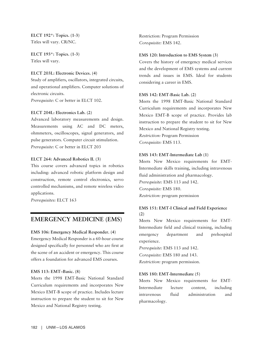**ELCT 192\*: Topics. (1-3)**  Titles will vary. CR/NC.

**ELCT 193\*: Topics. (1-3)**  Titles will vary.

### **ELCT 203L: Electronic Devices. (4)**

Study of amplifiers, oscillators, integrated circuits, and operational amplifiers. Computer solutions of electronic circuits. *Prerequisite:* C or better in ELCT 102.

#### **ELCT 204L: Electronics Lab. (2)**

Advanced laboratory measurements and design. Measurements using AC and DC meters, ohmmeters, oscilloscopes, signal generators, and pulse generators. Computer circuit stimulation. *Prerequisite:* C or better in ELCT 203

#### **ELCT 264: Advanced Robotics II. (3)**

This course covers advanced topics in robotics including: advanced robotic platform design and construction, remote control electronics, servo controlled mechanisms, and remote wireless video applications.

*Prerequisites:* ELCT 163

# **EMERGENCY MEDICINE (EMS)**

**EMS 106: Emergency Medical Responder. (4)**

Emergency Medical Responder is a 60-hour course designed specifically for personnel who are first at the scene of an accident or emergency. This course offers a foundation for advanced EMS courses.

### **EMS 113: EMT–Basic. (8)**

Meets the 1998 EMT-Basic National Standard Curriculum requirements and incorporates New Mexico EMT-B scope of practice. Includes lecture instruction to prepare the student to sit for New Mexico and National Registry testing.

Restriction: Program Permission *Corequisite:* EMS 142.

#### **EMS 120: Introduction to EMS System (3)**

Covers the history of emergency medical services and the development of EMS systems and current trends and issues in EMS. Ideal for students considering a career in EMS.

#### **EMS 142: EMT-Basic Lab. (2)**

Meets the 1998 EMT-Basic National Standard Curriculum requirements and incorporates New Mexico EMT-B scope of practice. Provides lab instruction to prepare the student to sit for New Mexico and National Registry testing. *Restriction:* Program Permission *Corequisite:* EMS 113.

#### **EMS 143: EMT-Intermediate Lab (1)**

Meets New Mexico requirements for EMT-Intermediate skills training, including intravenous fluid administration and pharmacology.

*Prerequisite:* EMS 113 and 142. *Corequisite:* EMS 180. *Restriction:* program permission

# **EMS 151: EMT-I Clinical and Field Experience (2)**

Meets New Mexico requirements for EMT-Intermediate field and clinical training, including emergency department and prehospital experience.

*Prerequisite:* EMS 113 and 142. *Corequisite:* EMS 180 and 143. *Restriction:* program permission.

#### **EMS 180: EMT-Intermediate (5)**

Meets New Mexico requirements for EMT-Intermediate lecture content, including intravenous fluid administration and pharmacology.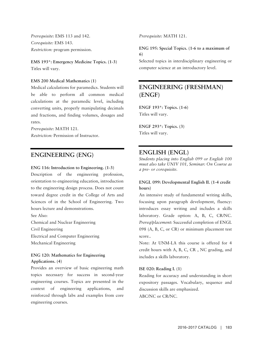*Prerequisite:* EMS 113 and 142. *Corequisite:* EMS 143. *Restriction:* program permission.

**EMS 193\*: Emergency Medicine Topics. (1-3)**  Titles will vary.

#### **EMS 200 Medical Mathematics (1)**

Medical calculations for paramedics. Students will be able to perform all common medical calculations at the paramedic level, including converting units, properly manipulating decimals and fractions, and finding volumes, dosages and rates.

*Prerequisite:* MATH 121*.* 

*Restriction:* Permission of Instructor.

# **ENGINEERING (ENG)**

#### **ENG 116: Introduction to Engineering. (1-3)**

Description of the engineering profession, orientation to engineering education, introduction to the engineering design process. Does not count toward degree credit in the College of Arts and Sciences of in the School of Engineering. Two hours lecture and demonstrations.

See Also:

Chemical and Nuclear Engineering

Civil Engineering

Electrical and Computer Engineering

Mechanical Engineering

# **ENG 120: Mathematics for Engineering Applications. (4)**

Provides an overview of basic engineering math topics necessary for success in second-year engineering courses. Topics are presented in the context of engineering applications, and reinforced through labs and examples from core engineering courses.

*Prerequisite:* MATH 121.

**ENG 195: Special Topics. (1-6 to a maximum of 6)**

Selected topics in interdisciplinary engineering or computer science at an introductory level.

# **ENGINEERING (FRESHMAN) (ENGF)**

**ENGF 193\*: Topics. (1-6)**  Titles will vary.

**ENGF 293\*: Topics. (3)**  Titles will vary.

# **ENGLISH (ENGL)**

*Students placing into English 099 or English 100 must also take UNIV 101, Seminar: On Course as a pre- or corequisite.*

# **ENGL 099: Developmental English II. (1-4 credit hours)**

An intensive study of fundamental writing skills, focusing upon paragraph development, fluency: introduces essay writing and includes a skills laboratory. Grade option: A, B, C, CR/NC. *Prereq/placement*: Successful completion of ENGL 098 (A, B, C, or CR) or minimum placement test score..

Note: At UNM-LA this course is offered for 4 credit hours with A, B, C, CR , NC grading, and includes a skills laboratory.

#### **ISE 020: Reading I. (1)**

Reading for accuracy and understanding in short expository passages. Vocabulary, sequence and discussion skills are emphasized. ABC/NC or CR/NC.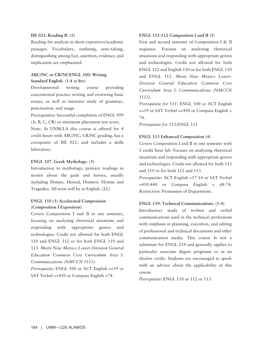#### **ISE 021: Reading II. (1)**

Reading for analysis in short expository/academic passages. Vocabulary, outlining, note-taking, distinguishing among fact, assertion, evidence, and implication are emphasized.

### **ABC/NC or CR/NCENGL 100: Writing Standard English. (1-4 cr hrs)**

Developmental writing course providing concentrated practice writing and reviewing basic essays, as well as intensive study of grammar, punctuation, and usage.

Prerequisites: Successful completion of ENGL 099 (A, B, C, CR) or minimum placement test score.

Note: At UNM-LA this course is offered for 4 credit hours with ABC/NC, CR/NC grading, has a corequisite of ISE 021, and includes a skills laboratory.

#### **ENGL 107. Greek Mythology. (3)**

Introduction to mythology; primary readings in stories about the gods and heroes, usually including Homer, Hesiod, Homeric Hymns and Tragedies. All texts will be in English. (LL)

# **ENGL 110 (3) Accelerated Composition (Composition I Exposition)**

Covers Composition I and II in one semester, focusing on analyzing rhetorical situations and responding with appropriate genres and technologies. Credit not allowed for both ENGL 110 and ENGL 112 or for both ENGL 110 and 113. *Meets New Mexico Lower-Division General Education Common Core Curriculum Area I: Communications (NMCCN 1113).*

*Prerequisite:* ENGL 100 or ACT English =>19 or SAT Verbal =>450 or Compass English >74.

### **ENGL 111-112 Composition I and II (3)**

First and second semester of Composition I & II sequence. Focuses on analyzing rhetorical situations and responding with appropriate genres and technologies. Credit not allowed for both ENGL 112 and English 110 or for both ENGL 110 and ENGL 113. *Meets New Mexico Lower-Division General Education Common Core Curriculum Area I: Communications (NMCCN 1113).* 

*Prerequisite for 111:* ENGL 100 or ACT English =>19 or SAT Verbal =>450 or Compass English > 74.

*Prerequisite for 112:*ENGL 111

### **ENGL 113 Enhanced Composition (4)**

Covers Composition I and II in one semester with 1 credit hour lab. Focuses on analyzing rhetorical situations and responding with appropriate genres and technologies. Credit not allowed for both 113 and 110 or for both 112 and 113

*Prerequisite:* ACT English =17-18 or SAT Verbal  $=410-440$  or Compass English  $= 68-74$ . *Restriction*: Permission of Department.

#### **ENGL 119: Technical Communications. (1-4)**

Introductory study of written and verbal communications used in the technical professions with emphasis in planning, execution, and editing of professional and technical documents and other communication media. This course Is not a substitute for ENGL 219 and generally applies to particular associate degree programs or as an elective credit. Students are encouraged to speak with an advisor about the applicability of this course.

*Prerequisite:* ENGL 110 or 112 or 113.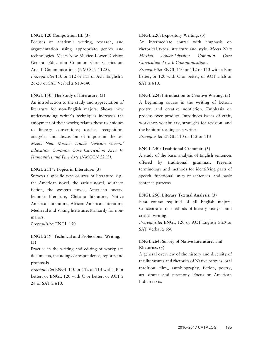#### **ENGL 120 Composition III. (3)**

Focuses on academic writing, research, and argumentation using appropriate genres and technologies. Meets New Mexico Lower-Division General Education Common Core Curriculum Area I: Communications (NMCCN 1123). *Prerequisite:* 110 or 112 or 113 or ACT English ≥ 26-28 or SAT Verbal ≥ 610-640.

#### **ENGL 150: The Study of Literature. (3)**

An introduction to the study and appreciation of literature for non-English majors. Shows how understanding writer's techniques increases the enjoyment of their works; relates these techniques to literary conventions; teaches recognition, analysis, and discussion of important themes. *Meets New Mexico Lower Division General Education Common Core Curriculum Area V: Humanities and Fine Arts (NMCCN 2213).*

### **ENGL 211\*: Topics in Literature. (3)**

Surveys a specific type or area of literature, e.g., the American novel, the satiric novel, southern fiction, the western novel, American poetry, feminist literature, Chicano literature, Native American literature, African-American literature, Medieval and Viking literature. Primarily for nonmajors.

*Prerequisite:* ENGL 150

# **ENGL 219: Technical and Professional Writing. (3)**

Practice in the writing and editing of workplace documents, including correspondence, reports and proposals.

*Prerequisite:* ENGL 110 or 112 or 113 with a B or better, or ENGL 120 with C or better, or ACT  $\ge$ 26 or  $SAT \ge 610$ .

#### **ENGL 220: Expository Writing. (3)**

An intermediate course with emphasis on rhetorical types, structure and style. *Meets New Mexico Lower-Division Common Core Curriculum Area I: Communications.*

*Prerequisite:* ENGL 110 or 112 or 113 with a B or better, or 120 with C or better, or  $ACT \ge 26$  or  $SAT \geq 610$ .

#### **ENGL 224: Introduction to Creative Writing. (3)**

A beginning course in the writing of fiction, poetry, and creative nonfiction. Emphasis on process over product. Introduces issues of craft, workshop vocabulary, strategies for revision, and the habit of reading as a writer.

*Prerequisite:* ENGL 110 or 112 or 113

#### **ENGL 240: Traditional Grammar. (3)**

A study of the basic analysis of English sentences offered by traditional grammar. Presents terminology and methods for identifying parts of speech, functional units of sentences, and basic sentence patterns.

#### **ENGL 250: Literary Textual Analysis. (3)**

First course required of all English majors. Concentrates on methods of literary analysis and critical writing.

*Prerequisite:* ENGL 120 or ACT English ≥ 29 or SAT Verbal  $\geq 650$ 

# **ENGL 264: Survey of Native Literatures and Rhetorics. (3)**

A general overview of the history and diversity of the literatures and rhetorics of Native peoples, oral tradition, film,, autobiography, fiction, poetry, art, drama and ceremony. Focus on American Indian texts.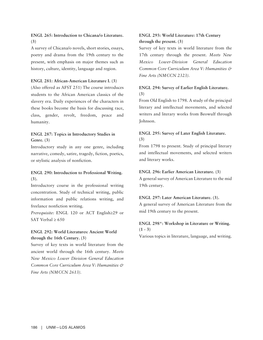# **ENGL 265: Introduction to Chicana/o Literature. (3)**

A survey of Chicana/o novels, short stories, essays, poetry and drama from the 19th century to the present, with emphasis on major themes such as history, culture, identity, language and region.

### **ENGL 281: African-American Literature I. (3)**

(Also offered as AFST 251) The course introduces students to the African American classics of the slavery era. Daily experiences of the characters in these books become the basis for discussing race, class, gender, revolt, freedom, peace and humanity.

# **ENGL 287: Topics in Introductory Studies in Genre. (3)**

Introductory study in any one genre, including narrative, comedy, satire, tragedy, fiction, poetics, or stylistic analysis of nonfiction.

# **ENGL 290: Introduction to Professional Writing. (3).**

Introductory course in the professional writing concentration. Study of technical writing, public information and public relations writing, and freelance nonfiction writing.

*Prerequisite:* ENGL 120 or ACT English≥29 or SAT Verbal  $\geq 650$ 

# **ENGL 292: World Literatures: Ancient World through the 16th Century. (3)**

Survey of key texts in world literature from the ancient world through the 16th century. *Meets New Mexico Lower Division General Education Common Core Curriculum Area V: Humanities & Fine Arts (NMCCN 2613).*

# **ENGL 293: World Literature: 17th Century through the present. (3)**

Survey of key texts in world literature from the 17th century through the present. *Meets New Mexico Lower-Division General Education Common Core Curriculum Area V: Humanities & Fine Arts (NMCCN 2323).*

# **ENGL 294: Survey of Earlier English Literature. (3)**

From Old English to 1798. A study of the principal literary and intellectual movements, and selected writers and literary works from Beowulf through Johnson.

# **ENGL 295: Survey of Later English Literature. (3)**

From 1798 to present. Study of principal literary and intellectual movements, and selected writers and literary works.

### **ENGL 296: Earlier American Literature. (3)**

A general survey of American Literature to the mid 19th century.

#### **ENGL 297: Later American Literature. (3).**

A general survey of American Literature from the mid 19th century to the present.

# **ENGL 298\*: Workshop in Literature or Writing.**   $(1 - 3)$

Various topics in literature, language, and writing.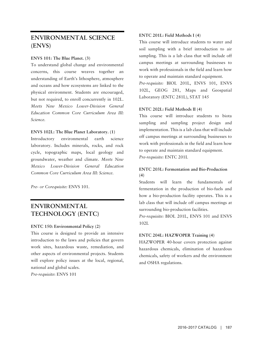# **ENVIRONMENTAL SCIENCE (ENVS)**

### **ENVS 101: The Blue Planet. (3)**

To understand global change and environmental concerns, this course weaves together an understanding of Earth's lithosphere, atmosphere and oceans and how ecosystems are linked to the physical environment. Students are encouraged, but not required, to enroll concurrently in 102L. *Meets New Mexico Lower-Division General Education Common Core Curriculum Area III: Science.*

#### **ENVS 102L: The Blue Planet Laboratory. (1)**

Introductory environmental earth science laboratory. Includes minerals, rocks, and rock cycle, topographic maps, local geology and groundwater, weather and climate. *Meets New Mexico Lower-Division General Education Common Core Curriculum Area III: Science.*

*Pre- or Corequisite:* ENVS 101.

# **ENVIRONMENTAL TECHNOLOGY (ENTC)**

#### **ENTC 150: Environmental Policy (2)**

This course is designed to provide an intensive introduction to the laws and policies that govern work sites, hazardous waste, remediation, and other aspects of environmental projects. Students will explore policy issues at the local, regional, national and global scales.

*Pre-requisite*: ENVS 101

# **ENTC 201L: Field Methods I (4)**

This course will introduce students to water and soil sampling with a brief introduction to air sampling. This is a lab class that will include off campus meetings at surrounding businesses to work with professionals in the field and learn how to operate and maintain standard equipment.

*Pre-requisite:* BIOL 201L, ENVS 101, ENVS 102L, GEOG 281, Maps and Geospatial Laboratory (ENTC 281L), STAT 145

### **ENTC 202L: Field Methods II (4)**

This course will introduce students to biota sampling and sampling project design and implementation. This is a lab class that will include off campus meetings at surrounding businesses to work with professionals in the field and learn how to operate and maintain standard equipment. *Pre-requisite:* ENTC 201L

# **ENTC 203L: Fermentation and Bio-Production (4)**

Students will learn the fundamentals of fermentation in the production of bio-fuels and how a bio-production facility operates. This is a lab class that will include off campus meetings at surrounding bio-production facilities.

*Pre-requisite:* BIOL 201L, ENVS 101 and ENVS 102L

#### **ENTC 204L: HAZWOPER Training (4)**

HAZWOPER 40-hour covers protection against hazardous chemicals, elimination of hazardous chemicals, safety of workers and the environment and OSHA regulations.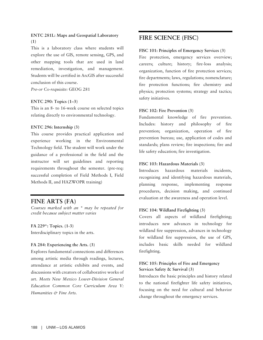# **ENTC 281L: Maps and Geospatial Laboratory (1)**

This is a laboratory class where students will explore the use of GIS, remote sensing, GPS, and other mapping tools that are used in land remediation, investigation, and management. Students will be certified in ArcGIS after successful conclusion of this course.

*Pre-or Co-requisite:* GEOG 281

#### **ENTC 290: Topics (1–3)**

This is an 8- to 16-week course on selected topics relating directly to environmental technology.

#### **ENTC 296: Internship (3)**

This course provides practical application and experience working in the Environmental Technology field. The student will work under the guidance of a professional in the field and the instructor will set guidelines and reporting requirements throughout the semester. (pre-req: successful completion of Field Methods I, Field Methods II, and HAZWOPR training)

# **FINE ARTS (FA)**

*Courses marked with an \* may be repeated for credit because subject matter varies*

**FA 229\*: Topics. (1-3)**  Interdisciplinary topics in the arts.

#### **FA 284: Experiencing the Arts. (3)**

Explores fundamental connections and differences among artistic media through readings, lectures, attendance at artistic exhibits and events, and discussions with creators of collaborative works of art. *Meets New Mexico Lower-Division General Education Common Core Curriculum Area V: Humanities & Fine Arts.*

# **FIRE SCIENCE (FISC)**

#### **FISC 101: Principles of Emergency Services (3)**

Fire protection, emergency services overview; careers; culture; history; fire-loss analysis; organization, function of fire protection services; fire departments; laws, regulations; nomenclature; fire protection functions; fire chemistry and physics; protection systems; strategy and tactics; safety initiatives.

### **FISC 102: Fire Prevention (3)**

Fundamental knowledge of fire prevention. Includes: history and philosophy of fire prevention; organization, operation of fire prevention bureau; use, application of codes and standards; plans review; fire inspections; fire and life safety education; fire investigation.

### **FISC 103: Hazardous Materials (3)**

Introduces hazardous materials incidents, recognizing and identifying hazardous materials, planning response, implementing response procedures, decision making, and continued evaluation at the awareness and operation level.

#### **FISC 104: Wildland Firefighting (3)**

Covers all aspects of wildland firefighting; introduces new advances in technology for wildland fire suppression, advances in technology for wildland fire suppression, the use of GPS, includes basic skills needed for wildland firefighting.

# **FISC 105: Principles of Fire and Emergency Services Safety & Survival (3)**

Introduces the basic principles and history related to the national firefighter life safety initiatives, focusing on the need for cultural and behavior change throughout the emergency services.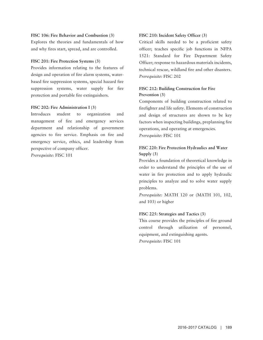# **FISC 106: Fire Behavior and Combustion (3)**

Explores the theories and fundamentals of how and why fires start, spread, and are controlled.

#### **FISC 201: Fire Protection Systems (3)**

Provides information relating to the features of design and operation of fire alarm systems, waterbased fire suppression systems, special hazard fire suppression systems, water supply for fire protection and portable fire extinguishers.

#### **FISC 202: Fire Administration I (3)**

Introduces student to organization and management of fire and emergency services department and relationship of government agencies to fire service. Emphasis on fire and emergency service, ethics, and leadership from perspective of company officer. *Prerequisite:* FISC 101

# **FISC 210: Incident Safety Officer (3)**

Critical skills needed to be a proficient safety officer; teaches specific job functions in NFPA 1521: Standard for Fire Department Safety Officer; response to hazardous materials incidents, technical rescue, wildland fire and other disasters. *Prerequisite:* FISC 202

# **FISC 212: Building Construction for Fire Prevention (3)**

Components of building construction related to firefighter and life safety. Elements of construction and design of structures are shown to be key factors when inspecting buildings, preplanning fire operations, and operating at emergencies. *Prerequisite:* FISC 101

# **FISC 220: Fire Protection Hydraulics and Water Supply (3)**

Provides a foundation of theoretical knowledge in order to understand the principles of the use of water in fire protection and to apply hydraulic principles to analyze and to solve water supply problems.

*Prerequisite:* MATH 120 or (MATH 101, 102, and 103) or higher

#### **FISC 225: Strategies and Tactics (3)**

This course provides the principles of fire ground control through utilization of personnel, equipment, and extinguishing agents. *Prerequisite:* FISC 101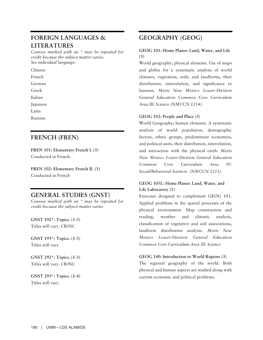# **FOREIGN LANGUAGES & LITERATURES**

*Courses marked with an \* may be repeated for credit because the subject matter varies. See individual language:*

Chinese

French

German

Greek

Italian Japanese

Latin

Russian

# **FRENCH (FREN)**

**FREN 101: Elementary French I. (3)** Conducted in French.

**FREN 102: Elementary French II. (3)** Conducted in French

# **GENERAL STUDIES (GNST)**

*Courses marked with an \* may be repeated for credit because the subject matter varies*

**GNST 192\*: Topics. (1-3)**  Titles will vary. CR/NC

**GNST 193\*: Topics. (1-3)** Titles will vary.

**GNST 292\*: Topics. (1-3)**  Titles will vary. CR/NC

**GNST 293\*: Topics. (1-4)** Titles will vary.

# **GEOGRAPHY (GEOG)**

# **GEOG 101: Home Planet: Land, Water, and Life (3)**

World geography; physical elements. Use of maps and globes for a systematic analysis of world climates, vegetation, soils, and landforms, their distribution, interrelation, and significance to humans. *Meets New Mexico Lower-Division General Education Common Core Curriculum Area III: Science (NMCCN 1214).*

# **GEOG 102: People and Place (3)**

World Geography; human elements. A systematic analysis of world population, demographic factors, ethnic groups, predominant economies, and political units, their distribution, interrelation, and interaction with the physical earth. *Meets New Mexico Lower-Division General Education Common Core Curriculum Area IV: Social/Behavioral Sciences (NMCCN 1213).*

# **GEOG 105L: Home Planet: Land, Water, and Life Laboratory (1)**

Exercises designed to complement GEOG 101. Applied problems in the spatial processes of the physical environment. Map construction and reading, weather and climatic analysis, classification of vegetative and soil associations, landform distribution analysis. *Meets New Mexico Lower-Division General Education Common Core Curriculum Area III: Science*

# **GEOG 140: Introduction to World Regions (3)**

The regional geography of the world. Both physical and human aspects are studied along with current economic and political problems.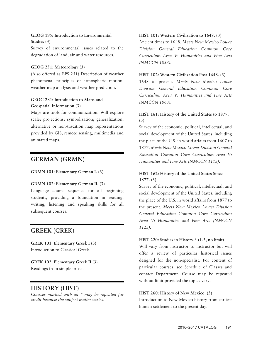# **GEOG 195: Introduction to Environmental Studies (3)**

Survey of environmental issues related to the degradation of land, air and water resources.

#### **GEOG 251: Meteorology (3)**

(Also offered as EPS 251) Description of weather phenomena, principles of atmospheric motion, weather map analysis and weather prediction.

# **GEOG 281: Introduction to Maps and Geospatial Information (3)**

Maps are tools for communication. Will explore scale; projections; symbolization; generalization; alternative or non-tradition map representations provided by GIS, remote sensing, multimedia and animated maps.

# **GERMAN (GRMN)**

#### **GRMN 101: Elementary German I. (3)**

#### **GRMN 102: Elementary German II. (3)**

Language course sequence for all beginning students, providing a foundation in reading, writing, listening and speaking skills for all subsequent courses.

# **GREEK (GREK)**

**GREK 101: Elementary Greek I (3)** Introduction to Classical Greek.

**GREK 102: Elementary Greek II (3)** Readings from simple prose.

# **HISTORY (HIST)**

*Courses marked with an \* may be repeated for credit because the subject matter varies.*

### **HIST 101: Western Civilization to 1648. (3)**

Ancient times to 1648. *Meets New Mexico Lower Division General Education Common Core Curriculum Area V: Humanities and Fine Arts (NMCCN 1053).*

#### **HIST 102: Western Civilization Post 1648. (3)**

1648 to present. *Meets New Mexico Lower Division General Education Common Core Curriculum Area V: Humanities and Fine Arts (NMCCN 1063).*

# **HIST 161: History of the United States to 1877. (3)**

Survey of the economic, political, intellectual, and social development of the United States, including the place of the U.S. in world affairs from 1607 to 1877. *Meets New Mexico Lower Division General Education Common Core Curriculum Area V: Humanities and Fine Arts (NMCCN 1113).*

# **HIST 162: History of the United States Since 1877. (3)**

Survey of the economic, political, intellectual, and social development of the United States, including the place of the U.S. in world affairs from 1877 to the present. *Meets New Mexico Lower Division General Education Common Core Curriculum Area V: Humanities and Fine Arts (NMCCN 1123).*

### **HIST 220: Studies in History.\* (1-3, no limit)**

Will vary from instructor to instructor but will offer a review of particular historical issues designed for the non-specialist. For content of particular courses, see Schedule of Classes and contact Department. Course may be repeated without limit provided the topics vary.

#### **HIST 260: History of New Mexico. (3)**

Introduction to New Mexico history from earliest human settlement to the present day.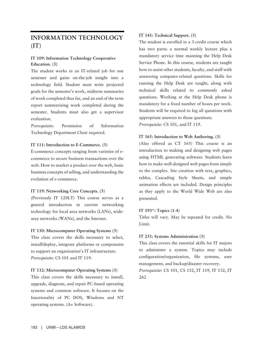# **INFORMATION TECHNOLOGY (IT)**

# **IT 109: Information Technology Cooperative Education. (3)**

The student works in an IT-related job for one semester and gains on-the-job insight into a technology field. Student must write projected goals for the semester's work, midterm summaries of work completed thus far, and an end of the term report summarizing work completed during the semester. Students must also get a supervisor evaluation.

*Prerequisite:* Permission of Information Technology Department Chair required.

#### **IT 111: Introduction to E-Commerce. (3)**

E-commerce concepts ranging from varieties of ecommerce to secure business transactions over the web. How to market a product over the web, basic business concepts of selling, and understanding the evolution of e-commerce.

# **IT 119: Networking Core Concepts. (3)**

(Previously IT 120LT) This course serves as a general introduction in current networking technology for local area networks (LANs), widearea networks (WANs), and the Internet.

# **IT 130: Microcomputer Operating Systems (3)**

This class covers the skills necessary to select, install/deploy, integrate platforms or components to support an organization's IT infrastructure. *Prerequisite:* CS 101 and IT 119.

# **IT 132: Microcomputer Operating Systems (3)**

This class covers the skills necessary to install, upgrade, diagnose, and repair PC-based operating systems and common software. It focuses on the functionality of PC DOS, Windows and NT operating systems. (A+ Software).

# **IT 141: Technical Support. (3)**

The student is enrolled in a 3-credit course which has two parts: a normal weekly lecture plus a mandatory service time manning the Help Desk Service Phone. In this course, students are taught how to assist other students, faculty, and staff with answering computer-related questions. Skills for running the Help Desk are taught, along with technical skills related to commonly asked questions. Working at the Help Desk phone is mandatory for a fixed number of hours per week. Students will be required to log all questions with appropriate answers to those questions. *Prerequisite:* CS 101, and IT 119.

# **IT 165: Introduction to Web Authoring. (3)**

(Also offered as CT 165) This course is an introduction to making and designing web pages using HTML generating software. Students learn how to make well-designed web pages from simple to the complex. Site creation with text, graphics, tables, Cascading Style Sheets, and simple animation effects are included. Design principles as they apply to the World Wide Web are also presented.

# **IT 193\*: Topics (1-4)**

Titles will vary. May be repeated for credit. No Limit.

# **IT 231: Systems Administration (3)**

This class covers the essential skills for IT majors to administer a system. Topics may include configuration/organization, file systems, user management, and backup/disaster recovery.

*Prerequisite:* CS 101, CS 152, IT 119, IT 132, IT 262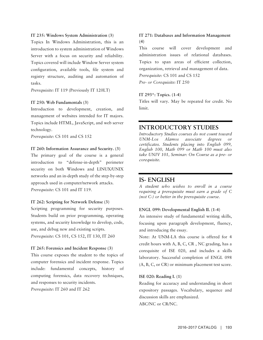#### **IT 235: Windows System Administration (3)**

Topics In Windows Administration, this is an introduction to system administration of Windows Server with a focus on security and reliability. Topics covered will include Window Server system configuration, available tools, file system and registry structure, auditing and automation of tasks.

*Prerequisite:* IT 119 (Previously IT 120LT)

#### **IT 250: Web Fundamentals (3)**

Introduction to development, creation, and management of websites intended for IT majors. Topics include HTML, JavaScript, and web server technology.

*Prerequisite:* CS 101 and CS 152

#### **IT 260: Information Assurance and Security. (3)**

The primary goal of the course is a general introduction to "defense-in-depth" perimeter security on both Windows and LINUX/UNIX networks and an in-depth study of the step-by-step approach used in computer/network attacks. *Prerequisite:* CS 101 and IT 119.

#### **IT 262: Scripting for Network Defense (3)**

Scripting programming for security purposes. Students build on prior programming, operating systems, and security knowledge to develop, code, use, and debug new and existing scripts.

*Prerequisite:* CS 101, CS 152, IT 130, IT 260

#### **IT 265: Forensics and Incident Response (3)**

This course exposes the student to the topics of computer forensics and incident response. Topics include: fundamental concepts, history of computing forensics, data recovery techniques, and responses to security incidents. *Prerequisite:* IT 260 and IT 262

# **IT 271: Databases and Information Management (4)**

This course will cover development and administration issues of relational databases. Topics to span areas of efficient collection, organization, retrieval and management of data. *Prerequisite:* CS 101 and CS 152 *Pre- or Corequisite:* IT 250

#### **IT 293\*: Topics. (1-4)**

Titles will vary. May be repeated for credit. No limit.

# **INTRODUCTORY STUDIES**

*Introductory Studies courses do not count toward UNM-Los Alamos associate degrees or certificates. Students placing into English 099, English 100, Math 099 or Math 100 must also take UNIV 101, Seminar: On Course as a pre- or corequisite.*

# **IS- ENGLISH**

*A student who wishes to enroll in a course requiring a prerequisite must earn a grade of C (not C-) or better in the prerequisite course.*

#### **ENGL 099: Developmental English II. (1-4)**

An intensive study of fundamental writing skills, focusing upon paragraph development, fluency, and introducing the essay.

Note: At UNM-LA this course is offered for 4 credit hours with A, B, C, CR , NC grading, has a corequisite of ISE 020, and includes a skills laboratory. Successful completion of ENGL 098 (A, B, C, or CR) or minimum placement test score.

#### **ISE 020: Reading I. (1)**

Reading for accuracy and understanding in short expository passages. Vocabulary, sequence and discussion skills are emphasized. ABC/NC or CR/NC.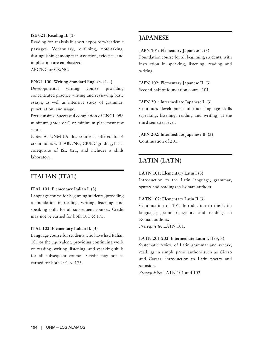#### **ISE 021: Reading II. (1)**

Reading for analysis in short expository/academic passages. Vocabulary, outlining, note-taking, distinguishing among fact, assertion, evidence, and implication are emphasized. ABC/NC or CR/NC.

#### **ENGL 100: Writing Standard English. (1-4)**

Developmental writing course providing concentrated practice writing and reviewing basic essays, as well as intensive study of grammar, punctuation, and usage.

Prerequisites: Successful completion of ENGL 098 minimum grade of C or minimum placement test score.

Note: At UNM-LA this course is offered for 4 credit hours with ABC/NC, CR/NC grading, has a corequisite of ISE 021, and includes a skills laboratory.

# **ITALIAN (ITAL)**

#### **ITAL 101: Elementary Italian I. (3)**

Language course for beginning students, providing a foundation in reading, writing, listening, and speaking skills for all subsequent courses. Credit may not be earned for both 101 & 175.

#### **ITAL 102: Elementary Italian II. (3)**

Language course for students who have had Italian 101 or the equivalent, providing continuing work on reading, writing, listening, and speaking skills for all subsequent courses. Credit may not be earned for both 101 & 175.

# **JAPANESE**

#### **JAPN 101: Elementary Japanese I. (3)**

Foundation course for all beginning students, with instruction in speaking, listening, reading and writing.

**JAPN 102: Elementary Japanese II. (3)** Second half of foundation course 101.

#### **JAPN 201: Intermediate Japanese I. (3)**

Continues development of four language skills (speaking, listening, reading and writing) at the third semester level.

**JAPN 202: Intermediate Japanese II. (3)** Continuation of 201.

# **LATIN (LATN)**

#### **LATN 101: Elementary Latin I (3)**

Introduction to the Latin language; grammar, syntax and readings in Roman authors.

#### **LATN 102: Elementary Latin II (3)**

Continuation of 101. Introduction to the Latin language; grammar, syntax and readings in Roman authors.

*Prerequisite:* LATN 101.

#### **LATN 201-202: Intermediate Latin I, II (3, 3)**

Systematic review of Latin grammar and syntax; readings in simple prose authors such as Cicero and Caesar; introduction to Latin poetry and scansion.

*Prerequisite:* LATN 101 and 102.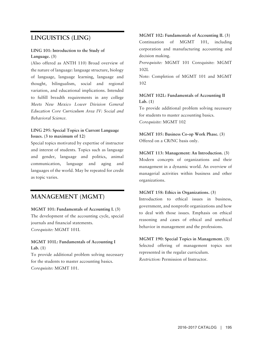# **LINGUISTICS (LING)**

# **LING 101: Introduction to the Study of Language. (3)**

(Also offered as ANTH 110) Broad overview of the nature of language: language structure, biology of language, language learning, language and thought, bilingualism, social and regional variation, and educational implications. Intended to fulfill breadth requirements in any college *Meets New Mexico Lower Division General Education Core Curriculum Area IV: Social and Behavioral Science.*

# **LING 295: Special Topics in Current Language Issues. (3 to maximum of 12)**

Special topics motivated by expertise of instructor and interest of students. Topics such as language and gender, language and politics, animal communication, language and aging and languages of the world. May be repeated for credit as topic varies.

# **MANAGEMENT (MGMT)**

**MGMT 101: Fundamentals of Accounting I. (3)**  The development of the accounting cycle, special journals and financial statements. *Corequisite:* MGMT 101L

# **MGMT 101L: Fundamentals of Accounting I Lab. (1)**

To provide additional problem solving necessary for the students to master accounting basics. *Corequisite:* MGMT 101.

# **MGMT 102: Fundamentals of Accounting II. (3)** Continuation of MGMT 101, including corporation and manufacturing accounting and decision making.

*Prerequisite:* MGMT 101 Corequisite: MGMT 102L

Note: Completion of MGMT 101 and MGMT 102

**MGMT 102L: Fundamentals of Accounting II Lab. (1)**

To provide additional problem solving necessary for students to master accounting basics. *Corequisite:* MGMT 102

**MGMT 105: Business Co-op Work Phase. (3)** Offered on a CR/NC basis only.

**MGMT 113: Management: An Introduction. (3)** Modern concepts of organizations and their management in a dynamic world. An overview of managerial activities within business and other organizations.

#### **MGMT 158: Ethics in Organizations. (3)**

Introduction to ethical issues in business, government, and nonprofit organizations and how to deal with those issues. Emphasis on ethical reasoning and cases of ethical and unethical behavior in management and the professions.

**MGMT 190: Special Topics in Management. (3)**  Selected offering of management topics not represented in the regular curriculum. *Restriction:* Permission of Instructor.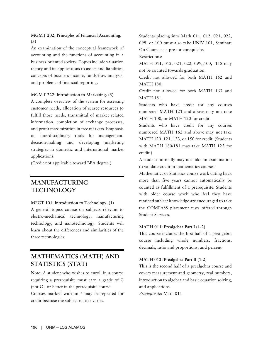**MGMT 202: Principles of Financial Accounting. (3)**

An examination of the conceptual framework of accounting and the functions of accounting in a business-oriented society. Topics include valuation theory and its applications to assets and liabilities, concepts of business income, funds-flow analysis, and problems of financial reporting.

#### **MGMT 222: Introduction to Marketing. (3)**

A complete overview of the system for assessing customer needs, allocation of scarce resources to fulfill those needs, transmittal of market related information, completion of exchange processes, and profit maximization in free markets. Emphasis on interdisciplinary tools for management, decision-making and developing marketing strategies in domestic and international market applications.

(Credit not applicable toward BBA degree.)

# **MANUFACTURING TECHNOLOGY**

#### **MFGT 101: Introduction to Technology. (1)**

A general topics course on subjects relevant to electro-mechanical technology, manufacturing technology, and nanotechnology. Students will learn about the differences and similarities of the three technologies.

# **MATHEMATICS (MATH) AND STATISTICS (STAT)**

Note: A student who wishes to enroll in a course requiring a prerequisite must earn a grade of C (not C-) or better in the prerequisite course. Courses marked with an \* may be repeated for credit because the subject matter varies.

Students placing into Math 011, 012, 021, 022, 099, or 100 must also take UNIV 101, Seminar: On Course as a pre- or corequisite.

Restrictions:

MATH 011, 012, 021, 022, 099,,100, 118 may not be counted towards graduation.

Credit not allowed for both MATH 162 and MATH 180.

Credit not allowed for both MATH 163 and MATH 181.

Students who have credit for any courses numbered MATH 121 and above may not take MATH 100, or MATH 120 for credit.

Students who have credit for any courses numbered MATH 162 and above may not take MATH 120, 121, 123, or 150 for credit. (Students with MATH 180/181 may take MATH 123 for credit.)

A student normally may not take an examination to validate credit in mathematics courses.

Mathematics or Statistics course work dating back more than five years cannot automatically be counted as fulfillment of a prerequisite. Students with older course work who feel they have retained subject knowledge are encouraged to take the COMPASS placement tests offered through Student Services.

### **MATH 011: Prealgebra Part I (1-2)**

This course includes the first half of a prealgebra course including whole numbers, fractions, decimals, ratio and proportions, and percent

#### **MATH 012: Prealgebra Part II (1-2)**

This is the second half of a prealgebra course and covers measurement and geometry, real numbers, introduction to algebra and basic equation solving, and applications.

*Prerequisite:* Math 011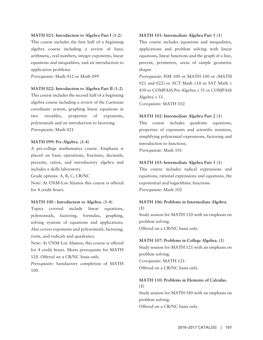#### **MATH 021: Introduction to Algebra Part I (1-2)**

This course includes the first half of a beginning algebra course including a review of basic arithmetic, real numbers, integer exponents, linear equations and inequalities, and an introduction to application problems.

*Prerequisite:* Math 012 or Math 099

#### **MATH 022: Introduction to Algebra Part II (1-2)**

This course includes the second half of a beginning algebra course including a review of the Cartesian coordinate system, graphing linear equations in two variables, properties of exponents, polynomials and an introduction to factoring. *Prerequisite:* Math 021

#### **MATH 099: Pre-Algebra. (1-4)**

A pre-college mathematics course. Emphasis is placed on basic operations, fractions, decimals, percents, ratios, and introductory algebra and includes a skills laboratory.

Grade options: A, B, C, CR/NC

Note: At UNM-Los Alamos this course is offered for 4 credit hours.

#### **MATH 100 : Introduction to Algebra. (1-4)**

Topics covered include linear equations, polynomials, factoring, formulas, graphing, solving systems of equations and applications. Also covers exponents and polynomials, factoring, roots, and radicals and quadratics.

Note: At UNM-Los Alamos, this course is offered for 4 credit hours. Meets prerequisite for MATH 120. Offered on a CR/NC basis only.

*Prerequisite:* Satisfactory completion of MATH 100.

### **MATH 101: Intermediate Algebra Part 1 (1)**

This course includes equations and inequalities, applications and problem solving with linear equations, linear functions and the graph of a line, percent, perimeters, areas of simple geometric shapes

*Prerequisite:* ISM 100 or MATH 100 or (MATH 021 and 022) or ACT Math ≥18 or SAT Math ≥ 430 or COMPASS Pre-Algebra ≥ 51 or COMPASS Algebra  $\geq 51$ . *Corequisite:* MATH 102

#### **MATH 102: Intermediate Algebra Part 2 (1)**

This course includes quadratic equations, properties of exponents and scientific notation, simplifying polynomial expressions, factoring and introduction to functions. *Prerequisite:* Math 101

#### **MATH 103: Intermediate Algebra Part 3 (1)**

This course includes radical expressions and equations, rational expressions and equations, the exponential and logarithmic functions. *Prerequisite:* Math 102

#### **MATH 106: Problems in Intermediate Algebra. (1)**

Study session for MATH 120 with an emphasis on problem solving.

Offered on a CR/NC basis only.

#### **MATH 107: Problems in College Algebra. (1)**

Study session for MATH 121 with an emphasis on problem solving. *Corequisite:* MATH 121. Offered on a CR/NC basis only.

**MATH 110: Problems in Elements of Calculus. (1)** Study session for MATH 180 with an emphasis on problem solving.

Offered on a CR/NC basis only.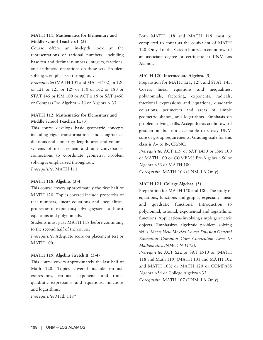# **MATH 111: Mathematics for Elementary and Middle School Teachers I. (3)**

Course offers an in-depth look at the representations of rational numbers, including base-ten and decimal numbers, integers, fractions, and arithmetic operations on these sets. Problem solving is emphasized throughout.

*Prerequisite:* (MATH 101 and MATH 102) or 120 or 121 or 123 or 129 or 150 or 162 or 180 or STAT 145 or ISM 100 or ACT  $\geq$  19 or SAT  $\geq$ 450 or Compass Pre-Algebra > 56 or Algebra > 33

# **MATH 112: Mathematics for Elementary and Middle School Teachers II. (3)**

This course develops basic geometric concepts including rigid transformations and congruence; dilations and similarity; length, area and volume; systems of measurement and unit conversions; connections to coordinate geometry. Problem solving is emphasized throughout.

*Prerequisite:* MATH 111.

#### **MATH 118: Algebra. (3-4)**

This course covers approximately the first half of MATH 120. Topics covered include properties of real numbers, linear equations and inequalities; properties of exponents; solving systems of linear equations and polynomials.

Students must pass MATH 118 before continuing to the second half of the course.

*Prerequisite:* Adequate score on placement test or MATH 100.

#### **MATH 119: Algebra Stretch II. (3-4)**

This course covers approximately the last half of Math 120. Topics covered include rational expressions, rational exponents and roots, quadratic expressions and equations, functions and logarithms.

*Prerequisite:* Math 118\*

Both MATH 118 and MATH 119 must be completed to count as the equivalent of MATH 120. Only 4 of the 8 credit hours can count toward an associate degree or certificate at UNM-Los Alamos.

#### **MATH 120: Intermediate Algebra. (3)**

Preparation for MATH 121, 129, and STAT 145. Covers linear equations and inequalities, polynomials, factoring, exponents, radicals, fractional expressions and equations, quadratic equations, perimeters and areas of simple geometric shapes, and logarithms. Emphasis on problem solving skills. Acceptable as credit toward graduation, but not acceptable to satisfy UNM core or group requirements. Grading scale for this class is A+ to B-, CR/NC.

*Prerequisite:* ACT ≥19 or SAT ≥450 or ISM 100 or MATH 100 or COMPASS Pre-Algebra >56 or Algebra >33 or MATH 100.

*Corequisite:* MATH 106 (UNM–LA Only)

#### **MATH 121: College Algebra. (3)**

Preparation for MATH 150 and 180. The study of equations, functions and graphs, especially linear and quadratic functions. Introduction to polynomial, rational, exponential and logarithmic functions. Applications involving simple geometric objects. Emphasizes algebraic problem solving skills. *Meets New Mexico Lower Division General Education Common Core Curriculum Area II: Mathematics (NMCCN 1113).*

*Prerequisite:* ACT ≥22 or SAT ≥510 or (MATH 118 and Math 119) (MATH 101 and MATH 102 and MATH 103) or MATH 120 or COMPASS Algebra >54 or College Algebra >33.

*Corequisite:* MATH 107 (UNM–LA Only)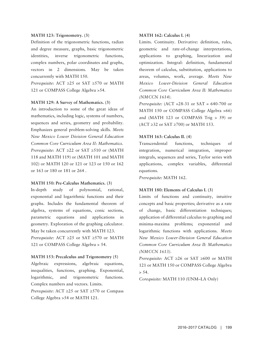#### **MATH 123: Trigonometry. (3)**

Definition of the trigonometric functions, radian and degree measure, graphs, basic trigonometric identities, inverse trigonometric functions, complex numbers, polar coordinates and graphs, vectors in 2 dimensions. May be taken concurrently with MATH 150.

*Prerequisite:* ACT ≥25 or SAT ≥570 or MATH 121 or COMPASS College Algebra >54.

#### **MATH 129: A Survey of Mathematics. (3)**

An introduction to some of the great ideas of mathematics, including logic, systems of numbers, sequences and series, geometry and probability. Emphasizes general problem-solving skills. *Meets New Mexico Lower Division General Education Common Core Curriculum Area II: Mathematics. Prerequisite:* ACT ≥22 or SAT ≥510 or (MATH 118 and MATH 119) or (MATH 101 and MATH 102) or MATH 120 or 121 or 123 or 150 or 162 or 163 or 180 or 181 or 264 .

#### **MATH 150: Pre-Calculus Mathematics. (3)**

In-depth study of polynomial, rational, exponential and logarithmic functions and their graphs. Includes the fundamental theorem of algebra, systems of equations, conic sections, parametric equations and applications in geometry. Exploration of the graphing calculator. May be taken concurrently with MATH 123. *Prerequisite:* ACT ≥25 or SAT ≥570 or MATH 121 or COMPASS College Algebra > 54.

#### **MATH 153: Precalculus and Trigonometry (5)**

Algebraic expressions, algebraic equations, inequalities, functions, graphing. Exponential, logarithmic, and trigonometric functions. Complex numbers and vectors. Limits. *Prerequisite*: ACT ≥25 or SAT ≥570 or Compass College Algebra >54 or MATH 121.

# **MATH 162: Calculus I. (4)**

Limits. Continuity. Derivative: definition, rules, geometric and rate-of-change interpretations, applications to graphing, linearization and optimization. Integral: definition, fundamental theorem of calculus, substitution, applications to areas, volumes, work, average. *Meets New Mexico Lower-Division General Education Common Core Curriculum Area II: Mathematics (NMCCN 1614).*

*Prerequisite:* (ACT =28-31 or SAT = 640-700 or MATH 150 or COMPASS College Algebra >66) and (MATH 123 or COMPASS Trig > 59) or (ACT ≥32 or SAT ≥700) or MATH 153.

#### **MATH 163: Calculus II. (4)**

Transcendental functions, techniques of integration, numerical integration, improper integrals, sequences and series, Taylor series with applications, complex variables, differential equations.

*Prerequisite:* MATH 162.

#### **MATH 180: Elements of Calculus I. (3)**

Limits of functions and continuity, intuitive concepts and basic properties; derivative as a rate of change, basic differentiation techniques; application of differential calculus to graphing and minima-maxima problems; exponential and logarithmic functions with applications. *Meets New Mexico Lower-Division General Education Common Core Curriculum Area II: Mathematics (NMCCN 1613).*

*Prerequisite:* ACT ≥26 or SAT ≥600 or MATH 121 or MATH 150 or COMPASS College Algebra  $> 54.$ 

*Corequisite:* MATH 110 (UNM–LA Only)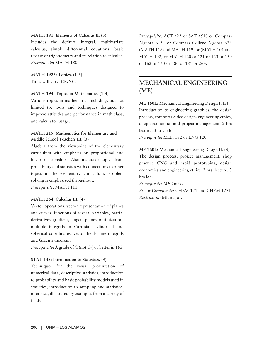#### **MATH 181: Elements of Calculus II. (3)**

Includes the definite integral, multivariate calculus, simple differential equations, basic review of trigonometry and its relation to calculus. *Prerequisite:* MATH 180

# **MATH 192\*: Topics. (1-3)**  Titles will vary. CR/NC.

#### **MATH 193: Topics in Mathematics (1-3)**

Various topics in mathematics including, but not limited to, tools and techniques designed to improve attitudes and performance in math class, and calculator usage.

### **MATH 215: Mathematics for Elementary and Middle School Teachers III. (3)**

Algebra from the viewpoint of the elementary curriculum with emphasis on proportional and linear relationships. Also included: topics from probability and statistics with connections to other topics in the elementary curriculum. Problem solving is emphasized throughout.

*Prerequisite:* MATH 111.

#### **MATH 264: Calculus III. (4)**

Vector operations, vector representation of planes and curves, functions of several variables, partial derivatives, gradient, tangent planes, optimization, multiple integrals in Cartesian cylindrical and spherical coordinates, vector fields, line integrals and Green's theorem.

*Prerequisite:* A grade of C (not C-) or better in 163.

#### **STAT 145: Introduction to Statistics. (3)**

Techniques for the visual presentation of numerical data, descriptive statistics, introduction to probability and basic probability models used in statistics, introduction to sampling and statistical inference, illustrated by examples from a variety of fields.

*Prerequisite:* ACT ≥22 or SAT ≥510 or Compass Algebra > 54 or Compass College Algebra >33 (MATH 118 and MATH 119) or (MATH 101 and MATH 102) or MATH 120 or 121 or 123 or 150 or 162 or 163 or 180 or 181 or 264.

# **MECHANICAL ENGINEERING (ME)**

**ME 160L: Mechanical Engineering Design I. (3)** Introduction to engineering graphics, the design process, computer aided design, engineering ethics, design economics and project management. 2 hrs lecture, 3 hrs. lab.

*Prerequisite:* Math 162 or ENG 120

#### **ME 260L: Mechanical Engineering Design II. (3)**

The design process, project management, shop practice CNC and rapid prototyping, design economics and engineering ethics. 2 hrs. lecture, 3 hrs lab.

*Prerequisite: ME 160 L*

*Pre or Corequisite:* CHEM 121 and CHEM 123L *Restriction:* ME major.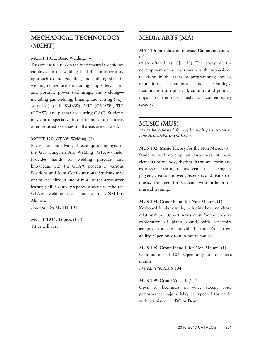# **MECHANICAL TECHNOLOGY (MCHT)**

### **MCHT 101L: Basic Welding. (4)**

This course focuses on the fundamental techniques employed in the welding field. It is a laboratory approach to understanding and building skills in welding related areas including shop safety, hand and portable power tool usage, and welding including gas welding, brazing and cutting (oxyacetylene), stick (SMAW), MIG (GMAW), TIG (GTAW), and plasma arc cutting (PAC). Students may opt to specialize in one or more of the areas after required exercises in all areas are satisfied.

#### **MCHT 120: GTAW Welding. (3)**

Focuses on the advanced techniques employed in the Gas Tungsten Arc Welding (GTAW) field. Provides hands on welding practice and knowledge with the GTAW process in various Positions and Joint Configurations. Students may opt to specialize in one or more of the areas after learning all. Course prepares student to take the GTAW welding tests outside of UNM-Los Alamos.

*Prerequisite:* MCHT 101L

**MCHT 193\*: Topics. (1-3)** Titles will vary.

# **MEDIA ARTS (MA)**

# **MA 110: Introduction to Mass Communication. (3)**

(Also offered as CJ 110) The study of the development of the mass media with emphasis on television in the areas of programming, policy, regulations, economics and technology. Examination of the social, cultural, and political impact of the mass media on contemporary society.

# **MUSIC (MUS)**

*\*May be repeated for credit with permission of Fine Arts Department Chair.*

**MUS 102: Music Theory for the Non Major. (3)**  Students will develop an awareness of basic elements of melody, rhythm, harmony, form and expression through involvement as singers, players, creators, movers, listeners, and readers of music. Designed for students with little or no musical training.

### **MUS 104: Group Piano for Non-Majors. (1)**

Keyboard fundamentals, including key and chord relationships. Opportunities exist for the creative exploration of piano sound, with repertoire assigned for the individual student's current ability. Open only to non-music majors.

#### **MUS 105: Group Piano II for Non-Majors. (1)**

Continuation of 104. Open only to non-music majors

*Prerequisite:* MUS 104

#### **MUS 109: Group Voice I. (1) \***

Open to beginners in voice except voice performance majors. May be repeated for credit with permission of DC or Dean.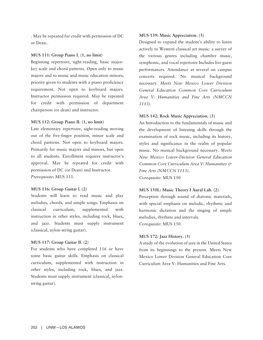. May be repeated for credit with permission of DC or Dean..

#### **MUS 111: Group Piano I. (1, no limit)**

Beginning repertoire, sight-reading, basic majorkey scale and chord patterns. Open only to music majors and to music and music education minors; priority given to students with a piano proficiency requirement. Not open to keyboard majors. Instructor permission required. May be repeated for credit with permission of department chairperson (or dean) and instructor.

#### **MUS 112: Group Piano II. (1, no limit)**

Late elementary repertoire, sight-reading moving out of the five-finger position, minor scale and chord patterns. Not open to keyboard majors. Primarily for music majors and minors, but open to all students. Enrollment requires instructor's approval. May be repeated for credit with permission of DC (or Dean) and Instructor. *Prerequisite:* MUS 111.

#### **MUS 116: Group Guitar l. (2)**

Students will learn to read music and play melodies, chords, and simple songs. Emphasis on classical curriculum, supplemented with instruction in other styles, including rock, blues, and jazz. Students must supply instrument (classical, nylon-string guitar).

#### **MUS 117: Group Guitar II. (2)**

For students who have completed 116 or have some basic guitar skills. Emphasis on classical curriculum, supplemented with instruction in other styles, including rock, blues, and jazz. Students must supply instrument (classical, nylonstring guitar).

### **MUS 139: Music Appreciation. (3)**

Designed to expand the student's ability to listen actively to Western classical art music: a survey of the various genres including chamber music, symphonic, and vocal repertoire Includes live guest performances. Attendance at several on campus concerts required. No musical background necessary. *Meets New Mexico Lower Division General Education Common Core Curriculum Area V: Humanities and Fine Arts (NMCCN 1113).*

# **MUS 142: Rock Music Appreciation. (3)**

An Introduction to the fundamentals of music and the development of listening skills through the examination of rock music, including its history, styles and significance in the realm of popular music. No musical background necessary. *Meets New Mexico Lower-Division General Education Common Core Curriculum Area V: Humanities & Fine Arts (NMCCN 1113). Corequisite:* MUS 150

#### **MUS 150L: Music Theory I Aural Lab. (2)**

Perception through sound of diatonic materials, with special emphasis on melodic, rhythmic and harmonic dictation and the singing of simple melodies, rhythms and intervals. *Corequisite:* MUS 150.

#### **MUS 172: Jazz History. (3)**

A study of the evolution of jazz in the United States from its beginnings to the present. Meets New Mexico Lower Division General Education Core Curriculum Area V: Humanities and Fine Arts.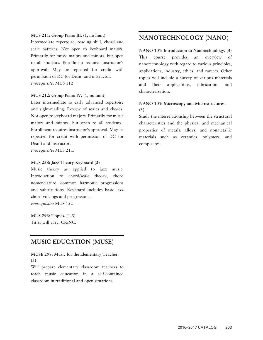#### **MUS 211: Group Piano III. (1, no limit)**

Intermediate repertoire, reading skill, chord and scale patterns. Not open to keyboard majors. Primarily for music majors and minors, but open to all students. Enrollment requires instructor's approval. May be repeated for credit with permission of DC (or Dean) and instructor. *Prerequisite:* MUS 112

#### **MUS 212: Group Piano IV. (1, no limit)**

Later intermediate to early advanced repertoire and sight-reading. Review of scales and chords. Not open to keyboard majors. Primarily for music majors and minors, but open to all students.. Enrollment requires instructor's approval. May be repeated for credit with permission of DC (or Dean) and instructor.

*Prerequisite:* MUS 211.

#### **MUS 238: Jazz Theory-Keyboard (2)**

Music theory as applied to jazz music. Introduction to chord/scale theory, chord nomenclature, common harmonic progressions and substitutions. Keyboard includes basic jazz chord voicings and progressions. *Prerequisite:* MUS 152

**MUS 293: Topics. (1-3)**  Titles will vary. CR/NC.

# **MUSIC EDUCATION (MUSE)**

**MUSE 298: Music for the Elementary Teacher. (3)** 

Will prepare elementary classroom teachers to teach music education in a self-contained classroom in traditional and open situations.

# **NANOTECHNOLOGY (NANO)**

**NANO 101: Introduction to Nanotechnology. (3)** This course provides an overview of nanotechnology with regard to various principles, applications, industry, ethics, and careers. Other topics will include a survey of various materials and their applications, fabrication, and characterization.

# **NANO 105: Microscopy and Microstructures. (3)**

Study the interrelationship between the structural characteristics and the physical and mechanical properties of metals, alloys, and nonmetallic materials such as ceramics, polymers, and composites.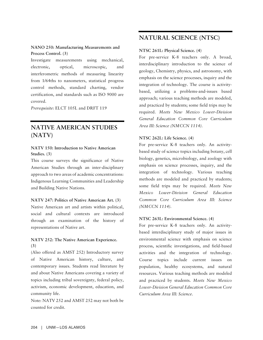# **NANO 250: Manufacturing Measurements and Process Control. (3)**

Investigate measurements using mechanical, electronic, optical, microscopic, and interferometric methods of measuring linearity from 1/64ths to nanometers, statistical progress control methods, standard charting, vendor certification, and standards such as ISO 9000 are covered.

*Prerequisite:* ELCT 105L and DRFT 119

# **NATIVE AMERICAN STUDIES (NATV)**

# **NATV 150: Introduction to Native American Studies. (3)**

This course surveys the significance of Native American Studies through an inter-disciplinary approach to two areas of academic concentrations: Indigenous Learning Communities and Leadership and Building Native Nations.

#### **NATV 247: Politics of Native American Art. (3)**

Native American art and artists within political, social and cultural contexts are introduced through an examination of the history of representations of Native art.

# **NATV 252: The Native American Experience. (3)**

(Also offered as AMST 252) Introductory survey of Native American history, culture, and contemporary issues. Students read literature by and about Native Americans covering a variety of topics including tribal sovereignty, federal policy, activism, economic development, education, and community life.

Note: NATV 252 and AMST 252 may not both be counted for credit.

# **NATURAL SCIENCE (NTSC)**

#### **NTSC 261L: Physical Science. (4)**

For pre-service K-8 teachers only. A broad, interdisciplinary introduction to the science of geology, Chemistry, physics, and astronomy, with emphasis on the science processes, inquiry and the integration of technology. The course is activitybased, utilizing a problems-and-issues based approach; various teaching methods are modeled, and practiced by students; some field trips may be required. *Meets New Mexico Lower-Division General Education Common Core Curriculum Area III: Science (NMCCN 1114).*

#### **NTSC 262L: Life Science. (4)**

For pre-service K-8 teachers only. An activitybased study of science topics including botany, cell biology, genetics, microbiology, and zoology with emphasis on science processes, inquiry, and the integration of technology. Various teaching methods are modeled and practiced by students; some field trips may be required. *Meets New Mexico Lower-Division General Education Common Core Curriculum Area III: Science (NMCCN 1114).*

#### **NTSC 263L: Environmental Science. (4)**

For pre-service K-8 teachers only. An activitybased interdisciplinary study of major issues in environmental science with emphasis on science process, scientific investigations, and field-based activities and the integration of technology. Course topics include current issues on population, healthy ecosystems, and natural resources. Various teaching methods are modeled and practiced by students. *Meets New Mexico Lower-Division General Education Common Core Curriculum Area III: Science.*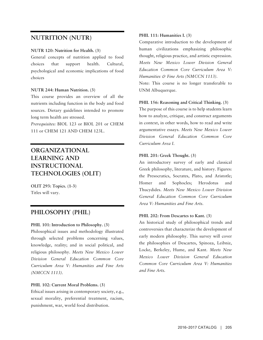# **NUTRITION (NUTR)**

### **NUTR 120: Nutrition for Health. (3)**

General concepts of nutrition applied to food choices that support health. Cultural, psychological and economic implications of food choices

### **NUTR 244: Human Nutrition. (3)**

This course provides an overview of all the nutrients including function in the body and food sources. Dietary guidelines intended to promote long term health are stressed.

*Prerequisites:* BIOL 123 or BIOL 201 or CHEM 111 or CHEM 121 AND CHEM 123L.

# **ORGANIZATIONAL LEARNING AND INSTRUCTIONAL TECHNOLOGIES (OLIT)**

**OLIT 293: Topics. (1-3)** Titles will vary.

# **PHILOSOPHY (PHIL)**

#### **PHIL 101: Introduction to Philosophy. (3)**

Philosophical issues and methodology illustrated through selected problems concerning values, knowledge, reality; and in social political, and religious philosophy. *Meets New Mexico Lower Division General Education Common Core Curriculum Area V: Humanities and Fine Arts (NMCCN 1113).*

#### **PHIL 102: Current Moral Problems. (3)**

Ethical issues arising in contemporary society, e.g., sexual morality, preferential treatment, racism, punishment, war, world food distribution.

# **PHIL 111: Humanities I. (3)**

Comparative introduction to the development of human civilizations emphasizing philosophic thought, religious practice, and artistic expression. *Meets New Mexico Lower Division General Education Common Core Curriculum Area V: Humanities & Fine Arts (NMCCN 1113).*

Note: This course is no longer transferable to UNM Albuquerque.

#### **PHIL 156: Reasoning and Critical Thinking. (3)**

The purpose of this course is to help students learn how to analyze, critique, and construct arguments in context, in other words, how to read and write argumentative essays. *Meets New Mexico Lower Division General Education Common Core Curriculum Area I.*

# **PHIL 201: Greek Thought. (3)**

An introductory survey of early and classical Greek philosophy, literature, and history. Figures: the Presocratics, Socrates, Plato, and Aristotle; Homer and Sophocles; Herodotus and Thucydides. *Meets New Mexico Lower Division General Education Common Core Curriculum Area V: Humanities and Fine Arts.*

#### **PHIL 202: From Descartes to Kant. (3)**

An historical study of philosophical trends and controversies that characterize the development of early modern philosophy. This survey will cover the philosophies of Descartes, Spinoza, Leibniz, Locke, Berkeley, Hume, and Kant. *Meets New Mexico Lower Division General Education Common Core Curriculum Area V: Humanities and Fine Arts.*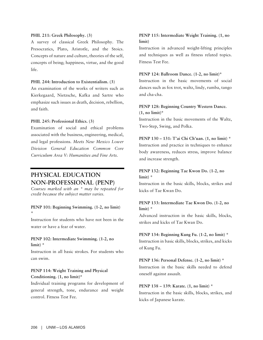#### **PHIL 211: Greek Philosophy. (3)**

A survey of classical Greek Philosophy. The Presocratics, Plato, Aristotle, and the Stoics. Concepts of nature and culture, theories of the self, concepts of being; happiness, virtue, and the good life.

# **PHIL 244: Introduction to Existentialism. (3)**

An examination of the works of writers such as Kierkegaard, Nietzsche, Kafka and Sartre who emphasize such issues as death, decision, rebellion, and faith.

#### **PHIL 245: Professional Ethics. (3)**

Examination of social and ethical problems associated with the business, engineering, medical, and legal professions. *Meets New Mexico Lower Division General Education Common Core Curriculum Area V: Humanities and Fine Arts.*

# **PHYSICAL EDUCATION NON-PROFESSIONAL (PENP)**

*Courses marked with an \* may be repeated for credit because the subject matter varies.*

**PENP 101: Beginning Swimming. (1-2, no limit) \*** 

Instruction for students who have not been in the water or have a fear of water.

### **PENP 102: Intermediate Swimming. (1-2, no limit) \***

Instruction in all basic strokes. For students who can swim.

# **PENP 114: Weight Training and Physical Conditioning. (1, no limit)\***

Individual training programs for development of general strength, tone, endurance and weight control. Fitness Test Fee.

# **PENP 115: Intermediate Weight Training. (1, no limit)**

Instruction in advanced weight-lifting principles and techniques as well as fitness related topics. Fitness Test Fee.

#### **PENP 124: Ballroom Dance. (1-2, no limit)\***

Instruction in the basic movements of social dances such as fox trot, waltz, lindy, rumba, tango and cha-cha.

# **PENP 128: Beginning Country Western Dance. (1, no limit)\***

Instruction in the basic movements of the Waltz, Two-Step, Swing, and Polka.

**PENP 130 – 131: T'ai Chi Ch'uan. (1, no limit) \*** Instruction and practice in techniques to enhance body awareness, reduces stress, improve balance and increase strength.

# **PENP 132: Beginning Tae Kwon Do. (1-2, no limit) \***

Instruction in the basic skills, blocks, strikes and kicks of Tae Kwan Do.

# **PENP 133: Intermediate Tae Kwon Do. (1-2, no limit) \***

Advanced instruction in the basic skills, blocks, strikes and kicks of Tae Kwan Do.

**PENP 134: Beginning Kung Fu. (1-2, no limit) \*** Instruction in basic skills, blocks, strikes, and kicks of Kung Fu.

# **PENP 136: Personal Defense. (1-2, no limit) \*** Instruction in the basic skills needed to defend oneself against assault.

**PENP 138 – 139: Karate. (1, no limit) \*** Instruction in the basic skills, blocks, strikes, and kicks of Japanese karate.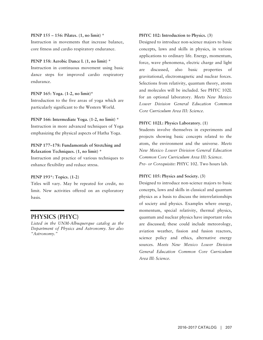#### **PENP 155 – 156: Pilates. (1, no limit) \***

Instruction in movements that increase balance, core fitness and cardio respiratory endurance.

#### **PENP 158: Aerobic Dance I. (1, no limit) \***

Instruction in continuous movement using basic dance steps for improved cardio respiratory endurance.

#### **PENP 165: Yoga. (1-2, no limit)\***

Introduction to the five areas of yoga which are particularly significant to the Western World.

**PENP 166: Intermediate Yoga. (1-2, no limit) \*** Instruction in more advanced techniques of Yoga emphasizing the physical aspects of Hatha Yoga.

# **PENP 177–178: Fundamentals of Stretching and Relaxation Techniques. (1, no limit) \***

Instruction and practice of various techniques to enhance flexibility and reduce stress.

#### **PENP 193\*: Topics. (1-2)**

Titles will vary. May be repeated for credit, no limit. New activities offered on an exploratory basis.

# **PHYSICS (PHYC)**

*Listed in the UNM-Albuquerque catalog as the Department of Physics and Astronomy. See also "Astronomy."* 

### **PHYC 102: Introduction to Physics. (3)**

Designed to introduce non-science majors to basic concepts, laws and skills in physics, in various applications to ordinary life. Energy, momentum, force, wave phenomena, electric charge and light are discussed, also basic properties of gravitational, electromagnetic and nuclear forces. Selections from relativity, quantum theory, atoms and molecules will be included. See PHYC 102L for an optional laboratory. *Meets New Mexico Lower Division General Education Common Core Curriculum Area III: Science.*

### **PHYC 102L: Physics Laboratory. (1)**

Students involve themselves in experiments and projects showing basic concepts related to the atom, the environment and the universe. *Meets New Mexico Lower Division General Education Common Core Curriculum Area III: Science. Pre- or Corequisite:* PHYC 102. Two hours lab.

# **PHYC 105: Physics and Society. (3)**

Designed to introduce non-science majors to basic concepts, laws and skills in classical and quantum physics as a basis to discuss the interrelationships of society and physics. Examples where energy, momentum, special relativity, thermal physics, quantum and nuclear physics have important roles are discussed; these could include meteorology, aviation weather, fission and fusion reactors, science policy and ethics, alternative energy sources. *Meets New Mexico Lower Division General Education Common Core Curriculum Area III: Science.*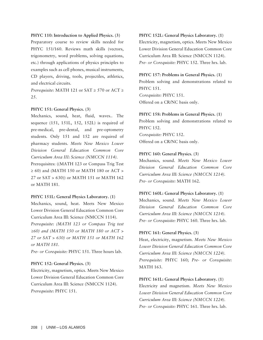**PHYC 110: Introduction to Applied Physics. (3)**

Preparatory course to review skills needed for PHYC 151/160. Reviews math skills (vectors, trigonometry, word problems, solving equations, etc.) through applications of physics principles to examples such as cell phones, musical instruments, CD players, driving, tools, projectiles, athletics, and electrical circuits.

*Prerequisite:* MATH 121 or SAT  $\geq$  570 or ACT  $\geq$ 25.

#### **PHYC 151: General Physics. (3)**

Mechanics, sound, heat, fluid, waves.. The sequence (151, 151L, 152, 152L) is required of pre-medical, pre-dental, and pre-optometry students. Only 151 and 152 are required of pharmacy students. *Meets New Mexico Lower Division General Education Common Core Curriculum Area III: Science (NMCCN 1114).* Prerequisites: ((MATH 123 or Compass Trig Test  $\geq 60$ ) and (MATH 150 or MATH 180 or ACT > 27 or SAT > 630)) or MATH 151 or MATH 162

#### **PHYC 151L: General Physics Laboratory. (1)**

or MATH 181.

Mechanics, sound, heat. Meets New Mexico Lower Division General Education Common Core Curriculum Area III: Science (NMCCN 1114).

*Prerequisite: (MATH 123 or Compass Trig test ≥60) and (MATH 150 or MATH 180 or ACT > 27 or SAT > 630) or MATH 151 or MATH 162 or MATH 181.*

*Pre- or Corequisite:* PHYC 151. Three hours lab.

#### **PHYC 152: General Physics. (3)**

Electricity, magnetism, optics. Meets New Mexico Lower Division General Education Common Core Curriculum Area III: Science (NMCCN 1124). *Prerequisite:* PHYC 151.

**PHYC 152L: General Physics Laboratory. (1)**  Electricity, magnetism, optics. Meets New Mexico Lower Division General Education Common Core Curriculum Area III: Science (NMCCN 1124). *Pre- or Corequisite:* PHYC 152. Three hrs. lab.

# **PHYC 157: Problems in General Physics. (1)**  Problem solving and demonstrations related to PHYC 151. *Corequisite:* PHYC 151.

Offered on a CR/NC basis only.

#### **PHYC 158: Problems in General Physics. (1)**

Problem solving and demonstrations related to PHYC 152. *Corequisite:* PHYC 152. Offered on a CR/NC basis only.

#### **PHYC 160: General Physics. (3)**

Mechanics, sound. *Meets New Mexico Lower Division General Education Common Core Curriculum Area III: Science (NMCCN 1214). Pre- or Corequisite:* MATH 162.

#### **PHYC 160L: General Physics Laboratory. (1)**

Mechanics, sound. *Meets New Mexico Lower Division General Education Common Core Curriculum Area III: Science (NMCCN 1214). Pre- or Corequisite:* PHYC 160. Three hrs. lab.

#### **PHYC 161: General Physics. (3)**

Heat, electricity, magnetism. *Meets New Mexico Lower Division General Education Common Core Curriculum Area III: Science (NMCCN 1224). Prerequisite:* PHYC 160; *Pre- or Corequisite:* MATH 163.

#### **PHYC 161L: General Physics Laboratory. (1)**

Electricity and magnetism. *Meets New Mexico Lower Division General Education Common Core Curriculum Area III: Science (NMCCN 1224). Pre- or Corequisite:* PHYC 161. Three hrs. lab.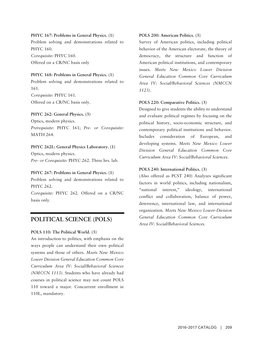### **PHYC 167: Problems in General Physics. (1)**

Problem solving and demonstrations related to PHYC 160.

*Corequisite:* PHYC 160. Offered on a CR/NC basis only

#### **PHYC 168: Problems in General Physics. (1)**

Problem solving and demonstrations related to 161. *Corequisite:* PHYC 161.

Offered on a CR/NC basis only.

# **PHYC 262: General Physics. (3)**

Optics, modern physics.

*Prerequisite:* PHYC 161; *Pre- or Corequisite:* MATH 264.

#### **PHYC 262L: General Physics Laboratory. (1)**

Optics, modern physics. *Pre- or Corequisite:* PHYC 262. Three hrs. lab.

### **PHYC 267: Problems in General Physics. (1)**

Problem solving and demonstrations related to PHYC 262.

*Corequisite:* PHYC 262. Offered on a CR/NC basis only.

# **POLITICAL SCIENCE (POLS)**

#### **POLS 110: The Political World. (3)**

An introduction to politics, with emphasis on the ways people can understand their own political systems and those of others. *Meets New Mexico Lower Division General Education Common Core Curriculum Area IV: Social/Behavioral Sciences (NMCCN 1113).* Students who have already had courses in political science may not count POLS 110 toward a major. Concurrent enrollment in 110L, mandatory.

### **POLS 200: American Politics. (3)**

Survey of American politics, including political behavior of the American electorate, the theory of democracy, the structure and function of American political institutions, and contemporary issues. *Meets New Mexico Lower Division General Education Common Core Curriculum Area IV: Social/Behavioral Sciences (NMCCN 1123).* 

### **POLS 220: Comparative Politics. (3)**

Designed to give students the ability to understand and evaluate political regimes by focusing on the political history, socio-economic structure, and contemporary political institutions and behavior. Includes consideration of European, and developing systems. *Meets New Mexico Lower Division General Education Common Core Curriculum Area IV: Social/Behavioral Sciences.*

#### **POLS 240: International Politics. (3)**

(Also offered as PCST 240) Analyzes significant factors in world politics, including nationalism, "national interest," ideology, international conflict and collaboration, balance of power, deterrence, international law, and international organization. *Meets New Mexico Lower-Division General Education Common Core Curriculum Area IV: Social/Behavioral Sciences.*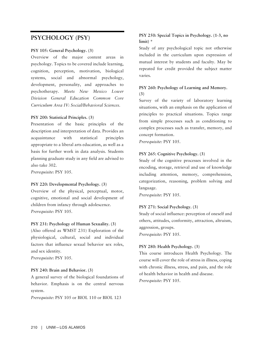# **PSYCHOLOGY (PSY)**

#### **PSY 105: General Psychology. (3)**

Overview of the major content areas in psychology. Topics to be covered include learning, cognition, perception, motivation, biological systems, social and abnormal psychology, development, personality, and approaches to psychotherapy. *Meets New Mexico Lower Division General Education Common Core Curriculum Area IV: Social/Behavioral Sciences.*

#### **PSY 200: Statistical Principles. (3)**

Presentation of the basic principles of the description and interpretation of data. Provides an acquaintance with statistical principles appropriate to a liberal arts education, as well as a basis for further work in data analysis. Students planning graduate study in any field are advised to also take 302.

*Prerequisite:* PSY 105.

#### **PSY 220: Developmental Psychology. (3)**

Overview of the physical, perceptual, motor, cognitive, emotional and social development of children from infancy through adolescence. *Prerequisite:* PSY 105.

#### **PSY 231: Psychology of Human Sexuality. (3)**

(Also offered as WMST 231) Exploration of the physiological, cultural, social and individual factors that influence sexual behavior sex roles, and sex identity.

*Prerequisite:* PSY 105.

### **PSY 240: Brain and Behavior. (3)**

A general survey of the biological foundations of behavior. Emphasis is on the central nervous system.

*Prerequisite:* PSY 105 or BIOL 110 or BIOL 123

# **PSY 250: Special Topics in Psychology. (1-3, no limit) \***

Study of any psychological topic not otherwise included in the curriculum upon expression of mutual interest by students and faculty. May be repeated for credit provided the subject matter varies.

# **PSY 260: Psychology of Learning and Memory. (3)**

Survey of the variety of laboratory learning situations, with an emphasis on the application of principles to practical situations. Topics range from simple processes such as conditioning to complex processes such as transfer, memory, and concept formation.

*Prerequisite:* PSY 105.

#### **PSY 265: Cognitive Psychology. (3)**

Study of the cognitive processes involved in the encoding, storage, retrieval and use of knowledge including attention, memory, comprehension, categorization, reasoning, problem solving and language.

*Prerequisite:* PSY 105.

#### **PSY 271: Social Psychology. (3)**

Study of social influence: perception of oneself and others, attitudes, conformity, attraction, altruism, aggression, groups.

*Prerequisite:* PSY 105.

#### **PSY 280: Health Psychology. (3)**

This course introduces Health Psychology. The course will cover the role of stress in illness, coping with chronic illness, stress, and pain, and the role of health behavior in health and disease. *Prerequisite:* PSY 105.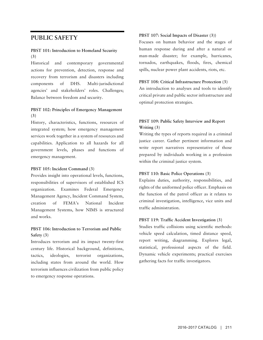# **PUBLIC SAFETY**

# **PBST 101: Introduction to Homeland Security (3)**

Historical and contemporary governmental actions for prevention, detection, response and recovery from terrorism and disasters including components of DHS. Multi-jurisdictional agencies' and stakeholders' roles. Challenges; Balance between freedom and security.

# **PBST 102: Principles of Emergency Management (3)**

History, characteristics, functions, resources of integrated system; how emergency management services work together in a system of resources and capabilities. Application to all hazards for all government levels, phases and functions of emergency management.

#### **PBST 105: Incident Command (3)**

Provides insight into operational levels, functions, responsibilities of supervisors of established ICS organization. Examines Federal Emergency Management Agency, Incident Command System, creation of FEMA's National Incident Management Systems, how NIMS is structured and works.

# **PBST 106: Introduction to Terrorism and Public Safety (3)**

Introduces terrorism and its impact twenty-first century life. Historical background, definitions, tactics, ideologies, terrorist organizations, including states from around the world. How terrorism influences civilization from public policy to emergency response operations.

#### **PBST 107: Social Impacts of Disaster (3))**

Focuses on human behavior and the stages of human response during and after a natural or man-made disaster; for example, hurricanes, tornados, earthquakes, floods, fires, chemical spills, nuclear power plant accidents, riots, etc.

#### **PBST 108: Critical Infrastructure Protection (3)**

An introduction to analyses and tools to identify critical private and public sector infrastructure and optimal protection strategies.

# **PBST 109: Public Safety Interview and Report Writing (3)**

Writing the types of reports required in a criminal justice career. Gather pertinent information and write report narratives representative of those prepared by individuals working in a profession within the criminal justice system.

### **PBST 110: Basic Police Operations (3)**

Explains duties, authority, responsibilities, and rights of the uniformed police officer. Emphasis on the function of the patrol officer as it relates to criminal investigation, intelligence, vice units and traffic administration.

#### **PBST 119: Traffic Accident Investigation (3)**

Studies traffic collisions using scientific methods: vehicle speed calculation, timed distance speed, report writing, diagramming. Explores legal, statistical, professional aspects of the field. Dynamic vehicle experiments; practical exercises gathering facts for traffic investigators.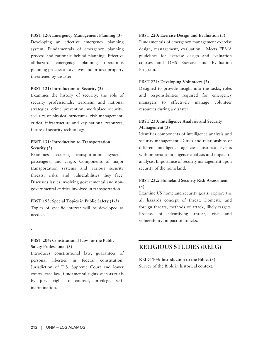#### **PBST 120: Emergency Management Planning (3)**

Developing an effective emergency planning system. Fundamentals of emergency planning process and rationale behind planning. Effective all-hazard emergency planning operations planning process to save lives and protect property threatened by disaster.

#### **PBST 121: Introduction to Security (3)**

Examines the history of security, the role of security professionals, terrorism and national strategies, crime prevention, workplace security, security of physical structures, risk management, critical infrastructure and key national resources, future of security technology.

### **PBST 131: Introduction to Transportation Security (3)**

Examines securing transportation systems, passengers, and cargo. Components of major transportation systems and various security threats, risks, and vulnerabilities they face. Discusses issues involving governmental and nongovernmental entities involved in transportation.

#### **PBST 193: Special Topics in Public Safety (1-3)**

Topics of specific interest will be developed as needed.

# **PBST 204: Constitutional Law for the Public Safety Professional (3)**

.

Introduces constitutional law; guarantees of personal liberties in federal constitution. Jurisdiction of U.S. Supreme Court and lower courts, case law, fundamental rights such as trials by jury, right to counsel, privilege, selfincrimination.

#### **PBST 220: Exercise Design and Evaluation (3)**

Fundamentals of emergency management exercise design, management, evaluation. Meets FEMA guidelines for exercise design and evaluation courses and DHS Exercise and Evaluation Program.

#### **PBST 221: Developing Volunteers (3)**

Designed to provide insight into the tasks, roles and responsibilities required for emergency managers to effectively manage volunteer resources during a disaster.

# **PBST 230: Intelligence Analysis and Security Management (3)**

Identifies components of intelligence analysis and security management. Duties and relationships of different intelligence agencies; historical events with important intelligence analysis and impact of analysis. Importance of security management upon security of the homeland.

# **PBST 232: Homeland Security Risk Assessment (3)**

Examine US homeland security goals; explore the all hazards concept of threat. Domestic and foreign threats, methods of attack, likely targets. Process of identifying threat, risk and vulnerability, impact of attacks.

# **RELIGIOUS STUDIES (RELG)**

**RELG 103: Introduction to the Bible. (3)** Survey of the Bible in historical context.

.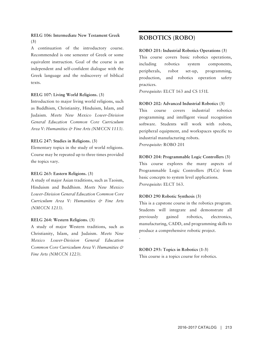# **RELG 106: Intermediate New Testament Greek (3)**

A continuation of the introductory course. Recommended is one semester of Greek or some equivalent instruction. Goal of the course is an independent and self-confident dialogue with the Greek language and the rediscovery of biblical texts.

### **RELG 107: Living World Religions. (3)**

Introduction to major living world religions, such as Buddhism, Christianity, Hinduism, Islam, and Judaism. *Meets New Mexico Lower-Division General Education Common Core Curriculum Area V: Humanities & Fine Arts (NMCCN 1113).*

### **RELG 247: Studies in Religions. (3)**

Elementary topics in the study of world religions. Course may be repeated up to three times provided the topics vary.

# **RELG 263: Eastern Religions. (3)**

A study of major Asian traditions, such as Taoism, Hinduism and Buddhism. *Meets New Mexico Lower-Division General Education Common Core Curriculum Area V: Humanities & Fine Arts (NMCCN 1213).*

#### **RELG 264: Western Religions. (3)**

A study of major Western traditions, such as Christianity, Islam, and Judaism. *Meets New Mexico Lower-Division General Education Common Core Curriculum Area V: Humanities & Fine Arts (NMCCN 1223).*

# **ROBOTICS (ROBO)**

### **ROBO 201: Industrial Robotics Operations (3)**

This course covers basic robotics operations, including robotics system components, peripherals, robot set-up, programming, production, and robotics operation safety practices.

*Prerequisite:* ELCT 163 and CS 151L

### **ROBO 202: Advanced Industrial Robotics (3)**

This course covers industrial robotics programming and intelligent visual recognition software. Students will work with robots, peripheral equipment, and workspaces specific to industrial manufacturing robots. *Prerequisite:* ROBO 201

### **ROBO 204: Programmable Logic Controllers (3)**

This course explores the many aspects of Programmable Logic Controllers (PLCs) from basic concepts to system level applications. *Prerequisite:* ELCT 163.

# **ROBO 290 Robotic Synthesis (3)**

This is a capstone course in the robotics program. Students will integrate and demonstrate all previously gained robotics, electronics, manufacturing, CADD, and programming skills to produce a comprehensive robotic project.

# **ROBO 293: Topics in Robotics (1-3)**

.

This course is a topics course for robotics.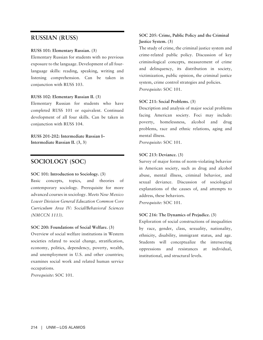# **RUSSIAN (RUSS)**

#### **RUSS 101: Elementary Russian. (3)**

Elementary Russian for students with no previous exposure to the language. Development of all fourlanguage skills: reading, speaking, writing and listening comprehension. Can be taken in conjunction with RUSS 103.

#### **RUSS 102: Elementary Russian II. (3)**

Elementary Russian for students who have completed RUSS 101 or equivalent. Continued development of all four skills. Can be taken in conjunction with RUSS 104.

**RUSS 201-202: Intermediate Russian I– Intermediate Russian II. (3, 3)** 

# **SOCIOLOGY (SOC)**

#### **SOC 101: Introduction to Sociology. (3)**

Basic concepts, topics, and theories of contemporary sociology. Prerequisite for more advanced courses in sociology. *Meets New Mexico Lower Division General Education Common Core Curriculum Area IV: Social/Behavioral Sciences (NMCCN 1113).*

#### **SOC 200: Foundations of Social Welfare. (3)**

Overview of social welfare institutions in Western societies related to social change, stratification, economy, politics, dependency, poverty, wealth, and unemployment in U.S. and other countries; examines social work and related human service occupations.

*Prerequisite:* SOC 101.

# **SOC 205: Crime, Public Policy and the Criminal Justice System. (3)**

The study of crime, the criminal justice system and crime-related public policy. Discussion of key criminological concepts, measurement of crime and delinquency, its distribution in society, victimization, public opinion, the criminal justice system, crime control strategies and policies. *Prerequisite:* SOC 101.

#### **SOC 211: Social Problems. (3)**

Description and analysis of major social problems facing American society. Foci may include: poverty, homelessness, alcohol and drug problems, race and ethnic relations, aging and mental illness.

*Prerequisite:* SOC 101.

#### **SOC 213: Deviance. (3)**

Survey of major forms of norm-violating behavior in American society, such as drug and alcohol abuse, mental illness, criminal behavior, and sexual deviance. Discussion of sociological explanations of the causes of, and attempts to address, these behaviors.

*Prerequisite:* SOC 101.

#### **SOC 216: The Dynamics of Prejudice. (3)**

Exploration of social constructions of inequalities by race, gender, class, sexuality, nationality, ethnicity, disability, immigrant status, and age. Students will conceptualize the intersecting oppressions and resistances at individual, institutional, and structural levels.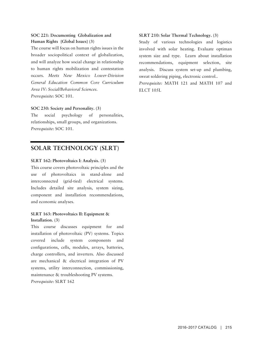# **SOC 221: Documenting Globalization and Human Rights {Global Issues} (3)**

The course will focus on human rights issues in the broader sociopolitical context of globalization, and will analyze how social change in relationship to human rights mobilization and contestation occurs. *Meets New Mexico Lower-Division General Education Common Core Curriculum Area IV: Social/Behavioral Sciences. Prerequisite:* SOC 101.

#### **SOC 230: Society and Personality. (3)**

The social psychology of personalities, relationships, small groups, and organizations. *Prerequisite:* SOC 101.

# **SOLAR TECHNOLOGY (SLRT)**

#### **SLRT 162: Photovoltaics I: Analysis. (3)**

This course covers photovoltaic principles and the use of photovoltaics in stand-alone and interconnected (grid-tied) electrical systems. Includes detailed site analysis, system sizing, component and installation recommendations, and economic analyses.

### **SLRT 163: Photovoltaics II: Equipment & Installation. (3)**

This course discusses equipment for and installation of photovoltaic (PV) systems. Topics covered include system components and configurations, cells, modules, arrays, batteries, charge controllers, and inverters. Also discussed are mechanical & electrical integration of PV systems, utility interconnection, commissioning, maintenance & troubleshooting PV systems. *Prerequisite:* SLRT 162

#### **SLRT 210: Solar Thermal Technology. (3)**

Study of various technologies and logistics involved with solar heating. Evaluate optiman system size and type. Learn about installation recommendations, equipment selection, site analysis. Discuss system set-up and plumbing, sweat soldering piping, electronic control..

*Prerequisite:* MATH 121 and MATH 107 and ELCT 105L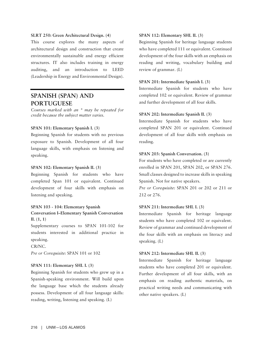#### **SLRT 250: Green Architectural Design. (4)**

This course explores the many aspects of architectural design and construction that create environmentally sustainable and energy efficient structures. IT also includes training in energy auditing, and an introduction to LEED (Leadership in Energy and Environmental Design).

# **SPANISH (SPAN) AND PORTUGUESE**

*Courses marked with an \* may be repeated for credit because the subject matter varies.*

#### **SPAN 101: Elementary Spanish I. (3)**

Beginning Spanish for students with no previous exposure to Spanish. Development of all four language skills, with emphasis on listening and speaking.

#### **SPAN 102: Elementary Spanish II. (3)**

Beginning Spanish for students who have completed Span 101 or equivalent. Continued development of four skills with emphasis on listening and speaking.

### **SPAN 103 - 104: Elementary Spanish**

**Conversation I–Elementary Spanish Conversation II. (1, 1)** 

Supplementary courses to SPAN 101-102 for students interested in additional practice in speaking.

CR/NC.

*Pre or Corequisite:* SPAN 101 or 102

#### **SPAN 111: Elementary SHL I. (3)**

Beginning Spanish for students who grew up in a Spanish-speaking environment. Will build upon the language base which the students already possess. Development of all four language skills: reading, writing, listening and speaking. (L)

### **SPAN 112: Elementary SHL II. (3)**

Beginning Spanish for heritage language students who have completed 111 or equivalent. Continued development of the four skills with an emphasis on reading and writing, vocabulary building and review of grammar. (L)

#### **SPAN 201: Intermediate Spanish I. (3)**

Intermediate Spanish for students who have completed 102 or equivalent. Review of grammar and further development of all four skills.

#### **SPAN 202: Intermediate Spanish II. (3)**

Intermediate Spanish for students who have completed SPAN 201 or equivalent. Continued development of all four skills with emphasis on reading.

#### **SPAN 203: Spanish Conversation. (3)**

For students who have completed or are currently enrolled in SPAN 201, SPAN 202, or SPAN 276. Small classes designed to increase skills in speaking Spanish. Not for native speakers.

*Pre or Corequisite:* SPAN 201 or 202 or 211 or 212 or 276.

#### **SPAN 211: Intermediate SHL I. (3)**

Intermediate Spanish for heritage language students who have completed 102 or equivalent. Review of grammar and continued development of the four skills with an emphasis on literacy and speaking. (L)

#### **SPAN 212: Intermediate SHL II. (3)**

Intermediate Spanish for heritage language students who have completed 201 or equivalent. Further development of all four skills, with an emphasis on reading authentic materials, on practical writing needs and communicating with other native speakers. (L)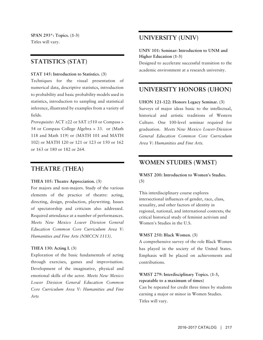**SPAN 293\*: Topics. (1-3)**  Titles will vary.

# **STATISTICS (STAT)**

#### **STAT 145: Introduction to Statistics. (3)**

Techniques for the visual presentation of numerical data, descriptive statistics, introduction to probability and basic probability models used in statistics, introduction to sampling and statistical inference, illustrated by examples from a variety of fields.

*Prerequisite:* ACT ≥22 or SAT ≥510 or Compass > 54 or Compass College Algebra > 33. or (Math 118 and Math 119) or (MATH 101 and MATH 102) or MATH 120 or 121 or 123 or 150 or 162 or 163 or 180 or 182 or 264.

# **THEATRE (THEA)**

#### **THEA 105: Theatre Appreciation. (3)**

For majors and non-majors. Study of the various elements of the practice of theatre: acting, directing, design, production, playwriting. Issues of spectatorship and criticism also addressed. Required attendance at a number of performances. *Meets New Mexico Lower Division General Education Common Core Curriculum Area V: Humanities and Fine Arts (NMCCN 1113).* 

#### **THEA 130: Acting I. (3)**

Exploration of the basic fundamentals of acting through exercises, games and improvisation. Development of the imaginative, physical and emotional skills of the actor. *Meets New Mexico Lower Division General Education Common Core Curriculum Area V: Humanities and Fine Arts*

# **UNIVERSITY (UNIV)**

## **UNIV 101: Seminar: Introduction to UNM and Higher Education (1-3)**

Designed to accelerate successful transition to the academic environment at a research university.

# **UNIVERSITY HONORS (UHON)**

#### **UHON 121-122: Honors Legacy Seminar. (3)**

Surveys of major ideas basic to the intellectual, historical and artistic traditions of Western Culture. One 100-level seminar required for graduation. *Meets New Mexico Lower-Division General Education Common Core Curriculum Area V: Humanities and Fine Arts.*

# **WOMEN STUDIES (WMST)**

**WMST 200: Introduction to Women's Studies. (3)**

This interdisciplinary course explores intersectional influences of gender, race, class, sexuality, and other factors of identity in regional, national, and international contexts; the critical historical study of feminist activism and Women's Studies in the U.S.

#### **WMST 250: Black Women. (3)**

A comprehensive survey of the role Black Women has played in the society of the United States. Emphasis will be placed on achievements and contributions.

## **WMST 279: Interdisciplinary Topics. (1-3, repeatable to a maximum of times)**

Can be repeated for credit three times by students earning a major or minor in Women Studies. Titles will vary.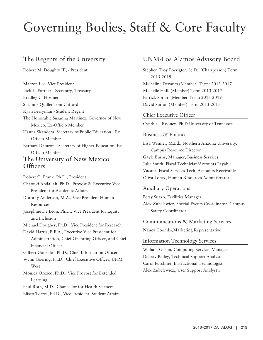# Governing Bodies, Staff & Core Faculty

# The Regents of the University

Robert M. Doughty III, - President , - Marron Lee, Vice President Jack L. Fortner - Secretary, Treasury Bradley C. Hosmer Suzanne QuillenTom Clifford Ryan Berryman - Student Regent The Honorable Susanna Martinez, Governor of New Mexico, Ex-Officio Member Hanna Skandera, Secretary of Public Education - Ex-Officio Member Barbara Damron - Secretary of Higher Education, Ex-Officio Member The University of New Mexico **Officers** 

Robert G. Frank, Ph.D., President

Chaouki Abdallah, Ph.D., Provost & Executive Vice President for Academic Affairs

Dorothy Anderson, M.A., Vice President Human Resources

Josephine De Leon, Ph.D., Vice President for Equity and Inclusion

Michael Dougher, Ph.D., Vice President for Research

David Harris, B.B.A., Executive Vice President for Administration, Chief Operating Officer, and Chief Financial Officer

Gilbert Gonzales, Ph.D., Chief Information Officer

Wynn Goering, Ph.D., Chief Executive Officer, UNM West

Monica Orozco, Ph.D., Vice Provost for Extended Learning

Paul Roth, M.D., Chancellor for Health Sciences

Eliseo Torres, Ed.D., Vice President, Student Affairs

# UNM-Los Alamos Advisory Board

Stephen Troy Boerigter, Sc.D., (Chairperson) Term: 2015-2019 Micheline Devaurs (Member) Term: 2013-2017 Michelle Hall, (Member) Term 2013-2017 Patrick Soran (Member Term: 2015-2019 David Sutton (Member) Term 2013-2017

#### Chief Executive Officer

Cynthia J Rooney, Ph.D University of Tennessee

#### Business & Finance

Lisa Wismer, M.Ed., Northern Arizona University, Campus Resource Director Gayle Burns, Manager, Business Services Julie Smith, Fiscal Technician/Accounts Payable Vacant- Fiscal Services Tech, Accounts Receivable Oliva Lopez, Human Resources Administrator

#### Auxiliary Operations

Betsy Suazo, Facilities Manager Alex Zubelewicz, Special Events Coordinator, Campus Safety Coordinator

#### Communications & Marketing Services

Nancy Coombs,Marketing Representative

#### Information Technology Services

William Gilson, Computing Services Manager Debray Bailey, Technical Support Analyst Carol Furchner, Instructional Technologist Alex Zubelewicz,, User Support Analyst I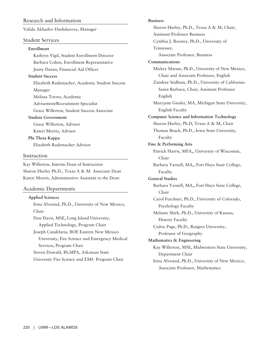#### Research and Information

Valida Akhadov Dushdurova, Manager

#### Student Services

#### **Enrollment**

Kathryn Vigil, Student Enrollment Director Barbara Cohen, Enrollment Representative Jenny Duran, Financial Aid Officer

#### **Student Success**

Elizabeth Rademacher, Academic Student Success Manager Melissa Torres, Academic Advisement/Recruitment Specialist

Grace Willerton, Student Success Associate

#### **Student Government**

Grace Willerton, Advisor

Kateri Morris, Advisor

#### **Phi Theta Kappa**

Elizabeth Rademacher Advisor

#### Instruction

Kay Willerton, Interim Dean of Instruction Sharon Hurley Ph.D., Texas A & M Associate Dean Kateri Morris, Administrative Assistant to the Dean

#### Academic Departments

#### **Applied Sciences**

Irina Alvestad, Ph.D., University of New Mexico, Chair

Don Davis, MSE, Long Island University, Applied Technology, Program Chair

Joseph Candelaria, BOE Eastern New Mexico University, Fire Science and Emergency Medical Services, Program Chair

Steven Dawald, BS,MPA, Arkansas State

University Fire Science and EMS Program Chair

## **Business** Sharon Hurley, Ph.D., Texas A & M, Chair, Assistant Professor Business

Cynthia J. Rooney, Ph.D., University of Tennessee,

Associate Professor, Business

#### **Communications**

Mickey Marsee, Ph.D., University of New Mexico, Chair and Associate Professor, English Zandree Stidham, Ph.D., University of California-Santa Barbara, Chair, Assistant Professor English

Maryjane Giesler, MA, Michigan State University, English Faculty

**Computer Science and Information Technology** Sharon Hurley, Ph.D, Texas A & M, Chair Thomas Beach, Ph.D., Iowa State University,

Faculty

#### **Fine & Performing Arts**

Patrick Harris, MFA,, University of Wisconsin, Chair

Barbara Yarnell, MA,, Fort Hays State College, Faculty

#### **General Studies**

Barbara Yarnell, MA,, Fort Hays State College, Chair

Carol Furchner, Ph.D., University of Colorado, Psychology Faculty

Melanie Shirk, Ph.D., University of Kansas, History Faculty

Cedric Page, Ph.D., Rutgers University,

Professor of Geography

#### **Mathematics & Engineering**

Kay Willerton, MSE, Midwestern State University, Department Chair

Irina Alvestad, Ph.D., University of New Mexico, Associate Professor, Mathematics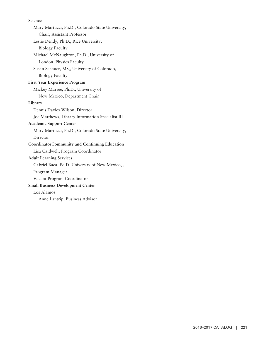#### **Science**

Mary Martucci, Ph.D., Colorado State University, Chair, Assistant Professor Leslie Dendy, Ph.D., Rice University, Biology Faculty Michael McNaughton, Ph.D., University of London, Physics Faculty Susan Schauer, MS,, University of Colorado, Biology Faculty **First Year Experience Program** Mickey Marsee, Ph.D., University of New Mexico, Department Chair **Library** Dennis Davies-Wilson, Director Joe Matthews, Library Information Specialist III **Academic Support Center** Mary Martucci, Ph.D., Colorado State University, Director **CoordinatorCommunity and Continuing Education** Lisa Caldwell, Program Coordinator **Adult Learning Services** Gabriel Baca, Ed D. University of New Mexico, , Program Manager Vacant Program Coordinator **Small Business Development Center** Los Alamos Anne Lantrip, Business Advisor